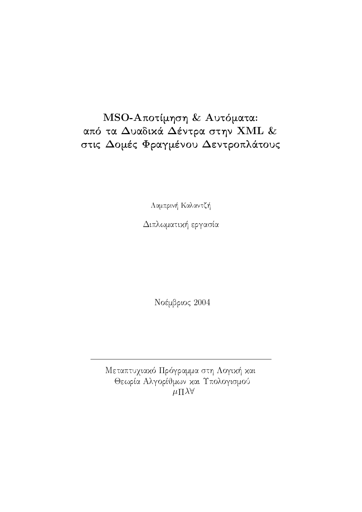# MSO-Αποτίμηση & Αυτόματα: από τα Δυαδικά Δέντρα στην XML & στις Δομές Φραγμένου Δεντροπλάτους

Λαμπρινή Καλαντζή

Διπλωματική εργασία

Νοέμβριος 2004

Μεταπτυχιακό Πρόγραμμα στη Λογική και Θεωρία Αλγορίθμων και Υπολογισμού  $\mu \Pi \lambda \forall$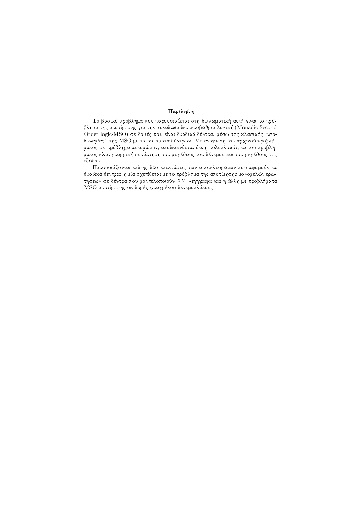## Περίληψη

Το βασικό πρόβλημα που παρουσιάζεται στη διπλωματική αυτή είναι το πρόβλημα της αποτίμησης για την μοναδιαία δευτεροβάθμια λογική (Monadic Second Order logic-MSO) σε δομές που είναι δυαδικά δέντρα, μέσω της κλασικής "ισοδυναμίας" της MSO με τα αυτόματα δέντρων. Με αναγωγή του αρχικού προβλήματος σε πρόβλημα αυτομάτων, αποδεικνύεται ότι η πολυπλοκότητα του προβλήματος είναι γραμμική συνάρτηση του μεγέθους του δέντρου και του μεγέθους της εξόδου.

Παρουσιάζονται επίσης δύο επεκτάσεις των αποτελεσμάτων που αφορούν τα δυαδικά δέντρα: η μία σχετίζεται με το πρόβλημα της αποτίμησης μονομελών ερωτήσεων σε δέντρα που μοντελοποιούν XML-έγγραφα και η άλλη με προβλήματα MSO-αποτίμησης σε δομές φραγμένου δεντροπλάτους.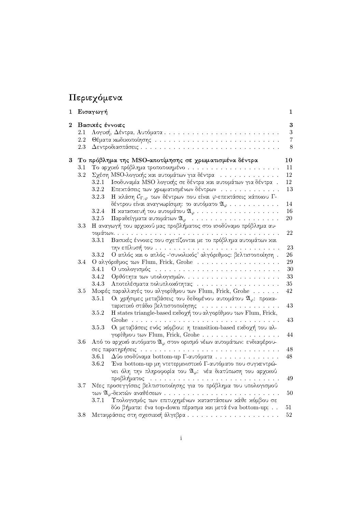# Περιεχόμενα

| 1              |         | Εισαγωγή        |                                                                                               | 1              |
|----------------|---------|-----------------|-----------------------------------------------------------------------------------------------|----------------|
| $\overline{2}$ |         | Βασικές έννοιες |                                                                                               | $\bf{3}$       |
|                | $2.1\,$ |                 |                                                                                               | 3              |
|                | $2.2\,$ |                 |                                                                                               | $\overline{7}$ |
|                | 2.3     |                 |                                                                                               | $8\,$          |
| $\bf{3}$       |         |                 | Το πρόβλημα της MSO-αποτίμησης σε χρωματισμένα δέντρα                                         | $10\,$         |
|                | $3.1\,$ |                 |                                                                                               | 11             |
|                | 3.2     |                 | $\Sigma$ χέση MSO-λογικής και αυτομάτων για δέντρα                                            | 12             |
|                |         | 3.2.1           | Ισοδυναμία MSO λογικής σε δέντρα και αυτομάτων για δέντρα.                                    | 12             |
|                |         | 3.2.2           | Επεχτάσεις των χρωματισμένων δέντρων                                                          | 13             |
|                |         | 3.2.3           | Η κλάση $\mathcal{C}_{\Gamma,\varphi}$ των δέντρων που είναι $\varphi$ -επεκτάσεις κάποιου Γ- |                |
|                |         |                 | δέντρου είναι αναγνωρίσιμη: το αυτόματο $\mathfrak{A}_{\varphi}$                              | 14             |
|                |         | 3.2.4           |                                                                                               | 16             |
|                |         | 3.2.5           |                                                                                               | 20             |
|                | 3.3     |                 | Η αναγωγή του αρχικού μας προβλήματος στο ισοδύναμο πρόβλημα αυ-                              |                |
|                |         |                 |                                                                                               | 22             |
|                |         | 3.3.1           | Βασιχές έννοιες που σχετίζονται με το πρόβλημα αυτομάτων χαι                                  |                |
|                |         |                 |                                                                                               | 23             |
|                |         | 3.3.2           | Ο απλός και ο απλός - συνολικός' αλγόριθμος: βελτιστοποίηση.                                  | 26             |
|                | 3.4     |                 | Ο αλγόριθμος των Flum, Frick, Grohe                                                           | 29             |
|                |         | 3.4.1           |                                                                                               | 30             |
|                |         | 3.4.2           |                                                                                               | 33             |
|                |         | 3.4.3           |                                                                                               | 35             |
|                | 3.5     |                 | Μικρές παραλλαγές του αλγορίθμου των Flum, Frick, Grohe                                       | 42             |
|                |         | 3.5.1           | Οι χρήσιμες μεταβάσεις του δεδομένου αυτομάτου $\mathfrak{A}_{\varphi}$ : προχα-              |                |
|                |         |                 | ταρχτιχό στάδιο βελτιστοποίησης                                                               | 43             |
|                |         | 3.5.2           | H states triangle-based εκδοχή του αλγορίθμου των Flum, Frick,                                |                |
|                |         |                 |                                                                                               | 43             |
|                |         | 3.5.3           | Οι μεταβάσεις ενός χόμβου: η transition-based εχδοχή του αλ-                                  |                |
|                |         |                 | γορίθμου των Flum, Frick, Grohe                                                               | 44             |
|                | $3.6\,$ |                 | Από το αρχικό αυτόματο $\mathfrak{A}_{\varphi}$ στον ορισμό νέων αυτομάτων: ενδιαφέρου-       |                |
|                |         |                 |                                                                                               | $48\,$         |
|                |         | 3.6.1           | $\Delta$ ύο ισοδύναμα bottom-up Γ-αυτόματα                                                    | 48             |
|                |         | 3.6.2           | Ένα bottom-up μη ντετερμινιστικό Γ-αυτόματο που συγκεντρώ-                                    |                |
|                |         |                 | νει όλη την πληροφορία του $\mathfrak{A}_{\varphi}$ : νέα διατύπωση του αρχιχού               |                |
|                |         |                 | προβλήματος                                                                                   | 49             |
|                | 3.7     |                 | Νέες προσεγγίσεις βελτιστοποίησης για το πρόβλημα του υπολογισμού                             |                |
|                |         |                 |                                                                                               | $50\,$         |
|                |         | 3.7.1           | Υπολογισμός των επιτυχημένων καταστάσεων κάθε κόμβου σε                                       |                |
|                |         |                 | δύο βήματα: ένα top-down πέρασμα και μετά ένα bottom-up;                                      | 51             |
|                | 3.8     |                 | Μεταφράσεις στη σχεσιαχή άλγεβρα                                                              | $52\,$         |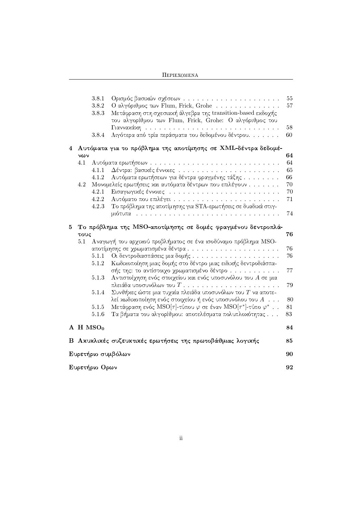| <b>ΠΕΡΙΕΧΟΜΕΝΑ</b> |
|--------------------|
|--------------------|

|    |                  | 3.8.1        |                                                                | $55\,$ |
|----|------------------|--------------|----------------------------------------------------------------|--------|
|    |                  | 3.8.2        | Ο αλγόριθμος των Flum, Frick, Grohe                            | 57     |
|    |                  | 3.8.3        | Μετάφραση στη σχεσιακή άλγεβρα της transition-based εκδοχής    |        |
|    |                  |              | του αλγορίθμου των Flum, Frick, Grohe: Ο αλγόριθμος του        |        |
|    |                  |              |                                                                | 58     |
|    |                  | 3.8.4        | Λιγότερα από τρία περάσματα του δεδομένου δέντρου              | 60     |
| 4  |                  |              | Αυτόματα για το πρόβλημα της αποτίμησης σε ΧΜL-δέντρα δεδομέ-  |        |
|    | $\nu \omega \nu$ |              |                                                                | 64     |
|    | 4.1              |              |                                                                | 64     |
|    |                  | 4.1.1        |                                                                | 65     |
|    |                  | 4.1.2        | Αυτόματα ερωτήσεων για δέντρα φραγμένης τάξης                  | 66     |
|    | 4.2              |              | Μονομελείς ερωτήσεις και αυτόματα δέντρων που επιλέγουν        | 70     |
|    |                  | 4.2.1        |                                                                | 70     |
|    |                  | 4.2.2        | Αυτόματο που επιλέγει                                          | $71\,$ |
|    |                  | 4.2.3        | Το πρόβλημα της αποτίμησης για STA-ερωτήσεις σε δυαδικά στιγ-  |        |
|    |                  |              |                                                                | 74     |
| 5. |                  |              | Το πρόβλημα της MSO-αποτίμησης σε δομές φραγμένου δεντροπλά-   |        |
|    | τους             |              |                                                                | 76     |
|    | 5.1              |              | Αναγωγή του αρχικού προβλήματος σε ένα ισοδύναμο πρόβλημα MSO- |        |
|    |                  |              |                                                                |        |
|    |                  |              | αποτίμησης σε χρωματισμένα δέντρα                              | 76     |
|    |                  | 5.1.1        |                                                                | 76     |
|    |                  | 5.1.2        | Κωδικοποίηση μιας δομής στο δέντρο μιας ειδικής δεντροδιάσπα-  |        |
|    |                  |              | σής της: το αντίστοιχο χρωματισμένο δέντρο                     | 77     |
|    |                  | 5.1.3        | Αντιστοίχηση ενός στοιχείου και ενός υποσυνόλου του $A$ σε μια |        |
|    |                  |              |                                                                | 79     |
|    |                  | 5.1.4        | Συνθήκες ώστε μια τυχαία πλειάδα υποσυνόλων του $T$ να αποτε-  |        |
|    |                  |              | λεί κωδικοποίηση ενός στοιχείου ή ενός υποσυνόλου του $A$      | 80     |
|    |                  | 5.1.5        | Μετάφραση ενός MSO[τ]-τύπου φ σε έναν MSO[τ*]-τύπο $\varphi^*$ | 81     |
|    |                  | 5.1.6        | Τα βήματα του αλγορίθμου: αποτελέσματα πολυπλοχότητας          | 83     |
|    |                  | $A$ H $MSO0$ |                                                                | 84     |
|    |                  |              |                                                                |        |
|    |                  |              | Β Ακυκλικές συζευκτικές ερωτήσεις της πρωτοβάθμιας λογικής     | 85     |
|    |                  |              | Ευρετήριο συμβόλων                                             | 90     |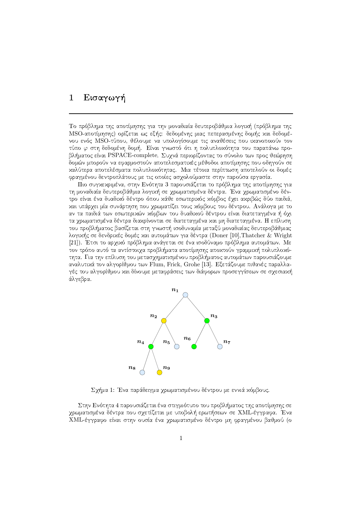# -

Το πρόβλημα της αποτίμησης για την μοναδιαία δευτεροβάθμια λογική (πρόβλημα της MSO-αποτίμησης) ορίζεται ως εξής: δεδομένης μιας πεπερασμένης δομής χαι δεδομένου ενός MSO-τύπου, θέλουμε να υπολογίσουμε τις αναθέσεις που ιχανοποιούν τον τύπο  $\varphi$  στη δεδομένη δομή. Είναι γνωστό ότι η πολυπλοχότητα του παραπάνω προβλήματος είναι PSPACE-complete. Συχνά περιορίζοντας το σύνολο των προς θεώρηση δομών μπορούν να εφαρμοστούν αποτελεσματικές μέθοδοι αποτίμησης που οδηγούν σε 5\*B(xI(>A[=@AB±B(SH2(>A[xI:=VGIB(>JB]SH2(xID(SIxW2I5\*F(>AUR>JBWX(/±¤4B >A:>J2\*4B±SH[=@RTSI>=OQVUB(SH2(>A[xI2H(<
2\*4PA2HGI:=X φραγμένου δεντροπλάτους με τις οποίες ασχολούμαστε στην παρούσα εργασία.

Πιο συγχεχριμένα, στην Ενότητα 3 παρουσιάζεται το πρόβλημα της αποτίμησης για τη μοναδιαία δευτεροβάθμια λογική σε χρωματισμένα δέντρα. Ένα χρωματισμένο δέν-ADAALAHDIA::AABHAHAI ALAHAI xαι υπάρχει μία συνάρτηση που χρωματίζει τους χόμβους του δέντρου. Ανάλογα με το  $\begin{array}{lllllllllllll} \text{\normalsize{N}}&\text{\normalsize{N}}&\text{\normalsize{N}}&\text{\normalsize{N}}&\text{\normalsize{N}}&\text{\normalsize{N}}&\text{\normalsize{N}}&\text{\normalsize{N}}&\text{\normalsize{N}}&\text{\normalsize{N}}&\text{\normalsize{N}}&\text{\normalsize{N}}&\text{\normalsize{N}}&\text{\normalsize{N}}&\text{\normalsize{N}}&\text{\normalsize{N}}&\text{\normalsize{N}}&\text{\normalsize{N}}&\text{\normalsize{N}}&\text{\normalsize{N}}&\text{\normalsize{$ τα χρωματισμένα δέντρα διακρίνονται σε διατεταγμένα και μη διατεταγμένα. Η επίλυση του προβλήματος βασίζεται στη γνωστή ισοδυναμία μεταξύ μοναδιαίας δευτεροβάθμιας λογικής σε δενδρικές δομές και αυτομάτων για δέντρα (Doner [10],Thatcher & Wright [21]). Έτσι το αρχικό πρόβλημα ανάγεται σε ένα ισοδύναμο πρόβλημα αυτομάτων. Με τον τρόπο αυτό τα αντίστοιχα προβλήματα αποτίμησης αποκτούν γραμμική πολυπλοκότητα. Για την επίλυση του μετασχηματισμένου προβλήματος αυτομάτων παρουσιάζουμε αναλυτικά τον αλγορίθμου των Flum, Frick, Grohe [13]. Εξετάζουμε πιθανές παραλλα- $\gamma$ ές του αλγορίθμου και δίνουμε μεταφράσεις των διάφορων προσεγγίσεων σε σγεσιαχή άλγεβρα.



 $\Sigma$ χήμα 1: Ένα παράδειγμα χρωματισμένου δέντρου με εννιά χόμβους.

 $\Sigma$ την Ενότητα 4 παρουσιάζεται ένα στιγμιότυπο του προβλήματος της αποτίμησης σε χρωματισμένα δέντρα που σχετίζεται με υποβολή ερωτήσεων σε ΧΜL-έγγραφα. Ένα XML-έγγραφο είναι στην ουσία ένα χρωματισμένο δέντρο μη φραγμένου βαθμού (ο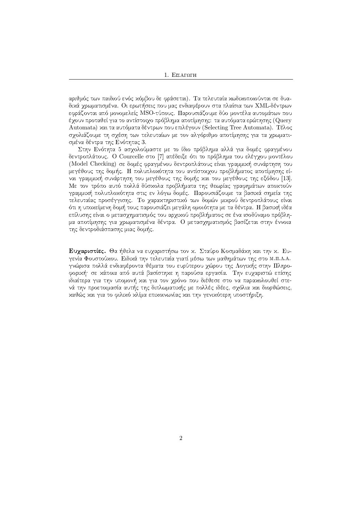αριθμός των παιδιού ενός χόμβου δε φράσεται). Τα τελευταία χωδιχοποιούνται σε δυαδικά γρωματισμένα. Οι ερωτήσεις που μας ενδιαφέρουν στα πλαίσια των ΧΜL-δέντρων εφράζονται από μονομελείς MSO-τύπους. Παρουσιάζουμε δύο μοντέλα αυτομάτων που έχουν προταθεί για το αντίστοιχο πρόβλημα αποτίμησης: τα αυτόματα ερώτησης (Query Automata) και τα αυτόματα δέντρων που επιλέγουν (Selecting Tree Automata). Τέλος σγολιάζουμε τη σγέση των τελευταίων με τον αλγόριθμο αποτίμησης για τα γρωματισμένα δέντρα της Ενότητας 3.

|¡>AUW<l¡<AF(>AU(>JBbBWVu82(xI2HWGIBWV8>A[±GI[ >=2 <sup>T</sup> PR42bSH@AFWwIxIUWGIB¬B(xWxI\¬3"4BPA2HGI:=X©"@AB(3GI:=<A2HD δεντροπλάτους. Ο Courcelle στο [7] απέδειξε ότι το πρόβλημα του ελέγχου μοντέλου (Model Checking) σε δομές φραγμένου δεντροπλάτους είναι γραμμιχή συνάρτηση του μεγέθους της δομής. Η πολυπλοχότητα του αντίστοιγου προβλήματος αποτίμησης είναι γραμμιχή συνάρτηση του μεγέθους της δομής χαι του μεγέθους της εξόδου [13]. Με τον τρόπο αυτό πολλά δύσχολα προβλήματα της θεωρίας γραφημάτων αποχτούν shipting and the second contract of the second contract of the second contract of the second contract of the second contract of the second contract of the second contract of the second contract of the second contract of th τελευταίας προσέγγισης. Το χαραχτηριστιχό των δομών μιχρού δεντροπλάτους είναι ότι η υποχείμενη δομή τους παρουσιάζει μεγάλη ομοιότητα με τα δέντρα. Η βασιχή ιδέα επίλυσης είναι ο μετασχηματισμός του αρχιχού προβλήματος σε ένα ισοδύναμο πρόβλημα αποτίμησης για χρωματισμένα δέντρα. Ο μετασχηματισμός βασίζεται στην έννοια της δεντροδιάσπασης μιας δομής.

**Ευχαριστίες.** Θα ήθελα να ευχαριστήσω τον κ. Σταύρο Κοσμαδάκη και την κ. Ευ- $\overline{\mathcal{X}}$  , and  $\overline{\mathcal{Y}}$  and  $\overline{\mathcal{Y}}$  and  $\overline{\mathcal{Y}}$  are  $\overline{\mathcal{Y}}$  . Only in the operation of  $\overline{\mathcal{Y}}$ γνώρισα πολλά ενδιαφέροντα θέματα του ευρύτερου γώρου της Λογιχής στην Πληροφοριχή· σε χάποια από αυτά βασίστηχε η παρούσα εργασία. Την ευχαριστώ επίσης ιδιαίτερα για την υπομονή χαι για τον γρόνο που διέθεσε στο να παραχολουθεί στενά την προετοιμασία αυτής της διπλωματιχής με πολλές ιδέες, σχόλια χαι διορθώσεις, καθώς και για το φιλικό κλίμα επικοινωνίας και την γενικότερη υποστήριξη.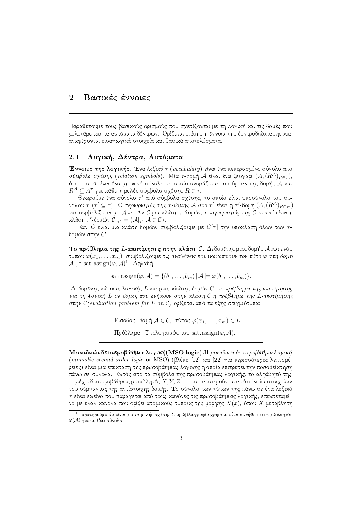#### $\overline{2}$ Βασικές έννοιες

Παραθέτουμε τους βασιχούς ορισμούς που σχετίζονται με τη λογιχή χαι τις δομές που μελετάμε και τα αυτόματα δέντρων. Ορίζεται επίσης η έννοια της δεντροδιάσπασης και αναφέρονται εισαγωγικά στοιχεία και βασικά αποτελέσματα.

#### 2.1 Λογική, Δέντρα, Αυτόματα

Έννοιες της λογικής. Ένα λεξικό τ (vocabulary) είναι ένα πεπερασμένο σύνολο απο σύμβολα σχέσης (relation symbols). Μία τ-δομή Α είναι ένα ζευγάρι  $(A, (R^{\mathcal{A}})_{R \in \tau})$ , όπου το Α είναι ένα μη χενό σύνολο το οποίο ονομάζεται το σύμπαν της δομής Α χαι  $R^{\mathcal{A}} \subseteq A^r$  για κάθε r-μελές σύμβολο σγέσης  $R \in \tau$ .

Θεωρούμε ένα σύνολο τ' από σύμβολα σχέσης, το οποίο είναι υποσύνολο του συνόλου τ (τ'  $\subseteq$  τ). Ο περιορισμός της τ-δομής Α στο τ' είναι η τ'-δομή  $(A, (R^A)_{R \in \tau'})$ και συμβολίζεται με A|-/. Αν C μια κλάση τ-δομών, ο περιορισμός της C στο τ' είναι η  $\chi\lambda$ άση τ'-δομών  $\mathcal{C}|_{\tau'} = {\mathcal{A}|_{\tau'}} | \mathcal{A} \in \mathcal{C}$ .

Εαν C είναι μια χλάση δομών, συμβολίζουμε με  $C[\tau]$  την υποχλάση όλων των τδομών στην  $C$ .

Το πρόβλημα της *L*-αποτίμησης στην κλάση  $\mathcal{C}$ . Δεδομένης μιας δομής *A* και ενός τύπου  $\varphi(x_1,\ldots,x_m)$ , συμβολίζουμε τις αναθέσεις που ικανοποιούν τον τύπο  $\varphi$  στη δομή  $A$  με sat\_assign( $\varphi$ ,  $A$ )<sup>1</sup>. Δηλαδή

$$
\text{sat\_assign}(\varphi, \mathcal{A}) = \{ (b_1, \ldots, b_m) \, | \, \mathcal{A} \models \varphi(b_1, \ldots, b_m) \}.
$$

Δεδομένης χάποιας λογιχής L χαι μιας χλάσης δομών C, το πρόβλημα της αποτίμησης για τη λογική L σε δομές που ανήκουν στην κλάση C ή πρόβλημα της L-αποτίμησης στην  $C$ (evaluation problem for L on C) ορίζεται από τα εξής στιγμιότυπα:

> - Είσοδος: δομή  $A \in \mathcal{C}$ , τύπος  $\varphi(x_1, \ldots, x_m) \in L$ . - Πρόβλημα: Υπολογισμός του sat\_assign( $\varphi$ , A).

Μοναδιαία δευτεροβάθμια λογική(MSO logic). Η μοναδιαία δευτεροβάθμια λογική (monadic second-order logic or MSO) (βλέπε [12] χαι [22] για περισσότερες λεπτομέρειες) είναι μια επέχταση της πρωτοβάθμιας λογιχής η οποία επιτρέπει την ποσοδείχτηση πάνω σε σύνολα. Εκτός από τα σύμβολα της πρωτοβάθμιας λογικής, το αλφάβητό της περιέχει δευτεροβάθμιες μεταβλητές  $X, Y, Z, \ldots$  που αποτιμούνται από σύνολα στοιχείων του σύμπαντος της αντίστοιχης δομής. Το σύνολο των τύπων της πάνω σε ένα λεξιχό τ είναι εχείνο που παράγεται από τους χανόνες τις πρωτοβάθμιας λογιχής, επεχτεταμένο με έναν κανόνα που ορίζει ατομικούς τύπους της μορφής  $X(x)$ , όπου  $X$  μεταβλητή

 $^1$ Παρατηρούμε ότι είναι μια  $m$ -μελής σχέση. Στη βιβλιογραφία χρησιποιείται συνήθως ο συμβολισμός  $\varphi(A)$  για το ίδιο σύνολο.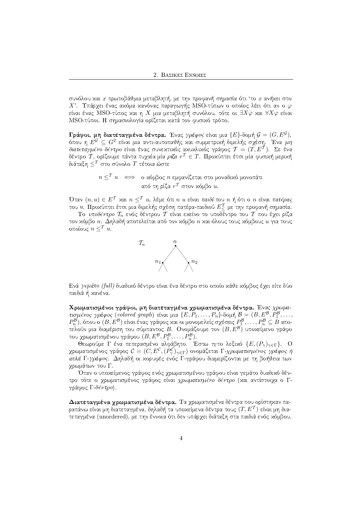συνόλου και  $x$  πρωτοβάθμια μεταβλητή, με την προφανή σημασία ότι 'το  $x$  ανήκει στο Χ'. Υπάργει ένας αχόμα χανόνας παραγωγής MSO-τύπων ο οποίος λέει ότι αν ο φ είναι ένας MSO-τύπος και η Χ μια μεταβλητή συνόλου, τότε οι  $\exists X\varphi$  και  $\forall X\varphi$  είναι MSO-τύποι. Η σημασιολογία ορίζεται κατά τον φυσικό τρόπο.

Γράφοι, μη διατεταγμένα δέντρα. Ένας γράφος είναι μια  $\{E\}$ -δομή  $\mathcal{G} = (G, E^{\mathcal{G}})$ , όπου η  $E^{\mathcal{G}} \subseteq G^2$  είναι μια αντι-αυτοπαθής και συμμετρική διμελής σχέση. Ένα μη διατεταγμένο δέντρο είναι ένας συνεχτιχός αχυχλιχός γράφος  $\mathcal{T} = (T, E^T)$ . Σε ένα δέντρο  $\overset{\cdot}{\mathcal{T}},$  ορίζουμε πάντα τυχαία μία ρίζα  $r^{\mathcal{T}} \in T.$  Προχύπτει έτσι μία φυσιχή μεριχή διάταξη  $\leq^T$  στο σύνολο  $T$  τέτοια ώστε

> $n \leq^T u \iff$  ο χόμβος *η* εμφανίζεται στο μοναδικό μονοπάτι από τη ρίζα $r^T$ στον κόμβο $u$ .

Όταν  $(n, u) \in E^{\mathcal{T}}$  και  $n \leq^{\mathcal{T}} u$ , λέμε ότι ο  $u$  είναι παιδί του  $n$  ή ότι ο  $n$  είναι πατέρας του  $u$ . Προχύπτει έτσι μια διμελής σχέση πατέρα-παιδιού  $E^{\mathcal{T}}_<$  με την προφανή σημασία.

Το υποδέντρο  $\mathcal{T}_n$  ενός δέντρου  $\mathcal{T}$  είναι εχείνο το υποδέντρο του  $\mathcal{T}$  που έχει ρίζα τον κόμβο *n*. Δηλαδή αποτελείται από τον κόμβο *n* και όλους τους κόμβους  $u$  για τους οποίους  $n <sup>T</sup> u$ .



Ενά γεμάτο (full) δυαδικό δέντρο είναι ένα δέντρο στο οποίο κάθε κόμβος έγει είτε δύο παιδιά ή κανένα.

Χρωματισμένοι γράφοι, μη διατεταγμένα χρωματισμένα δέντρα. Ένας χρωματισμένος γράφος (colored graph) είναι μια  $\{E, P_1, \ldots, P_n\}$ δομή  $\mathcal{B} = (B, E^{\mathcal{B}}, P_1^{\mathcal{B}}, \ldots, P_n\)$  $P_n^{\mathcal{B}}$ ), όπου ο  $(B, E^{\mathcal{B}})$  είναι ένας γράφος και οι μονομελείς σχέσεις  $P_1^{\mathcal{B}}, \ldots, P_n^{\mathcal{B}} \subseteq \hat{B}$  αποτελούν μια διαμέριση του σύμπαντος Β. Ονομάζουμε τον  $(B, E^{\mathcal{B}})$  υποχείμενο γράφο του χρωματισμένου γράφου  $(B, E^{\mathcal{B}}, P_1^{\mathcal{B}}, \ldots, P_n^{\mathcal{B}})$ .

Θεωρούμε Γ ένα πεπερασμένο αλφάβητο. Έστω τητο λεξικό  $\{E,(P_\gamma)_{\gamma\in\Gamma}\}$ . Ο χρωματισμένος γράφος  $\mathcal{C} = (C, E^c, (P^c_\gamma)_{\gamma \in \Gamma})$  ονομάζεται Γ-χρωματισμένος γράφος ή απλά Γ-γράφος. Δηλαδή οι χορυφές ενός Γ-γράφου διαμερίζονται με τη βοήθεια των γρωμάτων του Γ.

Όταν ο υποχείμενος γράφος ενός γρωματισμένου γράφου είναι γεμάτο δυαδιχό δέντρο τότε ο γρωματισμένος γράφος είναι χρωματισμένο δέντρο (χαι αντίστοιγα ο Γγράφος Γ-δέντρο).

Διατεταγμένα χρωματισμένα δέντρα. Τα χρωματισμένα δέντρα που ορίστηκαν παραπάνω είναι μη διατεταγμένα, δηλαδή τα υποχείμενα δέντρα τους  $(T,E^{\mathcal{T}})$  είναι μη διατεταγμένα (unordered), με την έννοια ότι δεν υπάργει διάταξη στα παιδιά ενός χόμβου.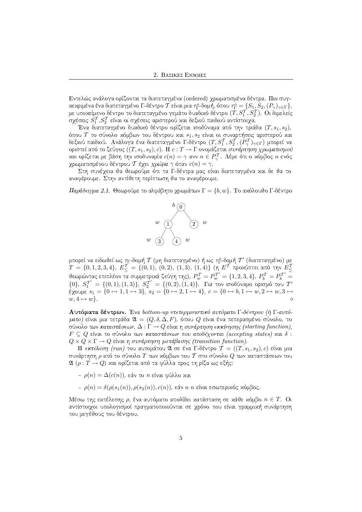Εντελώς ανάλογα ορίζονται τα διατεταγμένα (ordered) χρωματισμένα δέντρα. Πιο συγκεκριμένα ένα διατεταγμένο Γ-δέντρο  $\mathcal T$  είναι μια  $\tau_{\Gamma}^o$ -δομή, όπου  $\tau_{\Gamma}^o=\c S_{1}, S_2, (P_\gamma)_{\gamma\in\Gamma}\},$ με υποχείμενο δέντρο το διατεταγμένο γεμάτο δυαδιχό δέντρο  $(T, S_1^{\mathcal{T}}, S_2^{\mathcal{T}}).$  Οι διμελείς σχέσεις  $S_1^{\mathcal{T}}, S_2^{\mathcal{T}}$  είναι οι σχέσεις αριστερού χαι δεξιού παιδιού αντίστοιχα.

Ένα διατεταγμένο δυαδιχό δέντρο ορίζεται ισοδύναμα από την τριάδα  $(T, s_1, s_2),$ όπου  $T$  το σύνολο χόμβων του δέντρου χαι  $s_1, s_2$  είναι οι συναρτήσεις αριστερού χαι δεξιού παιδιού. Ανάλογα ένα διατεταγμένο Γ-δέντρο  $(T, S_1^{\mathcal{T}}, S_2^{\mathcal{T}}, (P_\gamma^{\mathcal{T}})_{\gamma \in \Gamma})$  μπορεί να οριστεί από το ζεύγος  $((T,s_1,s_2),c). \,\,{\rm H\,}c:T\to \Gamma$  ονομάζεται *συνάρτηση χρωματισμού*<br>και ορίζεται με βάση την ισοδυναμία  $c(n)=\gamma$  ανν  $n\in P_\gamma^{\mathcal T}.$  Λέμε ότι ο κόμβος  $n$  ενός χρωματισμένου δέντρου  $\mathcal T$  έχει *χρώμα*  $\gamma$  *ό*ταν  $c(n)=\gamma.$ 

Στη συνέχεια θα θεωρούμε ότι τα Γ-δέντρα μας είναι διατεταγμένα χαι δε θα το αναφέρουμε. Στην αντίθετη περίπτωση θα το αναφέρουμε.

 $\Pi$ αράδειγμα 2.1. Θεωρούμε το αλφάβητο χρωμάτων  $\Gamma=\{b,w\}$ . Το ακόλουθο Γ-δέντρο



μπορεί να ειδωθεί ως  $\tau_{\Gamma}$ -δομή  $\mathcal T$  (μη διατεταγμένο) ή ως  $\tau_{\Gamma}^o$ -δομή  $\mathcal T'$  (διατεταγμένο) με  $T\,=\, \{0,1,2,3,4\},\; E^{\cal I}_\le\,=\, \{(0,1),\; (0,2),\; (1,3),\; (1,4)\}$  (η  $E^{\cal I}$  προχύπτει από την  $E^{\cal I}_\le$ θεωρώντας επιπλέον τα συμμετριχά ζεύγη της),  $P^{\mathcal{T}}_w = P^{T'}_w = \{1, 2, 3, 4\}, \, P^{\mathcal{T}}_b = P^{T'}_b =$  ${0}$ ,  $S_1^{T'} = {(0,1),(1,3)}$ ,  $S_2^{T'} = {(0,2),(1,4)}$ . Για τον ισοδύναμο ορισμό του  $T'$ έχουμε  $s_1 = \{0 \mapsto 1, 1 \mapsto 3\}, \ s_2 = \{0 \mapsto 2, 1 \mapsto 4\}, \ c = \{0 \mapsto b, 1 \mapsto w, 2 \mapsto w, 3 \mapsto 0\}$  $w, 4 \mapsto w$ .

Αυτόματα δέντρων. Ένα bottom-up ντετερμινιστικό αυτόματο Γ-δέντρου (ή Γ-αυτό- $\mu$ ατο) είναι μια τετράδα  $\mathfrak{A}\,=\,(Q,\delta,\Delta,F),$  όπου  $Q$  είναι ένα πεπερασμένο σύνολο, το σύνολο των καταστάσ $\epsilon$ ων,  $\Delta:\Gamma\rightarrow Q$  είναι η συνάρτηση  $\epsilon$ κκίνησης (starting function),  $F \subseteq Q$  είναι το σύνολο των καταστάσεων που αποδέχονται (accepting states) και  $\delta$  :  $Q \times Q \times \Gamma \rightarrow Q$  είναι η συνάρτηση μετάβασης (transition function).

 ${\rm H}$  εκτέλεση (run) του αυτομάτου  ${\mathfrak A}$  σε ένα  $\Gamma$ -δέντρο  ${\mathcal T}$  =  $((T, s_1, s_2), c)$  είναι μια συνάρτηση  $\rho$  από το σύνολο  $T$  των χόμβων του  $\mathcal T$  στο σύνολο  $Q$  των χαταστάσεων του  $\mathfrak{A}\,\left(\rho:T\rightarrow Q\right)$  και ορίζεται από τα φύλλα προς τη ρίζα ως εξής:

- $\rho(n) = \Delta(c(n))$ , εάν το *n* είναι φύλλο και
- $\rho(n) = \delta(\rho(s_1(n)), \rho(s_2(n)), c(n))$ , εάν ο *n* είναι εσωτεριχός χόμβος.

Μέσω της εχτέλεσης  $\rho,$  ένα αυτόματο αποδίδει χατάσταση σε χάθε χόμβο  $n\in T.$  Οι αντίστοιχοι υπολογισμοί πραγματοποιούνται σε χρόνο που είναι γραμμιχή συνάρτηση του μεγέθους του δέντρου.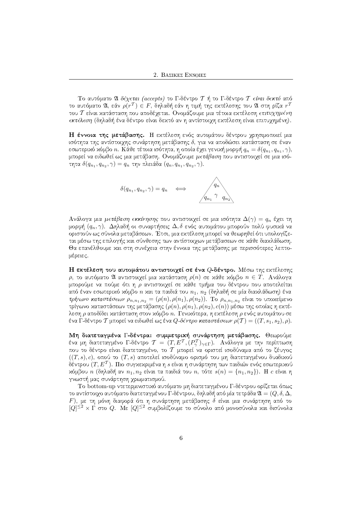Το αυτόματο  $\mathfrak A$  δέχεται (accepts) το Γ-δέντρο  $\mathcal T$  ή το Γ-δέντρο  $\mathcal T$  είναι δεκτό από το αυτόματο 21, εάν  $\rho(r^{\mathcal{T}}) \in F$ , δηλαδή εάν η τιμή της εχτέλεσης του 21 στη ρίζα  $r^{\mathcal{T}}$ του Τ είναι κατάσταση που αποδέγεται. Ονομάζουμε μια τέτοια εκτέλεση επιτυχημένη εκτέλεση (δηλαδή ένα δέντρο είναι δεχτό αν η αντίστοιγη εχτέλεση είναι επιτυγημένη).

**Η έννοια της μετάβασης.** Η εχτέλεση ενός αυτομάτου δέντρου χρησιμοποιεί μια ισότητα της αντίστοιχης συνάρτηση μετάβασης δ, για να αποδώσει κατάσταση σε έναν εσωτεριχό χόμβο  $n$ . Κάθε τέτοια ισότητα, η οποία έχει γενιχή μορφή  $q_n = \delta(q_{n_1}, q_{n_1}, \gamma),$ μπορεί να ειδωθεί ως μια μετάβαση. Ονομάζουμε *μετάβαση* που αντιστοινεί σε μια ισότητα  $\delta(q_{n_1},q_{n_2},\gamma)=q_n$  την πλειάδα  $(q_n,q_{n_1},q_{n_2},\gamma).$ 



Ανάλογα μια  $\mu$ ετάβαση εκκίνησης που αντιστοιχεί σε μια ισότητα  $\Delta(\gamma)=q_n$  έχει τη μορφή  $(q_n, \gamma)$ . Δηλαδή οι συναρτήσεις  $\Delta, \delta$  ενός αυτομάτου μπορούν πολύ φυσιχά να οριστούν ως σύνολα μεταβάσεων. Έτσι, μια εχτέλεση μπορεί να θεωρηθεί ότι υπολογίζεται μέσω της επιλογής και σύνθεσης των αντίστοιχων μετάβασεων σε κάθε διακλάδωση. Θα επανέλθουμε χαι στη συνέχεια στην έννοια της μετάβασης με περισσότερες λεπτομέρειες.

**Η εκτέλεση του αυτομάτου αντιστοιχεί σε ένα** Q-δ**έντρο.** Μέσω της εκτέλεσης  $\rho$ , το αυτόματο  $\mathfrak A$  αντιστοιχεί μια χατάσταση  $\rho(n)$  σε χάθε χόμβο  $n\in T.$  Ανάλογα μπορούμε να πούμε ότι η ρ αντιστοιγεί σε χάθε τμήμα του δέντρου που αποτελείται από έναν εσωτεριχό χόμβο  $n$  χαι τα παιδιά του  $n_1, \, n_2$  (δηλαδή σε μία διαχλάδωση) ένα τρίγωνο καταστάσεων  $\rho_{n,n_1,n_2} = (\rho(n), \rho(n_1), \rho(n_2))$ . Το  $\rho_{n,n_1,n_2}$  είναι το υποχείμενο τρίγωνο χαταστάσεων της μετάβασης  $(\rho(n), \rho(n_1), \rho(n_2), c(n))$  μέσω της οποίας η εχτέλεση  $\rho$  αποδίδει κατάσταση στον κόμβο  $n.$  Γενικότερα, η εκτέλεση  $\rho$  ενός αυτομάτου σε ένα Γ-δέντρο  $\mathcal T$  μπορεί να ειδωθεί ως ένα  $Q$ -δέντρο καταστάσεων  $\rho(\mathcal T)=((T,s_1,s_2),\rho).$ 

Μη διατεταγμένα Γ-δέντρα: συμμετρική συνάρτηση μετάβασης. Θεωρούμε ένα μη διατεταγμένο Γ-δέντρο  $\mathcal{T}~=~(T, E^{\mathcal{T}}, (P^{\mathcal{T}}_{\gamma})_{\gamma \in \Gamma}).$  Ανάλογα με την περίπτωση που το δέντρο είναι διατεταγμένο, το  $\mathcal T$  μπορεί να οριστεί ισοδύναμα από το ζέυγος  $((T,s),c),$  οπού το  $(T,s)$  αποτελεί ισοδύναμο ορισμό του μη διατεταγμένου δυαδιχού δέντρου  $(T, E^{\mathcal{T}}).$  Πιο συγχεχριμένα η  $s$  είναι η συνάρτηση των παιδιών ενός εσωτεριχού χόμβου  $n$  (δηλαδή αν  $n_1, n_2$  είναι τα παιδιά του  $n,$  τότε  $s(n) = \{n_1, n_2\})$ . Η  $c$  είναι η γνωστή μας συνάρτηση χρωματισμού.

Το bottom-up ντετερμινιστικό αυτόματο μη διατεταγμένου Γ-δέντρου ορίζεται όπως το αντίστοιχο αυτόματο διατεταγμένου Γ-δέντρου, δηλαδή από μία τετράδα  $\mathfrak{A} = (Q, \delta, \Delta, \Delta)$  $F$ ), με τη μόνη διαφορά ότι η συνάρτηση μετάβασης  $\delta$  είναι μια συνάρτηση από το  $[Q]^{\leq 2} \times \Gamma$  στο  $Q$ . Με  $[Q]^{\leq 2}$  συμβολίζουμε το σύνολο από μονοσύνολα και δισύνολα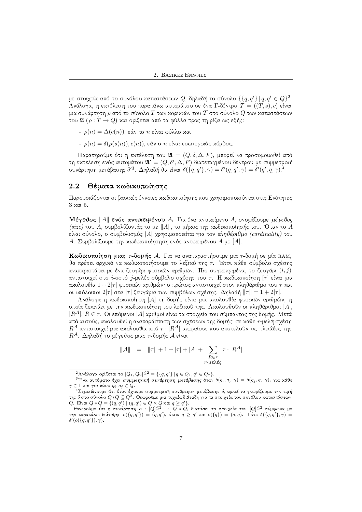με στοιχεία από το συνόλου χαταστάσεων  $Q,$  δηλαδή το σύνολο  $\{\{q,q'\} \, | \, q,q' \in Q\}^2.$  $\Lambda$ νάλογα, η εχτέλεση του παραπάνω αυτομάτου σε ένα  $\Gamma$ -δέντρο  $\mathcal{T} = ((T, s), c)$  είναι μια συνάρτηση  $\rho$  από το σύνολο  $T$  των χορυφών του  $\mathcal T$  στο σύνολο  $Q$  των χαταστάσεων του  $\mathfrak{A}\ (\rho : T \to Q)$  χαι ορίζεται από τα φύλλα προς τη ρίζα ως εξής:

- $\rho(n) = \Delta(c(n))$ , εάν το *n* είναι φύλλο και
- $\rho(n) = \delta(\rho(s(n)), c(n))$ , εάν ο *n* είναι εσωτεριχός χόμβος.

Παρατηρούμε ότι η εχτέλεση του  $\mathfrak{A}\,=\,(Q,\delta,\Delta,F),$  μπορεί να προσομοιωθεί από τη εχτέλεση ενός αυτομάτου  $\mathfrak{A}'=(Q,\delta',\Delta,F)$  διατεταγμένου δέντρου με συμμετριχή συνάρτηση μετάβασης δ $^{\prime 3}$ . Δηλαδή θα είναι  $\delta(\{q,q'\},\gamma)=\delta'(q,q',\gamma)=\delta'(q',q,\gamma).^4$ 

## $\cdot$  .  $\cdot$  .  $\cdot$  .  $\cdot$  .  $\cdot$  .  $\cdot$  .  $\cdot$  .  $\cdot$  .  $\cdot$  .  $\cdot$  .  $\cdot$  .  $\cdot$  .  $\cdot$  .  $\cdot$  .  $\cdot$  .  $\cdot$  .  $\cdot$  .  $\cdot$  .  $\cdot$  .  $\cdot$  .  $\cdot$  .  $\cdot$  .  $\cdot$  .  $\cdot$  .  $\cdot$  .  $\cdot$  .  $\cdot$  .  $\cdot$  .  $\cdot$  .  $\cdot$  .  $\cdot$  .  $\cdot$

Παρουσιάζονται οι βασιχές έννοιες χωδιχοποίησης που γρησιμοποιούνται στις Ενότητες  $3 \times a$  $1 \cdot 5$ .

**Μέγεθος**  $\|A\|$  **ενός αντικειμένο**υ Α. Για ένα αντικείμενο Α, ονομάζουμε  $\mu$ έ*γε*θος (size) του Α, συμβολίζοντάς το με  $\|A\|$ , το μήχος της χωδιχοποίησής του. Όταν το Α είναι σύνολο, ο συμβολισμός | Α γρησιμοποιείται για τον πληθάριθμο (cardinality) του Α. Συμβολίζουμε την χωδιχοποίησηση ενός αντιχειμένου Α με [Α].  $\blacksquare$ 

**Κωδικοποίηση μιας** 7-**δομής** Α. Για να αναπαραστήσουμε μια 7-δομή σε μία RAM, **Κωδικοποίηση μιας** 7-**δομής .4.** Για να αναπαραστήσουμε μια 7-δομή σε μία RAM<br>θα πρέπει αρχικά να κωδικοποιήσουμε το λεξικό της 7. Έτσι κάθε σύμβολο σχέση  $\mathcal{L}$  as a positive values of  $\mathcal{L}$ αναπαριστάται με ένα ζευγάρι φυσιχών αριθμών. Πιο συγχεχριμένα, το ζευγάρι  $(i, j)$ αντιστοιχεί στο *i-*οστό *j-μελές σύμβολο σχέσης του τ*. Η χωδιχοποίηση [ $\tau$ ] είναι μια αχολουθία 1 + 2|τ| φυσιχών αριθμών· ο πρώτος αντιστοιχεί στον πληθάριθμο του τ χαι οι υπόλοιποι 2 $|\tau|$  στα  $|\tau|$  ζευγάρια των συμβόλων σχέσης.  $\Delta$ ηλαδή  $\|\tau\|=1+2|\tau|.$ 

Aνάλογα η κωδικοποίηση [A] τη δομής είναι μια ακολουθία φυσικών αριθμών, η οποία ξεχινάει με την χωδιχοποίηση του λεξιχού της. Αχολουθούν οι πληθάριθμοι  $|A|, \;$  $|R^\mathcal{A}|,\,R\in\tau.$  Οι επόμενοι  $|A|$  αριθμοί είναι τα στοιχεία του σύμπαντος της δομής. Μετά από αυτούς, αχολουθεί η αναπαράσταση των σχέσεων της δομής· σε χάθε r-μελή σχέση  $R^\mathcal{A}$  αντιστοιγεί μια αχολουθία από  $r\cdot |R^\mathcal{A}|$  αχεραίους που αποτελούν τις πλειάδες της  $R^{\mathcal{A}}$ . Δηλαδή το μέγεθος μιας τ-δομής  $\mathcal{A}$  είναι

$$
\|\mathcal{A}\| = \|\tau\| + 1 + |\tau| + |A| + \sum_{\substack{R \in \tau \\ r - \mu \varepsilon \lambda \varepsilon \varsigma}} r \cdot |R^{\mathcal{A}}|
$$

 $^2$ Ανάλογα ορίζεται το  $[Q_1, Q_2]^{\leq 2} = \{\{q, q'\}\,|\, q \in Q_1, q' \in Q_2\}$ .

 $^3$ Ένα αυτόματο έχει συμμετρική συνάρτηση μετάβασης όταν δ $(q_i,q_j,\gamma)=\delta(q_j,q_i,\gamma),$  για χάθε  $\gamma\in\Gamma$  και για κάθε  $q_i, q_j\in Q.$ 

 $^4\Sigma$ ημειώνουμε ότι όταν έχουμε συμμετριχή συνάρτηση μετάβασης δ, αρχεί να γνωρίζουμε την τιμή της δ στο σύνολο  $Q * Q \subseteq Q^2$ . Θεωρούμε μια τυχαία διάταξη για τα στοιχεία του συνόλου καταστάσεων  $Q.$  Είναι  $Q * Q = \{(q, q') \mid (q, q') \in Q \times Q$  χαι  $q \geq q'\}.$ 

 $\Theta$ εωρούμε ότι η συνάρτηση  $o$  :  $[Q]^{\leq 2}\ \to \ Q\ast Q,$  διατάσει τα στοιχεία του  $[Q]^{\leq 2}$  σύμφωνα με την παραπάνω διάταξη:  $o({q,q')}) = (q,q'),$  όπου  $q \geq q'$  xαι  $o({q}) = (q,q).$  Τότε  $\delta({q,q',\gamma) = q''}$  $\delta'(o(\lbrace q,q' \rbrace), \gamma).$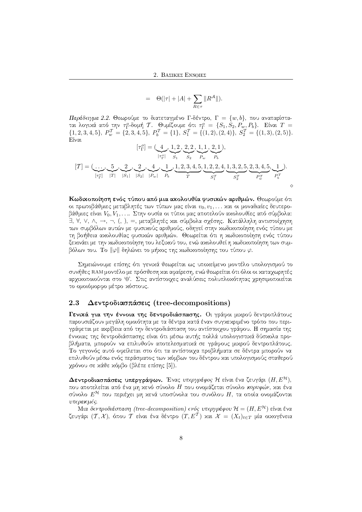$$
= \Theta(|\tau|+|A|+\sum_{R\in\tau}\|R^{\mathcal{A}}\|).
$$

Παράδειγμα 2.2. Θεωρούμε το διατεταγμένο Γ-δέντρο, Γ =  $\{w, b\}$ , που αναπαρίσταται λογικά από την  $\tau_{\Gamma}^o$ -δομή  $\mathcal{T}$ . Θυμίζουμε ότι  $\tau_{\Gamma}^o = \{S_1, S_2, P_w, P_b\}$ . Είναι  $T =$  ${1, 2, 3, 4, 5}, P_w^{\mathcal{T}} = {2, 3, 4, 5}, P_b^{\mathcal{T}} = {1}, S_1^{\mathcal{T}} = { (1, 2), (2, 4)}, S_2^{\mathcal{T}} = { (1, 3), (2, 5)}.$ Είναι

$$
[\tau_{\Gamma}^o] = (\underbrace{4}_{|\tau_{\Gamma}^o|}, \underbrace{1, 2, 2, 2, 1, 1}_{S_1}, \underbrace{2, 1}_{S_2}, 1),
$$
  

$$
[\mathcal{T}] = (\underbrace{\cdots}_{[\tau_{\Gamma}^o]} , \underbrace{5}_{|\mathcal{T}_1}, \underbrace{2}_{S_2}, \underbrace{4}_{Q}, , \underbrace{1}_{Q}, \underbrace{1, 2, 3, 4, 5}_{T}, \underbrace{1, 2, 2, 4}_{S_1^T}, \underbrace{1, 3, 2, 5}_{S_2^T}, \underbrace{2, 3, 4, 5}_{P_w^T}, \underbrace{1}_{P_v^T})
$$
  

$$
\diamond
$$

Κωδικοποίηση ενός τύπου από μια ακολουθία φυσικών αριθμών. Θεωρούμε ότι οι πρωτοβάθμιες μεταβλητές των τύπων μας είναι  $v_0, v_1, \ldots$  και οι μοναδιαίες δευτεροβάθμιες είναι  $V_0, V_1, \ldots$  Στην ουσία οι τύποι μας αποτελούν αχολουθίες από σύμβολα: ∃, ∀, ∨, ∧, →, ¬, (, ), =, μεταβλητές και σύμβολα σχέσης. Κατάλληλη αντιστοίχηση των συμβόλων αυτών με φυσιχούς αριθμούς, οδηγεί στην χωδιχοποίηση ενός τύπου με >AU±wH2H6Rh[J4B B(5\*2RxI2HDRdTBWX!©"DWV"45H Q<±BW@R4hGW Q<I/lL[OQ@A[JT>JBI4pF(>R4U 5HOQPR45\*2ISH2\*TUWVU [=<AFHXv>A(SH2HD ξεχινάει με την χωδιχοποίηση του λεξιχού του, ενώ αχολουθεί η χωδιχοποίηση των συμβόλων του. Το  $\|\varphi\|$  δηλώνει το μήχος της χωδιχοποίησης του τύπου  $\varphi.$ 

Σημειώνουμε επίσης ότι γενιχά θεωρείται ως υποχείμενο μοντέλο υπολογισμού το συνήθες RAM μοντέλο με πρόσθεση χαι αφαίρεση, ενώ θεωρείται ότι όλοι οι χαταγωρητές αρχικοποιούνται στο '0'. Στις αντίστοιχες αναλύσεις πολυπλοκότητας χρησιμοποιείται το ομοιόμορφο μέτρο χόστους.

## 2.3 Δεντροδιασπάσεις (tree-decompositions)

**Γενικά για την έννοια της δεντροδιάσπασης.** Οι γράφοι μιχρού δεντροπλάτους παρουσιάζουν μεγάλη ομοιότητα με τα δέντρα χατά έναν συγχεχριμένο τρόπο που περιγράφεται με αχρίβεια από την δεντροδιάσπαση του αντίστοιχου γράφου. Η σημασία της έννοιας της δεντροδιάσπασης είναι ότι μέσω αυτής πολλά υπολογιστικά δύσκολα προ- $\begin{array}{lllllllllll} \textbf{A} & \textbf{A} & \textbf{A} & \textbf{A} & \textbf{A} & \textbf{A} & \textbf{A} & \textbf{A} & \textbf{A} & \textbf{A} & \textbf{A} & \textbf{A} & \textbf{A} & \textbf{A} & \textbf{A} & \textbf{A} & \textbf{A} & \textbf{A} & \textbf{A} & \textbf{A} & \textbf{A} & \textbf{A} & \textbf{A} & \textbf{A} & \textbf{A} & \textbf{A} & \textbf{A} & \textbf{A} & \textbf{A} & \textbf{A$ meter i Afrikaanse voorbeeld in de verwerd in de verwerd in de verwerd in de verwerd in de verwerd in de verwerd in de verwerd in de verwerd in de verwerd in de verwerd in de verwerd in de verwerd in de verwerd in de verw επιλυθούν μέσω ενός περάσματος των χόμβων του δέντρου χαι υπολογισμούς σταθερού νρόνου σε χάθε χόμβο (βλέπε επίσης [5]).

 $\boldsymbol{\Delta}$ εντροδιασπάσεις υπεργράφων. Ένας υπ $\epsilon$ ργράφος  $\mathcal H$  είναι ένα ζευγάρι  $(H, E^{\mathcal H}),$ που αποτελείται από ένα μη χενό σύνολο Η που ονομάζεται σύνολο κορυφών, χαι ένα σύνολο  $E^\mathcal{H}$  που περιέχει μη κενά υποσύνολα του συνόλου  $H,$  τα οποία ονομάζονται  $v\pi\epsilon\rho a\kappa\mu\epsilon\varsigma.$ 

 ${\rm M}$ ια δεντροδιάσπαση (tree-decomposition) ενός υπεργράφου  ${\cal H} = (H, E^{{\cal H}})$  είναι ένα ζευγάρι  $(\mathcal{T}, \mathcal{X})$ , όπου  $\mathcal{T}$  είναι ένα δέντρο  $(T, E^{\mathcal{T}})$  χαι  $\mathcal{X} \,=\, (X_t)_{t \in T}$  μία οιχογένεια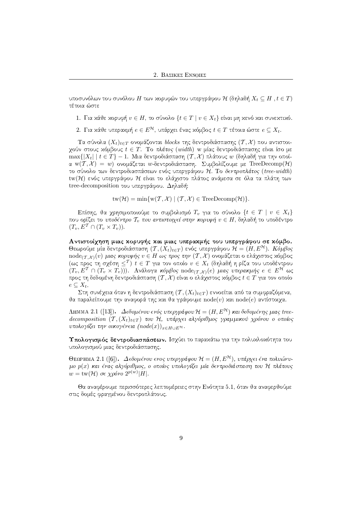υποσυνόλων του συνόλου  $H$  των χορυφών του υπεργράφου  $\mathcal H$  (δηλαδή  $X_t \subseteq H$  ,  $t \in T)$ τέτοια ώστε

- $1.$  Για κάθε κορυφή  $v \in H,$  το σύνολο  $\{t \in T \mid v \in X_t\}$  είναι μη κενό και συνεκτικό.
- 2. Για χάθε υπεραχμή  $e \in E^\mathcal{H},$  υπάρχει ένας χόμβος  $t \in T$  τέτοια ώστε  $e \subseteq X_t.$

Τα σύνολα  $(X_t)_{t\in T}$  ονομάζονται blocks της δεντροδιάσπασης  $(T,\mathcal{X})$  που αντιστοιχούν στους χόμβους  $t \in T$ . Το πλάτος (width) w μίας δεντροδιάσπασης είναι ίσο με  $\max\{|X_t| \mid t \in T\}-1.$  Μια δεντροδιάσπαση  $(\mathcal{T}, \mathcal{X})$  πλάτους  $w$  (δηλαδή για την οποία  $\mathrm{w}({\mathcal T},{\mathcal X}) \,=\, w)$  ονομάζεται  $w$ -δεντροδιάσπαση. Συμβολίζουμε με TreeDecomp $({\mathcal H})$ το σύνολο των δεντροδιασπάσεων ενός υπεργράφου Η. Το δ*εντροπλάτος (tree-width)*  $\text{tw}(\mathcal{H})$  ενός υπεργράφου  $\mathcal H$  είναι το ελάχιστο πλάτος ανάμεσα σε όλα τα πλάτη των  $tree-decomposition$  του υπεργράφου. Δηλαδή:

 $tw(\mathcal{H}) = \min \{ w(\mathcal{T}, \mathcal{X}) \mid (\mathcal{T}, \mathcal{X}) \in \text{TreeDecomp}(\mathcal{H}) \}.$ 

Eπίσης, θα χρησιμοποιούμε το συμβολισμό  $T_v$  για το σύνολο  $\{t \in T \mid v \in X_t\}$ που ορίζει το υποδέντρο  $\mathcal{T}_v$  που αντιστοιχεί στην κορυφή  $v \in H,$  δηλαδή το υποδέντρο  $(T_v, E^T \cap (T_v \times T_v)).$ 

Αντιστοίχηση μιας χορυφής χαι μιας υπεραχμής του υπεργράφου σε χόμβο. Θεωρούμε μία δεντροδιάσπαση  $(\mathcal{T},(X_t)_{t\in T})$  ενός υπεργράφου  $\mathcal{H}=(H,E^{\mathcal{H}}).$   $K$ όμβος  $\mathrm{node}_{(\mathcal{T},\mathcal{X})}(v)$  μιας κορυφής  $v\in H$  ως προς την  $(\mathcal{T},\mathcal{X})$  ονομάζεται ο ελάχιστος χόμβος (ως προς τη σχέση  $\leq^{\mathcal{T}})$   $t \in T$  για τον οποίο  $v \in X_t$  (δηλαδή η ρίζα του υποδέντρου  $(T_v, E^{\mathcal{T}} \cap (T_v \times T_v)))$ . Ανάλογα κόμβος  $\mathrm{node}_{(\mathcal{T},\mathcal{X})}(e)$  μιας υπερακμής  $e \in E^{\mathcal{H}}$  ως προς τη δεδομένη δεντροδιάσπαση  $(T, \mathcal{X})$  είναι ο ελάχιστος χόμβος  $t \in T$  για τον οποίο  $e \subseteq X_t$ .

 $\Sigma$ τη συνέχεια όταν η δεντροδιάσπαση  $(\mathcal{T},(X_t)_{t\in T})$  εννοείται από τα συμφραζόμενα, θα παραλείπουμε την αναφορά της και θα γράφουμε  $\mathrm{node}(v)$  και  $\mathrm{node}(e)$  αντίστοιχα.

 $\Lambda$ ΗΜΜΑ 2.1 ([13]).  $\;\Delta$ εδομένου ενός υπεργράφου $\;\mathcal{H}=(H,E^\mathcal{H})\;$ και δεδομένης μιας treedecomposition  $(T, (X_t)_{t\in T})$  του Η, υπάρχει αλγόριθμος γραμμικού χρόνου ο οποίος υπολογίζει την οικογένεια  $(node(x))_{x\in H\cup E}$ н.

Υπολογισμός δεντροδιασπάσεων. Ισγύει το παρακάτω για την πολυχλοχότητα του υπολογισμού μιας δεντροδιάσπασης.

ΘεΩΡΗΜΑ 2.1 ([6]). Δεδομένου ενος υπεργράφου  $\mathcal{H} = (H, E^\mathcal{H})$ , υπάρχει ένα πολυώνυμο  $p(x)$  και ένας αλγόριθμος, ο οποίος υπολογίζει μία δεντροδιάσπαση του Η πλάτους  $w = \text{tw}(\mathcal{H})$  σε χρόνο  $2^{p(w)}|H|.$ 

Θα αναφέρουμε περισσότερες λεπτομέρειες στην Ενότητα 5.1, όταν θα αναφερθούμε στις δομές φραγμένου δεντροπλάτους.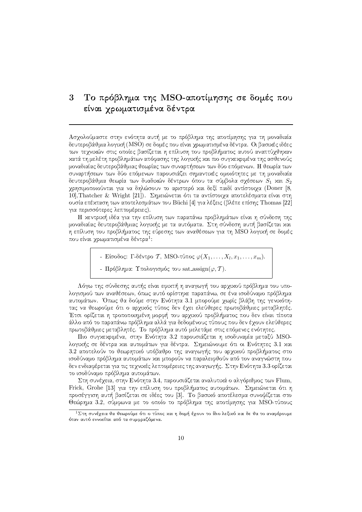### Το πρόβλημα της MSO-αποτίμησης σε δομές που 3 είναι γρωματισμένα δέντρα

Ασγολούμαστε στην ενότητα αυτή με το πρόβλημα της αποτίμησης για τη μοναδιαία δευτεροβάθμια λογική (MSO) σε δομές που είναι γρωματισμένα δέντρα. Οι βασικές ιδέες των τεγνικών στις οποίες βασίζεται η επίλυση του προβλήματος αυτού αναπτύγθηκαν χατά τη μελέτη προβλημάτων απόφασης της λογικής και πιο συγκεκριμένα της ασθενούς μοναδιαίας δευτεροβάθμιας θεωρίας των συναρτήσεων των δύο επόμενων. Η θεωρία των συναρτήσεων των δύο επόμενων παρουσιάζει σημαντιχές ομοιότητες με τη μοναδιαία δευτεροβάθμια θεωρία των δυαδιχών δέντρων όπου τα σύμβολα σχέσεων  $S_1$  χαι  $S_2$ χρησιμοποιούνται για να δηλώσουν το αριστερό και δεξί παιδί αντίστοιχα (Doner [8, 10], Thatcher & Wright [21]). Σημειώνεται ότι τα αντίστοιχα αποτελέσματα είναι στη ουσία επέχταση των αποτελεσμάτων του Büchi [4] για λέξεις (βλέπε επίσης Thomas [22] για περισσότερες λεπτομέρειες).

Η κεντρική ιδέα για την επίλυση των παραπάνω προβλημάτων είναι η σύνδεση της μοναδιαίας δευτεροβάθμιας λογικής με τα αυτόματα. Στη σύνδεση αυτή βασίζεται και η επίλυση του προβλήματος της εύρεσης των αναθέσεων για τη MSO λογική σε δομές που είναι χρωματισμένα δέντρα<sup>1</sup>:

- Είσοδος: Γ-δέντρο Τ, MSO-τύπος  $\varphi(X_1, \ldots, X_l, x_1, \ldots, x_m)$ .
- Πρόβλημα: Υπολογισμός του sat\_assign( $\varphi$ , T).

Λόγω της σύνδεσης αυτής είναι εφιχτή η αναγωγή του αρχιχού πρόβλημα του υπολογισμού των αναθέσεων, όπως αυτό ορίστηχε παραπάνω, σε ένα ισοδύναμο πρόβλημα αυτομάτων. Όπως θα δούμε στην Ενότητα 3.1 μπορούμε χωρίς βλάβη της γενικότητας να θεωρούμε ότι ο αρχικός τύπος δεν έχει ελεύθερες πρωτοβάθμιες μεταβλητές. Έτσι ορίζεται η τροποποιημένη μορφή του αρχιχού προβλήματος που δεν είναι τίποτα άλλο από το παραπάνω πρόβλημα αλλά για δεδομένους τύπους που δεν έχουν ελεύθερες πρωτοβάθμιες μεταβλητές. Το πρόβλημα αυτό μελετάμε στις επόμενες ενότητες.

Πιο συγχεχριμένα, στην Ενότητα 3.2 παρουσιάζεται η ισοδυναμία μεταξύ MSOλογικής σε δέντρα και αυτομάτων για δέντρα. Σημειώνουμε ότι οι Ενότητες 3.1 και 3.2 αποτελούν το θεωρητικό υπόβαθρο της αναγωγής του αργικού προβλήματος στο ισοδύναμο πρόβλημα αυτομάτων και μπορούν να παραλειφθούν από τον αναγνώστη που δεν ενδιαφέρεται για τις τεγνιχές λεπτομέρειες της αναγωγής. Στην Ενότητα 3.3 ορίζεται το ισοδύναμο πρόβλημα αυτομάτων.

Στη συνέγεια, στην Ενότητα 3.4, παρουσιάζεται αναλυτικά ο αλγόριθμος των Flum, Frick, Grohe [13] για την επίλυση του προβλήματος αυτομάτων. Σημειώνεται ότι η προσέγγιση αυτή βασίζεται σε ιδέες του [3]. Το βασικό αποτέλεσμα συνοψίζεται στο Θεώρημα 3.2, σύμφωνα με το οποίο το πρόβλημα της αποτίμησης για MSO-τύπους

 $^1\Sigma$ τη συνέχεια θα θεωρούμε ότι ο τύπος και η δομή έχουν το ίδιο λεξικό και δε θα το αναφέρουμε όταν αυτό εννοείται από τα συμφραζόμενα.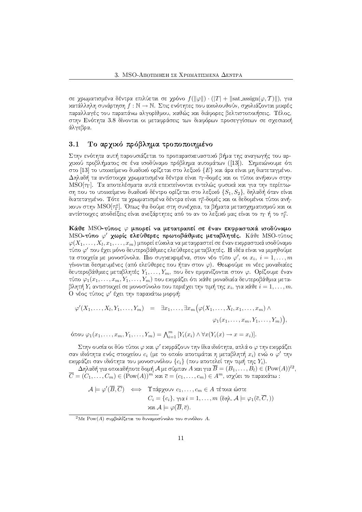σε χρωματισμένα δέντρα επιλύεται σε χρόνο  $f(\|\varphi\|)\cdot(|T|+\|\text{sat-assign}(\varphi,T)\|),$  για κατάλληλη συνάρτηση  $f : \mathbb{N} \to \mathbb{N}$ . Στις ενότητες που αχολουθούν, σχολιάζονται μιχρές παραλλαγές του παραπάνω αλγορίθμου, καθώς και διάφορες βελτιστοποιήσεις. Τέλος,  $\blacksquare$ άλγεβρα.

# 3.1 Το αρχικό πρόβλημα τροποποιημένο

Στην ενότητα αυτή παρουσιάζεται το προπαρασχευαστιχό βήμα της αναγωγής του αρνιχού προβλήματος σε ένα ισοδύναμο πρόβλημα αυτομάτων ([13]). Σημειώνουμε ότι στο  $[13]$  το υποχείμενο δυαδιχό ορίζεται στο λεξιχό  $\{E\}$  χαι άρα είναι μη διατεταγμένο. Δηλαδή τα αντίστοιχα χρωματισμένα δέντρα είναι τη-δομές και οι τύποι ανήκουν στην MSO[ $\tau_\Gamma$ ]. Τα αποτελέσματα αυτά επεχτείνονται εντελώς φυσιχά χαι για την περίπτωση που το υποχείμενο δυαδιχό δέντρο ορίζεται στο λεξιχό  $\{S_1,S_2\},$  δηλαδή όταν είναι διατεταγμένο. Τότε τα χρωματισμένα δέντρα είναι  $\tau_{\Gamma}^{o}\text{-}$ δομές και οι δεδομένοι τύποι ανήχουν στην  $\mathrm{MSO}[\tau_{\Gamma}^o]$ . Όπως θα δούμε στη συνέχεια, τα βήματα μετασχηματισμού χαι οι αντίστοιχες αποδείξεις είναι ανεξάρτητες από το αν το λεξιχό μας είναι το  $\tau_{\Gamma}$  ή το  $\tau_{\Gamma}^{o}.$ 

Κάθε MSO-τύπος  $\varphi$  μπορεί να μετατραπεί σε έναν εκφραστικά ισοδύναμο MSO-τύπο  $\varphi'$  χωρίς ελεύθερες πρωτοβάθμιες μεταβλητές. Κάθε MSO-τύπος  $\varphi(X_1,\ldots,X_l,x_1,\ldots,x_m)$  μπορεί εύχολα να μεταφραστεί σε έναν εχφραστιχά ισοδύναμο τύπο  $\varphi'$  που έχει μόνο δευτεροβάθμιες ελεύθερες μεταβλητές. Η ιδέα είναι να μιμηθούμε τα στοιχεία με μονοσύνολα. Πιο συγχεχριμένα, στον νέο τύπο  $\varphi',$  οι  $x_i, \; i=1,\ldots,m$ γίνονται δεσμευμένες (από ελεύθερες που ήταν στον  $\varphi$ ). Θεωρούμε  $m$  νέες μοναδιαίες δευτεροβάθμιες μεταβλητές  $Y_1, \ldots, Y_m,$  που δεν εμφανίζονται στον  $\varphi.$  Ορίζουμε έναν τύπο  $\varphi_1(x_1, \ldots, x_m, Y_1, \ldots, Y_m)$  που εχφράζει ότι χάθε μοναδιαία δευτεροβάθμια μεταβλητή  $Y_i$  αντιστοιχεί σε μονοσύνολο που περιέχει την τιμή της  $x_i,$  για χάθε  $i = 1, \ldots, m.$ Ο νέος τύπος  $\varphi'$  έχει την παραχάτω μορφή:

$$
\varphi'(X_1,\ldots,X_l,Y_1,\ldots,Y_m) = \exists x_1,\ldots,\exists x_m \big(\varphi(X_1,\ldots,X_l,x_1,\ldots,x_m)\wedge \varphi_1(x_1,\ldots,x_m,Y_1,\ldots,Y_m)\big),
$$

όπου  $\varphi_1(x_1, \ldots, x_m, Y_1, \ldots, Y_m) = \bigwedge_{i=1}^m \left[ Y_i(x_i) \wedge \forall x (Y_i(x) \rightarrow x = x_i) \right]$ .

 $\Sigma$ την ουσία οι δύο τύποι  $\varphi$  χαι  $\varphi'$  εχφράζουν την ίδια ιδιότητα, απλά ο  $\varphi$  την εχφράζει  $$ σαν ιδιότητα ενός στοιχείου  $c_i$  (με το οποίο αποτιμάται η μεταβλητή  $x_i$ ) ενώ ο  $\varphi'$  την εχφράζει σαν ιδιότητα του μονοσυνόλου  $\{c_i\}$  (που αποτελεί την τιμή της  $Y_i$ ).

 $\Delta$ ηλαδή για οποιαδήποτε δομή  ${\cal A}$  με σύμπαν  $A$  και για  $\overline B = (B_1, \ldots, B_l) \in ({\rm Pow}(A))^{l2},$  $\overline{C}=(C_1,\ldots,C_m)\in({\rm Pow}(A))^m$  και  $\overline{c}=(c_1,\ldots,c_m)\in A^m$ , ισχύει το παραχάτω:

$$
\mathcal{A} \models \varphi'(\overline{B}, \overline{C}) \iff \Upsilon \land \varphi \land \varphi \lor \varphi_1, \dots, c_m \in A \text{ tétola óote}
$$
  

$$
C_i = \{c_i\}, \, \gamma \lor i = 1, \dots, m \text{ (õr} \land \mathcal{A} \models \varphi_1(\overline{c}, \overline{C},))
$$
  

$$
\times \alpha \lor \mathcal{A} \models \varphi(\overline{B}, \overline{c}).
$$

 $^2\mathop{\mathrm{M}}\nolimits$ ε  $\mathop{\mathrm{Pow}}\nolimits(A)$  συμβολίζεται το δυναμοσύνολο του συνόλου  $A.$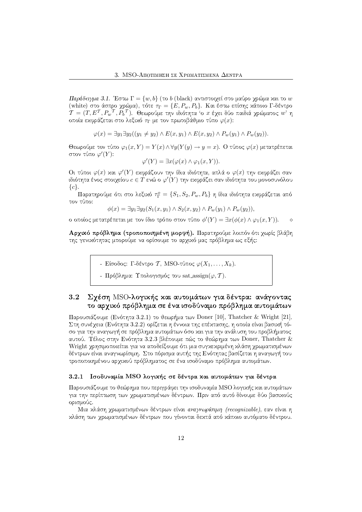$\Pi$ αράδειγμα 3.1. Έστω  $\Gamma=\{w,b\}$  (το  $b$  (black) αντιστοιχεί στο μαύρο χρώμα και το  $w$ (white) στο άσπρο χρώμα), τότε  $\tau_\Gamma = \{E, P_w, P_b\}.$  Και έστω επίσης χάποιο Γ-δέντρο  $\mathcal{T} = (T, E^{\mathcal{T}}, P_w^{\mathcal{T}}, P_b^{\mathcal{T}}).$  Θεωρούμε την ιδιότητα 'ο  $x$  έχει δύο παιδιά χρώματος  $w$ ' η οποία εχφράζεται στο λεξιχό  $\tau_\Gamma$  με τον πρωτοβάθμιο τύπο  $\varphi(x)$ :  $-$ 

 $\varphi(x) = \exists y_1 \exists y_2 ((y_1 \neq y_2) \land E(x, y_1) \land E(x, y_2) \land P_w(y_1) \land P_w(y_2)).$ 

 $\Theta$ εωρούμε τον τύπο  $\varphi_1(x,Y)=Y(x)\wedge \forall y(Y(y)\to y=x).$  Ο τύπος  $\varphi(x)$  μετατρέπεται στον τύπο  $\varphi'(Y)$ :

$$
\varphi'(Y) = \exists x (\varphi(x) \land \varphi_1(x, Y)).
$$

Οι τύποι  $\varphi(x)$  χαι  $\varphi'(Y)$  εχφράζουν την ίδια ιδιότητα, απλά ο  $\varphi(x)$  την εχφράζει σαν ιδιότητα ένος στοιχείου  $c \in T$  ενώ ο  $\varphi'(Y)$  την εκφράζει σαν ιδιότητα του μονοσυνόλου  $\{c\}.$ 

 $\Pi$ αρατηρούμε ότι στο λεξιχό  $\tau_\Gamma^o = \{S_1, S_2, P_w, P_b\}$  η ίδια ιδιότητα εχφράζεται από τον τύπο:

$$
\phi(x) = \exists y_1 \exists y_2 (S_1(x, y_1) \land S_2(x, y_2) \land P_w(y_1) \land P_w(y_2)),
$$

ο οποίος μετατρέπεται με τον ίδιο τρόπο στον τύπο  $\phi'(Y) = \exists x (\phi(x) \land \varphi_1(x,Y)).$  $\Diamond$ 

**Αργικό πρόβλημα (τροποποιημένη μορφή).** Παρατηρούμε λοιπόν ότι γωρίς βλάβη της γενιχότητας μπορούμε να ορίσουμε το αρχιχό μας πρόβλημα ως εξής:

- Είσοδος: Γ-δέντρο Τ΄, MSO-τύπος  $\varphi(X_1, \ldots, X_k).$
- Πρόβλημα: Υπολογισμός του sat assign( $\varphi, \mathcal{T}$ ).

# 3.2 Σγέση MSO-λογικής και αυτομάτων για δέντρα: ανάγοντας "/ &W\$ ., '\$%,
-.& ! %&\* %&W-. '\$%,
-.& &+)+"/
-"\_

 $\Pi$ αρουσιάζουμε (Ενότητα 3.2.1) το θεωρήμα των Doner [10], Thatcher & Wright [21]. Στη συνέχεια (Ενότητα 3.2.2) ορίζεται η έννοια της επέκτασης, η οποία είναι βασική τόσο για την αναγωγή σε πρόβλημα αυτομάτων όσο και για την ανάλυση του προβλήματος αυτού. Τέλος στην Ενότητα 3.2.3 βλέπουμε πώς το θεώρημα των Doner, Thatcher & Wright χρησιμοποιείται για να αποδείξουμε ότι μια συγχεχριμένη χλάση χρωματισμένων δέντρων είναι αναγνωρίσιμη. Στο πόρισμα αυτής της Ενότητας βασίζεται η αναγωγή του τροποποιημένου αρχικού πρόβληματος σε ένα ισοδύναμο πρόβλημα αυτομάτων.

#### 3.2.1 Ισοδυναμία MSO λογικής σε δέντρα και αυτομάτων για δέντρα

Παρουσιάζουμε το θεώρημα που περιγράφει την ισοδυναμία MSO λογικής και αυτομάτων για την περίπτωση των χρωματισμένων δέντρων. Πριν από αυτό δίνουμε δύο βασιχούς ορισμούς.

Μια χλάση χρωματισμένων δέντρων είναι *αναγνωρίσιμη (recognizable)*, εαν είναι η xλάση των χρωματισμένων δέντρων που γίνονται δεχτά από χάποιο αυτόματο δέντρου.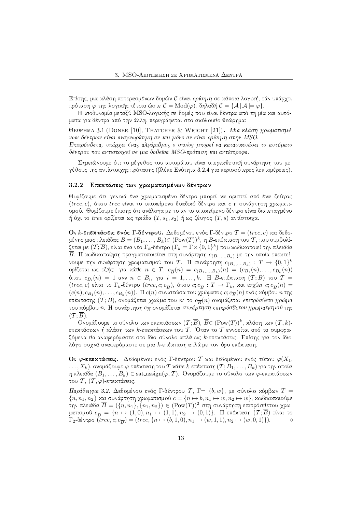Επίσης, μια χλάση πεπερασμένων δομών C είναι *ορίσιμη* σε χάποια λογιχή, εάν υπάργει πρόταση  $\varphi$  της λογιχής τέτοια ώστε  $\mathcal{C} = {\rm Mod}(\varphi)$ , δηλαδή  $\mathcal{C} = \{\mathcal{A} \, | \, \mathcal{A} \models \varphi\}.$ 

Η ισοδυναμία μεταξύ MSO-λογικής σε δομές που είναι δέντρα από τη μία και αυτόματα για δέντρα από την άλλη, περιγράφεται στο ακόλουθο θεώρημα:

ΘεαρμΜΑ 3.1 (DONER [10], THATCHER & WRIGHT [21]). Μια κλάση χρωματισμένων δέντρων είναι αναγνωρίσιμη αν και μόνο αν είναι ορίσιμη στην MSO. Επιπρόσθετα, υπάργει ένας αλνόριθμος ο οποίος μπορεί να κατασκευάσει το αυτόματο δέντρου που αντιστοιχεί σε μια δοθείσα MSO-πρόταση και αντίστροφα.

Σημειώνουμε ότι το μέγεθος του αυτομάτου είναι υπερεχθετιχή συνάρτηση του μεγέθους της αντίστοιγης πρότασης (βλέπε Ενότητα 3.2.4 για περισσότερες λεπτομέρειες).

#### 3.2.2 - Επεκτάσεις των χρωματισμένων δέντρων

Θυμίζουμε ότι γενιχά ένα χρωματισμένο δέντρο μπορεί να οριστεί από ένα ζεύγος  $(tree, c),$  όπου  $tree$  είναι το υποχείμενο δυαδιχό δέντρο χαι  $c$  η συνάρτηση χρωματισμού. Θυμίζουμε έπισης ότι ανάλογα με το αν το υποχείμενο δέντρο είναι διατεταγμένο ή όχι το tree ορίζεται ως τριάδα  $(T, s_1, s_2)$  ή ως ζέυγος  $(T, s)$  αντίστοιχα.

 ${\bf O}$ ι  $k$ -επεχτάσεις ενός Γ-δέντρου.  $\Delta$ εδομένου ενός Γ-δέντρο  $\mathcal{T}=(tree,c)$  χαι δεδομένης μιας πλειάδας  $\overline{B} = (B_1, \ldots, B_k)$  $\in$   $(\text{Pow}(T))^k$ , η  $\overline{B}$ -επέχταση του  $\mathcal T$ , που συμβολίζεται με  $(\mathcal{T}; \overline{B})$ , είναι ένα νέο  $\Gamma_k$ -δέντρο  $(\Gamma_k = \Gamma \times \{0,1\}^k)$  που χωδιχοποιεί την πλειάδα Β. Η χωδιχοποίηση πραγματοποιείται στη συνάρτηση  $c_{(B_1,...,B_k)}$  με την οποία επεχτείνουμε την συνάρτηση χρωματισμού του  $\mathcal{T}.$  Η συνάρτηση  $c_{(B_1,...,B_k)}\,:\,T\,\rightarrow\, \{0,1\}^k$ ορίζεται ως εξής: για χάθε  $n \, \in \, T, \; c_{\overline{B}}(n) \, = \, c_{(B_1,...,B_k)}(n) \, = \, (c_{B_1}(n), \ldots, c_{B_k}(n))$ όπου  $c_{B_i}(n) \, = \, 1$  ανν  $n \, \in \, B_i,$  για  $i \, = \, 1, \ldots, k.$   $\,$  Η  $\, B$ -επέχταση  $(\mathcal{T}; B)$  του  $\, \mathcal{T} \, = \,$  $(tree, c)$  είναι το  $\Gamma_k$ -δέντρο  $(tree, c; c_{\overline{B}}),$  όπου  $c; c_{\overline{B}}: T \to \Gamma_k$ , και ισχύει  $c; c_{\overline{B}}(n) =$  $(c(n), c_{B_1}(n), \ldots, c_{B_k}(n)).$  Η  $c(n)$  συνιστώσα του χρώματος  $c; c_{\overline{B}}(n)$  ενός χόμβου  $n$  της επέχτασης  $(\mathcal{T};B)$ , ονομάζεται χρώμα του  $n\cdot$  το  $c_{\overline{B}}(n)$  ονομάζεται  $\epsilon$ πιπρόσθ $\epsilon$ το χρώμα του χόμβου n. Η συνάρτηση  $c_{\overline{B}}$  ονομάζεται συνάρτηση επιπρόσθετου χρωματισμού της  $(\mathcal{T};B).$ 

Ονομάζουμε το σύνολο των επεχτάσεων  $(\mathcal{T}; \overline{B}), \ \overline{B} {\in ( \mathrm{Pow}(T))^k },$  χλάση των  $(\mathcal{T}, k)$ επεχτάσεων ή χλάση των  $k$ -επεχτάσεων του  $\mathcal T$ . Όταν το  $\mathcal T$  εννοείται από τα συμφραζόμενα θα αναφερόμαστε στο ίδιο σύνολο απλά ως *k*-επεχτάσεις. Επίσης για τον ίδιο λόγο συχνά αναφερόμαστε σε μια  $k$ -επέχταση απλά με τον όρο επέχταση.

 ${\bf O}$ ι  $\varphi$ -επεχτάσεις.  $\Delta$ εδομένου ενός Γ-δέντρου  ${\cal T}$  χαι δεδομένου ενός τύπου  $\varphi(X_1,$  $\dots, X_k)$ , ονομάζουμε  $\varphi$ -επέχταση του  $\mathcal T$  χάθε  $k$ -επέχταση  $(\mathcal T; B_1, \dots, B_k)$  για την οποία η πλειάδα  $(B_1, \ldots, B_k) \in \text{sat.} \text{assign}(\varphi, \mathcal{T})$ . Ονομάζουμε το σύνολο των  $\varphi$ -επεχτάσεων του  $\mathcal{T},\,(\mathcal{T},\varphi)$ -επεχτάσεις.

 $\Pi$ αράδειγμα 3.2. Δεδομένου ενός Γ-δέντρου  $\mathcal{T},$  Γ=  $\{b,w\},$  με σύνολο χόμβων  $T$  =  $\{n, n_1, n_2\}$  χαι συνάρτηση χρωματισμού  $c = \{n \mapsto b, n_1 \mapsto w, n_2 \mapsto w\}$ , χωδιχοποιούμε την πλειάδα  $\overline{B} = (\{n, n_1\}, \{n_1, n_2\}) \in (\text{Pow}(T))^2$  στη συνάρτηση επιπρόσθετου χρωματισμού  $c_{\overline{B}} = \{n \mapsto (1,0), n_1 \mapsto (1,1), n_2 \mapsto (0,1)\}$ . Η επέχταση  $(\mathcal{T};B)$  είναι το  $Γ_2$ -δέντρο (tree, c; c<sub>B</sub>) = (tree, {n → (b, 1, 0), n<sub>1</sub> → (w, 1, 1), n<sub>2</sub> → (w, 0, 1)}). ◇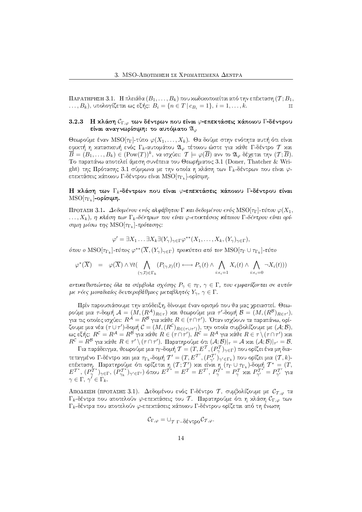ΠΑΡΑΤΗΡΗΣΗ 3.1. Η πλειάδα  $(B_1, \ldots, B_k)$  που χωδιχοποιείται από την επέχταση  $(T; B_1, \ldots, B_k)$  $\dots, B_k$ ), υπολογίζεται ως εξής:  $B_i = \{n \in T | c_{B_i} = 1\}, i = 1, \dots, k.$ 

#### $3.2.3$ Η κλάση  $\mathcal{C}_{\Gamma,\varphi}$  των δέντρων που είναι  $\varphi$ -επεκτάσεις κάποιου Γ-δέντρου είναι αναγνωρίσιμη: το αυτόματο  $\mathfrak{A}_{\varphi}$

Θεωρούμε έναν MSO[ $\tau_{\Gamma}$ ]-τύπο  $\varphi(X_1,\ldots,X_k)$ . Θα δούμε στην ενότητα αυτή ότι είναι εφικτή η κατασκευή ενός  $\Gamma_k$ -αυτομάτου  $\mathfrak{A}_{\varphi}$  τέτοιου ώστε για κάθε Γ-δέντρο  $\mathcal T$  και  $\overline{B}=(B_1,\ldots,B_k)\in (\text{Pow}(T))^k$ , να ισχύει:  $\mathcal{T}\models \varphi(\overline{B})$  ανν το  $\mathfrak{A}_{\varphi}$  δέχεται την  $(\mathcal{T};\overline{B}).$ Το παραπάνω αποτελεί άμεση συνέπεια του Θεωρήματος 3.1 (Doner, Thatcher & Wright) της Πρότασης 3.1 σύμφωνα με την οποία η κλάση των Γ<sub>κ</sub>-δέντρων που είναι φεπεκτάσεις κάποιου Γ-δέντρου είναι MSO[T<sub>Γι</sub>]-ορίσιμη.

## Η κλάση των Γ<sub>κ-</sub>δέντρων που είναι φ-επεκτάσεις κάποιου Γ-δέντρου είναι  $MSO[\tau_{\Gamma_k}]$ -ορίσιμη.

ΠΡΟΤΑΣΗ 3.1. Δεδομένου ενός αλφάβητου Γ και δεδομένου ενός MSO[ $\tau_{\Gamma}$ ]-τύπου  $\varphi(X_1, X_2)$  $\dots, X_k$ ), η κλάση των Γ<sub>κ</sub>-δέντρων που είναι φ-επεκτάσεις κάποιου Γ-δέντρου είναι ορίσιμη μέσω της MSO[ $\tau_{\Gamma_h}$ ]-πρότασης:

$$
\varphi' = \exists X_1 \dots \exists X_k \exists (Y_\gamma)_{\gamma \in \Gamma} \varphi^{**}(X_1, \dots, X_k, (Y_\gamma)_{\gamma \in \Gamma}),
$$

όπου ο MSO $[\tau_{\Gamma_k}]$ -τύπος  $\varphi^{**}(\overline{X}, (Y_\gamma)_{\gamma \in \Gamma})$  προκύπτει από τον MSO $[\tau_{\Gamma} \cup \tau_{\Gamma_k}]$ -τύπο

$$
\varphi^*(\overline{X}) = \varphi(\overline{X}) \wedge \forall t \left( \bigwedge_{(\gamma,\overline{\epsilon}) \in \Gamma_k} (P_{(\gamma,\overline{\epsilon})}(t) \longleftrightarrow P_{\gamma}(t) \wedge \bigwedge_{i:\epsilon_i=1} X_i(t) \wedge \bigwedge_{i:\epsilon_i=0} \neg X_i(t)) \right)
$$

αντικαθιστώντας όλα τα σύμβολα σχέσης  $P_{\gamma} \in \tau_{\Gamma}$ ,  $\gamma \in \Gamma$ , που εμφανίζονται σε αυτόν με νέες μοναδιαίες δευτεροβάθμιες μεταβλητές  $Y_{\gamma}$ ,  $\gamma \in \Gamma$ .

Πρίν παρουσιάσουμε την απόδειξη, δίνουμε έναν ορισμό που θα μας γρειαστεί. Θεωρούμε μια τ-δομή  $A = (M, (R^A)_{R \in \tau})$  και θεωρούμε μια τ'-δομή  $B = (M, (R^B)_{R \in \tau'})$ , για τις οποίες ισχύει:  $R^A = R^B$  για κάθε  $R \in (\tau \cap \tau')$ . Όταν ισχύουν τα παραπάνω, ορίζουμε μια νέα  $(\tau \cup \tau')$ -δομή  $\mathcal{C} = (M, (R^{\mathcal{C}})_{R \in (\tau \cup \tau')})$ , την οποία συμβολίζουμε με  $(A; \mathcal{B})$ , ως εξής:  $R^{\mathcal{C}} = R^{\mathcal{A}} = R^{\mathcal{B}}$  για χάθε  $R \in (\tau \cap \tau')$ ,  $R^{\mathcal{C}} = R^{\mathcal{A}}$  για χάθε  $R \in \tau \setminus (\tau \cap \tau')$  χαι  $R^{\mathcal{C}} = R^{\mathcal{B}}$  για κάθε  $R \in \tau' \setminus (\tau \cap \tau')$ . Παρατηρούμε ότι  $(\mathcal{A}; \mathcal{B})|_{\tau} = \mathcal{A}$  και  $(\mathcal{A}; \mathcal{B})|_{\tau'} = \mathcal{B}$ .

Για παράδειγμα, θεωρούμε μια τη δομή  $\mathcal{T} = (T, E^{\mathcal{T}}, (P^{\mathcal{T}}_{\gamma})_{\gamma \in \Gamma})$  που ορίζει ένα μη διατεταγμένο Γ-δέντρο και μια  $\tau_{\Gamma_k}$ -δομή  $\mathcal{T}'=(T,E^{\mathcal{T}'},(P^{\mathcal{T}'}_{{\gamma'}})_{\gamma'\in \Gamma_k})$  που ορίζει μια  $(\mathcal{T},k)$ επέχταση. Παρατηρούμε ότι ορίζεται η $(T, T')$  και είναι η $(\tau_\Gamma \cup \tau_{\gamma_\Gamma})$ που ορίζει μια  $(T, k)$ - επέχταση. Παρατηρούμε ότι ορίζεται η $(T, T')$  και είναι η $(\tau_\Gamma \cup \tau_{\Gamma_k})$ -δομή  $T^* = (T, E^T^*, (P_T^T^*)_{\gamma \in \Gamma}, (P_{\gamma_k}^T)^*_{\gamma' \in \Gamma'})$ όπο

ΑΠΟΔΕΙΞΗ (ΠΡΟΤΑΣΗΣ 3.1). Δεδομένου ενός Γ-δέντρο Τ, συμβολίζουμε με  $\mathcal{C}_{\mathcal{T},\varphi}$  τα  $\Gamma_k$ -δέντρα που αποτελούν  $\varphi$ -επεχτάσεις του Τ. Παρατηρούμε ότι η χλάση  $\mathcal{C}_{\Gamma,\varphi}$  των  $\Gamma_k$ -δέντρα που αποτελούν φ-επεκτάσεις κάποιου Γ-δέντρου ορίζεται από τη ένωση

$$
\mathcal{C}_{\Gamma,\varphi} = \cup_{\mathcal{T} \Gamma - \delta \epsilon \vee \tau \varphi \circ} \mathcal{C}_{\mathcal{T},\varphi}.
$$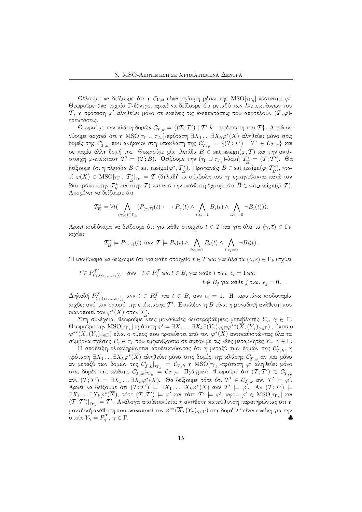Θέλουμε να δείξουμε ότι η  $\mathcal{C}_{\Gamma,\varphi}$  είναι ορίσιμη μέσω της  $\mathrm{MSO}[\tau_{\Gamma_k}]$ -πρότασης  $\varphi'.$ Θεωρούμε ένα τυχαίο Γ-δέντρο, αρχεί να δείξουμε ότι μεταξύ των  $k$ -επεχτάσεων του  $\mathcal{T},$  η πρόταση  $\varphi'$  αληθεύει μόνο σε εχείνες τις  $k$ -επεχτάσεις που αποτελούν  $(\mathcal{T},\varphi)$ επεκτάσεις.

Θεωρούμε την χλάση δομών  $\mathcal C_{\mathcal T,k}' = \{ ( \mathcal T; \mathcal T' ) \mid \mathcal T' \ k-\epsilon$ πέχταση του  $\mathcal T \}.$  Αποδειχνύουμε αρχικά ότι η  ${\rm MSO}[\tau_{\Gamma}\cup \tau_{\Gamma_k}]$ -πρόταση  $\exists X_1 \ldots \exists X_k\varphi^*(\overline{X})$  αληθεύει μόνο στις δομές της  $\mathcal{C}_{\mathcal{T},k}'$  που ανήχουν στη υποχλάση της  $\mathcal{C}_{\mathcal{T},\varphi}'=\{(T;T')\,\mid\,T'\,\in\,\mathcal{C}_{\mathcal{T},\varphi}\}$  χαι σε χαμία άλλη δομή της. Θεωρούμε μία πλειάδα  $B \in \text{sat-assign}(\varphi, \mathcal{T})$  χαι την αντίστοιχη  $\varphi$ -επέχταση  $\mathcal{T}'=(\mathcal{T};\overline{B}).$  Ορίζουμε την  $(\tau_\Gamma\cup\tau_{\Gamma_k})$ -δομή  $\mathcal{T}^*_{\overline{B}}=0$  $\frac{\tau_*}{B} = (T; T')$ .  $\Theta \alpha$ δείξουμε ότι η πλειάδα  $\overline{B} \in \text{sat\_assign}(\varphi^*, \mathcal{T}^*_{\overline{B}})$  $\frac{\tau_*}{B}$ ). Προφανώς  $\overline{B} \in$  sat\_assign $(\varphi, \mathcal{T}_{\overline{B}}^*)$  $(\frac{\epsilon_*}{B}), \gamma$ ιατί  $\varphi(\overline{X}) \,\in\, \mathrm{MSO}[\tau_{\Gamma}],\; \mathcal{T}^*_{\overline{B}}$  $\frac{\tau_*}{B}|_{\tau_\Gamma} = \mathcal{T}$  (δηλαδή τα σύμβολα του  $\tau_\Gamma$  ερμηνεύονται χατά τον ίδιο τρόπο στην  $\frac{T^*}{B}$  και στην  $T)$  και από την υπόθεση έχουμε ότι  $\overline{B}\in \text{sat\_assign}(\varphi,T).$ Απομένει να δείξουμε ότι

$$
\mathcal{T}_{\overline{B}}^* \models \forall t (\bigwedge_{(\gamma, \overline{\epsilon}) \in \Gamma_k} (P_{(\gamma, \overline{\epsilon})}(t) \longleftrightarrow P_{\gamma}(t) \wedge \bigwedge_{i: \epsilon_i = 1} B_i(t) \wedge \bigwedge_{i: \epsilon_i = 0} \neg B_i(t))).
$$

Αρχεί ισοδύναμα να δείξουμε ότι για χάθε στοιχείο  $t\in T$  χαι για όλα τα  $(\gamma,\overline{\epsilon})\in \Gamma_k$ ισχύει

$$
\mathcal{T}_{\overline{B}}^* \models P_{(\gamma,\overline{\epsilon})}(t) \text{ and } \mathcal{T} \models P_{\gamma}(t) \land \bigwedge_{i:\epsilon_i=1} B_i(t) \land \bigwedge_{i:\epsilon_i=0} \neg B_i(t).
$$

Ή ισοδύναμα να δείξουμε ότι για χάθε στοιχείο  $t\in T$  χαι για όλα τα  $(\gamma,\overline{\epsilon})\in \Gamma_k$  ισχύει

$$
t \in P_{(\gamma,(\epsilon_1,\ldots,\epsilon_k))}^{T'} \quad \text{and} \quad t \in P_{\gamma}^{T} \text{ and } t \in B_i \text{ and } \text{and} \quad t \notin B_j \text{ and } \epsilon_i = 1 \text{ and } t \notin B_j \text{ and } \epsilon_j = 0.
$$

 $\Delta\eta$ λαδή  $P^{T'}_{(\gamma,(\epsilon_1,...,\epsilon_k))}$  ανν  $t\, \in\, P^{\mathcal T}_\gamma$  και  $t\, \in\, B_i$  ανν  $\epsilon_i\, =\, 1$ . Η παραπάνω ισοδυναμία ισχύει από τον ορισμό της επέχτασης  $\mathcal{T}'$ . Επιπλέον η  $\overline{B}$  είναι η μοναδιχή ανάθεση που ιχανοποιεί τον  $\varphi^*(\overline X)$  στην  $\mathcal T^*_{\overline{P}}.$ 

δισμοποι τον φωτιρισμής πριστικικώς δευτεροβάθμιες μεταβλητές  $Y_\gamma,~\gamma~\in~\Gamma.$ Θεωρούμε την  $\mathrm{MSO}[\tau_{\Gamma_k}]$  πρόταση  $\varphi'=\exists X_1\dots \exists X_k \exists (Y_\gamma)_{\gamma\in \Gamma} \varphi^{**}(\overline{X},(Y_\gamma)_{\gamma\in \Gamma})$  , όπου ο  $\varphi^{**}(\overline{X},(Y_\gamma)_{\gamma \in \Gamma})$  είναι ο τύπος που προχύπτει από τον  $\varphi^*(\overline{X})$  αντιχαθιστώντας όλα τα σύμβολα σχέσης  $P_\gamma \in \tau_\Gamma$  που εμφανίζονται σε αυτόν με τις νέες μεταβλητές  $Y_\gamma, \, \gamma \in \Gamma.$ 

Η απόδειξη ολοχληρώνεται αποδειχνύοντας ότι η μεταξύ των δομών της  $\mathcal{C}_{\mathcal{T},k}^{\prime},$  η πρόταση  $\exists X_1\ldots\exists X_k\varphi^*(\overline{X})$  αληθεύει μόνο στις δομές της χλάσης  $\mathcal{C}_{\mathcal{T},\varphi}'$  αν χαι μόνο αν μεταξύ των δομών της  $\mathcal{C}_{\mathcal{T},k}'|_{\tau_{\Gamma_k}}\ =\ \mathcal{C}_{\mathcal{T},k}\,$  η  $\mathrm{MSO}[\tau_{\Gamma_k}]$ -πρόταση  $\varphi'$  αληθεύει μόνο στις δομές της χλάσης  $\mathcal{C}'_{\mathcal{T},\varphi}|_{\tau_{\Gamma_k}} \;\stackrel{_\sim}{=}\; \mathcal{C}_{\mathcal{T},\varphi}.$  Πράγματι, θεωρούμε ότι  $(\mathcal{T};\mathcal{T}')\;\in\; \mathcal{C}'_{\mathcal{T},\varphi}$ ανν  $(\mathcal{T};\mathcal{T}')~\models~\exists X_1\ldots\exists X_k\varphi^*(\overline{X})$ . Θα δείξουμε τότε ότι  $\mathcal{T}'~\in~\mathcal{C}_{\mathcal{T},\varphi}$  ανν  $\mathcal{T}'~\models~\varphi'.$ Αρχεί να δείξουμε ότι  $(T;T')\models \exists X_1\ldots\exists X_k\varphi^*(\overline{X})$  ανν  $T'\models\varphi'.$  Αν  $(T;T')\models$  $\exists X_1\ldots\exists X_k\varphi^*(\overline{X}),$  τότε  $(\mathcal T;\mathcal T')\models\varphi'$  χαι τότε  $\mathcal T'\models\varphi',$  αφού  $\varphi'\in {\rm MSO}[\tau_{\Gamma_k}]$  χαι  $(\mathcal{T};\mathcal{T}')|_{\tau_{\Gamma_k}}=\mathcal{T}'$ . Ανάλογα αποδειχνύεται η αντίθετη χατεύθυνση παρατηρώντας ότι η μοναδιχή ανάθεση που ιχανοποιεί τον  $\varphi^{**}(\overline X,(Y_\gamma)_{\gamma\in\Gamma})$  στη δομή  $\mathcal T'$  είναι εχείνη για την οποία  $Y_\gamma = P^\mathcal{T}_\gamma, \, \gamma \in \Gamma.$ ♣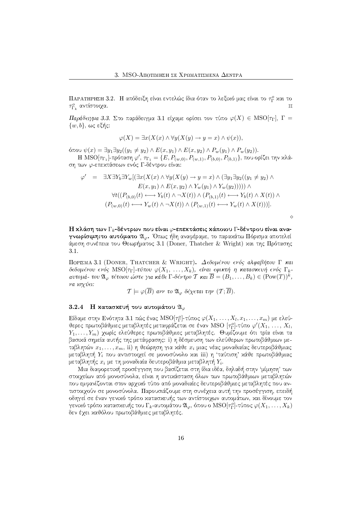ΠΑΡΑΤΗΡΗΣΗ 3.2.  $\,$ Η απόδειξη είναι εντελώς ίδια όταν το λεξιχό μας είναι το  $\tau_{\Gamma}^{o}$  χαι το  $\tau_{\Gamma_k}^o$  αντίστοιχα.

 $\Pi$ αράδειγμα 3.3.  $\Sigma$ το παράδειγμα 3.1 είχαμε ορίσει τον τύπο  $\varphi(X)\,\in\,\text{MSO}[\tau_{\Gamma}],\ \Gamma=$  $\{w,b\},$  ως εξής:

$$
\varphi(X) = \exists x (X(x) \land \forall y (X(y) \to y = x) \land \psi(x)),
$$

 $\phi$ που  $\psi(x) = \exists y_1 \exists y_2((y_1 ≠ y_2) \land E(x, y_1) \land E(x, y_2) \land P_w(y_1) \land P_w(y_2)).$  $\text{H MSO}[\tau_{\Gamma_1}]$ -πρόταση  $\varphi',\, \tau_{\Gamma_1}=\{E, P_{(w,0)}, P_{(w,1)}, P_{(b,0)}, P_{(b,1)}\},$  που ορίζει την κλά-

$$
\varphi' = \exists X \exists Y_b \exists Y_w [ (\exists x (X(x) \land \forall y (X(y) \to y = x) \land (\exists y_1 \exists y_2 ((y_1 \neq y_2) \land E(x, y_1) \land E(x, y_2) \land Y_w(y_1) \land Y_w(y_2)))) ) \land
$$
  
\n
$$
\forall t ((P_{(b,0)}(t) \longleftrightarrow Y_b(t) \land \neg X(t)) \land (P_{(b,1)}(t) \longleftrightarrow Y_b(t) \land X(t)) \land (P_{(w,0)}(t) \longleftrightarrow Y_w(t) \land \neg X(t)) \land (P_{(w,1)}(t) \longleftrightarrow Y_w(t) \land X(t)) ) ].
$$

 $\Diamond$ 

Η κλάση των  $\Gamma_k$ -δέντρων που είναι  $\varphi$ -επεκτάσεις κάποιου  $\Gamma$ -δέντρου είναι ανα- ${\bm \gamma}$ νωρίσι ${\bm \mu}$ η:το αυτό ${\bm \mu}$ ατο  ${\mathfrak A}_\varphi$ . Όπως ήδη αναφέραμε, το παραχάτω  $\Pi$ όρισμα αποτελεί άμεση συνέπεια του Θεωρήματος 3.1 (Doner, Thatcher & Wright) και της Πρότασης  $3.1.$ 

ΠΟΡΙΣΜΑ 3.1 (DONER, THATCHER & WRIGHT). Δεδομένου ενός αλφαβήτου Γ και δεδομένου ενός  ${\rm MSO}[\tau_{\Gamma}]$ -τύπου  $\varphi(X_1,\; \dots, X_k)$ , είναι εφικτή η κατασκευή ενός  $\Gamma_k$ αυτομά- του  $\mathfrak{A}_\varphi$  τέτοιου ώστε για κάθε  $\Gamma$ -δέντρο  $\mathcal T$  και  $\overline B = (B_1, \dots, B_k) \in (\text{Pow}(T))^k,$ να ισχύ $\epsilon$ ι:

$$
\mathcal{T} \models \varphi(\overline{B}) \text{ and } \text{to } \mathfrak{A}_{\varphi} \text{ } \delta \epsilon \chi \epsilon \tau \text{ and } \tau \eta \nu \text{ } (\mathcal{T}; \overline{B}).
$$

# $3.2.4$  - Η κατασκευή του αυτομάτου  $\mathfrak{A}_{\varphi}$

ση των  $\varphi$ -επεχτάσεων ενός  $\Gamma$ -δέντρου είναι:

Είδαμε στην Ενότητα 3.1 πώς ένας  $\mathrm{MSO}[\tau^o_\Gamma]$ -τύπος  $\varphi(X_1,\,\ldots,X_l,x_1,\ldots,x_m)$  με ελεύθερες πρωτοβάθμιες μεταβλητές μεταφράζεται σε έναν MSO [ $\tau_{\Gamma}^o$ ]-τύπο  $\varphi'(X_1,\,\ldots,\,X_l,$  $Y_1, \ldots, Y_m)$  χωρίς ελεύθερες πρωτοβάθμιες μεταβλητές. Θυμίζουμε ότι τρία είναι τα βασιχά σημεία αυτής της μετάφρασης: i) η δέσμευση των ελεύθερων πρωτοβάθμιων μεταβλητών  $x_1, \ldots, x_m, \,\mathrm{ii})$  η θεώρηση για χάθε  $x_i$  μιας νέας μοναδιαίας δευτεροβάθμιας μεταβλητή  $Y_i$  που αντιστοιχεί σε μονοσύνολο χαι iii) η 'ταύτιση' χάθε πρωτοβάθμιας μεταβλητής  $x_i$  με τη μοναδιαία δευτεροβάθμια μεταβλητή  $Y_i.$ 

Μια διαφορετική προσέγγιση που βασίζεται στη ίδια ιδέα. δηλαδή στην 'uíunση' των στοιγείων από μονοσύνολα, είναι η αντικάσταση όλων των πρωτοβάθμιων μεταβλητών που εμφανίζονται στον αργικό τύπο από μοναδιαίες δευτεροβάθμιες μεταβλητές που αντιστοιχούν σε μονοσύνολα. Παρουσιάζουμε στη συνέχεια αυτή την προσέγγιση, επειδή οδηγεί σε έναν γενιχό τρόπο χατασχευής των αντίστοιχων αυτομάτων, χαι δίνουμε τον γενιχό τρόπο χατασχευής του  $\Gamma_k$ -αυτομάτου  $\mathfrak{A}_\varphi,$  όπου ο  $\mathrm{MSO}[\tau_\Gamma^\varphi]$ -τύπος  $\varphi(X_1,\ldots,X_k)$ δεν έχει καθόλου πρωτοβάθμιες μεταβλητές.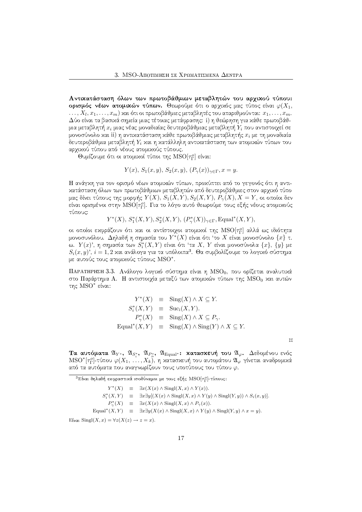Αντικατάσταση όλων των πρωτοβάθμιων μεταβλητών του αρχικού τύπου: ορισμός νέων ατομικών τύπων. Θεωρούμε ότι ο αργικός μας τύπος είναι  $\varphi(X_1, Y_2)$  $(x_1, x_1, x_2, \ldots, x_m)$  και ότι οι πρωτοβάθμιες μεταβλητές του απαριθμούνται:  $x_1, \ldots, x_m$ . Δύο είναι τα βασικά σημεία μιας τέτοιας μετάφρασης: i) η θεώρηση για κάθε πρωτοβάθμια μεταβλητή  $x_i$  μιας νέας μοναδιαίας δευτεροβάθμιας μεταβλητή  $Y_i$  που αντιστοιχεί σε μονοσύνολο και ii) η αντικατάσταση κάθε πρωτοβάθμιας μεταβλητής  $x_i$  με τη μοναδιαία δευτεροβάθμια μεταβλητή  $Y_i$  και η κατάλληλη αντικατάσταση των ατομικών τύπων του αρχικού τύπου από νέους ατομικούς τύπους.

Θυμίζουμε ότι οι ατομιχοί τύποι της MSO [ $\tau_{\Gamma}^{o}$ ] είναι:

$$
Y(x), S_1(x, y), S_2(x, y), (P_{\gamma}(x))_{\gamma \in \Gamma}, x = y.
$$

Η ανάγκη για τον ορισμό νέων ατομικών τύπων, προκύπτει από το γεγονός ότι η αντικατάσταση όλων των πρωτοβάθμιων μεταβλητών από δευτεροβάθμιες στον αργικό τύπο μας δίνει τύπους της μορφής  $Y(X)$ ,  $S_1(X,Y)$ ,  $S_2(X,Y)$ ,  $P_\gamma(X)$ ,  $X = Y$ , οι οποίοι δεν είναι ορισμένοι στην MSO [τρ]. Για το λόγο αυτό θεωρούμε τους εξής νέους ατομιχούς τύπους:

$$
Y^*(X), S_1^*(X, Y), S_2^*(X, Y), (P_{\gamma}^*(X))_{\gamma \in \Gamma}, \text{Equal}^*(X, Y),
$$

οι οποίοι εκφράζουν ότι και οι αντίστοιχοι ατομικοί της MSO[TP] αλλά ως ιδιότητα μονοσυνόλου. Δηλαδή η σημασία του  $Y^*(X)$  είναι ότι 'το X είναι μονοσύνολο  $\{x\}$  τ. ω.  $Y(x)$ ', η σημασία των  $S_i^*(X, Y)$  είναι ότι 'τα X, Y είναι μονοσύνολα  $\{x\}$ ,  $\{y\}$  με  $S_i(x, y)$ ',  $i = 1, 2$  και ανάλογα για τα υπόλοιπα<sup>3</sup>. Θα συμβολίζουμε το λογικό σύστημα με αυτούς τους ατομιχούς τύπους MSO<sup>\*</sup>.

ΠΑΡΑΤΗΡΗΣΗ 3.3. Ανάλογο λογικό σύστημα είναι η MSO<sub>0</sub>, που ορίζεται αναλυτικά στο Παράρτημα Α. Η αντιστοιχία μεταξύ των ατομιχών τύπων της MSO<sub>0</sub> χαι αυτών της MSO\* είναι:

$$
Y^*(X) \equiv \text{Sing}(X) \wedge X \subseteq Y.
$$
  
\n
$$
S_i^*(X, Y) \equiv \text{Suc}_i(X, Y).
$$
  
\n
$$
P_{\gamma}^*(X) \equiv \text{Sing}(X) \wedge X \subseteq P_{\gamma}.
$$
  
\n
$$
\text{Equal}^*(X, Y) \equiv \text{Sing}(X) \wedge \text{Sing}(Y) \wedge X \subseteq Y.
$$

 $\Box$ 

Τα αυτόματα  $\mathfrak{A}_{Y^*}$ ,  $\mathfrak{A}_{S^*}$ ,  $\mathfrak{A}_{P^*}$ ,  $\mathfrak{A}_{\text{Equal}}$ : κατασκευή του  $\mathfrak{A}_{\varphi}$ . Δεδομένου ενός  $\mathrm{MSO}^*[\tau_\Gamma^\circ]$ -τύπου  $\varphi(X_1,\ldots,X_k),$  η χατασχευή του αυτομάτου  $\mathfrak{A}_\varphi$  γίνεται αναδρομιχά από τα αυτόματα που αναγνωρίζουν τους υποτύπους του τύπου  $\varphi$ .

<sup>3</sup>Είναι δηλαδή εκφραστικά ισοδύναμοι με τους εξής MSO[ $\tau_{\rm F}^{o}$ ]-τύπους:

 $Y^*(X) \equiv \exists x (X(x) \wedge \text{Sing}(X, x) \wedge Y(x)).$  $S_i^*(X,Y) \equiv \exists x \exists y [(X(x) \land Singl(X,x) \land Y(y) \land Singl(Y,y)) \land S_i(x,y)].$  $P^*_{\gamma}(X) \equiv \exists x (X(x) \wedge \text{Sing}(X, x) \wedge P_{\gamma}(x)).$ Equal<sup>\*</sup> $(X, Y) \equiv \exists x \exists y (X(x) \land Singl(X, x) \land Y(y) \land Singl(Y, y) \land x = y).$ 

Eival Singl $(X, x) = \forall z (X(z) \rightarrow z = x)$ .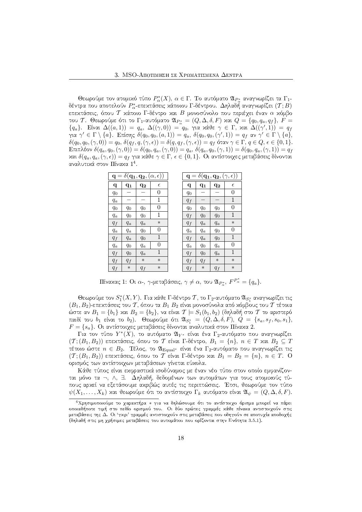Θεωρούμε τον ατομιχό τύπο  $P_\alpha^*(X),\,\alpha\in\Gamma.$  Το αυτόματο  $\mathfrak{A}_{P_\alpha^*}$  αναγνωρίζει τα  $\Gamma_1$ δέντρα που αποτελούν  $P^{*}_{\alpha}$ -επεχτάσεις χάποιου  $\Gamma$ -δέντρου.  $\Delta$ ηλαδ $\tilde{\eta}$  αναγνωρίζει  $(\mathcal{T};B)$ επεχτάσεις, όπου  ${\mathcal T}$  χάποιο  $\Gamma$ -δέντρο χαι  $B$  μονοσύνολο που περιέχει έναν  $\alpha$  χόμβο του Τ. Θεωρούμε ότι το  $\Gamma_1$ -αυτόματο  $\mathfrak{A}_{P^*_\alpha}=(Q,\Delta,\delta,F)$  χαι  $Q=\{q_0,q_a,q_f\},\,F=0$  ${q_a}$ . Είναι  $\Delta((a,1)) = q_a$ ,  $\Delta((\gamma,0)) = q_0$ , για χάθε  $\gamma \in \Gamma$ , χαι  $\Delta((\gamma',1)) = q_f$ για  $\gamma' \in \Gamma \setminus \{a\}$ . Επίσης  $\delta(q_0,q_0,(a,1)) = q_a, \ \delta(q_0,q_0,(\gamma',1)) = q_f$  αν  $\gamma' \in \Gamma \setminus \{a\},$  $\delta(q_0,q_0,(\gamma,0))=q_0,$   $\delta(q_f,q,(\gamma,\epsilon))=\delta(q,q_f,(\gamma,\epsilon))=q_f$  όταν  $\gamma\in\Gamma,\,q\in Q,\,\epsilon\in\{0,1\}.$  ${\rm E}$ πιπλέον  $\delta(q_a,q_0,(\gamma,0))=\delta(q_0,q_a,(\gamma,0))=q_a,$   $\delta(q_a,q_0,(\gamma,1))=\delta(q_0,q_a,(\gamma,1))=q_f$ και  $\delta(q_a, q_a, (\gamma, \epsilon)) = q_f$  για κάθε  $\gamma \in \Gamma, \, \epsilon \in \{0, 1\}.$  Οι αντίστοιχες μεταβάσεις δίνονται  $\blacksquare$ 

|              | $\mathbf{q} = \delta(\mathbf{q_1}, \mathbf{q_2}, (\alpha, \epsilon))$ |         |             |       | $\mathbf{q} = \delta(\mathbf{q_1}, \mathbf{q_2}, (\gamma, \epsilon))$ |         |              |
|--------------|-----------------------------------------------------------------------|---------|-------------|-------|-----------------------------------------------------------------------|---------|--------------|
| $\mathbf{q}$ | $q_1$                                                                 | $q_{2}$ | $\epsilon$  | q     | $q_1$                                                                 | $q_{2}$ | $\epsilon$   |
| $q_0$        |                                                                       |         | 0           | $q_0$ |                                                                       |         | 0            |
| $q_a$        |                                                                       |         | 1           | $q_f$ |                                                                       |         | 1            |
| $q_0$        | $q_0$                                                                 | $q_0$   | 0           | $q_0$ | $q_0$                                                                 | $q_0$   | 0            |
| $q_a$        | $q_0$                                                                 | $q_0$   | 1           | $q_f$ | $q_0$                                                                 | $q_0$   | 1            |
| $q_f$        | $q_a$                                                                 | $q_a$   | $\ast$      | $q_f$ | $q_a$                                                                 | $q_a$   | $\ast$       |
| $q_a$        | $q_a$                                                                 | $q_0$   | 0           | $q_a$ | $q_a$                                                                 | $q_0$   | 0            |
| $q_f$        | $q_a$                                                                 | $q_0$   | 1           | $q_f$ | $q_a$                                                                 | $q_0$   | $\mathbf{1}$ |
| $q_a$        | $q_0$                                                                 | $q_a$   | 0           | $q_a$ | $q_0$                                                                 | $q_a$   | 0            |
| $q_f$        | $q_0$                                                                 | $q_a$   | $\mathbf 1$ | $q_f$ | $q_0$                                                                 | $q_a$   | 1            |
| $q_f\,$      | $q_f$                                                                 | $\ast$  | $\ast$      | $q_f$ | $q_f$                                                                 | $\ast$  | $\ast$       |
| $q_f$        | $\ast$                                                                | $q_f$   | $\ast$      | $q_f$ | $\ast$                                                                | $q_f$   | $\ast$       |

 $\Pi$ ίναχας 1: Οι α-, γ-μεταβάσεις,  $\gamma \neq \alpha$ , του  $\mathfrak{A}_{P^*_\alpha},\, F^{P^*_\alpha}=\{q_a\}.$ 

Θεωρούμε τον  $S_1^*(X,Y)$ . Για χάθε Γ-δέντρο  $\mathcal T,$  το Γ $_2$ -αυτόματο  $\mathfrak{A}_{S_1^*}$  αναγνωρίζει τις  $(B_1, B_2)$ -επεχτάσεις του  $\mathcal T,$  όπου τα  $B_1$   $B_2$  είναι μονοσύνολα από χόμβους του  $\mathcal T$  τέτοια ώστε αν  $B_1 = \{b_1\}$  χαι  $B_2 = \{b_2\},$  να είναι  $\mathcal{T} \models S_1(b_1,b_2)$  (δηλαδή στο  $\mathcal T$  το αριστερό παιδί του  $b_1$  είναι το  $b_2$ ). Θεωρούμε ότι  $\mathfrak{A}_{S_1^*} = (Q, \Delta, \delta, F), Q = \{s_a, s_f, s_0, s_1\},$  $F = \{s_a\}.$  Οι αντίστοιχες μεταβάσεις δίνονται αναλυτικά στον Πίνακα 2.

 $\Gamma$ ια τον τύπο  $Y^*(\tilde{X}),$  το αυτόματο  $\mathfrak{A}_{Y^*}$  είναι ένα  $\Gamma_2$ -αυτόματο που αναγνωρίζει  $(\mathcal{T};(B_1,B_2))$  επεχτάσεις, όπου το  $\mathcal T$  είναι  $\Gamma$ -δέντρο,  $B_1$   $=$   $\{n\},$   $n \in T$  χαι  $B_2 \subseteq T$ τέτοιο ώστε  $n\in B_2$ . Τέλος, το  $\mathfrak{A}_{\text{Equal^*}}$  είναι ένα  $\Gamma_2$ -αυτόματο που αναγνωρίζει τις  $(\mathcal{T};(B_1,B_2))$  επεχτάσεις, όπου το  $\mathcal T$  είναι  $\Gamma$ -δέντρο χαι  $B_1 = B_2 = \{n\},\, n\in T.\;$  Ο ορισμός των αντίστοιγων μεταβάσεων γίνεται εύχολα.

Κάθε τύπος είναι εχφραστιχά ισοδύναμος με έναν νέο τύπο στον οποίο εμφανίζονται μόνο τα ¬, ∧, ∃. Δηλαδή, δεδομένων των αυτομάτων για τους ατομιχούς τύπους αρχεί να εξετάσουμε αχριβώς αυτές τις περιπτώσεις. Έτσι, θεωρούμε τον τύπο  $\psi(X_1,\ldots,X_k)$  χαι θεωρούμε ότι το αντίστοιχο  $\Gamma_k$  αυτόματο είναι  $\mathfrak{A}_{\psi} = (Q,\Delta,\delta,F).$ 

 $^4$ Χρησιμοποιούμε το χαραχτήρα \* για να δηλώσουμε ότι το αντίστοιχο όρισμα μπορεί να πάρει μεταβάσεις της Δ. Οι 'γκρι' γραμμές αντιστοιχούν στις μεταβάσεις που οδηγούν σε αποτυχία αποδοχής  $\mathcal{L}_{\mathcal{D}}$  s.t.  $\mathcal{L}_{\mathcal{D}}$  s.t.  $\mathcal{L}_{\mathcal{D}}$  and  $\mathcal{L}_{\mathcal{D}}$  and  $\mathcal{L}_{\mathcal{D}}$  and  $\mathcal{L}_{\mathcal{D}}$  and  $\mathcal{L}_{\mathcal{D}}$  and  $\mathcal{L}_{\mathcal{D}}$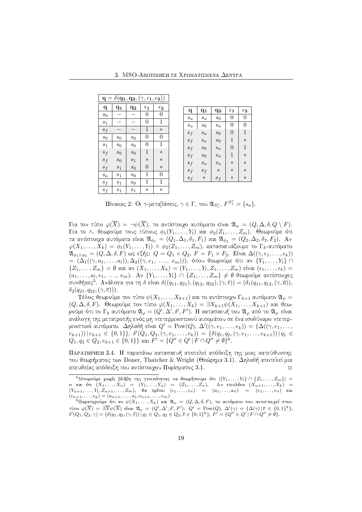| $\mathbf{q} = \delta(\mathbf{q_1}, \mathbf{q_2}, (\gamma, \underline{\epsilon_1}, \underline{\epsilon_2}))$ |                |                |                         |              |  |  |
|-------------------------------------------------------------------------------------------------------------|----------------|----------------|-------------------------|--------------|--|--|
| q                                                                                                           | $q_1$          | $q_{2}$        | $\epsilon_{\mathbf{1}}$ | $\epsilon_2$ |  |  |
| $s_0$                                                                                                       |                |                | 0                       | 0            |  |  |
| $s_1$                                                                                                       |                |                | 0                       | 1            |  |  |
| $s_f$                                                                                                       |                |                | 1                       | $\ast$       |  |  |
| $s_0$                                                                                                       | $\sqrt{s_0}$   | $\sqrt{s_0}$   | 0                       | 0            |  |  |
| $s_1$                                                                                                       | $\sqrt{s_0}$   | $s_0$          | 0                       | 1            |  |  |
| $\boldsymbol{s}_f$                                                                                          | $s_0$          | $\sqrt{s_0}$   | 1                       | $\ast$       |  |  |
| $s_f$                                                                                                       | $\sqrt{s_{0}}$ | $s_1$          | $\ast$                  | $\ast$       |  |  |
| $s_f$                                                                                                       | $\sqrt{s_{1}}$ | $s_0$          | 0                       | $\ast$       |  |  |
| $\boldsymbol{s}_a$                                                                                          | $\sqrt{s_{1}}$ | $\sqrt{s_0}$   | 1                       | 0            |  |  |
| $s_{\it f}$                                                                                                 | $s_1$          | $\sqrt{s_0}$   | 1                       | 1            |  |  |
| $s_f$                                                                                                       | $\sqrt{s_{1}}$ | $\sqrt{s_{1}}$ | $\ast$                  | $\ast$       |  |  |

| q                  | $q_{1}$            | $q_{2}$            | $\epsilon_1$ | $\epsilon_2$ |
|--------------------|--------------------|--------------------|--------------|--------------|
| $\boldsymbol{s}_a$ | $\boldsymbol{s}_a$ | $\sqrt{s_0}$       | 0            | 0            |
| $\boldsymbol{s}_a$ | $\boldsymbol{s}_0$ | $\boldsymbol{s}_a$ | 0            | 0            |
| $s_f$              | $\mathfrak{s}_a$   | $s_0$              | 0            | 1            |
| $s_f$              | $s_a$              | $\mathfrak{s}_0$   | 1            | $\ast$       |
| $s_f$              | $\mathfrak{s}_0$   | $s_a$              | 0            | 1            |
| $s_f$              | $\mathfrak{s}_0$   | $\mathfrak{s}_a$   | 1            | $\ast$       |
| $s_f$              | $\mathfrak{s}_a$   | $\mathfrak{s}_a$   | $\ast$       | $\ast$       |
| $s_f$              | $s_f$              | $\ast$             | $\ast$       | $\ast$       |
| $s_f$              | $\ast$             | $s_f$              | $\ast$       | $\ast$       |
|                    |                    |                    |              |              |

 $\Pi$ ίναχας 2: Οι  $\gamma$ -μεταβάσεις,  $\gamma\in\Gamma,$  του  $\mathfrak{A}_{S_1^*},\,F^{S_1^*}=\{s_a\}.$ 

 $\Gamma$ ια τον τύπο  $\varphi(\overline{X})\,=\, \neg \psi(\overline{X}),$  το αντίστοιχο αυτόματο είναι  $\mathfrak{A}_\varphi\,=\,(Q,\Delta,\delta,Q\setminus F).$  $\Gamma$ ια το Λ, θεωρούμε τους τύπους  $\phi_1(Y_1,\ldots,Y_l)$  χαι  $\phi_2(Z_1,\ldots,Z_m).$  Θεωρούμε ότι τα αντίστοιχα αυτόματα είναι  $\mathfrak{A}_{\phi_1} = (Q_1, \Delta_1, \delta_1, F_1)$  χαι  $\mathfrak{A}_{\phi_2} = (Q_2, \Delta_2, \delta_2, F_2).$  Αν  $\varphi(X_1,\ldots,X_k)\,=\,\phi_1(Y_1,\ldots,Y_l)\,\wedge\,\phi_2(Z_1,\ldots,Z_m),$  χατασχευάζουμε το  $\Gamma_k$ -αυτόματο  $\mathfrak{A}_{\phi_1\wedge\phi_2}=(Q,\Delta,\delta,F)$  ως εξής:  $Q=Q_1\times Q_2,$   $F=F_1\times F_2.$  Είναι  $\Delta((\gamma,\epsilon_1,\ldots,\epsilon_k))$ =  $(Δ_1((γ, a_1, ..., a_l)), Δ_2((γ, e_1, ..., e_m))),$  όπου θεωρούμε ότι αν  ${Y_1, ..., Y_l}$  ∩  $\{Z_1,\ldots,Z_m\}=\emptyset$  χαι αν  $(X_1,\ldots,X_k)=(Y_1,\ldots,Y_l,Z_1,\ldots,Z_m)$  είναι  $(\epsilon_1,\ldots,\epsilon_k)=0$  $(a_1,\ldots,a_l,e_1,\ \ldots,\ e_m)$ . Αν  $\{Y_1,\ldots,Y_l\}\,\cap\,\{Z_1,\ldots,Z_m\}\neq\emptyset$  θεωρούμε αντίστοιχες συνθήκες<sup>5</sup>. Ανάλογα για τη δ είναι  $\delta((q_{11}, q_{21}), (q_{12}, q_{22}), (\gamma, \overline{\epsilon})) = (\delta_1(q_{11}, q_{12}, (\gamma, \overline{a})),$  $\delta_2(q_{21}, q_{22}, (\gamma, \overline{e}))).$ 

Tέλος θεωρούμε τον τύπο  $\psi(X_1, \ldots, X_{k+1})$  και το αντίστοιχο  $\Gamma_{k+1}$  αυτόματο  $\mathfrak{A}_\psi =$  $(Q, \Delta, \delta, F)$ . Θεωρούμε τον τύπο  $\varphi(X_1, \dots, X_k) = \exists X_{k+1} \psi(X_1, \dots, X_{k+1})$  και θεωρούμε ότι το  $\Gamma_k$  αυτόματο  $\mathfrak{A}_\varphi=(Q',\Delta',\delta',F').$  Η χατασχευή του  $\mathfrak{A}_\varphi$  από το  $\mathfrak{A}_\psi$  είναι ανάλογη της μετατροπής ενός μη ντετερμινιστιχού αυτομάτου σε ένα ισοδύναμο ντετερμινιστιχό αυτόματο. Δηλαδή είναι  $Q' = \operatorname{Pow}(Q), \, \Delta'((\gamma, e_1, \ldots, e_k)) = \{ \Delta((\gamma, e_1, \ldots, e_k)) \}$  $(e_{k+1})$  $(e_{k+1} \in \{0,1\}$ ,  $\delta'(Q_1, Q_2, (\gamma, e_1, \ldots, e_k)) = \{\delta(q_1, q_2, (\gamma, e_1, \ldots, e_{k+1})) | q_1 \in$  $Q_1, q_2 \in Q_2, e_{k+1} \in \{0,1\} \}$  xal  $F' = \{Q'' \in Q' | F \cap Q'' \neq \emptyset\}^6$ .

--  SHBW@AB(SH\W<?O5\*B(>JBWV85\*[=DW6B(SH2(>A[xI[JTQB(SHFHPA[J4 AU>AUWX GH4BWX]5\*B(>A[=RhDW<AVUWX του θεωρήματος των Doner, Thatcher & Wright (Θεώρημα 3.1). Δηλαδή αποτελεί μια απευθείας απόδειξη του αντίστοιχου Πορίσματος 3.1.  $\Box$ 

 $^5$ Μπορούμε χωρίς βλάβη της γενιχότητας να θεωρήσουμε ότι  $|\{Y_1, \dots, Y_l\} \cap \{Z_1, \dots, Z_m\}| = 0$ n και ότι  $(X_1, \ldots, X_n)$  =  $(Y_1, \ldots, Y_n)$  =  $(Z_1, \ldots, Z_n)$ . Αν επιπλέον  $(X_{n+1}, \ldots, X_k)$  =  $(Y_{n+1},...,Y_l,Z_{n+1},...,Z_m)$ , θα πρέπει  $(\epsilon_1,...,\epsilon_n)$  =  $(a_1,...,a_n)$  =  $(\epsilon_1,...,\epsilon_n)$  και

 $(\epsilon_{n+1}, \ldots, \epsilon_k) = (a_{n+1}, \ldots, a_l, e_{n+1}, \ldots, e_m)$ <br><sup>6</sup>Παρατηρούμε ότι αν ψ(X<sub>1</sub>,...,X<sub>k</sub>) και Ώψ = (Q,Δ,δ,*F*), το αυτόματο που αντιστοιχεί στον<br>τύπο ω(X) − ∃χν/(X) είναι Ω( − (Ο' Δ' δ' F')· Ο' − Ρονν(Ο) Δ'(~) − {Δ(~)|ε ε ∫0  $\varphi (\overline X) \ = \ \exists \overline X \psi (\overline X)$  είναι  $\mathfrak{A}_\varphi \ = \ (Q', \Delta', \delta', F') \colon \ Q' \ = \ \text{Pow}(Q), \ \Delta'(\gamma) \ = \ \{\Delta(\gamma) \ | \ \overline{e} \ \in \ \{0,1\}^k\},$  $\delta'(Q_1, Q_2, \gamma) = \{ \delta(q_1, q_2, (\gamma, \overline{e})) \mid q_1 \in Q_1, q_2 \in Q_2, \overline{e} \in \{0,1\}^k \}, F' = \{Q'' \in Q' \mid F \cap Q'' \neq \emptyset \}.$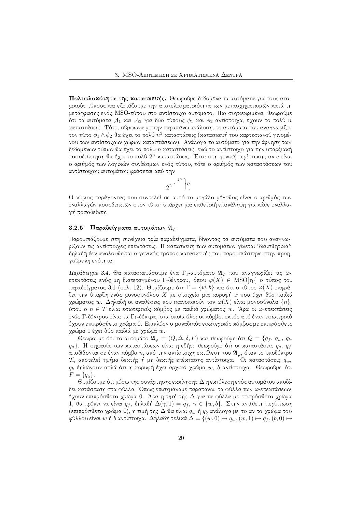Πολυπλοκότητα της κατασκευής. Θεωρούμε δεδομένα τα αυτόματα για τους ατομιχούς τύπους χαι εξετάζουμε την αποτελεσματιχότητα των μετασγηματισμών χατά τη μετάφρασης ενός MSO-τύπου στο αντίστοιγο αυτόματο. Πιο συγκεκριμένα, θεωρούμε ότι τα αυτόματα  $\mathcal{A}_1$  και  $\mathcal{A}_2$  για δύο τύπους  $\phi_1$  και  $\phi_2$  αντίστοιχα, έχουν το πολύ  $n$ καταστάσεις. Τότε, σύμφωνα με την παραπάνω ανάλυση, το αυτόματο που αναγνωρίζει τον τύπο  $\phi_1 \wedge \phi_2$  θα έγει το πολύ  $n^2$  χαταστάσεις (χατασχευή του χαρτεσιανού γινομένου των αντίστοιχων χώρων καταστάσεων). Ανάλογα το αυτόματο για την άρνηση των δεδομένων τύπων θα έχει το πολύ  $n$  χαταστάσεις, ενώ το αντίστοιχο για την υπαρξιαχή ποσοδείκτηση θα έχει το πολύ 2<sup>η</sup> καταστάσεις. Έτσι στη γενική περίπτωση, αν c είναι ο αριθμός των λογικών συνδέσμων ενός τύπου, τότε ο αριθμός των καταστάσεων του αντίστοιχου αυτομάτου φράσεται από την

$$
2^{2^{\cdot^{\cdot^{\cdot^{2^n}}}}}\Big\}c
$$

Ο χύριος παράγοντας που συντελεί σε αυτό το μεγάλο μέγεθος είναι ο αριθμός των εναλλαγών ποσοδεικτών στον τύπο· υπάρχει μια εκθετική επανάληψη για κάθε εναλλαγή ποσοδείκτη.

### 3.2.5 Παραδείγματα αυτομάτων  $\mathfrak{A}_{\varphi}$

Παρουσιάζουμε στη συνέχεια τρία παραδείγματα, δίνοντας τα αυτόματα που αναγνωρίζουν τις αντίστοιχες επεχτάσεις. Η χατασχευή των αυτομάτων γίνεται 'διαισθητιχά'· δηλαδή δεν αχολουθείται ο γενιχός τρόπος χατασχευής που παρουσιάστηχε στην προηγούμενη ενότητα.

Παράδειγμα 3.4. Θα κατασκευάσουμε ένα Γ1-αυτόματο  $\mathfrak{A}_{\varphi}$  που αναγνωρίζει τις  $\varphi$ επεχτάσεις ενός μη διατεταγμένου Γ-δέντρου, όπου  $\varphi(X) \in {\rm MSO}[\tau_{\Gamma}]$  ο τύπος του παραδείγματος 3.1 (σελ. 12). Θυμίζουμε ότι  $\Gamma = \{w, b\}$  και ότι ο τύπος  $\varphi(X)$  εκφράζει την ύπαρξη ενός μονοσυνόλου  $X$  με στοιχείο μια χορυφή  $x$  που έχει δύο παιδιά χρώματος  $w$ . Δηλαδή οι αναθέσεις που ικανοποιούν τον  $\varphi(X)$  είναι μονοσύνολα  $\{n\},$ όπου ο  $n \in T$  είναι εσωτεριχός χόμβος με παιδιά χρώματος w. Άρα οι φ-επεχτάσεις ενός Γ-δέντρου είναι τα Γ<sub>1</sub>-δέντρα, στα οποία όλοι οι κόμβοι εκτός από έναν εσωτερικό έγουν επιπρόσθετο γρώμα 0. Επιπλέον ο μοναδικός εσωτερικός κόμβος με επιπρόσθετο χρώμα 1 έχει δύο παιδιά με χρώμα *w*.

 $q_a$ }. Η σημασία των καταστάσεων είναι η εξής: θεωρούμε ότι οι καταστάσεις  $q_a$ ,  $q_f$ αποδίδονται σε έναν χόμβο n, από την αντίστοιχη εχτέλεση του  $\mathfrak{A}_{\varphi}$ , όταν το υποδέντρο  $\mathcal{T}_n$  αποτελεί τμήμα δεχτής ή μη δεχτής επέχτασης αντίστοιγα. Οι χαταστάσεις  $q_m$ ,  $q_b$  δηλώνουν απλά ότι η χορυφή έχει αρχιχό χρώμα  $w, b$  αντίστοιχα. Θεωρούμε ότι  $F = \{q_a\}.$ 

Θυμίζουμε ότι μέσω της συνάρτησης εχχίνησης Δη εχτέλεση ενός αυτομάτου αποδίδει κατάσταση στα φύλλα. Όπως επισημάναμε παραπάνω, τα φύλλα των φ-επεκτάσεων έχουν επιπρόσθετο χρώμα 0. Άρα η τιμή της Δ για τα φύλλα με επιπρόσθετο χρώμα 1, θα πρέπει να είναι  $q_f$ , δηλαδή  $\Delta(\gamma, 1) = q_f$ ,  $\gamma \in \{w, b\}$ . Στην αντίθετη περίπτωση (επιπρόσθετο χρώμα 0), η τιμή της  $\Delta$  θα είναι  $q_w$  ή  $q_b$  ανάλογα με το αν το χρώμα του φύλλου είναι  $w \nmid b$  αντίστοιχα. Δηλαδή τελικά  $\Delta = \{(w, 0) \mapsto q_w, (w, 1) \mapsto q_f, (b, 0) \mapsto$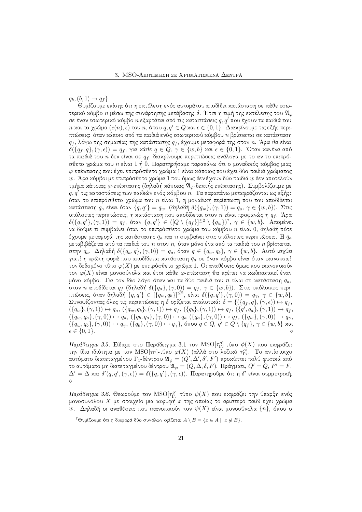$q_b, (b, 1) \mapsto q_f$ .

Θυμίζουμε επίσης ότι η εχτέλεση ενός αυτομάτου αποδίδει χατάσταση σε χάθε εσωτεριχό χόμβο  $n$  μέσω της συνάρτησης μετάβασης δ. Έτσι η τιμή της εχτέλεσης του  $\mathfrak{A}_{\varphi}$ σε έναν εσωτεριχό χόμβο  $n$  εξαρτάται από τις χαταστάσεις  $q,q^\prime$  που έχουν τα παιδιά του  $n$  και το χρώμα  $(c(n), \epsilon)$  του  $n,$  όπου  $q, q' \in Q$  και  $\epsilon \in \{0, 1\}.$  Διακρίνουμε τις εξής περιπτώσεις: όταν χάποιο από τα παιδιά ενός εσωτεριχού χόμβου *η* βρίσχεται σε χατάσταση  $q_f,$  λόγω της σημασίας της χατάστασης  $q_f,$  έχουμε μεταφορά της στον  $n.$  Άρα θα είναι  $\,$  $\delta(\{q_f, q\}, (\gamma, \epsilon)) = q_f,$  για χάθε  $q \in Q,$   $\gamma \in \{w, b\}$  χαι  $\epsilon \in \{0, 1\}.$  Όταν χανένα από τα παιδιά του  $n$  δεν είναι σε  $q_f,$  διαχρίνουμε περιπτώσεις ανάλογα με το αν το επιπρόσθετο χρώμα του n είναι 1 ή 0. Παρατηρήσαμε παραπάνω ότι ο μοναδιχός χόμβος μιας  $\varphi$ -επέχτασης που έχει επιπρόσθετο χρώμα 1 είναι χάποιος που έχει δύο παιδιά χρώματος w. Άρα κόμβοι με επιπρόσθετο χρώμα 1 που όμως δεν έχουν δύο παιδιά  $w$  δεν αποτελούν τμήμα κάποιας φ-επέχτασης (δηλαδή χάποιας  $\mathfrak{A}_{\varphi}$ -δεχτής επέχτασης). Συμβολίζουμε με  $q, q^\prime$  τις χαταστάσεις των παιδιών ενός χόμβου  $n$ . Τα παραπάνω μεταφράζονται ως εξής: όταν το επιπρόσθετο χρώμα του  $n$  είναι 1, η μοναδιχή περίπτωση που του αποδίδεται χατάσταση  $q_a$  είναι όταν  $\{q, q'\} = q_w$ , (δηλαδή  $\delta(\{q_w\}, (\gamma, 1)) = q_a, \, \gamma \in \{w, b\}).$  Στις υπόλοιπες περιπτώσεις, η χατάσταση που αποδίδεται στον  $n$  είναι προφανώς η  $q_f$ . Άρα  $\delta(\{q,q'\},(\gamma,1)) \,=\, q_f,$  όταν  $\,\{q,q'\}\, \in\, ([Q\setminus \{q_f\}]^{\leq 2}\setminus \{q_w\})^7,\,\, \gamma \,\in\, \{w,b\}.$  . Απομένει να δούμε τι συμβαίνει όταν το επιπρόσθετο χρώμα του χόμβου  $n$  είναι 0, δηλαδή πότε έγουμε μεταφορά της χατάστασης  $q_a$  χαι τι συμβαίνει στις υπόλοιπες περιπτώσεις. Η  $q_a$ μεταβιβάζεται από τα παιδιά του  $n$  στον  $n,$  όταν μόνο ένα από τα παιδιά του  $n$  βρίσχεται στην  $q_a$ . Δηλαδή  $\delta(\{q_a, q\}, (\gamma, 0)) = q_a,$  όταν  $q \in \{q_w, q_b\},\ \gamma \in \{w, b\}.$  Αυτό ισχύει γιατί η πρώτη φορά που αποδίδεται χατάσταση  $q_a$  σε έναν χόμβο είναι όταν ιχανοποιεί τον δεδομένο τύπο  $\varphi(X)$  με επιπρόσθετο χρώμα 1. Οι αναθέσεις όμως που ικανοποιούν τον  $\varphi(X)$  είναι μονοσύνολα και έτσι κάθε  $\varphi$ -επέκταση θα πρέπει να κωδικοποιεί έναν μόνο χόμβο. Για τον ίδιο λόγο όταν χαι τα δύο παιδιά του  $n$  είναι σε χατάσταση  $q_a,$ στον  $n$  αποδίδεται  $q_f$  (δηλαδή  $\delta(\{q_a\},(\gamma,0))=q_f,$   $\gamma\in\{w,b\}).$   $\:$ τις υπόλοιπες περιπτώσεις, όταν δηλαδή  $\{q,q'\}\in[\{q_w,q_b\}]^{\leq 2}$ , είναι  $\delta(\{q,q'\},(\gamma,0))\,=\,q_\gamma,\;\gamma\,\in\,\{w,b\}.$  $\Sigma$ υνοψίζοντας όλες τις περιπτώσεις η δ ορίζεται αναλυτικά:  $\delta = \{(\{q_f, q\}, (\gamma, \epsilon)) \mapsto q_f,$  $(\{q_w\},(\gamma,1)) \mapsto q_a, (\{q_w, q_b\},(\gamma, 1)) \mapsto q_f, (\{q_b\},(\gamma, 1)) \mapsto q_f, (\{q', q_a\},(\gamma, 1)) \mapsto q_f,$  $(\{q_w, q_a\},(\gamma, 0)) \mapsto q_a, (\{q_b, q_a\},(\gamma, 0)) \mapsto q_a, (\{q_a\},(\gamma, 0)) \mapsto q_f, (\{q_w\},(\gamma, 0)) \mapsto q_\gamma,$  $(\{q_w, q_b\}, (\gamma, 0)) \mapsto q_\gamma, (\{q_b\}, (\gamma, 0)) \mapsto q_\gamma\},$  όπου  $q \in Q, q' \in Q \setminus \{q_f\}, \gamma \in \{w, b\}$  χαι  $\epsilon \in \{0,1\}.$  $\Diamond$ 

 $H$ αράδειγμα 3.5. Είδαμε στο Παράδειγμα 3.1 τον  ${\rm MSO}[\tau_{\Gamma}^o]$ -τύπο  $\phi(X)$  που εχφράζει την ίδια ιδιότητα με τον  $\mathrm{MSO}[\tau_\Gamma]$ -τύπο  $\varphi(X)$  (αλλά στο λεξιχό  $\tau_\Gamma^o$ ). Το αντίστοιχο αυτόματο διατεταγμένου  $\Gamma_1$ -δέντρου  $\mathfrak{A}_\phi=(Q',\Delta',\delta',F')$  προχύπτει πολύ φυσιχά από το αυτόματο μη διατεταγμένου δέντρου  $\mathfrak{A}_{\varphi}=(Q,\Delta,\delta,F).$  Πράγματι,  $Q'=Q,$   $F'=F,$  $\Delta' = \Delta$  και  $\delta'(q, q', (\gamma, \epsilon)) = \delta(\{q, q'\}, (\gamma, \epsilon))$ . Παρατηρούμε ότι η  $\delta'$  είναι συμμετριχή.  $\Diamond$ 

 $H$ αράδ $\epsilon$ τρμα 3.6. Θεωρούμε τον  ${\rm MSO}[\tau_{\Gamma}^o]$  τύπο  $\psi(X)$  που εχφράζει την ύπαρξη ενός μονοσυνόλου  $X$  με στοιχείο μια χορυφή  $x$  της οποίας το αριστερό παιδί έχει χρώμα  $w.$  Δηλαδή οι αναθέσεις που ιχανοποιούν τον  $\psi(X)$  είναι μονοσύνολα  $\{n\},$  όπου ο

 $^7$ Θυμίζουμε ότι η διαφορά δύο συνόλων ορίζεται  $A \setminus B = \{x \in A \mid \ x \not\in B\}.$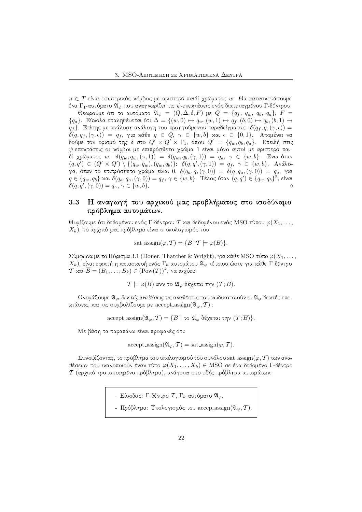$n\in T$  είναι εσωτεριχός χόμβος με αριστερό παιδί χρώματος  $w.$  Θα χατασχευάσουμε ένα  $\Gamma_1$ -αυτόματο  $\mathfrak{A}_\psi$  που αναγνωρίζει τις  $\psi$ -επεχτάσεις ενός διατεταγμένου  $\Gamma$ -δέντρου.

Θεωρούμε ότι το αυτόματο  $\mathfrak{A}_\psi \;=\; (Q, \Delta, \delta, F)$  με  $Q \;=\; \{q_f, \;q_w, \;q_b, \;q_a\},\; F \;=\;$  $\{q_a\}$ . Εύχολα επαληθέυεται ότι  $\Delta=\{(w,0)\mapsto q_w,(w,1)\mapsto q_f,(b,0)\mapsto q_b,(b,1)\mapsto$  $q_f \}.$  Επίσης με ανάλυση ανάλογη του προηγούμενου παραδείγματος:  $\delta(q_f,q,(\gamma , \epsilon))=$  $\delta(q, q_f, (\gamma, \epsilon)) \; = \; q_f, \; \gamma$ ια χάθε  $q \; \in \; Q, \; \gamma \; \in \; \{w, b\}$  χαι  $\epsilon \; \in \; \{0, 1\}.$  . Απομένει να δούμε τον ορισμό της δ στο  $Q'\times Q'\times \Gamma_1,$  όπου  $Q'~=~\{q_w,q_b,q_a\}.$  . Επειδή στις  $\psi$ -επεχτάσεις οι χόμβοι με επιπρόσθετο χρώμα 1 είναι μόνο αυτοί με αριστερό παιδί χρώματος  $w{:}$   $\delta(q_w,q_w,(\gamma,1))\ =\ \delta(q_w,q_b,(\gamma,1))\ =\ q_a,\ \gamma\ \in\ \{w,b\}.$  Ενω όταν  $(q, q') \in (Q' \times Q') \setminus \{(q_w, q_w), (q_w, q_b)\}$ :  $\delta(q, q', (\gamma, 1)) = q_f, \gamma \in \{w, b\}$ . Aváloγα, όταν το επιπρόσθετο χρώμα είναι 0,  $\delta(q_a,q,(\gamma,0))\ =\ \delta(q,q_a,(\gamma,0))\ =\ q_a,\ \gamma$ ια  $q\in\{q_w,q_b\}$  και  $\delta(q_a,q_a,(\gamma,0))=q_f,\ \gamma\in\{w,b\}.$  Τέλος όταν  $(q,q')\in\{q_w,q_b\}^2,$  είναι  $\delta(q,q',(\gamma,0)) = q_{\gamma}, \, \gamma \in \{w,b\}.$ ◇

## &W %&. "
) &W\$ . -.& '\$%+
-.&"/ "/ %&W-. πρόβλημα αυτομάτων.

Θυμίζουμε ότι δεδομένου ενός Γ-δέντρου Τ και δεδομένου ενός MSO-τύπου  $\varphi(X_1, \ldots, X_n)$  $X_k)$ , το αρχιχό μας πρόβλημα είναι ο υπολογισμός του

sat assign
$$
(\varphi, \mathcal{T}) = {\overline{B} | \mathcal{T} \models \varphi(\overline{B})}.
$$

 $\Sigma$ ύμφωνα με το Πόρισμα 3.1 (Doner, Thatcher & Wright), για κάθε MSO-τύπο  $\varphi(X_1, \ldots, X_n)$  $X_k$ ), είναι εφιχτή η χατασχευή ενός  $\Gamma_k$ -αυτομάτου  $\mathfrak{A}_\varphi$  τέτοιου ώστε για χάθε  $\Gamma$ -δέντρο  $T$  και  $\overline{B} = (B_1, \ldots, B_k) \in (\text{Pow}(T))^k$ , να ισγύει:

$$
\mathcal{T} \models \varphi(\overline{B}) \text{ and to } \mathfrak{A}_{\varphi} \text{ δέχεται την } (\mathcal{T}; \overline{B}).
$$

Ονομάζουμε  $\mathfrak{A}_{\varphi}$ -δεκτές αναθέσεις τις αναθέσεις που χωδιχοποιούν οι  $\mathfrak{A}_{\varphi}$ -δεχτές επε- $\pi$ τάσεις, χαι τις συμβολίζουμε με accept assign $(\mathfrak{A}_\varphi,\mathcal{T})$  :

accept assign( $\mathfrak{A}_{\varphi}, \mathcal{T}$ ) = { $\overline{B}$  | το  $\mathfrak{A}_{\varphi}$  δέχεται την  $(\mathcal{T}; \overline{B})$ }.

Με βάση τα παραπάνω είναι προφανές ότι:

 $accept\_assign(\mathfrak{A}_{\varphi}, \mathcal{T}) = sat\_assign(\varphi, \mathcal{T}).$ 

 $\Sigma$ υνοψίζοντας, το πρόβλημα του υπολογισμού του συνόλου sat assign $(\varphi, \mathcal{T})$  των αναθέσεων που ιχανοποιούν έναν τύπο  $\varphi(X_1, \ldots, X_k) \in \mathrm{MSO}$  σε ένα δεδομένο Γ-δέντρο  $\mathcal T$  (αρχικό τροποποιημένο πρόβλημα), ανάγεται στο εξής πρόβλημα αυτομάτων:

- Είσοδος: Γ-δέντρο  $\mathcal{T},$  Γ $_k$ -αυτόματο  $\mathfrak{A}_\varphi.$ 

- Πρόβλημα: Υπολογισμός του accep assign( $\mathfrak{A}_{\varphi}, \mathcal{T}$ ).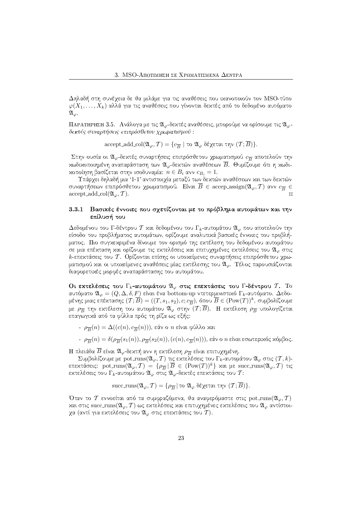Δηλαδή στη συνέγεια δε θα μιλάμε για τις αναθέσεις που ικανοποιούν τον MSO-τύπο  $\varphi(X_1,\ldots,X_k)$  αλλά για τις αναθέσεις που γίνονται δεχτές από το δεδομένο αυτόματο  $\mathfrak{A}_{\varphi}$  .

ΠΑΡΑΤΗΡΗΣΗ 3.5.  $\,$ Ανάλογα με τις  $\mathfrak{A}_\varphi\,$ δεχτές αναθέσεις, μπορούμε να ορίσουμε τις  $\mathfrak{A}_\varphi\,$ δεκτές συναρτήσεις επιπρόσθετου χρωματισμού :

 $\text{accept} \text{ add}.\text{col}(\mathfrak{A}_{\varphi}, \mathcal{T}) = \{c_{\overline{B}} \mid \text{to } \mathfrak{A}_{\varphi} \text{ }\delta\epsilon \text{grad } \text{tTV }(\mathcal{T}; \overline{B})\}.$ 

Στην ουσία οι  $\mathfrak{A}_{\varphi}$ -δεκτές συναρτήσεις επιπρόσθετου χρωματισμού  $c_{\overline{B}}$  αποτελούν την χωδιχοποιημένη αναπαράσταση των  $\mathfrak{A}_{\varphi}$ -δεχτών αναθέσεων  $\overline{B}.$  Θυμίζουμε ότι η χωδιχοποίηση βασίζεται στην ισοδυναμία:  $n \in B_i$  ανν  $c_{B_i} = 1$ .  $-$ 

Υπάργει δηλαδή μια '1-1' αντιστοιγία μεταξύ των δεκτών αναθέσεων και των δεκτών συναρτήσεων επιπρόσθετου χρωματισμού. Είναι  $\overline{B}\, \in\, \hbox{accept} \, \hbox{assign}(\mathfrak{A}_{\varphi},\mathcal{T})$  ανν  $c_{\overline{B}} \, \in\,$ accept add col $(\mathfrak{A}_{\varphi}, \mathcal{T})$ .  $\mathcal{M}_{\mathcal{A}}$ 

#### - -Βασικές έννοιες που σχετίζονται με το πρόβλημα αυτομάτων και την επίλυσή του

Δεδομένου του Γ-δέντρου Τ και δεδομένου του Γ<sub>κ</sub>-αυτομάτου  $\mathfrak{A}_{\varphi}$  που αποτελούν την είσοδο του προβλήματος αυτομάτων, ορίζουμε αναλυτικά βασικές έννοιες του προβλή-GIB(>J2HX(/;42 VD(385\*[5\*@R4GI:=<AB]PRT<A2HDWGI[N>=2I<2H@R4VGIF >AUWX![5H>A:xI[=VU>J2HD]PA[=PA2HGI:=<A2HD]BWD(>J2HGI\(>J2HD σε μια επέχταση χαι ορίζουμε τις εχτελέσεις χαι επιτυχημένες εχτελέσεις του  $\mathfrak{A}_{\varphi}$  στις  $k$ -επεχτάσεις του  $T.$  Ορίζονται επίσης οι υποχείμενες συναρτήσεις επιπρόσθετου χρωματισμού και οι υποκείμενες αναθέσεις μίας εκτέλεσης του  $\mathfrak{A}_\varphi.$  Τέλος παρουσιάζονται διαφορετικές μορφές αναπαράστασης του αυτομάτου.

Οι εχτελέσεις του  $\Gamma_k$ -αυτομάτου  $\mathfrak{A}_{\varphi}$  στις επεχτάσεις του  $\Gamma$ -δέντρου  $\mathcal{T}.$   $\,\mathrm{To}$ αυτόματο  $\mathfrak{A}_{\varphi} = (Q, \Delta, \delta, F)$  είναι ένα bottom-up ντετερμινιστικό  $\Gamma_k$ -αυτόματο. Δεδομένης μιας επέχτασης  $(\mathcal{T}; \overline{B}) = ((T, s_1, s_2), c; c_{\overline{B}}),$  όπου  $\overline{B} \in (\mathrm{Pow}(T))^k,$  συμβολίζουμε με  $\rho_{\overline{B}}$  την εχτέλεση του αυτομάτου  $\mathfrak{A}_{\varphi}$  στην  $(\mathcal{T}; \overline{B}).$   $\;$  Η εχτέλεση  $\rho_{\overline{B}}$  υπολογίζεται επαγωγικά από τα φύλλα πρός τη ρίζα ως εξής:

- $\rho_{\overline{B}}(n) = \Delta((c(n), c_{\overline{B}}(n))),$  εάν ο  $n$  είναι φύλλο και
- $\rho_{\overline{B}}(n)=\delta(\rho_{\overline{B}}(s_1(n)),\rho_{\overline{B}}(s_2(n)),(c(n),c_{\overline{B}}(n))),$  εάν ο  $n$  είναι εσωτεριχός χόμβος.

Η πλειάδα  $\overline{B}$  είναι  $\mathfrak{A}_{\varphi}$ -δεχτή ανν η εχτέλεση  $\rho_{\overline{B}}$  είναι επιτυχημένη.

 $\Sigma$ υμβολίζουμε με pot\_runs $({\mathfrak A}_\varphi, {\mathcal T})$  τις εχτελέσεις του  $\Gamma_k$ -αυτομάτου  ${\mathfrak A}_\varphi$  στις  $({\mathcal T},k)$ επεχτάσεις: pot\_runs $(\mathfrak{A}_\varphi,\mathcal{T}) \ = \ \{\rho_{\overline{B}} \, | \, \overline{B} \ \in \ (\text{Pow}(T))^k \}$  χαι με succ\_runs $(\mathfrak{A}_\varphi,\mathcal{T})$  τις εχτελέσεις του  $\Gamma_k$ -αυτομάτου  $\mathfrak{A}_\varphi$  στις  $\mathfrak{A}_\varphi$ -δεχτές επεχτάσεις του  $\mathcal{T}$ :

$$
\mathrm{succ\_runs}(\mathfrak{A}_{\varphi}, \mathcal{T}) = \{\rho_{\overline{B}} \, | \, \text{to } \mathfrak{A}_{\varphi} \text{ } \delta \xi \chi \text{ and } \text{top } (\mathcal{T}; \overline{B})\}.
$$

Όταν το  $\bar{T}$  εννοείται από τα συμφραζόμενα, θα αναφερόμαστε στις  $\text{pot\_runs}(\mathfrak{A}_{\varphi},\bar{T})$ και στις succ\_runs $({\mathfrak A}_\varphi, {\mathcal T})$  ως εχτελέσεις χαι επιτυχημένες εχτελέσεις του  ${\mathfrak A}_\varphi$  αντίστοιχα (αντί για εχτελέσεις του  $\mathfrak{A}_{\varphi}$  στις επεχτάσεις του  $\overline{\mathcal{T}}).$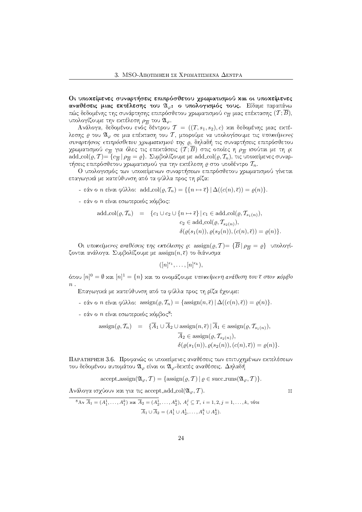Οι υποκείμενες συναρτήσεις επιπρόσθετου χρωματισμού και οι υποκείμενες αναθέσεις μιας εκτέλεσης του  $\mathfrak{A}_{\varphi}$ : ο υπολογισμός τους. Είδαμε παραπάνω πώς δεδομένης της συνάρτησης επιπρόσθετου χρωματισμού  $c_{\overline{B}}$  μιας επέχτασης  $(\mathcal{T}; \overline{B}),$ υπολογίζουμε την εκτέλεση $\rho_{\overline{B}}$ του $\mathfrak{A}_{\varphi}.$ 

Ανάλογα, δεδομένου ενός δέντρου  $\mathcal{T} = ((T, s_1, s_2), c)$  και δεδομένης μιας εκτέλεσης  $\varrho$  του  $\mathfrak{A}_{\varphi}$  σε μια επέχταση του  $\mathcal{T}$ , μπορούμε να υπολογίσουμε τις υποκείμενες συναρτήσεις επιπρόσθετου χρωματισμού της ρ, δηλαδή τις συναρτήσεις επιπρόσθετου χρωματισμού  $c_{\overline{B}}$  για όλες τις επεχτάσεις  $(\overline{\mathcal{I}};\overline{B})$  στις οποίες η  $\rho_{\overline{B}}$  ισούται με τη  $\varrho$ : add\_col( $\rho$ , T) = { $c_{\overline{B}}$  |  $\rho_{\overline{B}} = \rho$ }. Συμβολίζουμε με add\_col( $\rho$ , T<sub>n</sub>), τις υποχείμενες συναρτήσεις επιπρόσθετου χρωματισμού για την εκτέλεση  $\rho$  στο υποδέντρο  $\mathcal{T}_n$ .

Ο υπολογισμός των υποχείμενων συναρτήσεων επιπρόσθετου χρωματισμού γίνεται επαγωγικά με κατεύθυνση από τα φύλλα προς τη ρίζα:

- εάν ο *n* είναι φύλλο: add\_col(ρ,  $T_n$ ) = { $\{n \mapsto \overline{\epsilon}\}\Delta((c(n), \overline{\epsilon})) = \rho(n)\}.$
- εάν ο  $n$  είναι εσωτεριχός χόμβος:

add,col(
$$
\rho, \mathcal{T}_n
$$
) = { $c_1 \cup c_2 \cup \{n \mapsto \overline{\epsilon}\} | c_1 \in \text{add,col}(\rho, \mathcal{T}_{s_1(n)})$ ,  
\n $c_2 \in \text{add,col}(\rho, \mathcal{T}_{s_2(n)})$ ,  
\n $\delta(\rho(s_1(n)), \rho(s_2(n)), (c(n), \overline{\epsilon})) = \rho(n)$ }

Oι υποκείμενες αναθέσεις της εκτέλεσης  $\varrho$ : assign $(\varrho, \mathcal{T}) = {\overline{B}} \mid \rho_{\overline{B}} = \varrho \}$  υπολογίζονται ανάλογα. Συμβολίζουμε με  $\operatorname{assign}(n, \overline{\epsilon})$  το διάνυσμα

$$
([n]^{\epsilon_1},\ldots,[n]^{\epsilon_k}),
$$

όπου  $[n]^0 = \emptyset$  και  $[n]^1 = \{n\}$  και το ονομάζουμε υποκείμενη ανάθεση του ε στον κόμβο  $n$ .

Επαγωγικά με κατεύθυνση από τα φύλλα προς τη ρίζα έχουμε:

- εάν ο *n* είναι φύλλο:  $\operatorname{assign}(\varrho, \mathcal{T}_n) = \{\operatorname{assign}(n, \overline{\epsilon}) \mid \Delta((c(n), \overline{\epsilon})) = \varrho(n)\}.$
- εάν ο *η* είναι εσωτερικός κόμβος<sup>8</sup>:

$$
\operatorname{assign}(\varrho, \mathcal{T}_n) = \{ A_1 \cup A_2 \cup \operatorname{assign}(n, \overline{\epsilon}) \mid A_1 \in \operatorname{assign}(\varrho, \mathcal{T}_{s_1(n)}),
$$

$$
\overline{A}_2 \in \operatorname{assign}(\varrho, \mathcal{T}_{s_2(n)}),
$$

$$
\delta(\varrho(s_1(n)), \varrho(s_2(n)), (c(n), \overline{\epsilon})) = \varrho(n) \}.
$$

ΠΑΡΑΤΗΡΗΣΗ 3.6. Προφανώς οι υποχείμενες αναθέσεις των επιτυχημένων εχτελέσεων του δεδομένου αυτομάτου  $\mathfrak{A}_{\varphi}$  είναι οι  $\mathfrak{A}_{\varphi}$ -δεκτές αναθέσεις. Δηλαδή

accept assign
$$
(\mathfrak{A}_{\varphi}, \mathcal{T}) = \{ \operatorname{assign}(\varrho, \mathcal{T}) \mid \varrho \in \operatorname{succ-runs}(\mathfrak{A}_{\varphi}, \mathcal{T}) \}.
$$

 $\mathsf{M}$ 

Ανάλογα ισχύουν και για τις accept\_add\_col( $\mathfrak{A}_{\varphi}, \mathcal{T}$ ).

$$
{}^{8}A\mathbf{v} \ \overline{A}_1 = (A_1^1, \dots, A_1^k) \ \text{and} \ \overline{A}_2 = (A_2^1, \dots, A_2^k), \ A_i^j \subseteq T, \ i = 1, 2, j = 1, \dots, k, \ \text{tote}
$$
\n
$$
\overline{A}_1 \cup \overline{A}_2 = (A_1^1 \cup A_2^1, \dots, A_1^k \cup A_2^k).
$$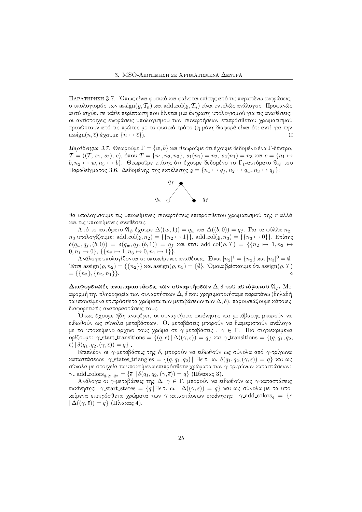ΠΑΡΑΤΗΡΗΣΗ 3.7. Όπως είναι φυσιχό χαι φαίνεται επίσης από τις παραπάνω εχφράσεις, ο υπολογισμός των assign $(\varrho, \mathcal{T}_n)$  και add col $(\varrho, \mathcal{T}_n)$  είναι εντελώς ανάλογος. Προφανώς αυτό ισχύει σε κάθε περίπτωση που δίνεται μια έκφραση υπολογισμού για τις αναθέσεις: οι αντίστοιγες εχφράσεις υπολογισμού των συναρτήσεων επιπρόσθετου γρωματισμού προχύπτουν από τις πρώτες με το φυσιχό τρόπο (η μόνη διαφορά είναι ότι αντί για την  $\operatorname{assign}(n, \overline{\epsilon})$  έχουμε  $\{n \mapsto \overline{\epsilon}\}\$ .  $\mathcal{M}$ 

Παράδειγμα 3.7. Θεωρούμε  $\Gamma = \{w, b\}$  και θεωρούμε ότι έχουμε δεδομένο ένα Γ-δέντρο,  $\mathcal{T} = ((T, s_1, s_2), c), \text{ or } T = \{n_1, n_2, n_3\}, s_1(n_1) = n_2, s_2(n_1) = n_3 \text{ and } c = \{n_1 \mapsto$  $b, n_2 \mapsto w, n_3 \mapsto b\}$ . Θεωρούμε επίσης ότι έχουμε δεδομένο το Γ<sub>1</sub>-αυτόματο  $\mathfrak{A}_{\psi}$  του Παραδείγματος 3.6. Δεδομένης της εχτέλεσης  $\rho = \{n_1 \mapsto q_f, n_2 \mapsto q_w, n_3 \mapsto q_f\}$ :



θα υπολογίσουμε τις υποχείμενες συναρτήσεις επιπρόσθετου χρωματισμού της r αλλά χαι τις υποχείμενες αναθέσεις.

Aπό το αυτόματο  $\mathfrak{A}_{\psi}$  έγουμε  $\Delta((w,1))=q_w$  και  $\Delta((b,0))=q_f$ . Για τα φύλλα  $n_2$ ,  $n_3$  υπολογίζουμε: add\_col( $\varrho$ ,  $n_2$ ) = { $\{n_2 \mapsto 1\}$ }, add\_col( $\varrho$ ,  $n_3$ ) = { $\{n_3 \mapsto 0\}$ }. Επίσης  $\delta(q_w, q_f, (b, 0)) = \delta(q_w, q_f, (b, 1)) = q_f$  xat έτσι add col $(\varrho, \mathcal{T}) = \{\{n_2 \mapsto 1, n_3 \mapsto 1\}$  $[0, n_1 \mapsto 0]$ ,  $\{\{n_2 \mapsto 1, n_3 \mapsto 0, n_1 \mapsto 1\}\}.$ 

Ανάλογα υπολογίζονται οι υποκείμενες αναθέσεις. Είναι  $[n_2]^1 = \{n_2\}$  και  $[n_3]^0 = \emptyset$ . Έτσι assign $(\varrho, n_2) = \{\{n_2\}\}\right\}$  και assign $(\varrho, n_3) = \{\emptyset\}$ . Όμοια βρίσχουμε ότι assign $(\varrho, \mathcal{T})$  $=\{\{n_2\},\{n_2,n_1\}\}.$  $\Diamond$ 

Διαφορετικές αναπαραστάσεις των συναρτήσεων  $\Delta, \delta$  του αυτόματου  $\mathfrak{A}_{\varphi}$ . Με αφορμή την πληροφορία των συναρτήσεων  $\Delta, \delta$  που χρησιμοποιήσαμε παραπάνω (δηλαδή τα υποχείμενα επιπρόσθετα χρώματα των μεταβάσεων των  $\Delta, \delta$ ), παρουσιάζουμε χάποιες διαφορετικές αναπαραστάσεις τους.

Όπως έχουμε ήδη αναφέρει, οι συναρτήσεις εχχίνησης χαι μετάβασης μπορούν να ειδωθούν ως σύνολα μεταβάσεων. Οι μεταβάσεις μπορούν να διαμεριστούν ανάλογα με το υποχείμενο αργιχό τους γρώμα σε γ-μεταβάσεις,  $\gamma \in \Gamma$ . Πιο συγχεχριμένα ορίζουμε: γ\_start\_transitions =  $\{(q,\bar{\epsilon}) | \Delta((\gamma,\bar{\epsilon})) = q\}$  xαι γ\_transitions =  $\{(q,q_1,q_2,\bar{\epsilon})\}$  $\bar{\epsilon}$ )  $\delta(q_1, q_2, (\gamma, \bar{\epsilon})) = q$ .

Επιπλέον οι γ-μεταβάσεις της δ, μπορούν να ειδωθούν ως σύνολα από γ-τρίγωνα xαταστάσεων: γ\_states\_triangles = { $(q, q_1, q_2)$  |  $\exists \overline{\epsilon}$  τ. ω.  $\delta(q_1, q_2, (\gamma, \overline{\epsilon})) = q$ } xαι ως σύνολα με στοιχεία τα υποχείμενα επιπρόσθετα χρώματα των γ-τριγώνων χαταστάσεων:  $\gamma$  add colors<sub>q,q1</sub>,<sub>q2</sub> = { $\overline{\epsilon}$  |  $\delta(q_1, q_2, (\gamma, \overline{\epsilon})) = q$ } (Πίναχας 3).

Ανάλογα οι γ-μεταβάσεις της  $\Delta$ ,  $\gamma \in \Gamma$ , μπορούν να ειδωθούν ως γ-καταστάσεις εχχίνησης: γ start states = {q|  $\exists \overline{\epsilon}$  τ. ω.  $\Delta((\gamma, \overline{\epsilon})) = q$ } χαι ως σύνολα με τα υποχείμενα επιπρόσθετα χρώματα των γ-χαταστάσεων εχχίνησης: γιadd\_colors<sub>a</sub> = {ε  $\Delta((\gamma,\overline{\epsilon}))=q$ } (Πίνακας 4).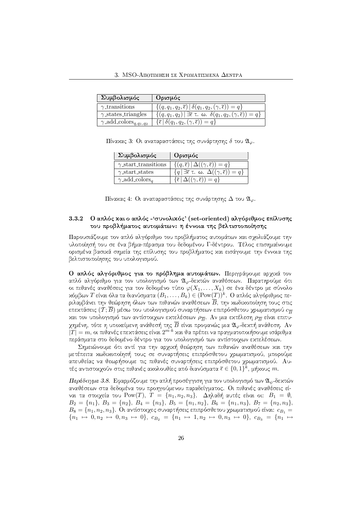| Συμβολισμός                                                    | Ορισμός                                                                                                             |
|----------------------------------------------------------------|---------------------------------------------------------------------------------------------------------------------|
| $\gamma$ -transitions                                          | $\{(q,q_1,q_2,\overline{\epsilon}) \mid \delta(q_1,q_2,(\gamma,\overline{\epsilon})) = q\}$                         |
| $\gamma$ states triangles                                      | $\{(q, q_1, q_2)   \exists \overline{\epsilon} \tau. \omega. \delta(q_1, q_2, (\gamma, \overline{\epsilon})) = q\}$ |
| $\overline{\gamma}$ add colors <sub>q,q1</sub> , <sub>q2</sub> | $\{\bar{\epsilon}   \delta(q_1, q_2, (\gamma, \bar{\epsilon})) = q\}$                                               |

 $\Pi$ ίναχας 3: Οι αναπαραστάσεις της συνάρτησης δ του  $\mathfrak{A}_\varphi.$ 

| Συμβολισμός                      | Ορισμός                                                                                                |
|----------------------------------|--------------------------------------------------------------------------------------------------------|
| $\gamma$ -start transitions      | $\{(q,\overline{\epsilon})\, \,\Delta((\gamma,\overline{\epsilon}))=q\}$                               |
| $\gamma$ start states            | $\{q \mid \exists \overline{\epsilon} \tau. \; \omega. \; \Delta((\gamma, \overline{\epsilon})) = q\}$ |
| $\gamma$ add colors <sub>a</sub> | $\{\bar{\epsilon}   \Delta((\gamma,\bar{\epsilon})) = q\}$                                             |

|  | $\Pi$ ίναχας 4: Οι αναπαραστάσεις της συνάρτησης $\Delta$ του $\mathfrak{A}_{\varphi}.$ |  |  |
|--|-----------------------------------------------------------------------------------------|--|--|
|  |                                                                                         |  |  |

### 3.3.2 Ο απλός και ο απλός -'συνολικός' (set-oriented) αλγόριθμος επίλυσης του προβλήματος αυτομάτων: η έννοια της βελτιστοποίησης

Παρουσιάζουμε τον απλό αλγόριθμο του προβλήματος αυτομάτων και σχολιάζουμε την υλοποίησή του σε ένα βήμα-πέρασμα του δεδομένου Γ-δέντρου. Τέλος επισημαίνουμε ορισμένα βασιχά σημεία της επίλυσης του προβλήματος χαι εισάγουμε την έννοια της βελτιστοποίησης του υπολογισμού.

Ο απλός αλγόριθμος για το πρόβλημα αυτομάτων. Περιγράφουμε αργιχά τον απλό αλγόριθμο για τον υπολογισμό των  $\mathfrak{A}_{\varphi}$ -δεχτών αναθέσεων.  $\overline{\Pi}$ αρατηρούμε ότι οι πιθανές αναθέσεις για τον δεδομένο τύπο  $\varphi(X_1, \ldots, X_k)$  σε ένα δέντρο με σύνολο **χόμβων**  $T$  είναι όλα τα διανύσματα  $(B_1, \ldots, B_k) \in (\text{Pow}(T))^k$ . Ο απλός αλγόριθμος περιλαμβάνει την θεώρηση όλων των πιθανών αναθέσεων Β, την χωδιχοποίηση τους στις επεχτάσεις  $(\mathcal{T}; B)$  μέσω του υπολογισμού συναρτήσεων επιπρόσθετου χρωματισμού  $c_{\overline{B}}$ και τον υπολογισμό των αντίστοιχων εχτελέσεων  $\rho_{\overline{B}}.$  Αν μια εχτέλεση  $\rho_{\overline{B}}$  είναι επιτυχημένη, τότε η υποχείμενη ανάθεσή της  $\overline{B}$  είναι προφανώς μια  $\mathfrak{A}_{\varphi}$ -δεχτή ανάθεση. Αν  $|T|=m,$  οι πιθανές επεχτάσεις είναι  $2^{m\cdot k}$  χαι θα πρέπει να πραγματοποιήσουμε ισάριθμα περάσματα στο δεδομένο δέντρο για τον υπολογισμό των αντίστοιχων εκτελέσεων.

 $\blacksquare$ μετέπειτα χωδιχοποίησή τους σε συναρτήσεις επιπρόσθετου γρωματισμού, μπορούμε απευθείας να θεωρήσουμε τις πιθανές συναρτήσεις επιπρόσθετου χρωματισμού. Αυτές αντιστοιχούν στις πιθανές αχολουθίες από διανύσματα  $\overline{\epsilon} \in \{0,1\}^k,$  μήχους  $m.$ 

Παράδ $\epsilon$ ιγμα 3.8. Εφαρμόζουμε την απλή προσέγγιση για τον υπολογισμό των  $\mathfrak{A}_{\psi}$ -δεχτών αναθέσεων στα δεδομένα του προηγούμενου παραδείγματος. Οι πιθανές αναθέσεις είναι τα στοιχεία του  $\mathrm{Pow}(T),$   $T~=~\{n_1, n_2, n_3\}.$   $\;$   $\Delta$ ηλαδή αυτές είναι οι:  $\;B_1~=~\emptyset,$  $B_2 = \{n_1\}, B_3 = \{n_2\}, B_4 = \{n_3\}, B_5 = \{n_1, n_2\}, B_6 = \{n_1, n_3\}, B_7 = \{n_2, n_3\},$  $B_8=\{n_1,n_2,n_3\}.$  Οι αντίστοιχες συναρτήσεις επιπρόσθετου χρωματισμού είναι:  $c_{B_1}=$  ${n_1 \mapsto 0, n_2 \mapsto 0, n_3 \mapsto 0}, c_{B_2} = {n_1 \mapsto 1, n_2 \mapsto 0, n_3 \mapsto 0}, c_{B_3} = {n_1 \mapsto n_2}$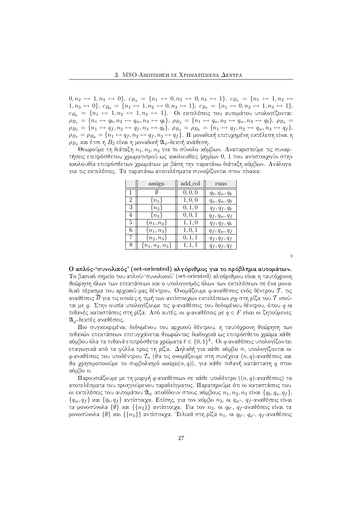$0, n_2 \mapsto 1, n_3 \mapsto 0$ ,  $c_{B_4} = \{n_1 \mapsto 0, n_2 \mapsto 0, n_3 \mapsto 1\}$ ,  $c_{B_5} = \{n_1 \mapsto 1, n_2 \mapsto 1\}$  $1, n_3 \mapsto 0$ ,  $c_{B_6} = \{n_1 \mapsto 1, n_2 \mapsto 0, n_3 \mapsto 1\}$ ,  $c_{B_7} = \{n_1 \mapsto 0, n_2 \mapsto 1, n_3 \mapsto 1\}$ ,  $c_{B_8} \ = \ \{n_1 \ \mapsto \ 1, n_2 \ \mapsto \ 1, n_3 \ \mapsto \ 1\}.$  Οι εχτελέσεις του αυτομάτου υπολογίζονται:  $\rho_{B_1} = \{n_1 \mapsto q_b, n_2 \mapsto q_w, n_3 \mapsto q_b\}, \ \rho_{B_2} = \{n_1 \mapsto q_a, n_2 \mapsto q_w, n_3 \mapsto q_b\}, \ \rho_{B_3} =$  $\rho_{B_5} = \{n_1 \mapsto q_f, n_2 \mapsto q_f, n_3 \mapsto q_b\}, \ \rho_{B_4} = \rho_{B_6} = \{n_1 \mapsto q_f, n_2 \mapsto q_w, n_3 \mapsto q_f\},\$  $\rho_{B_7} = \rho_{B_8} = \{n_1 \mapsto q_f, n_2 \mapsto q_f, n_3 \mapsto q_f\}$ . Η μοναδιχή επιτυχημένη εχτέλεση είναι η  $\rho_{B_2}$  και έτσι η  $B_2$  είναι η μοναδική  $\mathfrak{A}_{\psi}$ -δεκτή ανάθεση.

Θεωρούμε τη διάταξη  $n_1, n_2, n_3$  για το σύνολο χόμβων. Αναπαριστούμε τις συναρτήσεις επιπρόσθετου γρωματισμού ως αχολουθίες ψηφίων 0, 1 που αντιστοιγούν στην αχολουθία επιπρόσθετων χρωμάτων με βάση την παραπάνω διάταξη χόμβων. Ανάλογα για τις εκτελέσεις. Τα παραπάνω αποτελέσματα συνοψίζονται στον πίνακα:

|                | assign              | add_col | runs            |
|----------------|---------------------|---------|-----------------|
|                |                     | 0, 0, 0 | $q_b, q_w, q_b$ |
| $\overline{2}$ | $\{n_1\}$           | 1, 0, 0 | $q_a, q_w, q_b$ |
| 3              | $\{n_2\}$           | 0, 1, 0 | $q_f, q_f, q_b$ |
| 4              | $\{n_3\}$           | 0, 0, 1 | $q_f, q_w, q_f$ |
| 5.             | ${n_1, n_2}$        | 1, 1, 0 | $q_f, q_f, q_b$ |
| 6              | ${n_1, n_3}$        | 1, 0, 1 | $q_f, q_w, q_f$ |
| 7              | $\{n_2, n_3\}$      | 0, 1, 1 | $q_f, q_f, q_f$ |
| 8.             | $\{n_1, n_2, n_3\}$ | 1, 1, 1 | $q_f, q_f, q_f$ |

Ο απλός-'συνολικός' (set-oriented) αλγόριθμος για το πρόβλημα αυτομάτων Το βασιχό σημείο του απλού-'συνολιχού' (set-oriented) αλγόριθμου είναι η ταυτόχρονη θεώρηση όλων των επεχτάσεων χαι ο υπολογισμός όλων των εχτελέσεων σε ένα μοναδιχό πέρασμα του αρχιχού μας δέντρου. Ονομάζουμε  $q$ -αναθέσεις ενός δέντρου  $\mathcal T,$  τις αναθέσεις  $B$  για τις οποίες η τιμή των αντίστοιχων εχτελέσεων  $\rho_{\overline{B}}$  στη ρίζα του  $\mathcal T$  ισούται με  $q$ . Στην ουσία υπολογίζουμε τις  $q$ -αναθέσεις του δεδομένου δέντρου, όπου  $q$  οι πιθανές χαταστάσεις στη ρίζα. Από αυτές, οι  $q$ -αναθέσεις με  $q \in F$  είναι οι ζητούμενες  $\mathfrak{A}_{\varphi}$ -δεχτές αναθέσεις.

Πιο συγχεχριμένα, δεδομένου του αρχιχού δέντρου, η ταυτόχρονη θεώρηση των πιθανών επεχτάσεων επιτυγγάνεται θεωρώντας διαδοχιχά ως επιπρόσθετο χρώμα χάθε χόμβου όλα τα πιθανά επιπρόσθετα χρώματα  $\overline{\epsilon} \in \{0, 1\}^k$ . Οι  $q$ -αναθέσεις υπολογίζονται επαγωγικά από τα φύλλα προς τη ρίζα.  $\Delta$ ηλαδή για κάθε κόμβο  $n$ , υπολογίζονται οι  $q$ -αναθέσεις του υποδέντρου  $\mathcal{T}_n$  (θα τις ονομάζουμε στη συνέχεια  $(n,q)$ -αναθέσεις χαι θα χρησιμοποιούμε το συμβολισμό  $\operatorname{assign}(n, q)),$  για κάθε πιθανή κατάσταση  $q$  στον χόμβο  $n$ .

Παρουσιάζουμε με τη μορφή  $q$ -αναθέσεων σε χάθε υποδέντρο  $((n,q)\text{-}\mathsf{a}$ ναθέσεις) τα αποτελέσματα του προηγούμενου παραδείγματος. Παρατηρούμε ότι οι χαταστάσεις που οι εχτελέσεις του αυτομάτου  $\mathfrak{A}_{\psi}$  αποδίδουν στους χόμβους  $n_1, n_2, n_3$  είναι  $\{q_b, q_a, q_f\},$  $\{q_w, q_f \}$  και  $\{q_b, q_f \}$  αντίστοιχα. Επίσης, για τον χόμβο  $n_2,$  οι  $q_w$ -,  $q_f$ -αναθέσεις είναι τα μονοσύνολα  $\{\emptyset\}$  και  $\{\{n_2\}\}$  αντίστοιχα. Για τον  $n_3,$  οι  $q_b$ -,  $q_f$ -αναθέσεις είναι τα μονοσύνολα { $\emptyset\}$  και  $\{\{n_3\}\}$  αντίστοιχα. Τελικά στη ρίζα  $n_1,$  οι  $q_b$ -,  $q_a$ -,  $q_f$ -αναθέσεις

 $\Diamond$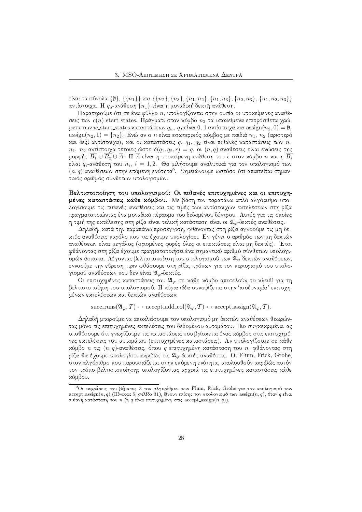είναι τα σύνολα {()}, {{ $n_1$ }} χαι {{ $n_2$ }, { $n_3$ }, { $n_1, n_2$ }, { $n_1, n_3$ }, { $n_2, n_3$ }, { $n_1, n_2, n_3$ }} αντίστοιχα. Η  $q_a$ -ανάθεση  $\{n_1\}$  είναι η μοναδική δεκτή ανάθεση.

Παρατηρούμε ότι σε ένα φύλλο n, υπολογίζονται στην ουσία οι υποχείμενες αναθέσεις των  $c(n)$  start states. Πράγματι στον χόμβο  $n_2$  τα υποχείμενα επιπρόσθετα χρώματα των  $w$  start states χαταστάσεων  $q_w,\,q_f$  είναι  $0,\,1$  αντίστοιχα χαι  $\operatorname{assign}(n_2,0) = \emptyset,$ assign $(n_2,1)=\{n_2\}.$  Ενώ αν ο  $n$  είναι εσωτεριχός χόμβος με παιδιά  $n_1,\,n_2$  (αριστερό χαι δεξί αντίστοιχα), χαι οι χαταστάσεις  $q,\;q_1,\;q_2$  είναι πιθανές χαταστάσεις των  $n,$  $n_1,~n_2$  αντίστοιχα τέτοιες ώστε  $\delta(q_1,q_2,\overline{\epsilon})~=~q,$  οι  $(n,q)$ -αναθέσεις είναι ενώσεις της μορφής  $B_1\cup B_2\cup A$ . Η  $A$  είναι η υποχείμενη ανάθεση του  $\overline{\epsilon}$  στον χόμβο  $n$  χαι η  $B_i$ είναι  $q_i$ -ανάθεση του  $n_i,~i=1,2.$  Θα μιλήσουμε αναλυτικά για τον υπολογισμό των  $(n,q)$ -αναθέσεων στην επόμενη ενότητα $^9$ . Σημειώνουμε ωστόσο ότι απαιτείται σημαντικός αριθμός σύνθετων υπολογισμών.

Βελτιστοποίηση του υπολογισμού: Οι πιθανές επιτυχημένες και οι επιτυχη**μένες καταστάσεις κάθε κόμβου.** Με βάση τον παραπάνω απλό αλγόριθμο υπο- $\blacksquare$ πραγματοποιώντας ένα μοναδικό πέρασμα του δεδομένου δέντρου. Αυτές για τις οποίες η τιμή της εκτέλεσης στη ρίζα είναι τελική κατάσταση είναι οι  $\mathfrak{A}_{\varphi}$ -δεκτές αναθέσεις.

.<br>Δηλαδή, κατά την παραπάνω προσέγγιση, φθάνοντας στη ρίζα αγνοούμε τις μη δεxτές αναθέσεις παρόλο που τις έγουμε υπολογίσει. Εν γένει ο αριθμός των μη δεχτών αναθέσεων είναι μεγάλος (ορισμένες φορές όλες οι επεχτάσεις είναι μη δεχτές). Έτσι φθάνοντας στη ρίζα έγουμε πραγματοποιήσει ένα σημαντιχό αριθμό σύνθετων υπολογισμών άσκοπα. Λέγοντας βελτιστοποίηση του υπολογισμού των  $\mathfrak{A}_{\varpi}$ -δεκτών αναθέσεων, εννοούμε την εύρεση, πριν φθάσουμε στη ρίζα, τρόπων για τον περιορισμό του υπολογισμού αναθέσεων που δεν είναι  $\mathfrak{A}_{\varphi}$ -δεκτές.

Οι επιτυχημένες χαταστάσεις του  $\mathfrak{A}_{\varphi}$  σε χάθε χόμβο αποτελούν το χλειδί για τη βελτιστοποίηση του υπολογισμού. Η χύρια ιδέα συνοψίζεται στην 'ισοδυναμία' επιτυγημένων εκτελέσεων και δεκτών αναθέσεων:

 $succ-runs(\mathfrak{A}_{\varphi},T) \leftrightarrow accept\_add\_col(\mathfrak{A}_{\varphi},T) \leftrightarrow accept\_assign(\mathfrak{A}_{\varphi},T).$ 

 $\Delta$ ηλαδή μπορούμε να αποχλείσουμε τον υπολογισμό μη δεχτών αναθέσεων θεωρώντας μόνο τις επιτυχημένες εκτελέσεις του δεδομένου αυτομάτου. Πιο συγκεκριμένα, ας Uποθέσουμε ότι γνωρίζουμε τις χαταστάσεις που βρίσχεται ένας χόμβος στις επιτυχημέ- $\blacksquare$ χόμβο  $n$  τις  $(n,q)$ -αναθέσεις, όπου  $q$  επιτυχημένη χατάσταση του  $n,$  φθάνοντας στη ρίζα θα έχουμε υπολογίσει αχριβώς τις  $\mathfrak{A}_{\varphi}$ -δεχτές αναθέσεις. Οι Flum, Frick, Grohe, στον αλγόριθμο που παρουσιάζεται στην επόμενη ενότητα, ακολουθούν ακριβώς αυτόν  $\mathcal{A}$  and  $\mathcal{A}$  and  $\mathcal{A}$  and  $\mathcal{A}$  and  $\mathcal{A}$  and  $\mathcal{A}$  and  $\mathcal{A}$  and  $\mathcal{A}$  and  $\mathcal{A}$  and  $\mathcal{A}$  and  $\mathcal{A}$  and  $\mathcal{A}$  and  $\mathcal{A}$  and  $\mathcal{A}$  and  $\mathcal{A}$  and  $\mathcal{A}$  and  $\mathcal{A}$  and xόμβου.

<sup>&</sup>lt;sup>9</sup>Οι εχφράσεις του βήματος 3 του αλγορίθμου των Flum, Frick, Grohe για τον υπολογισμό των  $\mathrm{accept\_assign}(n, q)$  (Πίναχας 5, σελίδα 31), δίνουν επίσης τον υπολογισμό των  $\mathrm{assign}(n, q)$ , όταν  $q$  είναι πιθανή κατάσταση του  $n$  (η  $q$  είναι επιτυχημένη στις accept assign $(n,q)$ ).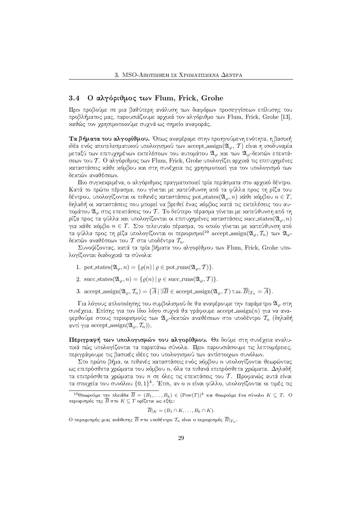#### Ο αλγόριθμος των Flum, Frick, Grohe 3.4

Πριν προβούμε σε μια βαθύτερη ανάλυση των διαφόρων προσεγγίσεων επίλυσης του προβλήματος μας, παρουσιάζουμε αρχικά τον αλγόριθμο των Flum, Frick, Grohe [13], χαθώς τον γρησιμοποιούμε συγνά ως σημείο αναφοράς.

Τα βήματα του αλγορίθμου. Όπως αναφέραμε στην προηγούμενη ενότητα, η βασιχή ιδέα ενός αποτελεσματικού υπολογισμού των accept\_assign $(\mathfrak{A}_{\varphi},\mathcal{T})$  είναι η ισοδυναμία μεταξύ των επιτυχημένων εκτελέσεων του αυτομάτου  $\mathfrak{A}_{\varphi}$  και των  $\mathfrak{A}_{\varphi}$ -δεκτών επεκτάσεων του Τ. Ο αλγόριθμος των Flum, Frick, Grohe υπολογίζει αρχικά τις επιτυχημένες καταστάσεις κάθε κόμβου και στη συνέχεια τις χρησιμοποιεί για τον υπολογισμό των δεκτών αναθέσεων.

Πιο συγκεκριμένα, ο αλγόριθμος πραγματοποιεί τρία περάσματα στο αργικό δέντρο. Κατά το πρώτο πέρασμα, που γίνεται με χατεύθυνση από τα φύλλα προς τη ρίζα του δέντρου, υπολογίζονται οι πιθανές καταστάσεις pot states( $\mathfrak{A}_{\varphi},n$ ) κάθε κόμβου  $n\in T$ , δηλαδή οι καταστάσεις που μπορεί να βρεθεί ένας κόμβος κατά τις εκτελέσεις του αυτομάτου  $\mathfrak{A}_{\omega}$  στις επεχτάσεις του  $\mathcal T$ . Το δεύτερο πέρασμα γίνεται με χατεύθυνση από τη ρίζα προς τα φύλλα και υπολογίζονται οι επιτυχημένες καταστάσεις succ states $(\mathfrak{A}_{\varphi},n)$ για χάθε χόμβο  $n \in T$ . Στο τελευταίο πέρασμα, το οποίο γίνεται με χατεύθυνση από τα φύλλα προς τη ρίζα υπολογίζονται οι περιορισμοί<sup>10</sup> accept assign( $\mathfrak{A}_{\varphi}, \mathcal{T}_n$ ) των  $\mathfrak{A}_{\varphi}$ δεκτών αναθέσεων του  $\mathcal T$  στα υποδέντρα  $\mathcal T_n.$ 

Συνοψίζοντας, κατά τα τρία βήματα του αλγορίθμου των Flum, Frick, Grohe υπολογίζονται διαδοχικά τα σύνολα:

- 1. pot\_states $(\mathfrak{A}_{\varphi}, n) = {\varrho(n) | \varrho \in \text{pot-runs}(\mathfrak{A}_{\varphi}, \mathcal{T})}.$
- 2. succ\_states $(\mathfrak{A}_{\varphi}, n) = {\varrho(n) | \varrho \in \text{succ-runs}(\mathfrak{A}_{\varphi}, \mathcal{T})}.$
- 3. accept\_assign $(\mathfrak{A}_{\varphi}, \mathcal{T}_n) = {\overline{A} \mid \exists \overline{B} \in \text{accept} \text{.} \text{assign}(\mathfrak{A}_{\varphi}, \mathcal{T}) \in \mathcal{A}}$ .

Για λόγους απλοποίησης του συμβολισμού δε θα αναφέρουμε την παράμετρο  $\mathfrak{A}_{\varphi}$  στη συνέχεια. Επίσης για τον ίδιο λόγο συχνά θα γράφουμε accept\_assign(n) για να αναφερθούμε στους περιορισμούς των  $\mathfrak{A}_{\omega}$ -δεχτών αναθέσεων στο υποδέντρο  $\mathcal{T}_n$  (δηλαδή αντί για accept assign( $\mathfrak{A}_{\varphi}, \mathcal{T}_n$ )).

Περιγραφή των υπολογισμών του αλγορίθμου. Θα δούμε στη συνέχεια αναλυτικά πώς υπολογίζονται τα παραπάνω σύνολα. Πριν παρουσιάσουμε τις λεπτομέρειες, περιγράφουμε τις βασιχές ιδέες του υπολογισμού των αντίστοιχων συνόλων.

Στο πρώτο βήμα, οι πιθανές χαταστάσεις ενός χόμβου η υπολογίζονται θεωρώντας ως επιπρόσθετα χρώματα του κόμβου η, όλα τα πιθανά επιπρόσθετα χρώματα. Δηλαδή τα επιπρόσθετα χρώματα του  $n$  σε όλες τις επεχτάσεις του  $T$ . Προφανώς αυτά είναι τα στοιχεία του συνόλου  $\{0,1\}^k$ . Έτσι, αν ο n είναι φύλλο, υπολογίζονται οι τιμές τις

$$
\overline{B}|_K = (B_1 \cap K, \dots, B_k \cap K).
$$

Ο περιορισμός μιας ανάθεσης  $\overline{B}$  στο υποδέντρο  $\mathcal{T}_n$  είναι ο περιορισμός  $\overline{B}|_{T_n}$ .

<sup>&</sup>lt;sup>10</sup>Θεωρούμε την πλειάδα  $\overline{B} = (B_1, ..., B_k) \in (\text{Pow}(T))^k$  και θεωρούμε ένα σύνολο  $K \subseteq T$ . Ο περιορισμός της  $\overline{B}$  στο  $K\subseteq T$  ορίζεται ως εξής: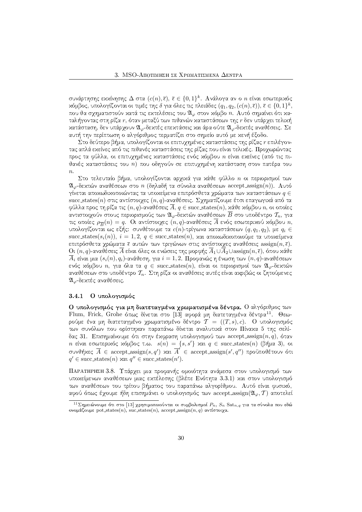συνάρτησης εχχίνησης  $\Delta$  στα  $(c(n),\overline{\epsilon}),\ \overline{\epsilon}\in\{0,1\}^k.$  Ανάλογα αν ο  $n$  είναι εσωτεριχός χόμβος, υπολογίζονται οι τιμές της δ για όλες τις πλειάδες  $(q_1,q_2,(c(n),\overline{\epsilon})) ,\, \overline{\epsilon} \in \{0,1\}^k,$ που θα σχηματιστούν χατά τις εχτελέσεις του  $\mathfrak{A}_\varphi$  στον χόμβο  $n.$  Αυτό σημαίνει ότι χαταλήγοντας στη ρίζα  $r$ , όταν μεταξύ των πιθανών χαταστάσεων της  $r$  δεν υπάρχει τελιχή κατάσταση, δεν υπάρχουν  $\mathfrak{A}_{\varphi}$ -δεκτές επεκτάσεις και άρα ούτε  $\mathfrak{A}_{\varphi}$ -δεκτές αναθέσεις. Σε αυτή την περίπτωση ο αλγόριθμος τερματίζει στο σημείο αυτό με χενή έξοδο.

Στο δεύτερο βήμα, υπολογίζονται οι επιτυχημένες καταστάσεις της ρίζας r επιλέγοντας απλά εκείνες από τις πιθανές καταστάσεις της ρίζας που είναι τελικές. Προχωρώντας προς τα φύλλα, οι επιτυχημένες χαταστάσεις ενός χόμβου *n* είναι εχείνες (από τις πιθανές χαταστάσεις του *n*) που οδηγούν σε επιτυχημένη χατάσταση στον πατέρα του  $n$ .

Στο τελευταίο βήμα, υπολογίζονται αρχικά για κάθε φύλλο  $n$  οι περιορισμοί των  $\mathfrak{A}_{\omega}$ -δεχτών αναθέσεων στο  $n$  (δηλαδή τα σύνολα αναθέσεων accept assign(n)). Αυτό  $\gamma$ ίνεται αποχωδιχοποιώντας τα υποχείμενα επιπρόσθετα χρώματα των χαταστάσεων  $q \in \mathbb{Z}$ succ states(n) στις αντίστοιχες  $(n, q)$ -αναθέσεις. Σχηματίζουμε έτσι επαγωγικά από τα φύλλα προς τη ρίζα τις  $(n,q)$ -αναθέσεις  $A,\,q\in\mathrm{succ\_states}(n),$  χάθε χόμβου  $n,$  οι οποίες αντιστοιχούν στους περιορισμούς των  $\mathfrak{A}_\varphi$ -δεχτών αναθέσεων  $\overline{B}$  στο υποδέντρο  $\mathcal{T}_n,$  για τις οποίες  $\rho_{\overline{B}}(n)=q.$  Οι αντίστοιχες  $(n,q)$ -αναθέσεις  $A$  ενός εσωτεριχού χόμβου  $n,$ υπολογίζονται ως εξής: συνθέτουμε τα  $c(n)$ -τρίγωνα χαταστάσεων  $(q, q_1, q_2),$  με  $q_i \in \mathbb{N}$  ${\rm succ\_states}(s_i(n)),\ i=1,2,\ q\in{\rm succ\_states}(n),$  και αποχωδιχοποιούμε τα υποχείμενα επιπρόσθετα χρώματα ξ αυτών των τριγώνων στις αντίστοιχες αναθέσεις  $\operatorname{assign}(n, \overline{\epsilon}).$  $\mathrm{O}\!\mathfrak{t}\,(n,q)$ -αναθέσεις  $A$  είναι όλες οι ενώσεις της μορφής  $A_1 \cup A_2 \cup \mathrm{assign}(n,\overline{\epsilon}),$  όπου χάθε  $A_i$  είναι μια  $(s_i(n), q_i)$ -ανάθεση, για  $i=1, 2$ . Προφανώς η ένωση των  $(n, q)$ -αναθέσεων ενός χόμβου  $n,$  για όλα τα  $q \,\in\, \mathrm{succ}\, \mathrm{states}(n),$  είναι οι περιορισμοί των  $\mathfrak{A}_{\varphi}$ -δεχτών αναθέσεων στο υποδέντρο  $\mathcal{T}_n.$  Στη ρίζα οι αναθέσεις αυτές είναι αχριβώς οι ζητούμενες  $\mathfrak{A}_{\varphi}$ -δεχτές αναθέσεις.

#### 3.4.1 Ο υπολογισμός

**Ο** υπολογισμός για μη διατεταγμένα χρωματισμένα δέντρα. Ο αλγόριθμος των Flum, Frick, Grohe όπως δίνεται στο [13] αφορά μη διατεταγμένα δέντρα<sup>11</sup>. Θεωρούμε ένα μη διατεταγμένο χρωματισμένο δέντρο  $\mathcal{T}=((T,s), c).$  Ο υπολογισμός των συνόλων που ορίστηχαν παραπάνω δίνεται αναλυτιχά στον Πίναχα 5 της σελίδας 31. Επισημαίνουμε ότι στην έχφραση υπολογισμού των accept assign $(n,q),$  όταν  $n$  είναι εσωτεριχός χόμβος τ.ω.  $s(n) = \{s, s'\}$  χαι  $q \in \mathrm{succ\_states}(n)$  (βήμα 3), οι συνθήχες  $\overline{A}$   $\in$  accept assign $(s, q')$  χαι  $\overline{A}'$   $\in$  accept assign $(s', q'')$  προϋποθέτουν ότι  $q' \in \text{succ states}(n)$  xal  $q'' \in \text{succ states}(n').$ 

--  ²ESH\W@Au8[J4tGH4BbSH@A2H©"BW<A6WXl2HGI2\*4F(>AU(>JBbBW<A\WGI[=VBbV8>J2W<D(SH2(xI2(3"4VGIF®>=OQ<  $\mathcal{L}=\{S\}=\{S\in\mathcal{S}|\mathcal{S}=\{S\}=\{S\}$ των αναθέσεων του τρίτου βήματος του παραπάνω αλγορίθμου. Αυτό είναι φυσιχό, αφού όπως έχουμε ήδη επισημάνει ο υπολογισμός των accept assign $({\mathfrak A}_{\varphi}, {\mathcal T})$  αποτελεί

 $^{11}{\Sigma}$ ημειώνουμε ότι στο [13] χρησιμοποιούνται οι συμβολισμοί  $P_n,\,S_n\,\,\mathrm{Sat}_{n,q}$  για τα σύνολα που εδώ ονομάζουμε pot states $(n),$  suc states $(n),$  accept assign $(n, q)$  αντίστοιχα.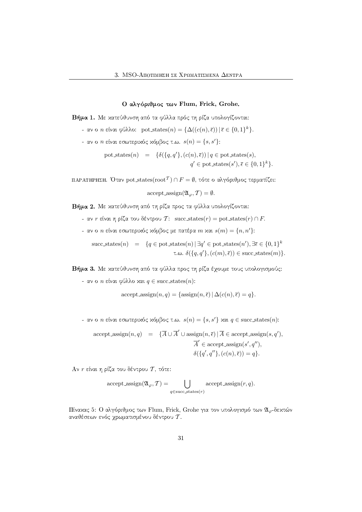## Ο αλγόριθμος των Flum, Frick, Grohe.

Ndje articles in the state of the state of the state of the state of the state of the state of the state of the state of the state of the state of the state of the state of the state of the state of the state of the state

- $\mathbb{R}$  aν o n είναι φύλλο: pot states $(n) = {\Delta((c(n), \overline{\epsilon})) | \overline{\epsilon}} \in \{0, 1\}^k\}.$
- αν ο  $n$  είναι εσωτεριχός χόμβος τ.ω.  $s(n) = \{s, s'\}$ :
	- pot states $(n) = {\delta(\lbrace q, q' \rbrace, (c(n), \overline{\epsilon}) \rbrace | q \in \text{pot}\text{-states}(s),$  $q' \in \text{pot states}(s'), \overline{\epsilon} \in \{0,1\}^k\}.$

ΠΑΡΑΤΗΡΗΣΗ. ΄ $0$ ταν pot states $(\mathrm{root}^\mathcal{T}) \cap F = \emptyset$ , τότε ο αλγόριθμος τερματίζει:

accept<sub>assign</sub>
$$
(\mathfrak{A}_{\varphi}, \mathcal{T}) = \emptyset
$$
.

 $\blacksquare$ 

- $\sim$  αν  $r$  είναι η ρίζα του δέντρου  $\mathcal{T}\colon\text{ succ\_states}(r)=\text{pot\_states}(r)\cap F.$
- αν ο  $n$  είναι εσωτεριχός χόμβος με πατέρα  $m$  χαι  $s(m) = \{n, n'\}$ :

succ states $(n) = \{q \in \text{pot\_states}(n) \mid \exists q' \in \text{pot\_states}(n'), \exists \overline{\epsilon} \in \{0,1\}^k\}$  $\tau.\omega. \delta({q, q', (c(m), \bar{\epsilon})) \in \text{succ\_states}(m)}.$ 

 $\blacksquare$ 

 $\texttt{-}$  αν ο  $n$  είναι φύλλο και  $q \in \text{succ\_states}(n)$ :

accept assign
$$
(n, q)
$$
 = {assign $(n, \overline{\epsilon}) | \Delta(c(n), \overline{\epsilon}) = q$  }.

- $\mathcal{L}$  aν o n είναι εσωτεριχός χόμβος τ.ω.  $s(n) = \{s, s'\}$  χαι  $q \in \text{succ\_states}(n)$ :
	- $\text{accept} \text{-} \text{assign}(n, q) = {\overline{A} \cup \overline{A}' \cup \text{assign}(n, \overline{\epsilon}) | \overline{A} \in \text{accept} \text{-} \text{assign}(s, q'),$  $\overline{A}' \in \text{accept\_assign}(s', q''),$  $\delta({q',q''}, (c(n), \overline{\epsilon})) = q$ .

 ${\rm A}$ ν  $r$  είναι η ρίζα του δέντρου  ${\cal T},$  τότε:  $-$ 

accept-assign
$$
(\mathfrak{A}_{\varphi}, \mathcal{T}) = \bigcup_{q \in \text{succ\_states}(r)} \text{accept-assign}(r, q).
$$

Πίναχας 5: Ο αλγόριθμος των Flum, Frick, Grohe για τον υπολογισμό των  $\mathfrak{A}_{\varphi}$ -δεχτών αναθέσεων ενός χρωματισμένου δέντρου  $\mathcal T.$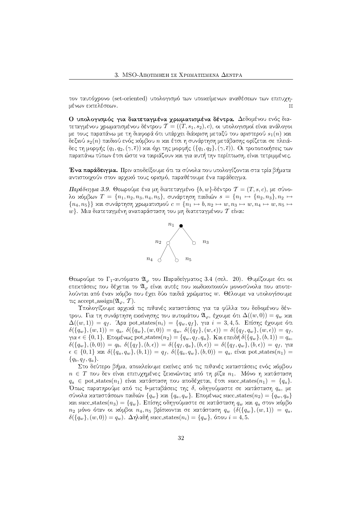τον ταυτόχρονο (set-oriented) υπολογισμό των υποχείμενων αναθέσεων των επιτυχημένων εκτελέσεων.

Ο υπολογισμός για διατεταγμένα χρωματισμένα δέντρα. Δεδομένου ενός διατεταγμένου χρωματισμένου δέντρου  $\mathcal{T}=((T, s_1, s_2), c),$  οι υπολογισμοί είναι ανάλογοι με τους παραπάνω με τη διαφορά ότι υπάρχει διάχριση μεταξύ του αριστερού  $s_1(n)$  χαι δεξιού  $s_2(n)$  παιδιού ενός χόμβου  $n$  χαι έτσι η συνάρτηση μετάβασης ορίζεται σε πλειάδες τη μορφής  $(q_1, q_2, (\gamma, \bar{\epsilon}))$  χαι όχι της μορφής  $(\{q_1, q_2\}, (\gamma, \bar{\epsilon}))$ . Οι τροποποιήσεις των SHBW@AB(SH\W<?O >A(SIOQ<¢:>AV"4( QV8>A[<AB>=BI4 @R4\WA2HDW<5\*BI4R34BBWD(>A6¢>AUW<tSH[=@RTSI>=OQVU87([JT<ABI4R>A[>A@R4GIGI:=<A[=X(/

0)\*ad"c"q\*,Wj E@R4<tB(SH2HPA[JT A2HDWGI[#FW>R4A>JBVW<A2RxIB¢SH2HDED(SH2(xI2(3"T A2W<?>JBI4AV8>=BE>A@RTB¢wH6WGIB(>=B αντιστοιχούν στον αρχικό τους ορισμό, παραθέτουμε ένα παράδειγμα.

 $\Pi$ αράδειγμα 3.9. Θεωρούμε ένα μη διατεταγμένο  $\{b,w\}$ -δέντρο  $\mathcal{T}=(T,s,c),$  με σύνο- $\lambda$ ο χόμβων  $T \,=\, \{n_1, n_2, n_3, n_4, n_5\},$  συνάρτηση παιδιών  $s \,=\, \{n_1 \,\mapsto\, \{n_2, n_3\}, n_2 \,\mapsto\,$  ${n_4, n_5}$  και συνάρτηση χρωματισμού  $c = {n_1} \mapsto b, n_2 \mapsto w, n_3 \mapsto w, n_4 \mapsto w, n_5 \mapsto$  $w\}.$  Μια διατεταγμένη αναπαράσταση του μη διατεταγμένου  $\mathcal T$  είναι:  $^+$ 



Θεωρούμε το Γ<sub>1</sub>-αυτόματο  $\mathfrak{A}_{\varphi}$  του Παραδείγματος 3.4 (σελ. 20). Θυμίζουμε ότι οι επεχτάσεις που δέχεται το  $\mathfrak{A}_\varphi$  είναι αυτές που χωδιχοποιούν μονοσύνολα που αποτελούνται από έναν χόμβο που έχει δύο παιδιά χρώματος  $w.$  Θέλουμε να υπολογίσουμε τις accept\_assign( $\mathfrak{A}_{\varphi}, \mathcal{T}$ ).

Υπολογίζουμε αρχικά τις πιθανές καταστάσεις για τα φύλλα του δεδομένου δέντρου. Για τη συνάρτηση εχχίνησης του αυτομάτου  $\mathfrak{A}_{\varphi},$  έχουμε ότι  $\Delta((w, 0)) = q_w$  χαι  $\Delta((w,1)) = q_f$ . Άρα pot states $(n_i) = \{q_w, q_f\}$ , για  $i = 3, 4, 5$ . Επίσης έχουμε ότι  $\delta(\{q_w\},(w,1))\,=\,q_a,\ \delta(\{q_w\},(w,0))\,=\,q_w,\ \delta(\{q_f\},(w,\epsilon))\,=\,\delta(\{q_f,q_w\},(w,\epsilon))\,=\,q_f,$ για  $\epsilon\in\{0,1\}.$  Επομένως pot states $(n_2)=\{q_w,q_f,q_a\}.$  Και επειδή  $\delta(\{q_w\},(b,1))=q_a,$  $\delta(\{q_w\},(b,0)) \,=\, q_b, \; \delta(\{q_f\},(b,\epsilon)) \,=\, \delta(\{q_f, q_a\},(b,\epsilon)) \,=\, \delta(\{q_f, q_w\},(b,\epsilon)) \,=\, q_f, \; \gamma$ ια  $\epsilon \in \{0,1\}$  και  $\delta(\{q_a, q_w\}, (b, 1)) = q_f,~ \delta(\{q_a, q_w\}, (b, 0)) = q_a,$  είναι pot states $(n_1) =$  $\{q_b,q_f,q_a\}.$ 

Στο δεύτερο βήμα, αποχλείουμε εχείνες από τις πιθανές χαταστάσεις ενός χόμβου  $n \, \in \, T$  που δεν είναι επιτυχημένες ξεχινώντας από τη ρίζα  $n_1.$  Μόνο η χατάσταση  $q_a~\in~\text{pot\_states}(n_1)$  είναι χατάσταση που αποδέχεται, έτσι  $\text{succ\_states}(n_1)~=~\{q_a\}.$ Όπως παρατηρούμε από τις b-μεταβάσεις της δ, οδηγούμαστε σε χατάσταση  $q_a,$  με σύνολα χαταστάσεων παιδιών  $\{q_w\}$  χαι  $\{q_a, q_w\}$ . Επομένως succ\_states $(n_2) = \{q_w, q_a\}$ χαι succ\_states $(n_3) = \{q_w\}$ . Επίσης οδηγούμαστε σε χατάσταση  $q_w$  χαι  $q_a$  στον χόμβο  $n_2$  μόνο όταν οι χόμβοι  $n_4, n_5$  βρίσχονται σε χατάσταση  $q_w$   $(\delta(\{q_w\}, (w, 1)) \ = \ q_a,$  $\delta(\{q_w\},(w,0))=q_w$ ). Δηλαδή succ\_states $(n_i)=\{q_w\},$  όπου  $i=4,5.$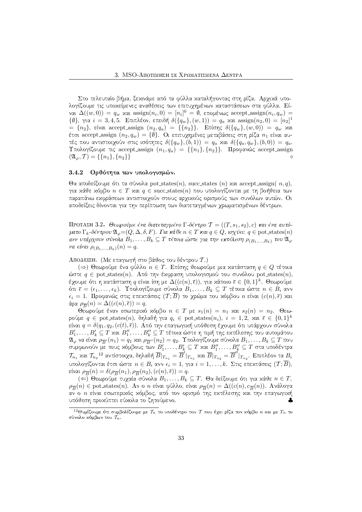Στο τελευταίο βήμα, ξεχινάμε από τα φύλλα χαταλήγοντας στη ρίζα. Αρχιχά υπολογίζουμε τις υποχείμενες αναθέσεις των επιτυγημένων χαταστάσεων στα φύλλα. Είναι  $\Delta((w, 0)) = q_w$  και  $\operatorname{assign}(n_i, 0) = [n_i]^0 = \emptyset$ , επομένως  $\operatorname{accept\_assign}(n_i, q_w) = \emptyset$  $\{\emptyset\}, \gamma$ ια  $i=3,4,5$ . Επιπλέον, επειδή  $\delta(\{q_w\}, (w, 1)) = q_a$  χαι assign $(n_2, 0) = [n_2]^1$  $=\ \{n_2\},$  είναι accept\_assign  $(n_2, q_a) \ = \ \{\{n_2\}\}.$  Επίσης  $\delta(\{q_w\}, (w, 0)) \ = \ q_w$  χαι έτσι accept\_assign  $(n_2, q_w) = \{\emptyset\}$ . Οι επιτυχημένες μεταβάσεις στη ρίζα  $n_1$  είναι αυτές που αντιστοιχούν στις ισότητες  $\delta(\{q_w\},(b,1)) \,=\, q_a$  χαι  $\delta(\{q_a, q_w\},(b,0)) \,=\, q_a.$  $\Upsilon$ πολογίζουμε τις accept\_assign  $(n_1, q_a) \ = \ \{\{n_1\}, \{n_2\}\}$ . Προφανώς accept\_assign  $(\mathfrak{A}_{\varphi}, \mathcal{T}) = \{\{n_1\}, \{n_2\}\}\$ 

## - )c&¡e8kIihkIlkW) ad+8gh+8#j )

 $\Theta$ α αποδείξουμε ότι τα σύνολα pot\_states $(n)$ , succ\_states  $(n)$  xα accept\_assign $\left(\right. n,q\right)$ , για χάθε χόμβο  $n \in T$  χαι  $q \in \mathrm{succ\_states}(n)$  που υπολογίζονται με τη βοήθεια των παραπάνω εκφράσεων αντιστοιχούν στους αρχικούς ορισμούς των συνόλων αυτών. Οι αποδείξεις δίνονται για την περίπτωση των διατεταγμένων γρωματισμένων δέντρων.

ΠΡΟΤΑΣΗ 3.2. Θεωρούμε ένα διατεταγμένο Γ-δέντρο  $\mathcal{T}=((T,s_1,s_2),c)$  και ένα αυτόματο Γ<sub>k</sub>-δέντρου  $\mathfrak{A}_{\varphi} = (Q, \Delta, \delta, F)$ . Για κάθε  $n \in T$  και  $q \in Q$ , ισχύει:  $q \in \mathrm{pot}$  states $(n)$ ανν υπάρχουν σύνολα  $B_1, \ldots, B_k \subseteq T$  τέτοια ώστ $\epsilon$  για την εκτέλεση  $\rho_{(B_1,...,B_k)}$  του  $\mathfrak{A}_\varphi$ va  $\epsilon$ ívai  $\rho_{(B_1,...,B_k)}(n) = q$ .

ΑποΔειεμ. (Με επαγωγή στο βάθος του δέντρου  $\mathcal{T}.$ )

 $(\Rightarrow)$  Θεωρούμε ένα φύλλο  $n \in T$ . Επίσης θεωρούμε μια χατάσταση  $q \in Q$  τέτοια ώστε  $q \in \text{pot\_states}(n)$ . Από την έχφραση υπολογισμού του συνόλου pot\_states(n), έχουμε ότι η χατάσταση  $q$  είναι ίση με  $\Delta ((c(n),\overline \epsilon)),$  για χάποιο  $\overline \epsilon \in \{0,1\}^k.$  Θεωρούμε ότι  $\bar{\epsilon}=(\epsilon_1,\dots,\epsilon_k)$ . Υπολογίζουμε σύνολα  $B_1,\dots,B_k\subseteq T$  τέτοια ώστε  $n\in B_i$  ανν  $\epsilon_i = 1$ . Προφανώς στις επεχτάσεις  $(\mathcal{T};B)$  το χρώμα του χόμβου  $n$  είναι  $(c(n), \overline{\epsilon})$  χαι άρα  $\rho_{\overline{B}}(n) = \Delta((c(n), \overline{\epsilon})) = q.$ 

Θεωρούμε έναν εσωτεριχό χόμβο  $n \, \in \, T$  με  $s_1(n) \, = \, n_1$  χαι  $s_2(n) \, = \, n_2.$  Θεωρούμε  $q \, \in \,$  pot states $(n),\,$  δηλαδή για  $q_i \, \in \,$  pot states $(n_i),\; i \, = \, 1,2,\;$  χαι  $\,\overline{\epsilon} \, \in \, \{0,1\}^k$ είναι  $q = \delta(q_1, q_2, (c(t), \overline{\epsilon}))$ . Από την επαγωγιχή υπόθεση έχουμε ότι υπάρχουν σύνολα  $B'_1,\ldots, B'_k\subseteq T$  χαι  $B''_1,\ldots, B''_k\subseteq T$  τέτοια ώστε η τιμή της εχτέλεσης του αυτομάτου  $\mathfrak{A}_\varphi$  να είναι  $\rho_{\overline{B}'}(n_1)=q_1$  χαι  $\rho_{\overline{B}''}(n_2)=q_2$ . Υπολογίζουμε σύνολα  $B_1,\ldots,B_k\subseteq T$  που συμφωνούν με τους χόμβους των  $B'_1,\ldots,B'_k \subseteq T$  χαι  $B''_1,\ldots,B''_k \subseteq T$  στα υποδέντρα  $\mathcal{T}_{n_1}$  και  $\mathcal{T}_{n_2}$ <sup>12</sup> αντίστοιχα, δηλαδή  $\overline{B}|_{T_{n_1}}=\overline{B}^\prime|_{T_{n_1}}$  και  $\overline{B}|_{T_{n_2}}=\overline{B}^{\prime\prime}|_{T_{n_2}}.$  Επιπλέον τα  $B_i$ υπολογίζονται έτσι ώστε  $n \in B_i$  ανν  $\epsilon_i = 1,$  για  $i = 1, \ldots, k.$  Στις επεχτάσεις  $(\mathcal{T}; B),$ είναι  $\rho_{\overline{B}}(n) = \delta(\rho_{\overline{B}}(n_1), \rho_{\overline{B}}(n_2), (c(n), \overline{\epsilon})) = q.$ 

 $(\Leftarrow)$  Θεωρούμε τυχαία σύνολα  $B_1, \ldots, B_k \subseteq T$ . Θα δείξουμε ότι για χάθε  $n \in T,$  $\rho_{\overline{B}}(n)\in\mathrm{pot\_states}(n).$  Αν ο  $n$  είναι φύλλο, είναι  $\rho_{\overline{B}}(n)=\Delta((c(n),c_{\overline{B}}(n)).$  Ανάλογα αν ο *n* είναι εσωτεριχός χόμβος, από τον ορισμό της εχτέλεσης χαι την επαγωγιχή υπόθεση προχύπτει εύχολα το ζητούμενο.

 $^{12}$ Θυμίζουμε ότι συμβολίζουμε με  $\mathcal{T}_n$  το υποδέντρο του  $\mathcal{T}$  που έχει ρίζα τον χόμβο  $n$  χαι με  $T_n$  το σύνολο χόμβων του  $\mathcal{T}_n.$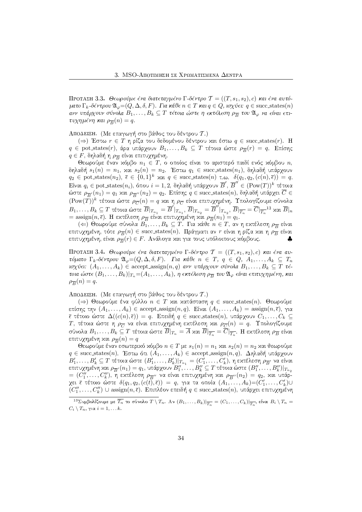ΠΡΟΤΑΣΗ 3.3. Θεωρούμε ένα διατεταγμένο Γ-δέντρο  $\mathcal{T}=((T,s_1,s_2),c)$  και ένα αυτόματο Γ<sub>k</sub>-δέντρου $\mathfrak{A}_{\varphi}$  = (Q, Δ, δ, F). Για κάθε  $n \in T$  και  $q \in Q$ , ισχύει:  $q \in \mathrm{succ\_states}(n)$ ανν υπάρχουν σύνολα  $B_1, \ldots, B_k \subseteq T$  τέτοια ώστε η εκτέλεση  $\rho_{\overline{B}}$  του  $\mathfrak{A}_\varphi$  να είναι επιτυχημένη και  $\rho_{\overline{B}}(n) = q$ .

ΑποΔειεμ. (Με επαγωγή στο βάθος του δέντρου  $\mathcal{T}.$ )

 $(\Rightarrow)$  Έστω  $r \in T$  η ρίζα του δεδομένου δέντρου και έστω  $q \in {\rm succ\_states}(r).$   $\rm H$  $q \,\in\, \text{pot\_states}(r),$  άρα υπάρχουν  $B_1, \ldots, B_k \,\subseteq\, T$  τέτοια ώστε  $\rho_{\overline{B}}(r) \,=\, q.$   $\,$  Επίσης  $q\in F,$  δηλαδή η  $\rho_{\overline{B}}$  είναι επιτυχημένη.

Θεωρούμε έναν χόμβο  $n_1\,\in\,T,\,$ ο οποίος είναι το αριστερό παιδί ενός χόμβου  $n,$ δηλαδή  $s_1(n) = n_1$ , και  $s_2(n) = n_2$ . Έστω  $q_1 \in \mathrm{succ}\text{ states}(n_1)$ , δηλαδή υπάρχουν  $q_2 \in \text{pot\_states}(n_2), \overline{\epsilon} \in \{0,1\}^k$  xal  $q \in \text{succ\_states}(n)$  t.o.  $\delta(q_1, q_2, (c(n), \overline{\epsilon})) = q$ .  $\text{E}$ ίναι  $q_i \in \text{pot\_states}(n_i),$  όπου  $i = 1, 2,$  δηλαδή υπάρχουν  $\overline{B}',$   $\overline{B}'' \in (\text{Pow}(T))^k$  τέτοια ώστε  $\rho_{\overline B'}(n_1)=q_1$  χαι  $\rho_{\overline B''}(n_2)=q_2.$  Επίσης  $q\in{\rm succ\_states}(n),$  δηλαδή υπάρχει  $C\in$  $(\textrm{Pow}(T))^k$  τέτοια ώστε  $\rho_{\overline{C}}(n)=q$  χαι η  $\rho_{\overline{C}}$  είναι επιτυχημένη. Υπολογίζουμε σύνολα  $B_1,\ldots,B_k\subseteq T$  τέτοια ώστε  $\overline{B}|_{T_{n_1}}=\overline{B}'|_{T_{n_1}},$   $\overline{B}|_{T_{n_2}}=\overline{B}''|_{T_{n_2}},$   $\overline{B}|_{\overline{T_n}}=\overline{C}|_{\overline{T_n}}$  $^{13}$  και  $\overline{B}|_n$  $\phi = \text{assign}(n, \overline{\epsilon})$ . Η εχτέλεση  $\rho_{\overline{B}}$  είναι επιτυχημένη χαι  $\rho_{\overline{B}}(n_1) = q_1.$ 

 $(\Leftarrow)$  Θεωρούμε σύνολα  $B_1, \ldots, B_k \subseteq T.$  Για κάθε  $n \in T,$  αν η εκτέλεση  $\rho_{\overline{B}}$  είναι επιτυχημένη, τότε  $\rho_{\overline{B}}(n) \in \mathrm{succ}\text{ states}(n).$  Πράγματι αν  $r$  είναι η ρίζα χαι η  $\rho_{\overline{B}}$  είναι επιτυχημένη, είναι  $\rho_{\overline{B}}(r) \in F.$  Ανάλογα και για τους υπόλοιπους κόμβους.  $\qquad \clubsuit$ 

ΠΡΟΤΑΣΗ 3.4. Θεωρούμε ένα διατεταγμένο Γ-δέντρο  $\mathcal{T} = ((T,s_1,s_2),c)$  και ένα αυτόματο Γ<sub>k</sub> δέντρου  $\mathfrak{A}_{\varphi} = (Q, \Delta, \delta, F)$ . Για κάθε  $n \in T$ ,  $q \in Q$ ,  $A_1, \ldots, A_k \subseteq T_n$ ισχύ $\epsilon$ ι:  $(A_1,\ldots,A_k)\in \text{accept}$  assign $(n,q)$  ανν υπάρχουν σύνολα  $B_1,\ldots,B_k\subseteq T$  τ $\epsilon$ τοια ώστ $\epsilon$   $(B_1,\ldots, B_k)|_{T_n} {=} (A_1,\ldots, A_k),$  η εκτέλεση  $\rho_{\overline{B}}$  του  $\mathfrak{A}_\varphi$  είναι επιτυχημένη, και  $\rho_{\overline{B}}(n) = q.$ 

ΑποΔειεμ. (Με επαγωγή στο βάθος του δέντρου  $\mathcal{T}.$ )

 $(\Rightarrow)$  Θεωρούμε ένα φύλλο  $n \in T$  χαι χατάσταση  $q \in {\rm succ\_states}(n).$  Θεωρούμε επίσης την  $(A_1, \ldots, A_k) \in \text{accept\_assign}(n, q)$ . Είναι  $(A_1, \ldots, A_k) = \text{assign}(n, \overline{\epsilon}),$  για  $\overline{\epsilon}$  τέτοιο ώστε  $\Delta((c(n),\overline{\epsilon}))\,=\, q.$  Επειδή  $q\,\in\, \mathrm{succ\_states}(n),$  υπάρχουν  $C_1,\ldots,C_k\,\subseteq\,$  $T$ , τέτοια ώστε η  $\rho_{\overline{C}}$  να είναι επιτυχημένη εχτέλεση χαι  $\rho_{\overline{C}}(n) \, = \, q.$  Υπολογίζουμε σύνολα  $B_1,\ldots, B_k\subseteq T$  τέτοια ώστε  $B|_{T_n}=A$  και  $B|_{\overline{T_n}}=C|_{\overline{T_n}}.$  Η εκτέλεση  $\rho_{\overline{B}}$  είναι επιτυχημένη και  $\rho_{\overline{B}}(n) = q$ 

Θεωρούμε έναν εσωτεριχό χόμβο  $n \in T$  με  $s_1(n) = n_1$  χαι  $s_2(n) = n_2$  χαι θεωρούμε  $q\in{\rm succ\_states}(n)$ . Έστω ότι  $(A_1,\ldots,A_k)\in{\rm accept\_assign}(n,q)$ . Δηλαδή υπάρχουν  $B'_1,\ldots,B'_k\subseteq T$  τέτοια ώστε  $(B'_1,\ldots,B'_k)|_{T_{n_1}}=(C'_1,\ldots,C'_k),$  η εκτέλεση  $\rho_{\overline B'}$  να είναι επιτυχημένη και  $\rho_{\overline B'}(n_1)=q_1$ , υπάρχουν  $B''_1,\ldots,B''_k\subseteq T$  τέτοια ώστε  $(B''_1,\ldots,B''_k)|_{T_{n_2}}$  $\bm{p} = (C''_1, \dots, C''_k), \; \overline{\bm{\eta}}$  εχτέλεση  $\rho_{\overline{B}''}$  να είναι επιτυχημένη χαι  $\rho_{\overline{B}''}(n_2) = q_2,$  χαι υπάρχει ξ τέτοιο ώστε  $\delta(q_1,q_2,(c(t),\overline{\epsilon}))~=~q,$  για τα οποία  $(A_1,\ldots,A_k){=}(C_1',\ldots,C_k')\cup$  $(C''_1,\ldots, C''_k)\, \cup\, \text{assign}(n,\overline{\epsilon}).$  Επιπλέον επειδή  $q\in\mathrm{succ\_states}(n),$  υπάρχει επιτυχημένη

 $^{13}$ Συμβολίζουμε με  $\overline{T_n}$  το σύνολο  $T \setminus T_n$ . Αν  $(B_1, \ldots, B_k)|_{\overline{T_n}} = (C_1, \ldots, C_k)|_{\overline{T_n}},$  είναι  $B_i \setminus T_n =$  $C_i \setminus T_n, \, \gamma$ ια  $i = 1, \ldots k$ .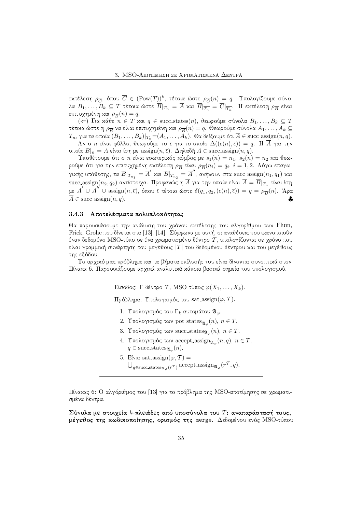εχτέλεση  $\rho_{\overline{C}},$  όπου  $\overline{C} \in (\text{Pow}(T))^k$ , τέτοια ώστε  $\rho_{\overline{C}}(n) \, = \, q.$  Υπολογίζουμε σύνολα  $B_1, \ldots, B_k \subseteq T$  τέτοια ώστε  $B|_{T_n} = A$  και  $B|_{\overline{T_n}} = C|_{\overline{T_n}}.$  Η εκτέλεση  $\rho_{\overline{B}}$  είναι επιτυχημένη και  $\rho_{\overline{B}}(n) = q.$ 

 $(\Leftarrow)$  Για χάθε  $n \in T$  χαι  $q \in \mathrm{succ\_states}(n),$  θεωρούμε σύνολα  $B_1, \ldots, B_k \subseteq T$ τέτοια ώστε η  $\rho_{\overline{B}}$  να είναι επιτυχημένη και  $\rho_{\overline{B}}(n)=q.$  Θεωρούμε σύνολα  $A_1,\ldots,A_k\subseteq$  $T_n,$  για τα οποία  $(B_1,\ldots,B_k)|_{T_n}\!=\!(A_1,\ldots,A_k).$  Θα δείξουμε ότι  $A\in{\rm succ.}$  assign $(n,q).$ 

 ${\rm Av}$  ο  $n$  είναι φύλλο, θεωρούμε το  $\overline{\epsilon}$  για το οποίο  $\Delta((c(n),\overline{\epsilon})) \,=\, q.$   $\, {\rm H}$   $\, A$  για την οποία  $B|_n = A$  είναι ίση με  $\operatorname{assign}(n, \overline{\epsilon})$ .  $\Delta$ ηλαδή  $A \in \operatorname{succ}.\operatorname{assign}(n, q)$ .

 $\Upsilon$ ποθέτουμε ότι ο  $n$  είναι εσωτεριχός χόμβος με  $s_1(n) = n_1,\, s_2(n) = n_2$  χαι θεωρούμε ότι για την επιτυχημένη εχτέλεση  $\rho_{\overline{B}}$  είναι  $\rho_{\overline{B}}(n_i)=q_i,\,i=1,2.$  Λόγω επαγωγιχής υπόθεσης, τα  $\overline{B}|_{T_{n_1}}=\overline{A}'$  χαι  $\overline{B}|_{T_{n_2}}=\overline{A}''$ , ανήχουν στα  ${\rm succ.} {\rm assign}(n_1,q_1)$  χαι succ assign $(n_2, q_2)$  αντίστοιχα. Προφανώς η  $\overline{A}$  για την οποία είναι  $\overline{A} = \overline{B}|_{T_n}$  είναι ίση με  $\overline{A}'\,\cup\,\overline{A}''\,\cup\,\textrm{assign}(n,\overline{\epsilon}),$  όπου  $\overline{\epsilon}$  τέτοιο ώστε  $\delta(q_1,q_2,(c(n),\overline{\epsilon}))\,=\,q\,=\,\rho_{\overline{B}}(n).$  Άρα  $A \in \text{succ\_assign}(n, q)$ . ♣

## 3.4.3 – Αποτελέσματα πολυπλοκότητας

Θα παρουσιάσουμε την ανάλυση του χρόνου εχτέλεσης του αλγορίθμου των Flum, Frick, Grohe που δίνεται στα [13], [14]. Σύμφωνα με αυτή, οι αναθέσεις που ικανοποιούν έναν δεδομένο MSO-τύπο σε ένα χρωματισμένο δέντρο  $\mathcal T,$  υπολογίζονται σε χρόνο που είναι γραμμιχή συνάρτηση του μεγέθους |Τ| του δεδομένου δέντρου χαι του μεγέθους της εξόδου.

Το αρχιχό μας πρόβλημα χαι τα βήματα επίλυσής του είναι δίνονται συνοπτιχά στον Πίναχα 6. Παρουσιάζουμε αργιχά αναλυτιχά χάποια βασιχά σημεία του υπολογισμού.

- Είσοδος: Γ-δέντρο Τ, MSO-τύπος  $\varphi(X_1, \ldots, X_k).$
- Πρόβλημα: Υπολογισμός του sat assign( $\varphi, \mathcal{T}$ ).
	- $1.$  Υπολογισμός του  $\Gamma_k$ -αυτομάτου  $\mathfrak{A}_\varphi.$
	- 2. Υπολογισμός των pot\_states $\mathfrak{g}_{\varphi}(n),\, n\in T.$
	- 3. Υπολογισμός των succ\_states $\mathfrak{A}_\varphi(n),\,n\in T.$
	- 4. Υπολογισμός των accept\_assign $_{\mathfrak{A}_\varphi}(n,q),\, n\in T,$  $q \in \text{succ\_states}_{\mathfrak{A}_{\varphi}}(n).$
	- 5. Είναι sat assign( $\varphi, \mathcal{T}$ ) =  $\bigcup_{q\in\texttt{succ\_states}_{\mathfrak{A}_{\varphi}}(r^{\mathcal{T}})} \texttt{accept\_assign}_{\mathfrak{A}_{\varphi}}(r^{\mathcal{T}},q).$

Πίναχας 6: Ο αλγόριθμος του [13] για το πρόβλημα της MSO-αποτίμησης σε χρωματισμένα δέντρα.

 $\Sigma$ ύνολα με στοιχεία  $k$ -πλειάδες από υποσύνολα του  $T$ : αναπαράστασή τους, μέγεθος της χωδιχοποίησης, ορισμός της merge. Δεδομένου ενός MSO-τύπου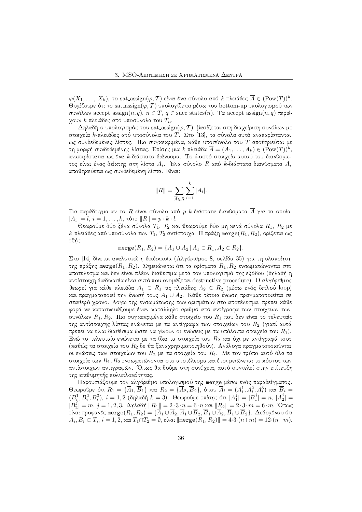$\varphi(X_1,\ldots,\,X_k),$  το sat\_assign $(\varphi,T)$  είναι ένα σύνολο από  $k$ -πλειάδες  $\overline{A}\in ({\rm Pow}(T))^k.$ Θυμίζουμε ότι το sat assign( $\varphi$ , T) υπολογίζεται μέσω του bottom-up υπολογισμού των συνόλων accept\_assign $(n, q)$ ,  $n \in T$ ,  $q \in \text{succ\_states}(n)$ . Τα accept\_assign $(n, q)$  περιέχουν  $k$ -πλειάδες από υποσύνολα του  $T_n.$ 

 $\Delta$ ηλαδή ο υπολογισμός του sat assign $(\varphi,T),$  βασίζεται στη διαχείριση συνόλων με στοιχεία  $k$ -πλειάδες από υποσύνολα του  $T.$   $\Sigma$ το  $[13],$  τα σύνολα αυτά αναπαρίστανται ως συνδεδεμένες λίστες. Πιο συγχεχριμένα, χάθε υποσύνολο του Τ αποθηχεύται με τη μορφή συνδεδεμένης λίστας. Επίσης μια  $k$ -πλειάδα  $\overline{A} = (A_1, \ldots, A_k) \in (\text{Pow}(T))^k,$ αναπαρίσταται ως ένα *k*-διάστατο διάνυσμα. Το *i*-οστό στοιχείο αυτού του διανύσματος είναι ένας δείχτης στη λίστα  $A_i$ . Ένα σύνολο  $R$  από  $k$ -διάστατα διανύσματα  $A,$ αποθηκεύεται ως συνδεδεμένη λίστα. Είναι:

$$
||R|| = \sum_{\overline{A} \in R} \sum_{i=1}^{k} |A_i|.
$$

Για παράδειγμα αν το  $R$  είναι σύνολο από  $p$   $k$ -διάστατα διανύσματα  $A$  για τα οποία  $|A_i|=l,\, i=1,\ldots,k,\,$ τότε  $\|R\|=p\cdot k\cdot l.$ 

Θεωρούμε δύο ξένα σύνολα  $T_1,~T_2$  χαι θεωρούμε δύο μη χενά σύνολα  $R_1,~R_2$  με  $k$ -πλειάδες από υποσύνολα των  $T_1, T_2$  αντίστοιχα. Η πράξη  ${\tt merge}(R_1, R_2),$  ορίζεται ως εξής:

$$
\text{merge}(R_1, R_2) = \{ \overline{A}_1 \cup \overline{A}_2 \, | \, \overline{A}_1 \in R_1, \overline{A}_2 \in R_2 \}.
$$

Στο [14] δίνεται αναλυτιχά η διαδιχασία (Αλγόριθμος 8. σελίδα 35) για τη υλοποίηση της πράξης merge $(R_1, R_2)$ . Σημειώνεται ότι τα ορίσματα  $R_1, R_2$  ενσωματώνονται στο αποτέλεσμα και δεν είναι πλέον διαθέσιμα μετά τον υπολογισμό της εξόδου (δηλαδή η αντίστοιχη διαδιχασία είναι αυτό που ονομάζεται destructive procedure). Ο αλγόριθμος  $\vartheta$ εωρεί για χά $\vartheta$ ε πλειάδα  $A_1$   $\in$   $R_1$  τις πλειάδες  $A_2$   $\in$   $R_2$  (μέσω ενός διπλού  $\text{loop})$ χαι πραγματοποιεί την ένωσή τους  $A_1 \cup A_2.$  Κάθε τέτοια ένωση πραγματοποιείται σε σταθερό χρόνο. Λόγω της ενσωμάτωσης των ορισμάτων στο αποτέλεσμα, πρέπει χάθε  $\overline{D}$ συνόλων  $R_1, R_2$ .  $\Pi$ ιο συγχεχριμένα χάθε στοιχείο του  $R_1$  που δεν είναι το τελευταίο της αντίστοιχης λίστας ενώνεται με τα αντίγραφα των στοιχείων του  $R_2$  (γιατί αυτά πρέπει να είναι διαθέσιμα ώστε να γίνουν οι ενώσεις με τα υπόλοιπα στοιχεία του  $R_1$ ). Ενώ το τελευταίο ενώνεται με τα ίδια τα στοιχεία του  $R_2$  και όχι με αντίγραφά τους (καθώς τα στοιγεία του  $R_2$  δε θα ξαναγρησιμοποιηθούν). Ανάλογα πραγματοποιούνται οι ενώσεις των στοιχείων του  $R_2$  με τα στοιχεία του  $R_1.$  Με τον τρόπο αυτό όλα τα στοιχεία των  $R_1, R_2$  ενσωματώνονται στο αποτέλεσμα και έτσι μειώνεται το κόστος των αντίστοιχων αντιγραφών. Όπως θα δούμε στη συνέχεια, αυτό συντελεί στην επίτευξη της επιθυμητής πολυπλοχότητας.

Παρουσιάζουμε τον αλγόριθμο υπολογισμού της merge μέσω ενός παραδείγματος. Θεωρούμε ότι  $R_1 = \{\overline{A}_1, \overline{B}_1\}$  χαι  $R_2 = \{\overline{A}_2, \overline{B}_2\},$  όπου  $\overline{A}_i = (A_i^1, A_i^2, A_i^3)$  χαι  $\overline{B}_i =$  $(B_{i}^{1}, B_{i}^{2}, B_{i}^{3}),\ i=1,2$  (δηλαδή  $k=3$ ). Θεωρούμε επίσης ότι  $|A_{1}^{j}|=|B_{1}^{j}|=n,\ |A_{2}^{j}|=n$  $|B_2^j|=m, j=1,2,3.$  Δηλαδή  $||R_1||=2\cdot 3\cdot n=6\cdot n$  χαι  $||R_2||=2\cdot 3\cdot m=6\cdot m.$  Όπως είναι προφανές merge $(R_1,R_2)=\{A_1\cup A_2,A_1\cup B_2,B_1\cup A_2,B_1\cup B_2\}.$  Δεδομένου ότι  $A_i, B_i \subset T_i, i = 1, 2,$  και  $T_1 \cap T_2 = \emptyset$ , είναι  $\| \texttt{merge}(R_1, R_2) \| = 4 \cdot 3 \cdot (n+m) = 12 \cdot (n+m).$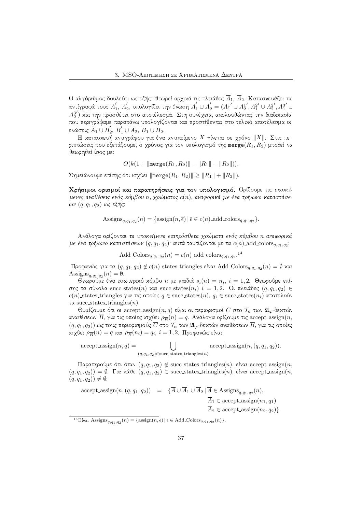Ο αλγόριθμος δουλεύει ως εξής: θεωρεί αρχιχά τις πλειάδες  $A_1,\,A_2.$  Κατασχευάζει τα αντίγραφά τους  $\overline{A}'_1,\,\overline{A}'_2$  $\overline{A}'_1$  $\overline{A}'_2$ , υπολογίζει την ένωση  $\overline{A}'_1 \cup \overline{A}'_2 = (A^1_1)$  $\prime \cup A_2^1$  $', A_1^2$  $\prime \cup A_2^2$  $', A_1^3$  $^{\prime}$  ∪  $A_2^3$ ') και την προσθέτει στο αποτέλεσμα. Στη συνέχεια, αχολουθώντας την διαδικασία που περιγράψαμε παραπάνω υπολογίζονται και προστίθενται στο τελικό αποτέλεσμα οι ενώσεις  $\overline{A}_1\cup \overline{B}'_2$  $Z_2, \overline{B}_1' \cup \overline{A}_2, \overline{B}_1 \cup \overline{B}_2.$ 

Η χατασχευή αντιγράφου για ένα αντιχείμενο  $X$  γίνεται σε χρόνο  $\|X\|$ . Στις περιπτώσεις που εξετάζουμε, ο γρόνος για τον υπολογισμό της merge $(R_1, R_2)$  μπορεί να θεωρηθεί ίσος με:

$$
O(k(1+\|\text{merge}(R_1,R_2)\|-\|R_1\|-\|R_2\|)).
$$

 $\Sigma$ ημειώνουμε επίσης ότι ισχύει  $\| \texttt{merge}(R_1, R_2) \| \geq \| R_1 \| + \| R_2 \|).$ 

Χρήσιμοι ορισμοί χαι παρατηρήσεις για τον υπολογισμό. Ορίζουμε τις υποκείμενες αναθέσεις ενός κόμβου n, χρώματος c(n), αναφορικά με ένα τρίγωνο καταστάσε $ων$   $(q, q_1, q_2)$  ως εξής:

Assigns<sub>q,q<sub>1</sub>,q<sub>2</sub></sub>(n) = {assign
$$
(n, \overline{\epsilon}) | \overline{\epsilon} \in c(n)
$$
 add-colors<sub>q,q<sub>1</sub>,q<sub>2</sub></sub>}.

Ανάλογα ορίζονται τα υποκείμενα επιπρόσθετα χρώματα ενός κόμβου n αναφορικά  $\mu$ ε ένα τρίγωνο καταστάσεων  $(q,q_1,q_2)$ · αυτά ταυτίζονται με τα  $c(n)$  add colors $_{q,q_1,q_2}$ : .

Add Colorsq,q1,q<sup>2</sup> (n) = c(n) add colorsq,q1,q<sup>2</sup> . ^ -

 $\Pi$ ροφανώς για τα  $(q,q_1,q_2)\not\in c(n)$  states triangles είναι Add Colors $_{q,q_1,q_2}(n)=\emptyset$  και Assigns<sub>q,q1,q2</sub> $(n) = \emptyset$ .

Θεωρούμε ένα εσωτεριχό χόμβο  $n$  με παιδιά  $s_i(n) = n_i, \, i=1,2.$  Θεωρούμε επίσης τα σύνολα succ\_states $(n)$  και succ\_states $(n_i)$   $i \, = \, 1, 2$ . Οι πλειάδες  $(q, q_1, q_2) \, \in$  $c(n)$  states triangles για τις οποίες  $q \in \mathrm{succ\_states}(n), \, q_i \in \mathrm{succ\_states}(n_i)$  αποτελούν  $\tau\alpha$  succ\_states\_triangles $(n)$ .

Θυμίζουμε ότι οι accept assign $(n, q)$  είναι οι περιορισμοί  $\overline{C}$  στο  $\mathcal{T}_n$  των  $\mathfrak{A}_\varphi$ -δεχτών αναθέσεων  $B$ , για τις οποίες ισχύει  $\rho_{\overline{B}}(n)=q.$  Ανάλογα ορίζουμε τις  $\operatorname{accept\_assign}(n,$  $(q,q_1,q_2))$  ως τους περιορισμούς  $\overline{C}$  στο  $\mathcal{T}_n$  των  $\mathfrak{A}_{\varphi}$ -δεχτών αναθέσεων  $\overline{B},$  για τις οποίες ισχύει  $\rho_{\overline{B}}(n) = q$  χαι  $\rho_{\overline{B}}(n_i) = q_i, \, i = 1,2.$  Προφανώς είναι

 $accept\_assign(n, q) =$  $(q,q_1,q_2) \in \text{succ states}$  triangles $(n)$ accept assign $(n,(q, q_1, q_2)).$ 

 $\Pi$ αρατηρούμε ότι όταν  $(q,q_1,q_2)\not\in$  succ states triangles $(n)$ , είναι accept assign $(n,$  $(q, q_1, q_2)$ ) = Ø. Για κάθε  $(q, q_1, q_2) \in \text{succ\_states\_triangles}(n)$ , είναι accept assign $(n, q_1, q_2)$  $(q, q_1, q_2)) \neq \emptyset$ :

accept-assign
$$
(n, (q, q_1, q_2))
$$
 = { $\overline{A} \cup \overline{A}_1 \cup \overline{A}_2 | \overline{A} \in \text{Assigns}_{q, q_1, q_2}(n),$   
\n $\overline{A}_1 \in \text{accept-assign}(n_1, q_1)$   
\n $\overline{A}_2 \in \text{accept-assign}(n_2, q_2).$ 

<sup>14</sup>Eiva: Assigns<sub>q,q1,q2</sub>(n) = {assign(n,  $\bar{\epsilon}$ ) |  $\bar{\epsilon} \in$  Add Colors<sub>q,q1,q2</sub>(n)}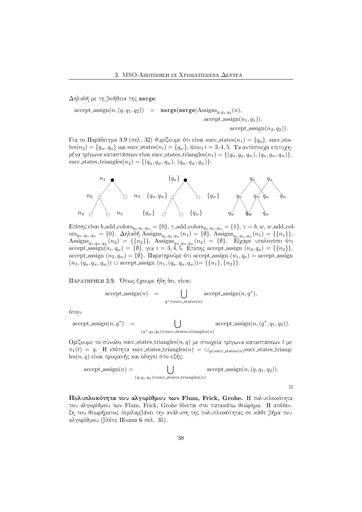Δηλαδή με τη βοήθεια της merge:

 $\text{accept} \text{assign}(n, (q, q_1, q_2)) = \text{merge}(\text{merge}(\text{Assign}_{q, q_1, q_2}(n)),$  $accept\_assign(n_1, q_1)),$  $accept\_assign(n_2, q_2)).$ 

Για το Παράδειγμα 3.9 (σελ. 32) θυμίζουμε ότι είναι succ\_states( $n_1) = \{q_a\},$  succ\_sta- $\text{tes}(n_2) = \{q_w, q_a\}$  χαι succ\_states $(n_i) = \{q_w\}$ , όπου  $i = 3, 4, 5$ . Τα αντίστοιχα επιτυχημένα τρίγωνα καταστάσεων είναι succ\_states\_triangles $(n_1) = \{ (q_a, q_a, q_w), (q_a, q_w, q_w) \},$ succ states triangles $(n_2) = \{(q_a, q_w, q_w), (q_w, q_w, q_w)\}.$ 



Επίσης είναι b add colors $_{q_a,q_a,q_w} = \{0\}, \gamma$  add colors $_{q_a,q_w,q_w} = \{1\}, \gamma = b, w,$  w add col- $\arg_{q_w,q_w,q_w} = \{0\}$ .  $\Delta \eta \lambda \alpha \delta \eta$  Assigns $_{q_a,q_a,q_w}(n_1) = \{\emptyset\}$ , Assigns $_{q_a,q_w,q_w}(n_1) = \{\{n_1\}\},$ Assigns $_{q_a,q_w,q_w}(n_2)$  = {{ $n_2$ }}, Assigns $_{q_w,q_w,q_w}(n_2)$  = { $\emptyset$ }. Είχαμε υπολογίσει ότι accept assign $(n_i, q_w) = \{\emptyset\}, \gamma$ ια  $i = 3, 4, 5$ . Επίσης accept assign  $(n_2, q_a) = \{\{n_2\}\},$ accept assign  $(n_2, q_w) = \{\emptyset\}$ . Παρατηρούμε ότι accept assign  $(n_1, q_a) =$  accept assign  $(n_1,(q_a,q_w,q_w)) \cup \text{accept}$  assign  $(n_1,(q_a,q_a,q_w)) = \{\{n_1\},\{n_2\}\}.$ 

ا الله عن الله عن الله عن الله عن الله عن الله عن الله عن الله عن الله عن الله عن الله عن الله عن الله عن الله

 $\mathrm{accept\_assign}(n) = \bigcup$  $q^* \in \text{succ states}(n)$  $accept\_assign(n, q^*),$ 

όπου

 $\mathrm{accept}.\mathrm{assign}(n, q^*) = \begin{bmatrix} \end{bmatrix}$  accept  $(q^*, q_1, q_2)$ ∈succ\_states\_triangles $(n)$  $accept\_assign(n, (q^*, q_1, q_2)).$ 

Ορίζουμε το σύνολο succ\_states\_triangles(n, q) με στοιχεία τρίγωνα καταστάσεων  $t$  με  $\pi_1(t) = q$ . H ισότητα succ states triangles $(n) = \bigcup_{q \in \text{succ states}(n)} \text{succ states}$  triang- $\text{les}(n, q)$  είναι προφανής και οδηγεί στο εξής:

accept-assign(*n*) = 
$$
\bigcup_{(q,q_1,q_2) \in \text{succ-states-triangles}(n)} \text{accept-assign}(n,(q,q_1,q_2)).
$$

 $\Box$ 

Πολυπλοχότητα του αλγορίθμου των Flum, Frick, Grohe. Η πολυπλοχότητα του αλγορίθμου των Flum, Frick, Grohe δίνεται στο παταχάτω θεώρημα. Η απόδειξη του θεωρήματος περιλαμβάνει την ανάλυση της πολυπλοχότητας σε χάθε βήμα του αλγορίθμου (βλέπε Πίνακα 6 σελ. 35).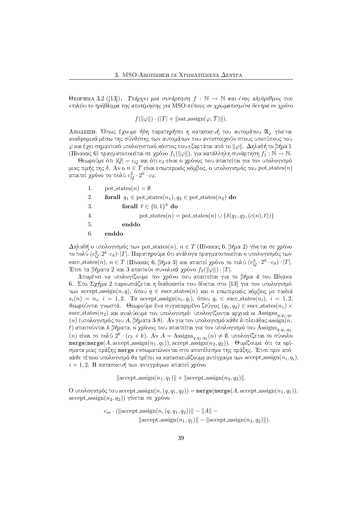$\Theta$ ΕΩΡΗΜΑ 3.2 ([13]). Υπάρχει μια συνάρτηση f : N  $\rightarrow$  N και ένας αλγόριθμος που επιλύει το πρόβλημα της αποτίμησης για MSO-τύπους σε χρωματισμένα δέντρα σε χρόνο

 $f(\|\varphi\|) \cdot (|T| + \|\text{sat\_assign}(\varphi, T)\|).$ 

ΑΠΟΔΕΙΞΗ. Όπως έχουμε ήδη παρατηρήσει η κατασκευή του αυτομάτου 21, γίνεται αναδρομικά μέσω της σύνθεσης των αυτομάτων που αντιστοιχούν στους υποτύπους του  $\varphi$  χαι έχει σημαντιχό υπολογιστιχό χόστος που εξαρτάται από το  $\|\varphi\|$ . Δηλαδή το βήμα 1 (Πίναχας 6) πραγματοποιείται σε χρόνο  $f_1(||\varphi||)$ , για χατάλληλη συνάρτηση  $f_1 : \mathbb{N} \to \mathbb{N}$ .

Θεωρούμε ότι  $|Q| = c_Q$  και ότι  $c_\delta$  είναι ο χρόνος που απαιτείται για τον υπολογισμό μιας τιμής της δ. Αν ο  $n \in T$  είναι εσωτεριχός χόμβος, ο υπολογισμός του pot\_states(n) απαιτεί χρόνο το πολύ  $c_O^2 \cdot 2^k \cdot c_\delta$ :

1. pot\_states $(n) = \emptyset$ 2. **forall**  $q_1 \in \text{pot\_states}(n_1), q_2 \in \text{pot\_states}(n_2)$  **do** forall  $\overline{\epsilon} \in \{0,1\}^k$  do 3.  $\overline{4}$ . pot states(n) = pot states(n)  $\cup$  { $\delta(q_1, q_2, (c(n), \overline{\epsilon}))$ }  $\overline{5}$ . enddo 6. enddo

Δηλαδή ο υπολογισμός των pot\_states(n),  $n \in T$  (Πίναχας 6, βήμα 2) γίνεται σε χρόνο το πολύ  $(c_O^2 \cdot 2^k \cdot c_\delta) \cdot |T|$ . Παρατηρούμε ότι ανάλογα πραγματοποιείται ο υπολογισμός των succ\_states(n),  $n \in T$  (Πίναχας 6, βήμα 3) και απαιτεί χρόνο το πολύ  $(c_0^3 \cdot 2^k \cdot c_\delta) \cdot |T|$ . Έτσι τα βήματα 2 και 3 απαιτούν συνολικά χρόνο  $f_2(\|\varphi\|)\cdot|T|$ .

Απομένει να υπολογίζουμε τον γρόνο που απαιτείται για το βήμα 4 του Πίναχα 6. Στο Σγήμα 2 παρουσιάζεται η διαδικασία που δίνεται στο [13] για τον υπολογισμό των accept assign(n, q), όπου  $q \in$  succ states(n) και n εσωτερικός κόμβος με παιδιά  $s_i(n) = n_i$ ,  $i = 1, 2$ . To accept assign $(n_i, q_i)$ , όπου  $q_i \in \text{succ}\$  states  $(n_i)$ ,  $i = 1, 2$ , θεωρούνται γνωστά. Θεωρούμε ένα συγχεχριμένο ζεύγος  $(q_1, q_2) \in \text{succ\_states}(n_1) \times$ succ\_states(n<sub>2</sub>) και αναλύουμε τον υπολογισμό: υπολογίζονται αρχικά οι Assigns<sub>a.q1.q2</sub> (n) (υπολογισμός του Α, βήματα 3-8). Αν για τον υπολογισμό κάθε k-πλειάδας assign(n,  $\bar{\epsilon}$ ) απαιτούνται  $k$  βήματα, ο χρόνος που απαιτείται για τον υπολογισμό του Assigns<sub>a.q1.q2</sub> (*n*) είναι το πολύ  $2^k \cdot (c_\delta + k)$ . Αν  $A = \text{Assigns}_{q,q_1,q_2}(n) \neq \emptyset$ , υπολογίζεται το σύνολο merge(merge(A, accept assign( $n_1, q_1$ )), accept assign( $n_2, q_2$ )). Θυμίζουμε ότι τα ορίσματα μιας πράξης merge ενσωματώνονται στο αποτέλεσμα της πράξης. Έτσι πριν από κάθε τέτοιο υπολογισμό θα πρέπει να κατασκευάζουμε αντίγραφα των accept\_assign $(n_i, q_i)$ ,  $i=1,2$ . Η κατασκευή των αντιγράφων απαιτεί γρόνο

 $\|\operatorname{accept}.\operatorname{assign}(n_1, q_1)\| + \|\operatorname{accept}.\operatorname{assign}(n_2, q_2)\|.$ 

Ο υπολογισμός του accept\_assign(n,  $(q, q_1, q_2)$ ) = merge(merge(A, accept\_assign(n<sub>1</sub>, q<sub>1</sub>)), accept\_assign( $n_2$ ,  $q_2$ )) γίνεται σε χρόνο

$$
c_m \cdot (\|\text{accept-assign}(n, (q, q_1, q_2))\| - \|A\| -
$$

$$
\|\text{accept-assign}(n_1, q_1)\| - \|\text{accept-assign}(n_2, q_2)\|).
$$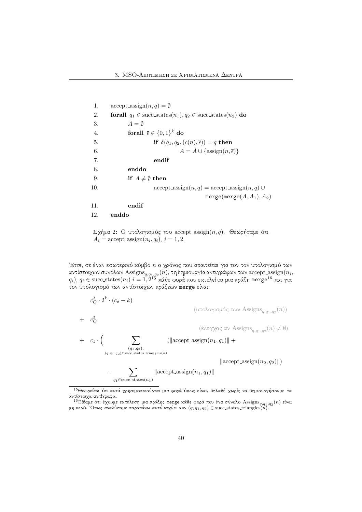1. accept-assign
$$
(n, q) = \emptyset
$$
  
\n2. **forall**  $q_1 \in \text{succ-states}(n_1), q_2 \in \text{succ-states}(n_2)$  **do**  
\n3.  $A = \emptyset$   
\n4. **forall**  $\overline{\epsilon} \in \{0, 1\}^k$  **do**  
\n5. **if**  $\delta(q_1, q_2, (c(n), \overline{\epsilon})) = q$  **then**  
\n6.  $A = A \cup \{\text{assign}(n, \overline{\epsilon})\}$   
\n7. **endif**  
\n8. **enddo**  
\n9. **if**  $A \neq \emptyset$  **then**  
\n10. **accept-assign** $(n, q) = \text{accept-assign}(n, q) \cup \text{merge}(\text{merge}(A, A_1), A_2)$   
\n11. **endif**  
\n12. **enddo**

 $\Sigma$ χήμα 2: Ο υπολογισμός του accept assign $(n, q)$ . Θεωρήσαμε ότι  $A_i = \text{accept\_assign}(n_i, q_i), i = 1, 2.$ 

Έτσι, σε έναν εσωτεριχό χόμβο  $n$  ο χρόνος που απαιτείται για τον τον υπολογισμό των αντίστοιχων συνόλων Assigns $_{q,q_1,q_2}(n)$ , τη δημιουργία αντιγράφων των accept\_assign $\left(n_i,\right)$  $q_i), \, q_i \in \mathrm{succ\_states}(n_i) \,\, i=1,2^{15}$  χάθε φορά που εχτελείται μια πράξη <code>merge $^{16}$ </code> χαι για τον υπολογισμό των αντίστοιχων πράξεων merge είναι:

$$
c_{Q}^{3} \cdot 2^{k} \cdot (c_{\delta} + k)
$$
\n
$$
+ c_{Q}^{3}
$$
\n
$$
+ c_{1} \cdot \left( \sum_{(q,q_{1},q_{2}) \in \text{succ-states-triangles}(n)} (|\text{accept-assign}(n_{1},q_{1})|| + \sum_{(q_{1},q_{2}) \in \text{succ-states-triangles}(n)} (|\text{accept-assign}(n_{1},q_{1})|| + \sum_{(q_{1},q_{2}) \in \text{succ-states-triangles}(n)} |\text{accept-assign}(n_{2},q_{2})||) \right)
$$

 $^{15}$ Θεωρείται ότι αυτά γρησιμοποιούνται μια φορά όπως είναι, δηλαδή γωρίς να δημιουργήσουμε τα avτίστοιχα αντίγραφα.

 $^{16}$ Είδαμε ότι έχουμε εκτέλεση μια πράξης merge κάθε φορά που ένα σύνολο Assigns $_{q,q_1,q_2}(n)$  είναι<br>μη κενό. Όπως αναλύσαμε παραπάνω αυτό ισχύει ανν  $(q,q_1,q_2) \in$  succ\_states\_triangles(n).<br>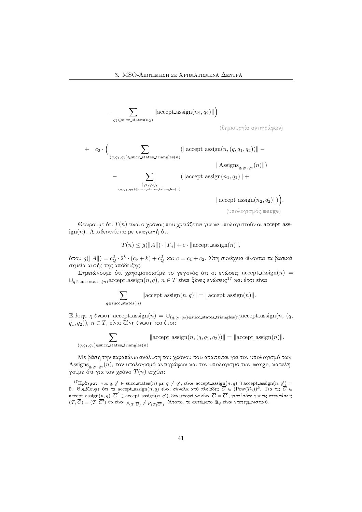$$
-\sum_{q_2\in\mathrm{succ\_states}(n_2)}\left\|\operatorname{accept\_assign}(n_2,q_2)\right\|\right)
$$

(δημιουργία αντιγράφων)

+ 
$$
c_2 \cdot \Big( \sum_{(q,q_1,q_2) \in \text{succ-states-triangles}(n)} (||\text{accept-assign}(n, (q, q_1, q_2))|| - ||\text{Assigns}_{q,q_1,q_2}(n)||)
$$
  
- 
$$
\sum_{(q, q_1, q_2) \in \text{succ-states-triangles}(n)} (||\text{accept-assign}(n_1, q_1)|| + ||\text{accept-assign}(n_2, q_2)||)
$$

(υπολογισμός merge)

Θεωρούμε ότι  $T(n)$  είναι ο χρόνος που χρειάζεται για να υπολογιστούν οι accept ass- $\mathrm{ign}(n)$ . Αποδειχνύεται με επαγωγή ότι

$$
T(n) \le g(||A||) \cdot |T_n| + c \cdot ||\text{accept-assign}(n)||,
$$

όπου  $g(\|A\|) = c_Q^3 \cdot 2^k \cdot (c_\delta + k) + c_Q^3$  και  $c = c_1 + c_2$ . Στη συνέχεια δίνονται τα βασιχά VUWGI[JTB;BWD(>A6WXE>RUWXB(SHFHPA[J4 AUWX(/

Σημειώνουμε ότι χρησιμοποιούμε το γεγονός ότι οι ενώσεις  $\operatorname{accept\_assign}(n)$  =  $\cup_{q\in {\rm succ\_states}(n)} {\rm accept\_assign}(n,q), \, n\in T$  είναι ξένες ενώσεις $^{17}$  και έτσι είναι

$$
\sum_{q \in \text{succ-states}(n)} \|\text{accept-assign}(n, q)\| = \|\text{accept-assign}(n)\|.
$$

 $\text{E}$ πίσης η ένωση accept assign $(n) = \cup_{(q,q_1,q_2) \in \text{succ states triangle}(n)} \text{accept assign}(n,$   $(q,$  $(q_1,q_2)),\ n\in T,$  είναι ξένη ένωση και έτσι:

$$
\sum_{(q,q_1,q_2)\in\text{succ-states-triangles}(n)} \|\text{accept-assign}(n,(q,q_1,q_2))\| = \|\text{accept-assign}(n)\|.
$$

Με βάση την παραπάνω ανάλυση του χρόνου που απαιτείται για τον υπολογισμό των  $\operatorname{Assigns}_{q,q_1,q_2}(n),$  τον υπολογισμό αντιγράφων και τον υπολογισμό των merge, καταλήγουμε ότι για τον χρόνο  $T(n)$  ισχύει:

 $^{17}{\Pi}$ ράγματι για  $q,q'\in{\rm succ\_states}(n)$  με  $q\neq q',$  είναι accept assign $(n,q)$  ∩ accept assign $(n,q')=0$  $\emptyset$ . Θυμίζουμε ότι τα accept assign $(n,q)$  είναι σύνολα από πλείάδες  $\overline{C}\in (\mathrm{Pow}(T_n))^k$ . Για τις  $\overline{C}\in$ accept\_assign $(n,q),$   $\overline{C}'$   $\in$  accept\_assign $(n,q'),$  δεν μπορεί να είναι  $\overline{C}=\overline{C}',$  γιατί τότε για τις επεχτάσεις  $(\mathcal{T}; \overline{C}) = (\mathcal{T}; \overline{C'})$  θα είναι  $\rho_{(\mathcal{T}; \overline{C'})} \neq \rho_{(\mathcal{T}; \overline{C'})}.$  Άτοπο, το αυτόματο  $\mathfrak{A}_{\varphi}$  είναι ντετερμινιστιχό.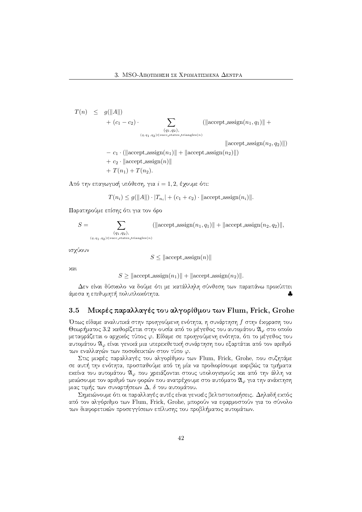$$
T(n) \leq g(||A||) + (c_1 - c_2) \cdot \sum_{\substack{(q_1, q_2), \ (q, q_1, q_2) \in \text{succ states-triangles}(n)}} (||\text{accept-assign}(n_1, q_1)|| +
$$

 $\Vert$ accept\_assign $(n_2, q_2)\Vert$ 

 $- c_1 \cdot (\|\operatorname{accept} - \operatorname{assign}(n_1)\| + \|\operatorname{accept} - \operatorname{assign}(n_2)\|)$  $+ c_2 \cdot ||\text{accept}=\text{assign}(n)||$  $+ T(n_1) + T(n_2).$ 

 ${\rm A}$ πό την επαγωγιχή υπόθεση, για  $i=1,2,$  έχουμε ότι:

$$
T(n_i) \le g(||A||) \cdot |T_{n_i}| + (c_1 + c_2) \cdot ||\text{accept} \text{-}assign(n_i)||.
$$

Παρατηρούμε επίσης ότι για τον όρο

$$
S = \sum_{\substack{(q_1, q_2), \ (q, q_1, q_2) \in \text{succ\_states\_triangles}(n)}} (||\text{accept\_assign}(n_1, q_1)|| + ||\text{accept\_assign}(n_2, q_2)||,
$$

ισχύουν

$$
S \leq \|\text{accept} - \text{assign}(n)\|
$$

 $XQL$ 

 $S \geq ||\operatorname{accept}.\operatorname{assign}(n_1)|| + ||\operatorname{accept}.\operatorname{assign}(n_2)||.$ 

 $\Box$ άμεσα η επιθυμητή πολυπλοχότητα.

# 3.5 Μικρές παραλλαγές του αλγορίθμου των Flum, Frick, Grohe

Όπως είδαμε αναλυτικά στην προηγούμενη ενότητα, η συνάρτηση  $f$  στην έκφραση του Θεωρήματος 3.2 χαθορίζεται στην ουσία από το μέγεθος του αυτομάτου  $\mathfrak{A}_{\varphi}$  στο οποίο μεταφράζεται ο αρχικός τύπος  $\varphi.$  Είδαμε σε προηγούμενη ενότητα, ότι το μέγεθος του αυτομάτου  $\mathfrak{A}_{\varphi}$  είναι γενικά μια υπερεκθετική συνάρτηση που εξαρτάται από τον αριθμό των εναλλαγών των ποσοδειχτών στον τύπο  $\varphi.$ 

Στις μικρές παραλλαγές του αλγορίθμου των Flum, Frick, Grohe, που συζητάμε σε αυτή την ενότητα, προσπαθούμε από τη μία να προδιορίσουμε ακριβώς τα τμήματα εχείνα του αυτομάτου  $\mathfrak{A}_\varphi$  που χρειάζονται στους υπολογισμούς χαι από την άλλη να μειώσουμε τον αριθμό των φορών που ανατρέχουμε στο αυτόματο  $\mathfrak{A}_{\varphi}$  για την ανάχτηση μιας τιμής των συναρτήσεων  $\Delta,\,\delta$  του αυτομάτου.

Σημειώνουμε ότι οι παραλλαγές αυτές είναι γενιχές βελτιστοποιήσεις. Δηλαδή εχτός από τον αλγόριθμο των Flum, Frick, Grohe, μπορούν να εφαρμοστούν για το σύνολο των διαφορετικών προσεγγίσεων επίλυσης του προβλήματος αυτομάτων.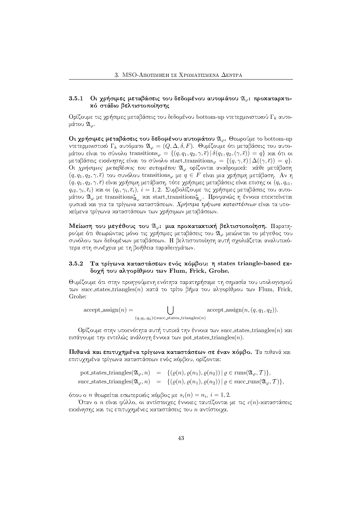## - - - -1  $\,$  Οι χρήσιμες μεταβάσεις του δεδομένου αυτομάτου  $\mathfrak{A}_\varphi$ : προχαταρχτι $x$ ό στάδιο βελτιστοποίησης

Ορίζουμε τις χρήσιμες μεταβάσεις του δεδομένου bottom-up ντετερμινιστικού Γ<sub>k</sub> αυτομάτου  $\mathfrak{A}_\varphi.$ 

Οι χρήσιμες μεταβάσεις του δεδομένου αυτομάτου  $\mathfrak{A}_{\varphi}.$  Θεωρούμε το bottom-up ντετερμινιστιχό  $\Gamma_k$  αυτόματο  $\mathfrak{A}_\varphi=(Q,\Delta,\delta,F).$  Θυμίζουμε ότι μεταβάσεις του αυτομάτου είναι το σύνολο transitions $_\varphi = \{(q, q_1, q_2, \gamma, \overline \epsilon) \, | \, \delta(q_1, q_2,(\gamma, \overline \epsilon)) = q\}$  και ότι οι μεταβάσεις εχχίνησης είναι το σύνολο start transitions $\varphi~=~\{(q,\gamma,\bar{\epsilon})\,|\, \Delta((\gamma,\bar{\epsilon}))~=~q\}.$ Οι χρήσιμες μεταβάσεις του αυτομάτου  $\mathfrak{A}_\varphi$  ορίζονται αναδρομικά: κάθε μετάβαση  $(q, q_1, q_2, \gamma, \bar{\epsilon})$  του συνόλου transitions $_{\varphi}$  με  $q \in F$  είναι μια χρήσιμη μετάβαση. Αν η  $(q, q_1, q_2, \gamma, \bar \epsilon)$  είναι χρήσιμη μετάβαση, τότε χρήσιμες μεταβάσεις είναι επισης οι  $(q_i, q_{i1},$  $q_{i2}, \gamma_i, \overline{\epsilon}_i)$  χαι οι  $(q_i, \gamma_i, \overline{\epsilon}_i),\ i=1,2.$  Συμβολίζουμε τις χρήσιμες μεταβάσεις του αυτομάτου  $\mathfrak{A}_\varphi$  με transitions ${}^*_{\mathfrak{A}_\varphi}$  χαι start transitions ${}^*_{\mathfrak{A}_\varphi}$ . Προφανώς η έννοια επεχτείνεται φυσικά και για τα τρίγωνα καταστάσεων. *Χρήσιμα τρίνωνα καταστάσεων* είναι τα υπο $x$ είμενα τρίγωνα χαταστάσεων των γρήσιμων μεταβάσεων.

Μείωση του μεγέθους του  $\mathfrak{A}_\varphi$ : μια προχαταχτιχή βελτιστοποίηση. Παρατηρούμε ότι θεωρώντας μόνο τις χρήσιμες μεταβάσεις του  $\mathfrak{A}_\varphi$  μειώνεται το μέγεθος του συνόλου των δεδομένων μεταβάσεων. Η βελτιστοποίηση αυτή σχολιάζεται αναλυτικότερα στη συνέχεια με τη βοήθεια παραδειγμάτων.

### - - - -Τα τρίγωνα καταστάσεων ενός κόμβου: η states triangle-based εκδοχή του αλγορίθμου των Flum, Frick, Grohe.

Θυμίζουμε ότι στην προηγούμενη ενότητα παρατηρήσαμε τη σημασία του υπολογισμού των succ states triangles(n) χατά το τρίτο βήμα του αλγορίθμου των Flum, Frick, Grohe

 $\text{accept} \text{-} \text{assign}(n) = \qquad \qquad \Box$  $(q,q_1,q_2) \in \text{succ\_states\_triangles}(n)$  $accept\_assign(n, (q, q_1, q_2)).$ 

Ορίζουμε στην υποενότητα αυτή τυπικά την έννοια των succ\_states\_triangles(n) και εισάγουμε την εντελώς ανάλογη έννοια των pot\_states\_triangles(n).  $\hspace{0.1mm}$ 

&¡")\$&h&,Ra&k"o&idj%()\*±k\*c8n)\* \$&kW"pk",()],%()\*")]\$&edjdfd+ stByS\*4hBW<A\5\*BI4 επιτυχημένα τρίγωνα καταστάσεων ενός κόμβου, ορίζονται:

pot states triangles $(\mathfrak{A}_{\varphi}, n) = \{(\varrho(n), \varrho(n_1), \varrho(n_2)) | \varrho \in \text{runs}(\mathfrak{A}_{\varphi}, \mathcal{T})\},$ succ states triangles $(\mathfrak{A}_{\varphi}, n) = \{(\varrho(n), \varrho(n_1), \varrho(n_2)) | \varrho \in \text{succ runs}(\mathfrak{A}_{\varphi}, \mathcal{T})\},$ 

όπου ο  $n$  θεωρείται εσωτεριχός χόμβος με  $s_i(n) = n_i, \, i=1,2.$ 

Όταν ο  $n$  είναι φύλλο, οι αντίστοιχες έννοιες ταυτίζονται με τις  $c(n)$ -χαταστάσεις εχχίνησης χαι τις επιτυχημένες χαταστάσεις του  $n$  αντίστοιχα.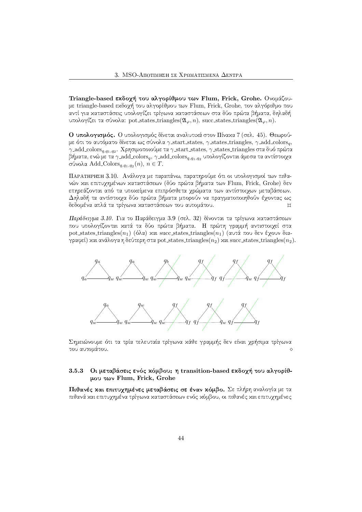Triangle-based εχδοχή του αλγορίθμου των Flum, Frick, Grohe. Ονομάζουμε triangle-based εκδοχή του αλγορίθμου των Flum, Frick, Grohe, τον αλγόριθμο που αντί για χαταστάσεις υπολογίζει τρίγωνα χαταστάσεων στα δύο πρώτα βήματα, δηλαδή υπολογίζει τα σύνολα: pot states triangles $(\mathfrak{A}_{\varphi},n),$  succ states triangles $(\mathfrak{A}_{\varphi},n).$ 

**Ο υπολογισμός.** Ο υπολογισμός δίνεται αναλυτιχά στον Πίναχα 7 (σελ. 45). Θεωρούμε ότι το αυτόματο δίνεται ως σύνολα  $\gamma$  start states,  $\gamma$  states triangles,  $\gamma$  add colors $_q,$  $\gamma$  add colors $_{q, q_1, q_2}$ . Χρησιμοποιούμε τα  $\gamma$  start states,  $\gamma$  states triangles στα δυό πρώτα βήματα, ενώ με τα  $\gamma$  add\_colors $_q, \gamma$  add\_colors $_{q, q_1, q_2}$  υπολογίζονται άμεσα τα αντίστοιχα σύνολα Add Colors $_{q,q_1,q_2}(n),\, n\in T.$ 

ΠΑΡΑΤΗΡΗΣΗ 3.10. - Ανάλονα με παραπάνω, παρατηρούμε ότι οι υπολονισμοί των πιθανών χαι επιτυχημένων χαταστάσεων (δύο πρώτα βήματα των Flum, Frick, Grohe) δεν [SHUW@A[=\WA2W<?>JBI4&B(SHF>JB D(SH2I5\*[JTGI[=<AB±[SH4SH@AFHV8h[>=B u8@? QGWB(>JB >=OQ<]BW<?>RTV8>=2\*4u\*OQ<]GI[>=BRwH\WV[OQ<I/  $\begin{array}{lllllllllll} \bullet&\bullet&\bullet&\bullet&\bullet\end{array}$ δεδομένα απλά τα τρίγωνα καταστάσεων του αυτομάτου. Είναι το τρόπο του ΒΙ

Παράδειγμα 3.10. Για το Παράδειγμα 3.9 (σελ. 32) δίνονται τα τρίγωνα χαταστάσεων που υπολογίζονται χατά τα δύο πρώτα βήματα. Η πρώτη γραμμή αντιστοιχεί στα  ${\rm pot\_states\_triangles}(n_1)$  (όλα) χαι succ\_states\_triangles $(n_1)$  (αυτά που δεν έχουν διαγραφεί) και ανάλογα η δεύτερη στα pot\_states\_triangles( $n_2$ ) και succ\_states\_triangles( $n_2$ ).



|UWGI[J4 Q<A2HDWGI[!F(>R4p>=B >A@RTB >A[xI[=D(>JBITB]>A@RT38OQ<AB 5\*\Rh[!3@ABWGIGI6WXvPA[=<±[JT<ABI4pu8@A6WV"4GIB >A@RT38OQ<AB  $\infty$  του αυτομάτου.  $\diamond$ 

### - - - -3 Oι μεταβάσεις ενός χόμβου: η transition-based εχδοχή του αλγορίθμου των Flum, Frick, Grohe

 $\Pi$ ιθανές και επιτυχημένες μεταβάσεις σε έναν κόμβο. Σε πλήρη αναλογία με τα πιθανά χαι επιτυχημένα τρίγωνα χαταστάσεων ενός χόμβου, οι πιθανές χαι επιτυχημένες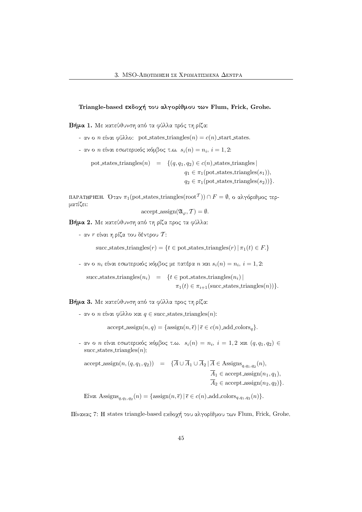Triangle-based εχδοχή του αλγορίθμου των Flum, Frick, Grohe.

 $\blacksquare$ 

- $-\alpha$ ν ο *n* είναι φύλλο: pot states triangles(*n*) = *c*(*n*) start states.
- αν ο  $n$  είναι εσωτεριχός χόμβος τ.ω.  $s_i(n) = n_i, \, i=1,2.$

pot states triangles $(n) = \{(q, q_1, q_2) \in c(n) \text{ states triangles}\}\$ 

 $q_1 \in \pi_1(\text{pot-states\_triangles}(s_1)),$ 

 $q_2 \in \pi_1(\text{pot\_states\_triangles}(s_2))\}.$ 

ΠΑΡΑΤΗΡΗΣΗ. Όταν  $\pi_1(\mathrm{pot\_states\_triangles}(\mathrm{root}^\mathcal{T})) \cap F = \emptyset,$  ο αλγόριθμος τερματίζει:

accept\_assign
$$
(\mathfrak{A}_{\varphi}, \mathcal{T}) = \emptyset
$$
.

Ndj and a hotel and absolute a series and a series are a series and a series are a series and a series are a s

- αν  $r$  είναι η ρίζα του δέντρου  ${\cal T}$ :

succ states triangles $(r) = \{t \in \text{pot} \text{ states} \text{ triangles}(r) \mid \pi_1(t) \in F.\}$ 

- αν ο  $n_i$  είναι εσωτεριχός χόμβος με πατέρα  $n$  χαι  $s_i(n) = n_i, \, i=1,2$ : -

succ states triangles $(n_i)$  = {t ∈ pot states triangles $(n_i)$ |  $\pi_1(t) \in \pi_{i+1}(\text{succ states } \text{triangles}(n))\}.$ 

Ndja-B(X) Osmanlarda (xwibi) (xwibi) (xwibi) (xwibi) (xwibi) (xwibi) (xwibi) (xwibi) (xwibi) (xwibi) (xwibi) (

 $\sim$  αν ο  $n$  είναι φύλλο και  $q \in \text{succ\_states\_triangles}(n)$ :

 $accept\_assign(n, q) = {assign(n, \overline{\epsilon}) | \overline{\epsilon} \in c(n) \text{ add colors}_q}.$ 

 $\,$ - αν ο  $n$  είναι εσωτεριχός χόμβος τ.ω.  $\,s_i(n) \, = \, n_i, \; i \, = \, 1, 2 \,$  χαι  $\, (q, q_1, q_2) \, \in \, 1$ succ\_states\_triangles $(n)$ :

 $accept\_assign(n, (q, q_1, q_2)) = \{A \cup A_1 \cup A_2 | A \in \text{Assigns}_{q, q_1, q_2}(n),\}$  $\overline{A}_1 \in \text{accept}$  assign $(n_1, q_1),$  $\overline{A}_2 \in \text{accept} \text{.} (n_2, q_2)$ .

Eíval Assigns $_{q,q_1,q_2}(n) = \{ \operatorname{assign}(n, \overline{\epsilon}) \, | \, \overline{\epsilon} \in c(n) \text{--} \text{add\_colors}_{q,q_1,q_2}(n) \}.$ 

Πίναχας 7: H states triangle-based εχδοχή του αλγορίθμου των Flum, Frick, Grohe.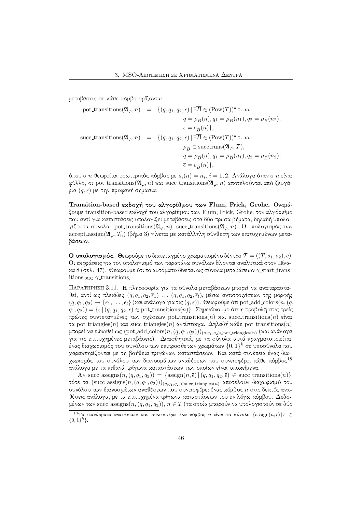μεταβάσεις σε χάθε χόμβο ορίζονται:

pot-transitions
$$
(\mathfrak{A}_{\varphi}, n)
$$
 = { $(q, q_1, q_2, \overline{\epsilon}) | \exists \overline{B} \in (\text{Pow}(T))^k \tau$ .  $\omega$ .  
\n $q = \rho_{\overline{B}}(n), q_1 = \rho_{\overline{B}}(n_1), q_2 = \rho_{\overline{B}}(n_2),$   
\n $\overline{\epsilon} = c_{\overline{B}}(n)$ },  
\nsucc-transitions $(\mathfrak{A}_{\varphi}, n)$  = { $(q, q_1, q_2, \overline{\epsilon}) | \exists \overline{B} \in (\text{Pow}(T))^k \tau$ .  $\omega$ .  
\n $\rho_{\overline{B}} \in \text{succ-runs}(\mathfrak{A}_{\varphi}, T),$   
\n $q = \rho_{\overline{B}}(n), q_1 = \rho_{\overline{B}}(n_1), q_2 = \rho_{\overline{B}}(n_2),$   
\n $\overline{\epsilon} = c_{\overline{B}}(n)$ },

όπου ο  $n$  θεωρείται εσωτεριχός χόμβος με  $s_i(n) = n_i, \, i = 1, 2.$  Ανάλογα όταν ο  $n$  είναι φύλλο, οι pot\_transitions( $\mathfrak{A}_{\varphi}, n$ ) και succ\_transitions( $\mathfrak{A}_{\varphi}, n$ ) αποτελούνται από ζευγάρια  $(q,\overline{\epsilon})$  με την προφανή σημασία.

Transition-based εχδοχή του αλγορίθμου των Flum, Frick, Grohe. Ονομάζουμε transition-based εχδοχή του αλγορίθμου των Flum, Frick, Grohe, τον αλγόριθμο που αντί για καταστάσεις υπολογίζει μεταβάσεις στα δύο πρώτα βήματα, δηλαδή υπολογίζει τα σύνολα: pot transitions $({\mathfrak A}_\varphi,n),$  succ transitions $({\mathfrak A}_\varphi,n).$  Ο υπολογισμός των accept assign $(\mathfrak{A}_{\varphi}, \mathcal{T}_n)$  (βήμα 3) γίνεται με κατάλληλη σύνθεση των επιτυχημένων μεταβάσεων.

 ${\bf O}$  υπολογισμός. Θεωρούμε το διατεταγμένο χρωματισμένο δέντρο  $\mathcal{T}=((T, s_1, s_2), c)$ . Οι εκφράσεις για τον υπολογισμό των παραπάνω συνόλων δίνονται αναλυτικά στον Πίνα- $\times$ α 8 (σελ. 47). Θεωρούμε ότι το αυτόματο δίνεται ως σύνολα μεταβάσεων γ start\_transitions  $x\alpha$  γ transitions.

ΠΑΡΑΤΗΡΗΣΗ 3.11. Η πληροφορία για τα σύνολα μεταβάσεων μπορεί να αναπαρασταθεί, αντί ως πλειάδες  $(q, q_1, q_2, \overline{\epsilon}_1)$  ...  $(q, q_1, q_2, \overline{\epsilon}_l)$ , μέσω αντιστοιχίσεων της μορφής  $(q, q_1, q_2) \mapsto \{\overline{\epsilon}_1, \dots, \overline{\epsilon}_l\}$  (χαι ανάλογα για τις  $(q, \overline{\epsilon})$ ). Θεωρούμε ότι  ${\rm pot}$  add  ${\rm colors}(n, (q,$  $(q_1,q_2)) = \{ \overline \epsilon \, | \, (q,q_1,q_2,\overline \epsilon) \in \text{pot\_transitions}(n) \}$ . Σημειώνουμε ότι η προβολή στις τρείς πρώτες συντεταγμένες των σχέσεων pot transitions(n) χαι succ transitions(n) είναι τα pot triangles(n) και succ triangles(n) αντίστοιχα. Δηλαδή κάθε pot transitions(n) μπορεί να ειδωθεί ως (pot add colors $(n,(q,q_1,q_2)))_{(q,q_1,q_2)\in\mathrm{pot}\text{ triangles}(n)}$  (και ανάλογα  $\overline{\phantom{a}}$ ένας διαχωρισμός του συνόλου των επιπροσθετων χρωμάτων  $\{0,1\}^k$  σε υποσύνολα που γαραχτηρίζονται με τη βοήθεια τριγώνων χαταστάσεων. Και χατά συνέπεια ένας διαγωρισμός του συνόλου των διανυσμάτων αναθέσεων που συνεισφέρει χάθε χόμβος<sup>18</sup> ανάλογα με τα πιθανά τρίγωνα χαταστάσεων των οποίων είναι υποχείμενα.

Av succ assigns $(n,(q,q_1,q_2)) = {\text{assign}(n, \overline{\epsilon}) | (q,q_1,q_2, \overline{\epsilon}) \in \text{succ} \text{ transitions}(n)},$ τότε τα  $(\mathrm{succ\_assigns}(n, (q, q_1, q_2)))_{(q, q_1, q_2)\in \mathrm{succ\,triangles}(n)}$  αποτελούν διαχωρισμό του συνόλου των διανυσμάτων αναθέσεων που συνεισφέρει ένας χόμβος  $n$  στις δεχτές ανα- $\vartheta$ έσεις ανάλογα, με τα επιτυγημένα τρίγωνα καταστάσεων του εν λόγω κόμβου. Δεδομένων των succ\_assigns $(n,(q,q_1,q_2)),\, n\in T$  (τα οποία μπορούν να υπολογιστούν σε δύο

 $^{18}$ Τα διανύσματα αναθέσεων που συνεισφέρει ένα χόμβος  $n$  είναι το σύνολο  $\{ \operatorname{assign}(n, \overline{\epsilon}) \, | \, \overline{\epsilon} \, \in \,$  $\{0,1\}^k\}.$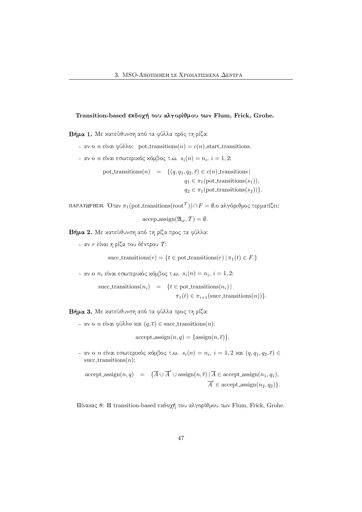# Transition-based εκδοχή του αλγορίθμου των Flum, Frick, Grohe.

Ndjb ¤[E5\*B(>A[=RhDW<AVU;B(SHFv>JB!©"(xWxIBNSH@AFHX>AU!@RT AB8

- $\alpha$  καν ο *n* είναι φύλλο: pot transitions(*n*) = *c*(*n*) start transitions.
- αν ο  $n$  είναι εσωτεριχός χόμβος τ.ω.  $s_i(n) = n_i, \, i=1,2.$

pot transitions(n) =  $\{(q, q_1, q_2, \overline{\epsilon}) \in c(n) \text{ transitions}\}\$  $q_1 \in \pi_1(\text{pot\_transitions}(s_1)),$  $q_2 \in \pi_1(\text{pot\_transitions}(s_2))\}.$ 

ΠΑΡΑΤΗΡΗΣΗ. Όταν  $\pi_1(\mathrm{pot\_transitions}(\mathrm{root}^\mathcal{T}))\cap F=\emptyset,$ ο αλγόριθμος τερματίζει:

 $\mathrm{accept}.\mathrm{assign}(\mathfrak{A}_{\varphi}, \mathcal{T}) = \emptyset.$ 

Ndj and a hotel and absolute a series and a series are a series and a series are a series and a series are a s

- αν  $r$  είναι η ρίζα του δέντρου  $\mathcal{T} \mathpunct{:}$ 

succ transitions $(r) = \{t \in \text{pot}$  transitions $(r) | \pi_1(t) \in F. \}$ 

- αν ο  $n_i$  είναι εσωτεριχός χόμβος τ.ω.  $s_i(n) = n_i, \, i=1,2.$ 

succ transitions $(n_i)$  = { $t \in$  pot transitions $(n_i)$ |  $\pi_1(t) \in \pi_{i+1}(\text{succ-transitions}(n))\}.$ 

Ndja-B(X) Osmanlarda (xwibi) (xwibi) (xwibi) (xwibi) (xwibi) (xwibi) (xwibi) (xwibi) (xwibi) (xwibi) (xwibi) (

 $\sim$  αν ο  $n$  είναι φύλλο και  $(q, \overline{\epsilon}) \in \mathrm{succ\_transitions}(n)$ :

 $accept\_assign(n, q) = \{assign(n, \overline{\epsilon})\}.$ 

 $\epsilon$  αν ο  $n$  είναι εσωτεριχός χόμβος τ.ω.  $s_i(n) = n_i, \, i=1,2$  χαι  $(q,q_1,q_2,\overline{\epsilon}) \in \overline{\Omega}$ succ\_transitions $(n)$ :

 $\text{accept\_assign}(n, q) = {\overline{A} \cup \overline{A}' \cup \text{assign}(n, \overline{\epsilon}) | \overline{A} \in \text{accept\_assign}(n_1, q_1)},$  $\overline{A}' \in \text{accept}.\text{assign}(n_2, q_2)\}.$ 

Πίναχας 8: H transition-based εχδοχή του αλγορίθμου των Flum, Frick, Grohe.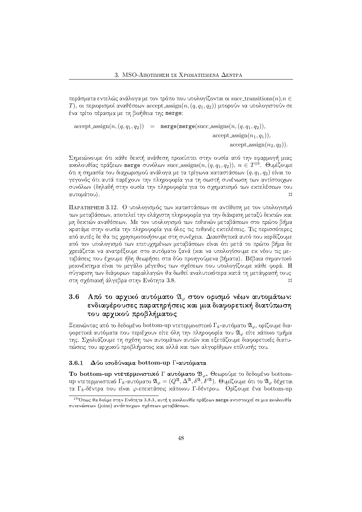περάσματα εντελώς ανάλογα με τον τρόπο που υπολογίζονται οι succ\_transitions $(n),$  $n \in$ Τ), οι περιορισμοί αναθέσεων accept assign $(n, (q, q_1, q_2))$  μπορούν να υπολογιστούν σε ένα τρίτο πέρασμα με τη βοήθεια της **merge**:

 $accept \operatorname{assign}(n, (q, q_1, q_2)) = merge(merge(succ \operatorname{assign}(n, (q, q_1, q_2))),$  $accept\_assign(n_1, q_1)$ ,

 $accept\_assignment(n_2, q_2)$ .

 $\Pi$  and  $\Lambda$  and  $\Lambda$  and  $\Lambda$  and  $\Lambda$  and  $\Lambda$ αχολουθίας πράξεων merge συνόλων succ assigns $(n, (q, q_1, q_2)), \; n \in T^{19}$ . Θυμίζουμε ότι η σημασία του διαχωρισμού ανάλογα με τα τρίγωνα καταστάσεων  $(q, q_1, q_2)$  είναι το γεγονός ότι αυτά παρέχουν την πληροφορία για τη σωστή συνένωση των αντίστοιχων  $\mathcal{W} = \{N \mid N \in \mathbb{N} \mid N \leq 1 \}$ αυτομάτου).  $\Box$ 

--  D(SH2(xI2R3"4VGIFHX>OQ<N5\*B(>JBWV8>A\WV[OQ<yV[BW<?>RTh[=VUvGI[>J2W<ND(SH2(xI2R3"4VGIF των μεταβάσεων, αποτελεί την ελάχιστη πληροφορία για την διάχριση μεταξύ δεχτών χαι μη δεχτών αναθέσεων. Με τον υπολογισμό των πιθανών μεταβάσεων στο πρώτο βήμα κρατάμε στην ουσία την πληροφορία για όλες τις πιθανές εκτελέσεις. Τις περισσότερες από αυτές δε θα τις γρησιμοποιήσουμε στη συνέγεια. Διαισθητικά αυτό που κερδίζουμε B(SHFl>=2W< D(SH2(xI2(3"4VGIFl>OQ<[S\*4>ADWu8UWGI:=<?OQ<±GI[>JBRwH\WV[OQ<±[JT<ABI4#F(>R4#GI[>A\>=2¬SH@? #>J2lwH6WGWBPA[ yρειάζεται να ανατρέξουμε στο αυτόματο ξανά (χαι να υπολογίσουμε εχ νέου τις με-...<br>ταβάσεις που έγουμε ήδη θεωρήσει στα δύο προηγούμενα βήματα). Βέβαια σημαντικό  $\overline{J}$  is a set of the contract of the contract of the contract of the contract of the contract of the contract of the contract of the contract of the contract of the contract of the contract of the contract of the cont σύγχριση των διάφορων παραλλαγών θα δωθεί αναλυτιχότερα χατά τη μετάφρασή τους στη σχέσιαχή άλγεβρα στην Ενότητα 3.8.

# 3.6 ) Από το αρχικό αυτόματο  $\mathfrak{A}_{\varphi}$  στον ορισμό νέων αυτομάτων: ! &-!\$%) '&W\$%&"
\$/ .&-& &-\$ O" &"
 του αρχικού προβλήματος

Ξεχινώντας από το δεδομένο bottom-up ντετερμινιστιχό Γ $_k$ -αυτόματο  $\mathfrak{A}_\varphi,$  ορίζουμε διαφορετικά αυτόματα που περιέχουν είτε όλη την πληροφορία του  $\mathfrak{A}_{\varphi}$  είτε κάποιο τμήμα της. Σγολιάζουμε τη σγέση των αυτομάτων αυτών χαι εξετάζουμε διαφορετιχές διατυπώσεις του αρχιχού προβλήματος χαι αλλά χαι των αλγορίθμων επίλυσής του.

### - - -Δύο ισοδύναμα bottom-up Γ-αυτόματα

Το bottom-up ντετερμινιστι<mark>κό Γ αυτόματο  $\mathfrak{B}_{\varphi}$ .</mark> Θεωρούμε το δεδομένο bottomup ντετερμινιστιχό Γ<sub>k</sub>-αυτόματο  $\mathfrak{A}_{\varphi}=(Q^{\mathfrak{A}}, \Delta^{\mathfrak{A}}, \delta^{\mathfrak{A}}, F^{\mathfrak{A}}).$  Θυμίζουμε ότι το  $\mathfrak{A}_{\varphi}$  δέχεται τα  $\Gamma_k$ -δέντρα που είναι  $\varphi$ -επεχτάσεις χάποιου  $\Gamma$ -δέντρου.  $\;$  Ορίζουμε ένα bottom-up

<sup>&</sup>lt;sup>19</sup>Όπως θα δούμε στην Ενότητα 3.8.3, αυτή η αχολουθία πράξεων merge αντιστοιχεί σε μια αχολουθία συνενώσεων (joins) αντίστοιχων σχέσεων μεταβάσεων.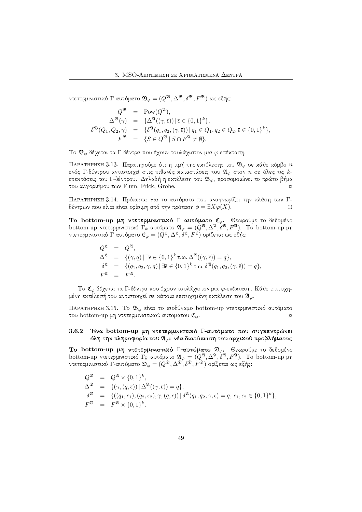ντετερμινιστιχό Γ αυτόματο  $\mathfrak{B}_{\varphi}=(Q^{\mathfrak{B}}, \Delta^{\mathfrak{B}}, \delta^{\mathfrak{B}}, F^{\mathfrak{B}})$  ως εξής:

$$
Q^{\mathfrak{B}} = \text{Pow}(Q^{\mathfrak{A}}),
$$
  
\n
$$
\Delta^{\mathfrak{B}}(\gamma) = {\Delta^{\mathfrak{A}}((\gamma,\bar{\epsilon})) | \bar{\epsilon} \in \{0,1\}^k \},
$$
  
\n
$$
\delta^{\mathfrak{B}}(Q_1, Q_2, \gamma) = {\delta^{\mathfrak{A}}(q_1, q_2, (\gamma, \bar{\epsilon})) | q_1 \in Q_1, q_2 \in Q_2, \bar{\epsilon} \in \{0,1\}^k \},
$$
  
\n
$$
F^{\mathfrak{B}} = {S \in Q^{\mathfrak{B}} | S \cap F^{\mathfrak{A}} \neq \emptyset}.
$$

Το  $\mathfrak{B}_{\varphi}$  δέχεται τα Γ-δέντρα που έχουν τουλάχιστον μια  $\varphi$ -επέχταση.

ΠΑΡΑΤΗΡΗΣΗ 3.13.  $\;$ Παρατηρούμε ότι η τιμή της εχτέλεσης του  $\mathfrak{B}_{\varphi}$  σε χάθε χόμβο  $n$ ενός  $\Gamma$ -δέντρου αντιστοιχεί στις πιθανές χαταστάσεις του  $\mathfrak{A}_\varphi$  στον  $n$  σε όλες τις  $k$ επεχτάσεις του Γ-δέντρου. Δηλαδή η εχτέλεση του  $\mathfrak{B}_{\varphi},$  προσομοιώνει το πρώτο βήμα του αλγορίθμου των Flum, Frick, Grohe.  $\mathcal{L}$ 

ΠΑΡΑΤΗΡΗΣΗ 3.14. Πρόχειται για το αυτόματο που αναγνωρίζει την χλάση των Γδέντρων που είναι είναι ορίσιμη από την πρόταση  $\phi = \exists X\varphi(X).$  $\mathcal{L}$ 

Το bottom-up μη ντετερμινιστιχό Γ αυτόματο  ${\mathfrak C}_\varphi$ . Θεωρούμε το δεδομένο bottom-up ντετερμινιστιχό Γ<sub>κ</sub> αυτόματο  $\mathfrak{A}_{\varphi} = (Q^{\mathfrak{A}}, \Delta^{\mathfrak{A}}, \delta^{\mathfrak{A}}, F^{\mathfrak{A}}).$  Το bottom-up μη ντετερμινιστιχό Γ΄ αυτόματο  ${\mathfrak C}_\varphi=(Q^{\mathfrak C},\Delta^{\mathfrak C},\delta^{\mathfrak C},F^{\mathfrak C})$  ορίζεται ως εξής:

> $Q^{\mathfrak{C}} = Q^{\mathfrak{A}},$  $\Delta^{\mathfrak{C}} = \{(\gamma, q) | \exists \overline{\epsilon} \in \{0, 1\}^k \tau \ldots \Delta^{\mathfrak{A}}((\gamma, \overline{\epsilon})) = q\},\$  $\delta^{\mathfrak{C}} = \{ (q_1, q_2, \gamma, q) \mid \exists \overline{\epsilon} \in \{0, 1\}^k \text{ t.o. } \delta^{\mathfrak{A}}(q_1, q_2, (\gamma, \overline{\epsilon})) = q \},$  $F^{\mathfrak{C}} = F^{\mathfrak{A}}.$

Το  $\mathfrak{C}_{\varphi}$  δέχεται τα Γ-δέντρα που έχουν τουλάχιστον μια  $\varphi$ -επέχταση. Κάθε επιτυχημένη εχτέλεσή του αντιστοιχεί σε χάποια επιτυχημένη εχτέλεση του  $\mathfrak{A}_{\varphi}.$ 

ΠΑΡΑΤΗΡΗΣΗ 3.15. Το  $\mathfrak{B}_{\varphi}$  είναι το ισοδύναμο bottom-up ντετερμινιστιχό αυτόματο του bottom-up μη ντετερμινιστιχού αυτομάτου  ${\mathfrak C}_\varphi.$  $\Box$ 

## - - -Ένα bottom-up μη ντετερμινιστικό Γ-αυτόματο που συγκεντρώνει όλη την πληροφορία του  $\mathfrak{A}_\varphi$ : νέα διατύπωση του αρχικού προβλήματος

Το bottom-up μη ντετερμινιστιχό Γ-αυτόματο  $\mathfrak{D}_{\varphi}$ . Θεωρούμε το δεδομένο bottom-up ντετερμινιστιχό Γ<sub>κ</sub> αυτόματο  $\mathfrak{A}_\varphi\,=\, (Q^\mathfrak{A}, \Delta^\mathfrak{A}, \delta^\mathfrak{A}, F^\mathfrak{A})$ . Το bottom-up μη ντετερμινιστιχό Γ-αυτόματο  $\frak D_{\varphi}=(Q^{\frak D}, \Delta^{\frak D}, \delta^{\frak D}, F^{\frak D})$  ορίζεται ως εξής:

$$
Q^{\mathfrak{D}} = Q^{\mathfrak{A}} \times \{0,1\}^{k},
$$
  
\n
$$
\Delta^{\mathfrak{D}} = \{(\gamma, (q, \bar{\epsilon})) \mid \Delta^{\mathfrak{A}}((\gamma, \bar{\epsilon})) = q\},
$$
  
\n
$$
\delta^{\mathfrak{D}} = \{((q_1, \bar{\epsilon}_1), (q_2, \bar{\epsilon}_2), \gamma, (q, \bar{\epsilon})) \mid \delta^{\mathfrak{A}}(q_1, q_2, \gamma, \bar{\epsilon}) = q, \bar{\epsilon}_1, \bar{\epsilon}_2 \in \{0,1\}^{k}\},
$$
  
\n
$$
F^{\mathfrak{D}} = F^{\mathfrak{A}} \times \{0,1\}^{k}.
$$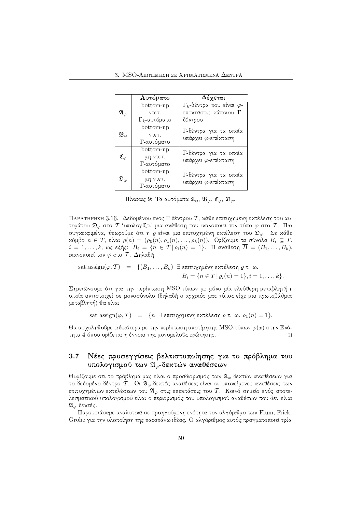|                          | Αυτόματο             | Δέχεται                                  |  |  |  |
|--------------------------|----------------------|------------------------------------------|--|--|--|
|                          | bottom-up            | $\Gamma_k$ -δέντρα που είναι $\varphi$ - |  |  |  |
| $\mathfrak{A}_{\varphi}$ | ντετ.                | επεκτάσεις κάποιου Γ-                    |  |  |  |
|                          | $\Gamma_k$ -αυτόματο | δέντρου                                  |  |  |  |
| $\mathfrak{B}_{\varphi}$ | bottom-up            | Γ-δέντρα για τα οποία                    |  |  |  |
|                          | ντετ.                | υπάρχει φ-επέκταση                       |  |  |  |
|                          | Γ-αυτόματο           |                                          |  |  |  |
| $\mathfrak{C}_{\varphi}$ | bottom-up            | Γ-δέντρα για τα οποία                    |  |  |  |
|                          | μη ντετ.             | υπάρχει φ-επέκταση                       |  |  |  |
|                          | Γ-αυτόματο           |                                          |  |  |  |
| $\mathfrak{O}_\varphi$   | bottom-up            | Γ-δέντρα για τα οποία                    |  |  |  |
|                          | μη ντετ.             | υπάρχει φ-επέκταση                       |  |  |  |
|                          | Γ-αυτόματο           |                                          |  |  |  |

 $\Pi$ ίναχας 9: Τα αυτόματα  $\mathfrak{A}_{\varphi},\,\mathfrak{B}_{\varphi},\,\mathfrak{C}_{\varphi},\,\mathfrak{D}_{\varphi}.$ 

ΠΑΡΑΤΗΡΗΣΗ 3.16.  $\Delta$ εδομένου ενός Γ-δέντρου  $\mathcal T,$  χάθε επιτυχημένη εχτέλεση του αυτομάτου  $\mathfrak{D}_{\varphi}$  στο  $T$  'υπολογίζει' μια ανάθεση που ικανοποιεί τον τύπο  $\varphi$  στο  $\mathcal{T}.$   $\rm\Pi$ ιο συγχεχριμένα, θεωρούμε ότι η  $\varrho$  είναι μια επιτυχημένη εχτέλεση του  $\mathfrak{D}_{\varphi}$ . Σε χάθε  $x$ όμβο  $n \in T$ , είναι  $\varrho(n) = (\varrho_0(n), \varrho_1(n), \ldots, \varrho_k(n))$ . Ορίζουμε τα σύνολα  $B_i \subseteq T,$  $i = 1, \ldots, k, \; \omega$ ς εξής:  $B_i = \{n \in T \, | \, \varrho_i(n) = 1\}.$  Η ανάθεση  $B = (B_1, \ldots, B_k),$ ικανοποιεί τον  $\varphi$  στο  $\mathcal{T}.$  Δηλαδή

sat-assign(φ, T) = {
$$
(B_1, ..., B_k)
$$
 |  $\exists$  επιτυχημένη εκτέλεση ρ τ. ω.  
\n $B_i = {n ∈ T | ρ_i(n) = 1}, i = 1, ..., k}.$ 

Σημειώνουμε ότι για την περίπτωση MSO-τύπων με μόνο μία ελεύθερη μεταβλητή η oποία αντιστοιχεί σε μονοσύνολο (δηλαδή ο αρχικός μας τύπος είχε μια πρωτοβάθμια μεταβλητή) θα είναι

sat assign( $\varphi, T$ ) = {n | ∃ επιτυχημένη εχτέλεση  $\varrho$  τ. ω.  $\varrho_1(n) = 1$ .

Θα ασγοληθούμε ειδικότερα με την περίπτωση αποτίμησης MSO-τύπων  $\varphi(x)$  στην Ενότητα 4 όπου ορίζεται η έννοια της μονομελούς ερώτησης. Αποτελεί του και τις π

# - '\$%

O W"
"/ ' 
 & "/ '\$%,
-.& "/) υπολογισμού των  $\mathfrak{A}_\varphi$ -δεχτών αναθέσεων και το

Θυμίζουμε ότι το πρόβλημά μας είναι ο προσδιορισμός των  $\mathfrak{A}_{\varphi}$ -δεκτών αναθέσεων για το δεδομένο δέντρο  $\mathcal{T}$ . Οι  $\mathfrak{A}_{\varphi}$ -δεχτές αναθέσεις είναι οι υποχείμενες αναθέσεις των επιτυχημένων εχτελέσεων του  $\mathfrak{A}_\varphi$  στις επεχτάσεις του  $\mathcal T.$  Κοινό σημείο ενός αποτελεσματιχού υπολογισμού είναι ο περιορισμός του υπολογισμού αναθέσων που δεν είναι  $\mathfrak{A}_{\varpi}$ -δεκτές.

Παρουσιάσαμε αναλυτικά σε προηγούμενη ενότητα τον αλγόριθμο των Flum, Frick, Grohe για την υλοποίηση της παραπάνω ιδέας. Ο αλγόριθμος αυτός πραγματοποιεί τρία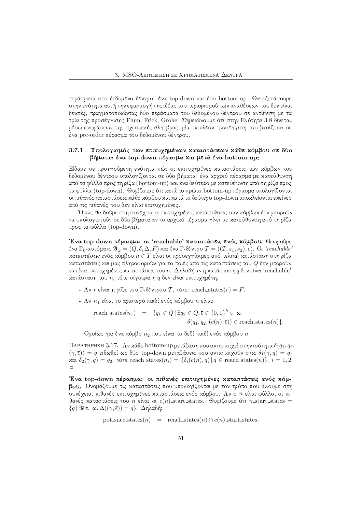περάσματα στο δεδομένο δέντρο: ένα top-down χαι δύο bottom-up. Θα εξετάσουμε στην ενότητα αυτή την εφαρμογή της ιδέας του περιορισμού των αναθέσεων που δεν είναι  $\begin{array}{lllllllllll} \bullet&1&\bullet&1&\bullet\Lambda\end{array}$ τρία της προσέγγισης Flum, Frick, Grohe. Σημειώνουμε ότι στην Ενότητα 3.8 δίνεται, μέσω εχφράσεων της σχεσιαχής άλγεβρας, μία επιπλέον προσέγγιση που βασίζεται σε ένα pre-order πέρασμα του δεδομένου δέντρου.

### - - -Υπολογισμός των επιτυγημένων χαταστάσεων χάθε χόμβου σε δύο βήματα: ένα top-down πέρασμα και μετά ένα bottom-up;

 $\blacksquare$ δεδομένου δέντρου υπολογίζονται σε δύο βήματα: ένα αρχικό πέρασμα με κατεύθυνση από τα φύλλα προς τη ρίζα (bottom-up) χαι ένα δεύτερο με χατεύθυνση από τη ρίζα προς τα φύλλα (top-down). Θυμίζουμε ότι χατά το πρώτο bottom-up πέρασμα υπολογίζονται οι πιθανές χαταστάσεις χάθε χόμβου χαι χατά το δεύτερο top-down αποχλείονται εχείνες από τις πιθανές που δεν είναι επιτυγημένες.

Όπως θα δούμε στη συνέγεια οι επιτυγημένες καταστάσεις των κόμβων δεν μπορούν να υπολογιστούν σε δύο βήματα αν το αρχικό πέρασμα γίνει με κατεύθυνση από τη ρίζα προς τα φύλλα (top-down).

Ένα top-down πέρασμα: οι 'reachable' καταστάσεις ενός κόμβου. Θεωρούμε ένα Γ $_k$ -αυτόματο  $\mathfrak{A}_\varphi = (Q,\delta,\Delta,F)$  και ένα Γ-δέντρο  $\mathcal{T} = ((T,s_1,s_2),c).$  Οι 'reachable' καταστάσεις ενός χόμβου  $n \in T$  είναι οι προσεγγίσιμες από τελιχή χατάσταση στη ρίζα xαταστάσεις χαι μας πληροφορούν για το ποιές από τις χαταστάσεις του Q δεν μπορούν να είναι επιτυχημένες χαταστάσεις του  $n.$  Δηλαδή αν η χατάσταση  $q$  δεν είναι 'reachable' χατάσταση του  $n,$  τότε σίγουρα η  $q$  δεν είναι επιτυχημένη.

- Αν  $r$  είναι η ρίζα του Γ-δέντρου  $\mathcal T,$  τότε:  $\mathrm{reach\_states}(r) = F.$
- Αν  $n_1$  είναι το αριστερό παιδί ενός χόμβου  $n$  είναι:

reach states
$$
(n_1)
$$
 = { $q_1 \in Q \mid \exists q_2 \in Q, \overline{\epsilon} \in \{0, 1\}^k \tau$ .  $\omega$ .  
 $\delta(q_1, q_2, (c(n), \overline{\epsilon})) \in$  reach-states $(n)$  }.

Ομοίως για ένα χόμβο  $n_2$  που είναι το δεξί παιδί ενός χόμβου  $n$ .

ΠΑΡΑΤΗΡΗΣΗ 3.17.  $\:$ Αν χάθε bottom-up μετάβαση που αντιστοιχεί στην ισότητα  $\delta(q_1, q_2,$  $(\gamma,\overline{\epsilon}))\,=\,q$  ειδωθεί ως δύο top-down μεταβάσεις που αντιστοιχούν στις  $\delta_1(\gamma,q)\,=\,q_1$ xαι  $\delta_2(\gamma, q) = q_2$ , τότε reach states $(n_i) = \{\delta_i(c(n), q) | q \in \text{reach\_states}(n)\}, i = 1, 2$ .  $\mathbb{H}$ 

Ένα top-down πέρασμα: οι πιθανές επιτυχημένες καταστάσεις ενός κόμ-A AU III SI2(3) ANIW III A2W συνέγεια, πιθανές επιτυχημένες χαταστάσεις ενός χόμβου. Αν ο *n* είναι φύλλο, οι πιθανές χαταστάσεις του *n* είναι οι  $c(n)$  start states. Θυμίζουμε ότι γ start states =  $\{q \, | \, \exists \overline{\epsilon} \, \tau. \, \, \omega. \, \Delta((\gamma, \overline{\epsilon})) = q \}. \, \, \Delta \eta$ λαδή:

pot succ states(n) = reach states(n) ∩ c(n) start states.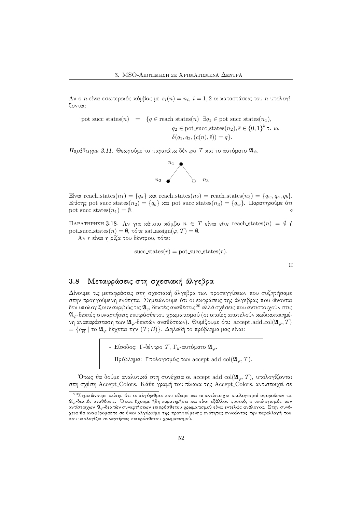$\mathrm{A}$ ν ο  $n$  είναι εσωτεριχός χόμβος με  $s_i(n) = n_i, \, i = 1, 2$  οι χαταστάσεις του  $n$  υπολογίζονται:

$$
\text{pot\_succ\_states}(n) = \{q \in \text{reach\_states}(n) \mid \exists q_1 \in \text{pot\_succ\_states}(n_1),
$$

$$
q_2 \in \text{pot\_succ\_states}(n_2), \overline{\epsilon} \in \{0, 1\}^k \tau. \omega.
$$

$$
\delta(q_1, q_2, (c(n), \overline{\epsilon})) = q\}.
$$

Παράδ $\epsilon$ ιγμα 3.11. Θεωρούμε το παραχάτω δέντρο  $\mathcal T$  χαι το αυτόματο  $\mathfrak{A}_\psi.$ 



Eívar reach states $(n_1) = \{q_a\}$  xar reach states $(n_2) =$  reach states $(n_3) = \{q_w, q_a, q_b\}.$  $\text{E}$ πίσης pot succ states $(n_2) = \{q_b\}$  xαι pot succ states $(n_3) = \{q_w\}$ . Παρατηρούμε ότι pot succ states $(n_1) = \emptyset$ . ◇

 $\Pi$ ΑΡΑΤΗΡΗΣΗ 3.18.  $\Lambda$ ν για χάποιο χόμβο  $n~\in~T$  είναι είτε reach\_states( $n)~=~\emptyset$  ή  $\text{pot\_succ\_states}(n) = \emptyset$ , τότε sat\_assign $(\varphi, \mathcal{T}) = \emptyset$ .

Αν  $r$  είναι η ρίζα του δέντρου, τότε:

succ states(r) = pot succ states(r).

 $\mathcal{M}_{\mathcal{A}}$ 

## -O"/&-\$ " & W

\$%&

 $\begin{array}{ccccc} \bullet & \bullet & \bullet & \bullet & \bullet & \bullet \end{array}$ στην προηγούμενη ενότητα. Σημειώνουμε ότι οι εχφράσεις της άλγεβρας που δίνονται δεν υπολογίζουν αχριβώς τις  $\mathfrak{A}_{\varphi}$  δεχτές αναθέσεις $^{20}$  αλλά σχέσεις που αντιστοιχούν στις  $\mathfrak{A}_{\varphi}$ -δεκτές συναρτήσεις επιπρόσθετου χρωματισμού (οι οποίες αποτελούν κωδικοποιημένη αναπαράσταση των  $\mathfrak{A}_{\varphi}$ -δεχτών αναθέσεων). Θυμίζουμε ότι: accept add col $(\mathfrak{A}_{\varphi},\overline{T})$  $=\{c_{\overline{B}}\mid$  το  $\mathfrak{A}_{\varphi}$  δέχεται την  $(\mathcal{T};\overline{B})\}$ . Δηλαδή το πρόβλημα μας είναι:

- Είσοδος: Γ-δέντρο Τ΄, Γ $_k$ -αυτόματο  $\mathfrak{A}_\varphi.$
- Πρόβλημα: Υπολογισμός των accept add col( $\mathfrak{A}_{\varphi}, \mathcal{T}$ ).

Όπως θα δούμε αναλυτικά στη συνέχεια οι accept add col $({\mathfrak A}_\varphi, {\mathcal T}),$  υπολογίζονται στη σγέση Accept Colors. Κάθε γραμή του πίναχα της Accept Colors, αντιστοιγεί σε

aethys?t :RmbvJqRvJm5zX7u?n5vZs?q?vO?q?vO?q?vO?q?vO?q?vO?q7xJmXxV37u?nGq?rX?nGq?rX 2l<sub>φ</sub>-δεχτές αναθέσεις. Όπως έχουμε ήδη παρατηρήσει χαι είναι εξάλλου φυσιχό, ο υπολογισμός των αντίστοιχων  $\mathfrak{A}_{\varphi}$ -δεχτών συναρτήσεων επιπρόσθετου χρωματισμού είναι εντελώς ανάλογος. Στην συνέχεια θα αναφέρομαστε σε έναν αλγόριθμο της προηγούμενης ενότητας εννοώντας την παραλλαγή του που υπολογίζει συναρτήσεις επιπρόσθετου χρωματισμού.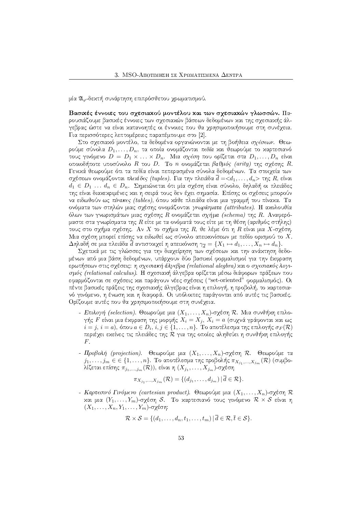μία  $\mathfrak{A}_{\omega}$ -δεκτή συνάρτηση επιπρόσθετου χρωματισμού.

Βασικές έννοιες του σχεσιακού μοντέλου και των σχεσιακών γλωσσών. Παρουσιάζουμε βασιχές έννοιες των σχεσιαχών βάσεων δεδομένων χαι της σχεσιαχής άλγεβρας ώστε να είναι χατανοητές οι έννοιες που θα χρησιμοποιήσουμε στη συνέχεια. Για περισσότερες λεπτομέρειες παραπέμπουμε στο [2].

Στο σχεσιαχό μοντέλο, τα δεδομένα οργανώνονται με τη βοήθεια σχέσεων. Θεωρούμε σύνολα  $D_1, \ldots, D_n$ , τα οποία ονομάζονται πεδία και θεωρούμε το καρτεσιανό τους γινόμενο  $D = D_1 \times ... \times D_n$ . Μια σχέση που ορίζεται στα  $D_1, ..., D_n$  είναι οποιοδήποτε υποσύνολο  $R$  του  $D$ . Το  $n$  ονομάζεται βαθμός (arity) της σχέσης  $R$ . Γενικά θεωρούμε ότι τα πεδία είναι πεπερασμένα σύνολα δεδομένων. Τα στοιχεία των σγέσεων ονομάζονται πλειάδες (tuples). Για την πλειάδα  $\overline{d} = <\!\!d_1,\ldots,d_n\!\!>$  της  $R$ , είναι  $d_1 \in D_1 \ldots d_n \in D_n$ . Σημειώνεται ότι μία σχέση είναι σύνολο, δηλαδή οι πλειάδες της είναι διαχεχριμένες χαι η σειρά τους δεν έχει σημασία. Επίσης οι σχέσεις μπορούν να ειδωθούν ως πίνακες (tables), όπου χάθε πλειάδα είναι μια γραμμή του πίναχα. Τα ονόματα των στηλών μιας σχέσης ονομάζονται *γνωρίσματα (attributes)*. Η αχολουθία όλων των γνωρισμάτων μιας σχέσης R ονομάζεται σχήμα (schema) της R. Αναφερόμαστε στα γνωρίσματα της  $R$  είτε με τα ονόματά τους είτε με τη θέση (αριθμός στήλης) τους στο σχήμα σχέσης. Αν $X$ το σχήμα της  $R$ , θε λέμε ότι η  $R$  είναι μια  $X$ -σχέση. Μια σγέση μπορεί επίσης να ειδωθεί ως σύνολο απειχονίσεων με πεδίο ορισμού το X.  $\Delta$ ηλαδή σε μια πλειάδα  $\overline{d}$  αντιστοιχεί η απειχόνιση  $\gamma_{\overline{d}}=\{X_1\mapsto d_1,\ldots,X_n\mapsto d_n\}.$ 

Σχετικά με τις γλώσσες για την διαχείρηση των σχέσεων και την ανάκτηση δεδομένων από μια βάση δεδομένων, υπάρχουν δύο βασιχοί φορμαλισμοί για την έχφραση ερωτήσεων στις σγέσεις: η σχεσιακή άλγεβρα (relational alegbra) και ο σχεσιακός λογισμός (relational calculus). Η σχεσιαχή άλγεβρα ορίζεται μέσω διάφορων πράξεων που εφαρμόζονται σε σχέσεις και παράγουν νέες σχέσεις ("set-oriented" φορμαλισμός). Οι πέντε βασικές πράξεις της σχεσιακής άλγεβρας είναι η επιλογή, η προβολή, το καρτεσιανό γινόμενο, η ένωση και η διαφορά. Οι υπόλοιπες παράγονται από αυτές τις βασικές. Ορίζουμε αυτές που θα χρησιμοποιήσουμε στη συνέχεια.

- Επιλογή (selection). Θεωρούμε μια  $(X_1, \ldots, X_n)$ -σχέση  $\mathcal R$ . Μια συνθήχη επιλογής  $F$  είναι μια έχφραση της μορφής  $X_i = X_j, X_i = a$  (συχνά γράφονται χαι ως  $i = j, i = a$ ), όπου  $a \in D_i$ ,  $i, j \in \{1, ..., n\}$ . Το αποτέλεσμα της επιλογής  $\sigma_F(\mathcal{R})$ περιέχει εκείνες τις πλειάδες της  $\cal R$  για της οποίες αληθεύει η συνθήκη επιλογής  $F$ .
- Προβολή (projection). Θεωρούμε μια  $(X_1, \ldots, X_n)$ -σχέση  $\mathcal{R}$ . Θεωρούμε τα  $j_1,\ldots,j_m\in\in\{1,\ldots,n\}.$  Το αποτέλεσμα της προβολής  $\pi_{X_{j_1},\ldots,X_{j_m}}(\mathcal{R})$  (συμβολίζεται επίσης  $\pi_{j_1,\dots,j_m}(\mathcal{R}))$ , είναι η  $(X_{j_1},\dots,X_{j_m})$ -σχέση

$$
\pi_{X_{j_1},...,X_{j_m}}(\mathcal{R}) = \{ (d_{j_1},...,d_{j_m}) \mid d \in \mathcal{R} \}.
$$

- Καρτεσινό Γινόμενο (cartesian product). Θεωρούμε μια  $(X_1, \ldots, X_n)$ -σγέση  $\mathcal R$ και μια  $(Y_1, \ldots, Y_m)$ -σχέση S. Το καρτεσιανό τους γινόμενο  $\mathcal{R} \times \mathcal{S}$  είναι η  $(X_1, \ldots, X_n, Y_1, \ldots, Y_m)$ -σχέση:

$$
\mathcal{R} \times \mathcal{S} = \{ (d_1, \ldots, d_n, t_1, \ldots, t_m) \mid \overline{d} \in \mathcal{R}, \overline{t} \in \mathcal{S} \}.
$$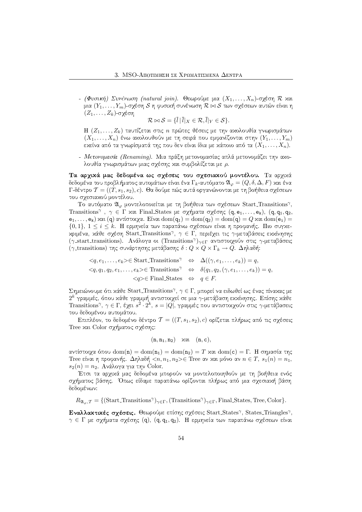- (Φυσική) Συνένωση (natural join). Θεωρούμε μια  $(X_1, \ldots, X_n)$ -σγέση  $\mathcal R$  χαι μια  $(Y_1, \ldots, Y_m)$ -σγέση  $\mathcal S$  η φυσιχή συνένωση  $\mathcal R \bowtie \mathcal S$  των σγέσεων αυτών είναι η  $(Z_1, \ldots, Z_k)$ -σχέση

$$
\mathcal{R} \bowtie \mathcal{S} = \{l \mid l \mid X \in \mathcal{R}, l \mid Y \in \mathcal{S}\}.
$$

Η  $(Z_1,\ldots,Z_k)$  ταυτίζεται στις *η* πρώτες θέσεις με την αχολουθία γνωρισμάτων  $(X_1, \ldots, X_n)$  ένω αχολουθούν με τη σειρά που εμφανίζονται στην  $(Y_1, \ldots, Y_m)$ εχείνα από τα γνωρίσματά της που δεν είναι ίδια με χάποιο από τα  $(X_1, \ldots, X_n)$ .

- Μετονομασία (Renaming). Μια πράξη μετονομασίας απλά μετονομάζει την αχολουθία γνωρισμάτων μιας σχέσης και συμβολίζεται με ρ.

Τα αρχικά μας δεδομένα ως σχέσεις του σχεσιακού μοντέλου. Τα αρχικά δεδομένα του προβλήματος αυτομάτων είναι ένα Γ<sub>κ</sub>-αυτόματο  $\mathfrak{A}_\omega = (Q, \delta, \Delta, F)$  και ένα Γ-δέντρο  $\mathcal{T} = ((T, s_1, s_2), c)$ . Θα δούμε πώς αυτά οργανώνονται με τη βοήθεια σχέσεων του σγεσιακού μοντέλου.

Το αυτόματο  $\mathfrak{A}_{\varphi}$  μοντελοποιείται με τη βοήθεια των σγέσεων Start\_Transitions", Transitions<sup> $\gamma$ </sup>,  $\gamma \in \Gamma$  xx. Final States με σχήματα σχέσης  $(q, e_1, \ldots, e_k)$ ,  $(q, q_1, q_2, \ldots, q_k)$  $(e_1, \ldots, e_k)$  και (q) αντίστοιχα. Είναι  $dom(q_1) = dom(q_2) = dom(q) = Q$  και  $dom(e_i) =$  $\{0,1\}, 1 \leq i \leq k$ . Η ερμηνεία των παραπάνω σχέσεων είναι η προφανής. Πιο συγχεχριμένα, χάθε σχέση Start Transitions<sup>7</sup>,  $\gamma \in \Gamma$ , περιέχει τις γ-μεταβάσεις εχχίνησης (γ\_start\_transitions). Ανάλογα οι (Transitions<sup>γ</sup>)<sub>γεΓ</sub> αντιστοιχούν στις γ-μεταβάσεις (γ-transitions) της συνάρτησης μετάβασης  $\delta: Q \times Q \times \Gamma_k \to Q$ . Δηλαδή:

$$
\langle q, e_1, \dots, e_k \rangle \in \text{Start-Transitions}^{\gamma} \Leftrightarrow \Delta((\gamma, e_1, \dots, e_k)) = q,
$$
  

$$
\langle q, q_1, q_2, e_1, \dots, e_k \rangle \in \text{Transitions}^{\gamma} \Leftrightarrow \delta(q_1, q_2, (\gamma, e_1, \dots, e_k)) = q,
$$
  

$$
\langle q \rangle \in \text{Final States} \Leftrightarrow q \in F.
$$

Σημειώνουμε ότι κάθε Start\_Transitions<sup>γ</sup>,  $\gamma \in \Gamma$ , μπορεί να ειδωθεί ως ένας πίνακας με  $2^k$  γραμμές, όπου χάθε γραμμή αντιστοιχεί σε μια γ-μετάβαση εχχίνησης. Επίσης χάθε Transitions<sup>γ</sup>, γ ∈ Γ, έγει  $s^2 \cdot 2^k$ ,  $s = |Q|$ , γραμμές που αντιστοιγούν στις γ-μετάβασεις του δεδομένου αυτομάτου.

Επιπλέον, το δεδομένο δέντρο  $\mathcal{T} = ((T, s_1, s_2), c)$  ορίζεται πλήρως από τις σχέσεις Tree και Color σχήματος σχέσης:

$$
(n, n_1, n_2) \quad \text{and} \quad (n, c),
$$

αντίστοιχα όπου  $dom(n) = dom(n_1) = dom(n_2) = T$  και  $dom(c) = \Gamma$ . Η σημασία της Tree είναι η προφανής. Δηλαδή  $\langle n, n_1, n_2 \rangle \in$  Tree αν και μόνο αν  $n \in T$ ,  $s_1(n) = n_1$ ,  $s_2(n) = n_2$ . Ανάλογα για την Color.

Έτσι τα αρχικά μας δεδομένα μπορούν να μοντελοποιηθούν με τη βοήθεια ενός σχήματος βάσης. Όπως είδαμε παραπάνω ορίζονται πλήρως από μια σχεσιαχή βάση δεδομένων:

 $R_{\mathfrak{A}_{\alpha},\mathcal{T}} = \{(\text{Start-Transitions}^{\gamma})_{\gamma\in\Gamma}, (\text{Transitions}^{\gamma})_{\gamma\in\Gamma}, \text{Final States}, \text{Tree}, \text{Color}\}.$ 

Εναλλακτικές σχέσεις. Θεωρούμε επίσης σχέσεις Start\_States<sup>7</sup>, States\_Triangles<sup>7</sup>,  $\gamma \in \Gamma$  με σχήματα σχέσης (q), (q, q1, q2). Η ερμηνεία των παραπάνω σχέσεων είναι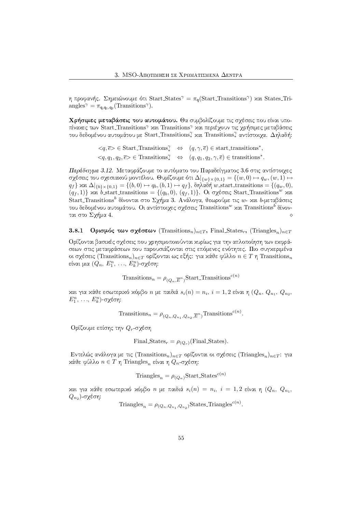η προφανής. Σημειώνουμε ότι Start States<sup> $\gamma = \pi_{\alpha}(\text{Start-Transitions}^{\gamma})$  και States Tri-</sup> angles<sup> $\gamma = \pi_{q,q_1,q_2}(\text{Transitions}\gamma)$ .</sup>

Χρήσιμες μεταβάσεις του αυτομάτου. Θα συμβολίζουμε τις σχέσεις που είναι υποπίναχες των Start Transitions<sup>γ</sup> και Transitions<sup>γ</sup> και περιέχουν τις χρήσιμες μεταβάσεις του δεδομένου αυτομάτου με Start\_Transitions, και Transitions, αντίστοιχα. Δηλαδή:

> $\langle q, \overline{e} \rangle \in$  Start Transitions<sup> $\gamma$ </sup>  $\Leftrightarrow$   $(q, \gamma, \overline{e}) \in$  start transitions<sup>\*</sup>,  $\langle q, q_1, q_2, \overline{e} \rangle \in$  Transitions<sup>7</sup>  $\Leftrightarrow$   $(q, q_1, q_2, \gamma, \overline{e}) \in$  transitions<sup>\*</sup>.

Παράδειγμα 3.12. Μεταφράζουμε το αυτόματο του Παραδείγματος 3.6 στις αντίστοιχες σχέσεις του σχεσιαχού μοντέλου. Θυμίζουμε ότι  $\Delta|_{\{w\}\times\{0,1\}} = \{(w,0)\mapsto q_w,(w,1)\mapsto$  $q_f$ }  $\tan \Delta|_{\{b\}\times\{0,1\}} = \{(b,0) \mapsto q_b, (b,1) \mapsto q_f\}$ ,  $\delta\eta\lambda\alpha\delta\eta$  w start transitions =  $\{(q_w,0),$  $(q_f, 1)$  και b\_start\_transitions = {(q<sub>b</sub>, 0), (q<sub>f</sub>, 1)}. Οι σχέσεις Start\_Transitions<sup>w</sup> και Start Transitions<sup>b</sup> δίνονται στο Σχήμα 3. Ανάλογα, θεωρούμε τις *w*- χαι b-μεταβάσεις του δεδομένου αυτομάτου. Οι αντίστοιχες σχέσεις Transitions<sup>w</sup> και Transitions<sup>b</sup> δίνονται στο Σχήμα 4.  $\Diamond$ 

Ορισμός των σχέσεων (Transitions<sub>n</sub>)<sub>nε</sub><sub>T</sub>, Final States<sub>r</sub>, (Triangles<sub>n</sub>)<sub>nε</sub><sub>T</sub>  $3.8.1$ 

Ορίζονται βασικές σχέσεις που χρησιμοποιούνται κυρίως για την απλοποίηση των εκφράσεων στις μεταφράσεων που παρουσιάζονται στις επόμενες ενότητες. Πιο συγχεριμένα οι σχέσεις (Transitions<sub>n</sub>)<sub>n∈Τ</sub> ορίζονται ως εξής: για κάθε φύλλο  $n \in T$  η Transitions<sub>n</sub> είναι μια  $(Q_n, E_1^n, \ldots, E_k^n)$ -σχέση:

 $\label{eq:transitions} \text{Transitions}_n = \rho_{(Q_n, \overline{E}^n)} \text{Start\_Transitions}^{c(n)}$ 

και για κάθε εσωτερικό κόμβο *n* με παιδιά  $s_i(n) = n_i$ ,  $i = 1, 2$  είναι η  $(Q_n, Q_{n_1}, Q_{n_2}, Q_n)$  $E_1^n$ , ...,  $E_k^n$ )-σχέση:

Transitions<sub>n</sub> =  $\rho_{(Q_n,Q_n, Q_n, \overline{E}^n)}$ Transitions<sup>c(n)</sup>.

Ορίζουμε επίσης την  $Q_r$ -σχέση

Final States<sub>r</sub> = 
$$
\rho_{(Q_r)}
$$
 (Final States).

Εντελώς ανάλογα με τις (Transitions<sub>n</sub>)<sub>n ε</sub> ορίζονται οι σχέσεις (Triangles<sub>n</sub>)<sub>n ε</sub> για κάθε φύλλο  $n \in T$  η Triangles<sub>n</sub> είναι η  $Q_n$ -σχέση:

Triangle<sub>n</sub> = 
$$
\rho_{(O_n)}
$$
Start States<sup>c(n)</sup>

και για κάθε εσωτερικό κόμβο *n* με παιδιά  $s_i(n) = n_i$ ,  $i = 1,2$  είναι η  $(Q_n, Q_n)$  $Q_{n_2}$ )-σχέση:

Triangles<sub>n</sub> =  $\rho_{(Q_n, Q_n, Q_n)}$ States Triangles<sup>c(n)</sup>.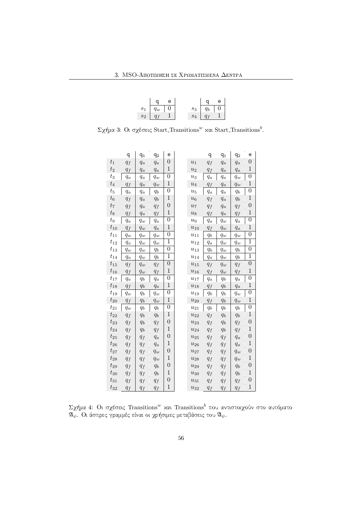| a le                    |       | $\alpha$            | e |
|-------------------------|-------|---------------------|---|
| $s_1 \quad q_w \quad 0$ | $s_3$ | $q_b$ 0             |   |
| $s_2 \mid q_f \mid 1$   |       | $s_4 \mid q_f \mid$ |   |

 $\Sigma$ χήμα 3: Οι σχέσεις Start Transitions $^w$  και Start Transitions $^b$ .

|                | q                    | $q_1$                | $q_2$                | e                |                       | q     | $q_1$                | $q_2$   | e                |  |
|----------------|----------------------|----------------------|----------------------|------------------|-----------------------|-------|----------------------|---------|------------------|--|
| $t_{\rm 1}$    | $q_f$                | $q_a$                | $q_a$                | $\boldsymbol{0}$ | $u_1$                 | $q_f$ | $q_a$                | $q_a$   | $\boldsymbol{0}$ |  |
| $t_2$          | $q_f$                | $q_{a}$              | $q_{a}$              | $\mathbf{1}$     | $u_2$                 | $q_f$ | $q_{a}$              | $q_{a}$ | $\mathbf{1}$     |  |
| $t_3$          | $q_a$                | $q_a$                | $q_w$                | 0                | $u_3$                 | $q_a$ | $q_a$                | $q_w$   | $\boldsymbol{0}$ |  |
| $t_4$          | $q_f$                | $q_a$                | $q_w$                | $\,1\,$          | $u_4$                 | $q_f$ | $q_a$                | $q_w$   | $\mathbf{1}$     |  |
| $t_5$          | $q_{\boldsymbol{a}}$ | $q_a$                | $q_b$                | $\boldsymbol{0}$ | $\bar{u}_5$           | $q_a$ | $q_a$                | $q_b$   | $\boldsymbol{0}$ |  |
| $t_6$          | $q_f$                | $q_{\boldsymbol{a}}$ | $\mathfrak{q}_b$     | $\overline{1}$   | $u_6$                 | $q_f$ | $q_a$                | $q_b$   | $\overline{1}$   |  |
| $t_7$          | $q_f$                | $q_a$                | $q_f$                | $\boldsymbol{0}$ | $u_7$                 | $q_f$ | $q_a$                | $q_f$   | $\boldsymbol{0}$ |  |
| $t_8$          | $q_f$                | $q_{a}$              | $q_f$                | $\mathbf{1}$     | $u_{8}$               | $q_f$ | $q_{\boldsymbol{a}}$ | $q_f$   | $1\,$            |  |
| $\sqrt{t_{9}}$ | $q_a$                | $q_w$                | $q_a$                | 0                | u <sub>9</sub>        | $q_a$ | $q_w$                | $q_a$   | $\boldsymbol{0}$ |  |
| $t_{10}$       | $q_f$                | $q_w$                | $q_a$                | $\mathbf{1}$     | $u_{10}$              | $q_f$ | $q_w$                | $q_{a}$ | $\mathbf{1}$     |  |
| $t_{11}$       | $q_w$                | $q_w$                | $q_w$                | $\overline{0}$   | $u_{11}$              | $q_b$ | $q_{w}$              | $q_w$   | $\overline{0}$   |  |
| $t_{12}$       | $q_{\boldsymbol{a}}$ | $q_w$                | $q_w$                | 1                | $u_{12}$              | $q_a$ | $q_w$                | $q_w$   | $\mathbf{1}$     |  |
| $t_{13}$       | $q_w$                | $q_{w}$              | $q_b$                | 0                | $\boldsymbol{u_{13}}$ | $q_b$ | $q_w$                | $q_b$   | $\boldsymbol{0}$ |  |
| $t_{14}$       | $q_a$                | $q_w$                | $q_b$                | 1                | $u_{14}$              | $q_a$ | $q_w$                | $q_b$   | 1                |  |
| $t_{15}$       | $q_f$                | $q_w$                | $q_f$                | $\boldsymbol{0}$ | $u_{15}$              | $q_f$ | $q_w$                | $q_f$   | $\boldsymbol{0}$ |  |
| $t_{\rm 16}$   | $q_f$                | $q_w$                | $q_f$                | $\mathbf{1}$     | $u_{16}$              | $q_f$ | $q_w$                | $q_f$   | $\mathbf{1}$     |  |
| $t_{17}$       | $q_a$                | $q_b$                | $q_a$                | $\overline{0}$   | $\boldsymbol{u}_{17}$ | $q_a$ | $q_b$                | $q_a$   | $\overline{0}$   |  |
| $t_{18}$       | $q_f$                | $q_b$                | $q_{\boldsymbol{a}}$ | $\,1$            | $\bar{u}_{18}$        | $q_f$ | $q_b\,$              | $q_a$   | $\,1$            |  |
| $t_{19}$       | $q_w$                | $q_b$                | $q_w$                | $\boldsymbol{0}$ | $u_{19}$              | $q_b$ | $q_b$                | $q_w$   | $\boldsymbol{0}$ |  |
| $t_{20}$       | $q_f$                | $q_b$                | $q_w$                | $1\,$            | $u_{20}$              | $q_f$ | $q_b$                | $q_w$   | $\mathbf 1$      |  |
| $t_{21}$       | $q_{w}$              | $q_b$                | $q_b$                | $\overline{0}$   | $\boldsymbol{u}_{21}$ | $q_b$ | $q_b$                | $q_b$   | $\overline{0}$   |  |
| $t_{22}$       | $q_f$                | $q_b$                | $q_{\mathfrak{b}}$   | $\,1\,$          | $u_{22}$              | $q_f$ | $q_b$                | $q_b\,$ | $\,1\,$          |  |
| $t_{23}$       | $q_f$                | $q_b$                | $q_f$                | $\boldsymbol{0}$ | $u_{23}$              | $q_f$ | $q_b$                | $q_f$   | $\boldsymbol{0}$ |  |
| $t_{24}$       | $q_f$                | $q_b$                | $q_f$                | $\,1$            | $u_{24}$              | $q_f$ | $q_b$                | $q_f$   | $\,1$            |  |
| $t_{25}$       | $q_f$                | $q_f$                | $q_{a}$              | $\boldsymbol{0}$ | $u_{25}$              | $q_f$ | $q_f$                | $q_{a}$ | $\boldsymbol{0}$ |  |
| $t_{26}$       | $q_f$                | $q_f$                | $q_a$                | $\,1$            | $\bar{u}_{26}$        | $q_f$ | $q_f$                | $q_a$   | $\,1$            |  |
| $t_{27}$       | $q_f$                | $q_f$                | $q_w$                | $\boldsymbol{0}$ | $u_{27}$              | $q_f$ | $q_f$                | $q_w$   | $\boldsymbol{0}$ |  |
| $t_{28}$       | $q_f$                | $q_f$                | $q_w$                | 1                | $\boldsymbol{u_{28}}$ | $q_f$ | $q_f$                | $q_{w}$ | 1                |  |
| $t_{29}$       | $q_f$                | $q_f$                | $q_{\mathfrak{b}}$   | $\boldsymbol{0}$ | $\bar{u}_{29}$        | $q_f$ | $q_f$                | $q_b$   | $\boldsymbol{0}$ |  |
| $t_{30}$       | $q_f$                | $q_f$                | $\mathfrak{q}_b$     | $\,1$            | $u_{30}$              | $q_f$ | $q_f$                | $q_b$   | $\,1\,$          |  |
| $t_{31}$       | $q_f$                | $q_f$                | $q_f$                | $\boldsymbol{0}$ | $u_{31}$              | $q_f$ | $q_f$                | $q_f$   | $\boldsymbol{0}$ |  |
| $t_{32}$       | $q_f$                | $q_f$                | $q_f$                | $\,1$            | $u_{32}$              | $q_f$ | $q_f$                | $q_f$   | $\,1$            |  |

 $\Sigma$ χήμα 4: Οι σχέσεις Transitions $^w$  χαι Transitions $^b$  που αντιστοιχούν στο αυτόματο  $\mathfrak{A}_\psi$ . Οι άσπρες γραμμές είναι οι χρήσιμες μεταβάσεις του  $\mathfrak{A}_\psi.$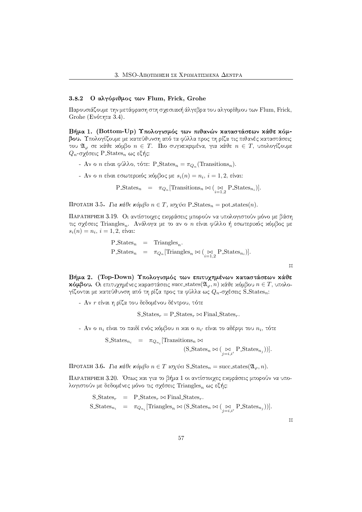#### Ο αλγόριθμος των Flum, Frick, Grohe  $3.8.2$

Παρουσιάζουμε την μετάφραση στη σχεσιακή άλγεβρα του αλγορίθμου των Flum, Frick, Grohe (Ενότητα 3.4).

Βήμα 1. (Bottom-Up) Υπολογισμός των πιθανών καταστάσεων κάθε κόμβου. Υπολογίζουμε με χατεύθυνση από τα φύλλα προς τη ρίζα τις πιθανές χαταστάσεις του  $\mathfrak{A}_{\varphi}$  σε κάθε κόμβο  $n \in T$ . Πιο συγκεκριμένα, για κάθε  $n \in T$ , υπολογίζουμε  $Q_n$ -σχέσεις P States<sub>n</sub> ως εξής:

- Αν ο *n* είναι φύλλο, τότε: P\_States<sub>n</sub> =  $\pi_{Q_n}$  (Transitions<sub>n</sub>).
- Αν ο *η* είναι εσωτερικός κόμβος με  $s_i(n) = n_i$ ,  $i = 1, 2$ , είναι:

 $P_{\text{.}}(n) = \pi_{Q_n}[\text{Transitions}_n \bowtie (\underset{i=1,2}{\bowtie} P_{\text{.}}(n)].$ 

ΠΡΟΤΑΣΗ 3.5. Για κάθε κόμβο  $n \in T$ , ισχύει P\_States<sub>n</sub> = pot\_states(n).

ΠΑΡΑΤΗΡΗΣΗ 3.19. Οι αντίστοιχες εχφράσεις μπορούν να υπολογιστούν μόνο με βάση τις σχέσεις Triangles,. Ανάλογα με το αν ο *η* είναι φύλλο ή εσωτερικός κόμβος με  $s_i(n) = n_i, i = 1, 2,$  είναι:

> $P_{\text{States}_n} = \text{Triangle}_n.$ P\_States<sub>n</sub> =  $\pi_{Q_n}$  [Triangles<sub>n</sub>  $\bowtie$  ( $\underset{i=1}{\bowtie}$  P\_States<sub>n<sub>i</sub></sub>)].

> > $\mathsf{M}$

Βήμα 2. (Top-Down) Υπολογισμός των επιτυχημένων καταστάσεων κάθε **κόμβου.** Οι επιτυγημένες καραστάσεις succ\_states( $\mathfrak{A}_{\varphi}, n$ ) κάθε κόμβου  $n \in T$ , υπολογίζονται με κατεύθυνση από τη ρίζα προς τα φύλλα ως  $Q_n$ -σχέσεις S\_States<sub>n</sub>:

- Αν η είναι η ρίζα του δεδομένου δέντρου, τότε

S States<sub>r</sub> = P States<sub>r</sub>  $\bowtie$  Final States<sub>r</sub>.

- Αν ο  $n_i$  είναι το παιδί ενός χόμβου  $n$  χαι ο  $n_{i'}$  είναι το αδέρφι του  $n_i$ , τότε

 $\label{eq:1} \begin{array}{lll} \text{S}\text{-States}_{n_i} & = & \pi_{Q_{n_i}}[\text{Transitions}_n \Join \end{array}$  $(S\_States_n \bowtie (\underset{i=i,i'}{\bowtie} P\_States_{n_j}))].$ 

ΠΡΟΤΑΣΗ 3.6. Για κάθε κόμβο  $n \in T$  ισχύει S\_States<sub>n</sub> = succ\_states( $\mathfrak{A}_{\varphi}, n$ ).

ΠΑΡΑΤΗΡΗΣΗ 3.20. Όπως και για το βήμα 1 οι αντίστοιχες εκφράσεις μπορούν να υπολογιστούν με δεδομένες μόνο τις σχέσεις Triangles, ως εξής:

$$
\begin{array}{rcl}\n\text{S-States}_{r} & = & \text{P-States}_{r} \bowtie \text{Final-States}_{r}.\n\end{array}
$$
\n
$$
\text{S-States}_{n_{i}} = \pi_{Q_{n_{i}}}[\text{Triangles}_{n} \bowtie (\text{S-States}_{n} \bowtie (\bigcup_{j=i,i'} \text{P-States}_{n_{j}}))].
$$

 $\Box$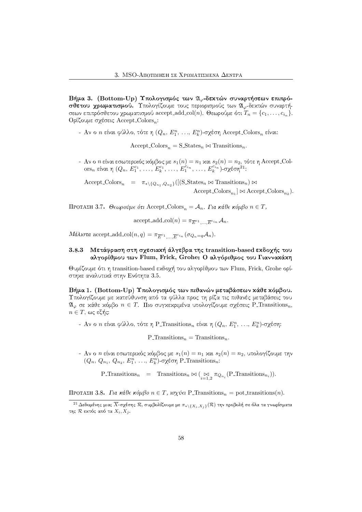Βήμα 3. (Bottom-Up) Υπολογισμός των 21 δεκτών συναρτήσεων επιπρόσθετου χρωματισμού. Υπολογίζουμε τους περιορισμούς των  $\mathfrak{A}_{\varphi}$ -δεχτών συναρτήσεων επιπρόσθετου χρωματισμού accept\_add\_col(n). Θεωρούμε ότι  $T_n = \{c_1, \ldots, c_{i_n}\}.$ Ορίζουμε σχέσεις Accept Colors,:

- Αν ο η είναι φύλλο, τότε η  $(Q_n, E_1^n, ..., E_k^n)$ -σχέση Accept Colors, είναι:

 $Accept\_Colors_n = S\_States_n \bowtie$  Transitions<sub>n</sub>.

- Αν ο $n$ είναι εσωτερικός κόμβος με $s_1(n)=n_1$ και $s_2(n)=n_2$ τότε $\eta$  Accept\_Colors, είναι  $\eta$   $(Q_n,$   $E_1^{c_1},$ ...,  $E_k^{c_1},$ ...,  $E_1^{c_{i_n}},$ ...,  $E_k^{c_{i_n}})$ -σχέση<sup>21</sup>:

 $\text{Accept\_Colors}_n = \pi_{\ast \setminus \{Q_{n_1}, Q_{n_2}\}}([\text{(S\_States}_n \bowtie \text{Transitions}_n) \bowtie$  $\text{Accept\_Colors}_{n_1} \otimes \text{Accept\_Colors}_{n_2}.$ 

ΠΡΟΤΑΣΗ 3.7. Θεωρούμε ότι Accept Colors<sub>n</sub> =  $A_n$ . Για κάθε κόμβο  $n \in T$ ,

 $\mathrm{accept\_add\_col}(n) = \pi_{\overline{E}^{c_1}, \dots, \overline{E}^{c_{i_n}}}\mathcal{A}_n.$ 

Mάλιστα accept\_add\_col(n, q) =  $\pi_{\overline{E}^{c_1} \dots E^{c_{i_n}}}(\sigma_{Q_n=q} \mathcal{A}_n)$ .

### Μετάφραση στη σχεσιακή άλγεβρα της transition-based εκδοχής του  $3.8.3$ αλγορίθμου των Flum, Frick, Grohe: Ο αλγόριθμος του Γιαννακάκη

Θυμίζουμε ότι η transition-based εκδοχή του αλγορίθμου των Flum, Frick, Grohe opiστηκε αναλυτικά στην Ενότητα 3.5.

Βήμα 1. (Bottom-Up) Υπολογισμός των πιθανών μεταβάσεων κάθε κόμβου. Υπολογίζουμε με χατεύθυνση από τα φύλλα προς τη ρίζα τις πιθανές μεταβάσεις του  $\mathfrak{A}_{\varphi}$  σε κάθε κόμβο  $n \in T$ . Πιο συγκεκριμένα υπολογίζουμε σχέσεις P\_Transitions<sub>n</sub>,  $n \in T$ , ως εξής:

- Αν ο *η* είναι φύλλο, τότε η P\_Transitions<sub>n</sub> είναι η  $(Q_n, E_1^n, ..., E_k^n)$ -σχέση:

P Transitions<sub>n</sub> = Transitions<sub>n</sub>.

- Αν ο n είναι εσωτερικός κόμβος με  $s_1(n) = n_1$  και  $s_2(n) = n_2$ , υπολογίζουμε την  $(Q_n, Q_{n_1}, Q_{n_2}, E_1^n, ..., E_k^n)$ -σχέση P\_Transitions<sub>n</sub>:

P\_Transitions<sub>n</sub> = Transitions<sub>n</sub>  $\bowtie$  ( $\bowtie_{i=1}^{\infty} \pi_{Q_{n_i}}(\text{P\_Transitions}_{n_i})$ ).

ΠΡΟΤΑΣΗ 3.8. Για κάθε κόμβο  $n \in T$ , ισχύει P\_Transitions<sub>n</sub> = pot\_transitions(n).

 $\overline{^{21}\Delta\epsilon\delta}$ ομένης μιας  $\overline{X}$ -σχέσης  $\mathcal R,$  συμβολίζουμε με  $\pi_{*\setminus\{X_i,X_j\}}(\mathcal R)$  την προβολή σε όλα τα γνωρίσματα της  $\mathcal R$  εκτός από τα  $X_i, X_j$ .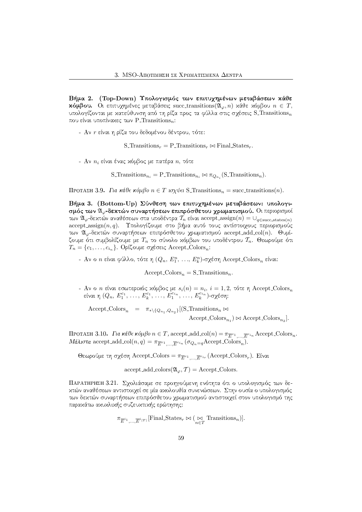Βήμα 2. (Top-Down) Υπολογισμός των επιτυχημένων μεταβάσεων κάθε **χόμβου.** Οι επιτυχημένες μεταβάσεις succ\_transitions( $\mathfrak{A}_{\varphi}, n$ ) χάθε χόμβου  $n \in T$ , υπολογίζονται με κατεύθυνση από τη ρίζα προς τα φύλλα στις σχέσεις S\_Transitionsn που είναι υποπίνακες των P\_Transitions<sub>n</sub>:

- Αν η είναι η ρίζα του δεδομένου δέντρου, τότε:

S\_Transitions<sub>r</sub> = P\_Transitions<sub>r</sub>  $\bowtie$  Final States<sub>r</sub>.

- Αν  $n_i$  είναι ένας χόμβος με πατέρα  $n$ , τότε

S\_Transitions<sub>n<sub>i</sub></sub> = P\_Transitions<sub>n<sub>i</sub></sub>  $\bowtie$   $\pi_{Q_n}$  (S\_Transitions<sub>n</sub>).

ΠΡΟΤΑΣΗ 3.9. Για κάθε κόμβο  $n \in T$  ισχύει S\_Transitions<sub>n</sub> = succ\_transitions(n).

Βήμα 3. (Bottom-Up) Σύνθεση των επιτυχημένων μεταβάσεων: υπολογισμός των  $\mathfrak{A}_{\omega}$ -δεκτών συναρτήσεων επιπρόσθετου γρωματισμού. Οι περιορισμοί των  $\mathfrak{A}_{\varphi}$ -δεκτών αναθέσεων στα υποδέντρα  $\mathcal{T}_n$  είναι accept\_assign $(n) = \bigcup_{q \in \text{succ\_states}(n)}$  ${\rm accept.} {\rm assign}(n,q).$  Υπολογίζουμε στο βήμα αυτό τους αντίστοιχους περιορισμούς των  $\mathfrak{A}_{\varphi}$ -δεχτών συναρτήσεων επιπρόσθετου χρωματισμού accept\_add\_col(n). Θυμίζουμε ότι συμβολίζουμε με  $T_n$  το σύνολο χόμβων του υποδέντρου  $\mathcal{T}_n.$  Θεωρούμε ότι  $T_n = \{c_1, \ldots, c_{i_n}\}.$  Ορίζουμε σχέσεις Accept Colors<sub>n</sub>:

- Αν ο *η* είναι φύλλο, τότε η  $(Q_n, E_1^n, ..., E_k^n)$ -σχέση Accept\_Colors<sub>n</sub> είναι:

 $Accept\_Colors_n = S\_Transitions_n.$ 

- Αν ο *n* είναι εσωτερικός κόμβος με  $s_i(n) = n_i$ ,  $i = 1, 2$ , τότε η Accept Colors<sub>n</sub> είναι η  $(Q_n, E_1^{c_1}, \ldots, E_k^{c_1}, \ldots, E_1^{c_{i_n}}, \ldots, E_k^{c_{i_n}})$  σχέση:

Accept\_Colors<sub>n</sub> =  $\pi_{* \setminus \{Q_{n_1}, Q_{n_2}\}}[(S_$ Transitions<sub>n</sub>  $\bowtie$ 

 $Accept\_{ColorS_{n_1}}) \bowtie Accept\_{ColorS_{n_2}}].$ 

ΠΡΟΤΑΣΗ 3.10. Για κάθε κόμβο  $n \in T$ , accept\_add\_col(n) =  $\pi_{\overline{E}^{c_1}, \dots, \overline{E}^{c_i}}$  Accept\_Colors<sub>n</sub>. *Μάλιστα* accept\_add\_col(*n*, *q*) =  $\pi_{\overline{E}^{c_1} \dots \overline{E}^{c_i} n} (\sigma_{Q_n=q} \text{Accept\_Colors}_n)$ .

Θεωρούμε τη σχέση Accept\_Colors =  $\pi_{\overline{E}^{c_1} \dots \overline{E}^{c_{ir}}}$  (Accept\_Colors<sub>r</sub>). Είναι

 $accept\_add\_colors(\mathfrak{A}_{\varphi}, \mathcal{T}) = Accept\_colors.$ 

ΠΑΡΑΤΗΡΗΣΗ 3.21. Σχολιάσαμε σε προηγούμενη ενότητα ότι ο υπολογισμός των δεχτών αναθέσεων αντιστοιγεί σε μία αχολουθία συνενώσεων. Στην ουσία ο υπολογισμός των δεχτών συναρτήσεων επιπρόσθετου χρωματισμού αντιστοιχεί στον υπολογισμό της παρακάτω ακυκλικής συζευκτικής ερώτησης:

 $\pi_{\overline{E}^{i_1}, \dots, \overline{E}^{i_{|T|}}}$ [Final\_States<sub>r</sub>  $\bowtie$  ( $\underset{n \in T}{\bowtie}$  Transitions<sub>n</sub>)].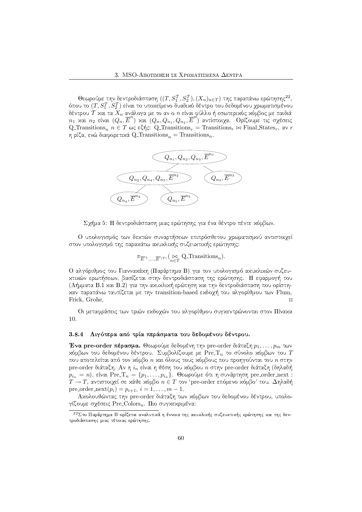Θεωρούμε την δεντροδιάσπαση  $((T, S_1^{\mathcal{T}}, S_2^{\mathcal{T}}), (X_n)_{n\in T})$  της παραπάνω ερώτησης $^{22},$ όπου το  $(T, S_1^{\mathcal{T}}, S_2^{\mathcal{T}})$  είναι το υποχείμενο δυαδιχό δέντρο του δεδομένου χρωματισμένου δέντρου  $\mathcal T$  και τα  $X_n$  ανάλογα με το αν ο  $n$  είναι φύλλο ή εσωτερικός κόμβος με παιδιά  $n_1$  χαι  $n_2$  είναι  $(Q_n^{'}, \overline{E}^n)$  χαι  $(Q_n, Q_{n_1}, Q_{n_2}, \overline{E}^n)$  αντίστοιχα. Ορίζουμε τις σχέσεις  $Q$  Transitions<sub>n</sub>  $n \in T$  ως εξής: Q Transitions<sub>r</sub> = Transitions<sub>r</sub>  $\bowtie$  Final States<sub>r</sub>, αν r η ρίζα, ενώ διαφορετικά Q\_Transitions $_n = \text{Transitions}_n$ .



Σγήμα 5: Η δεντροδιάσπαση μιας ερώτησης για ένα δέντρο πέντε χόμβων.

Ο υπολογισμός των δεχτών συναρτήσεων επιπρόσθετου γρωματισμού αντιστοιγεί στον υπολογισμό της παραχάτω αχυχλιχής συζευχτιχής ερώτησης:

$$
\pi_{\overline{E}^{i_1},\ldots,\overline{E}^{i_{|T|}}}(\underset{n\in T}{\bowtie} \text{Q-Transitions}_n).
$$

Ο αλγόριθμος του Γιανναχάχη (Παράρτημα Β) για τον υπολογισμό αχυχλιχών συζευxτιχών ερωτήσεων, βασίζεται στην δεντροδιάσπαση της ερώτησης. Η εφαρμογή του (Λήμματα Β.1 χαι Β.2) για την αχυχλιχή ερώτηση χαι την δεντροδιάσπαση που ορίστηχαν παραπάνω ταυτίζεται με την transition-based εχδοχή του αλγορίθμου των Flum, Frick, Grohe.  $\mathcal{M}_{\mathcal{A}}$ 

Οι μεταφράσεις των τριών εχδοχών του αλγορίθμου συγχεντρώνονται στον Πίναχα  $10.$ 

#### - - -8.4 - Λιγότερα από τρία περάσματα του δεδομένου δέντρου

Ένα pre-order πέρασμα. Θεωρούμε δεδομένη την pre-order διάταξη  $p_1, \ldots, p_m$  των χόμβων του δεδομένου δέντρου. Συμβολίζουμε με  $\text{Pre\_T}_n$  το σύνολο χόμβων του  $T$ που αποτελείται από τον χόμβο  $n$  χαι όλους τους χόμβους που προηγούνται του  $n$  στην pre-order διάταξη. Αν η  $i_n$  είναι η θέση του κόμβου  $n$  στην pre-order διάταξη (δηλαδή  $p_{i_n} = n)$ , είναι  $\text{Pre\_T}_n = \{p_1, \ldots, p_{i_n}\}.$  Θεωρούμε ότι η συνάρτηση  $\text{pre\_order\_next} :$  $T\to T,$  αντιστοιχεί σε χάθε χόμβο  $n\in T$  τον 'pre-order επόμενο χόμβο' του.  $\Delta\eta$ λαδή pre order  $next(p_i) = p_{i+1}, i = 1, ..., m - 1.$ 

Ακολουθώντας την pre-order διάταξη των κόμβων του δεδομένου δέντρου, υπολογίζουμε σχέσεις  $\mathrm{Pre\_Colors}_n.$  Πιο συγχεχριμένα:

 $^{22}\Sigma$ το Παράρτημα Β ορίζεται αναλυτικά η έννοια της αχυχλιχής συζευχτιχής ερώτησης χαι της δεντροδιάσπασης μιας τέτοιας ερώτησης.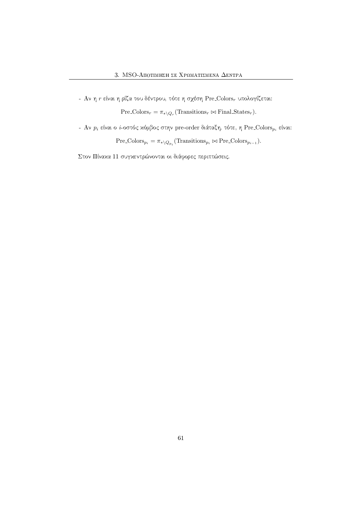- Αν η  $r$  είναι η ρίζα του δέντρου, τότε η σχέση Pre Colors, υπολογίζεται:

 $Pre\text{-}Colors_r = \pi_{*\setminus Q_r}(\text{Transitions}_r \bowtie \text{Final-States}_r).$ 

- Αν $p_i$  είναι ο *i*-οστός κόμβος στην pre-order διάταξη, τότε, η Pre Colors $_{p_i}$  είναι:

 $Pre\text{-}Colors_{p_i} = \pi_{\ast \setminus Q_{p_i}}(\text{Transitions}_{p_i} \bowtie \text{Pre\text{-}Colors}_{p_{i-1}}).$ 

Στον Πίναχα 11 συγχεντρώνονται οι διάφορες περιπτώσεις.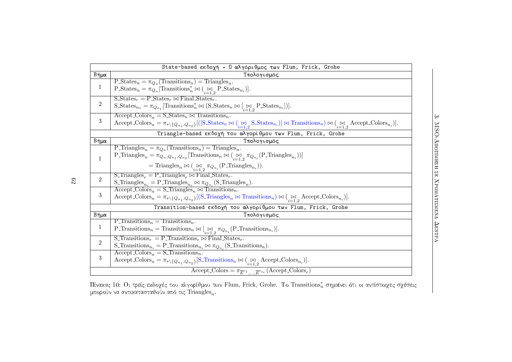|                                                             | State-based εκδοχή - Ο αλγόριθμος των Flum, Frick, Grohe                                                                                                                                                                                                                                                                                                                                            |  |  |  |  |  |  |
|-------------------------------------------------------------|-----------------------------------------------------------------------------------------------------------------------------------------------------------------------------------------------------------------------------------------------------------------------------------------------------------------------------------------------------------------------------------------------------|--|--|--|--|--|--|
| Βήμα                                                        | Τπολογισμός                                                                                                                                                                                                                                                                                                                                                                                         |  |  |  |  |  |  |
| $\mathbf{1}$                                                | $P_{\text{-}States_n} = \pi_{Q_n}(\text{Transitions}_n) = \text{Triangles}_n.$<br>$\text{P-States}_n = \pi_{Q_n}[\text{Transitions}_n^* \bowtie (\underset{i=1,2}{\bowtie} \text{P-States}_{n_i})].$                                                                                                                                                                                                |  |  |  |  |  |  |
| $\overline{2}$                                              | $S_{\cdot}$ States <sub>r</sub> = P_States <sub>r</sub> $\bowtie$ Final States <sub>r</sub><br>S_States <sub>n1</sub> = $\pi_{Q_{n_1}}$ [Transitions <sub>n</sub> <sup>*</sup> $\bowtie$ (S_States <sub>n</sub> $\bowtie$ [ $\underset{i=1,2}{\bowtie}$ P_States <sub>n<sub>i</sub>])].</sub>                                                                                                       |  |  |  |  |  |  |
| $\mathbf{3}$                                                | $\text{Accept\text{-}Colors}_n = \text{S}\text{-}States_n \bowtie \text{Transitions}_n.$<br>$\text{Accept-Colors}_n = \pi_{\ast} \setminus \{Q_{n_1}, Q_{n_2}\} [(\text{[S\_States}_n \bowtie (\text{[S\_States}_n) ] \bowtie \text{Transitions}_n) \bowtie (\text{[S\_Access}_n) ]$ .                                                                                                              |  |  |  |  |  |  |
| Triangle-based εκδοχή του αλγορίθμου των Flum, Frick, Grohe |                                                                                                                                                                                                                                                                                                                                                                                                     |  |  |  |  |  |  |
| Βήμα                                                        | Τπολογισμός                                                                                                                                                                                                                                                                                                                                                                                         |  |  |  |  |  |  |
| $\mathbf{1}$                                                | P_Triangles <sub>n</sub> = $\pi_{Q_n}$ (Transitions <sub>n</sub> ) = Triangles <sub>n</sub> .<br>P_Triangles <sub>n</sub> = $\pi_{Q_n, Q_{n_1}, Q_{n_2}}$ [Transitions <sub>n</sub> $\bowtie$ ( $\underset{i=1}{\bowtie} \pi_{Q_{n_i}}$ (P_Triangles <sub>n<sub>i</sub></sub> ))]<br>= Triangles <sub>n</sub> $\bowtie$ ( $\bowtie_{i=1,2} \pi_{Q_{n_i}}$ (P_Triangles <sub>n<sub>i</sub></sub> )). |  |  |  |  |  |  |
| $\overline{2}$                                              | S Triangles <sub>r</sub> = P Triangles <sub>r</sub> $\bowtie$ Final States <sub>r</sub> .<br>$\label{eq:optimal} \begin{aligned} \textbf{\textit{S}\text{\_Triangles}}_{n_i} = \textbf{\textit{P}\text{\_Triangles}}_{n_i} \bowtie \pi_{Q_{n_i}}(\textbf{\textit{S}\text{\_Triangles}}_n). \end{aligned}$                                                                                           |  |  |  |  |  |  |
| 3                                                           | $\text{Accept-Colors}_n = \text{S-Triangles}_n \bowtie \text{Transitions}_n.$<br>$\text{Accept\_Colors}_n = \pi_{* \setminus \{Q_{n_1}, Q_{n_2}\}}[(\text{S\_Triangles}_n \bowtie \text{Transitions}_n) \bowtie (\text{S}_{i=1, 2} \text{Accept\_Colors}_{n_i})].$                                                                                                                                  |  |  |  |  |  |  |
|                                                             | Transition-based εκδοχή του αλγορίθμου των Flum, Frick, Grohe                                                                                                                                                                                                                                                                                                                                       |  |  |  |  |  |  |
| Βήμα                                                        | Υπολογισμός                                                                                                                                                                                                                                                                                                                                                                                         |  |  |  |  |  |  |
| $\mathbf{1}$                                                | P_Transitions <sub>n</sub> = Transitions <sub>n</sub> .<br>P_Transitions <sub>n</sub> = Transitions <sub>n</sub> $\bowtie$ [ $\underset{i=1}{\bowtie} \pi_{Q_{n_i}}$ (P_Transitions <sub>n<sub>i</sub></sub> )].                                                                                                                                                                                    |  |  |  |  |  |  |
| $\overline{2}$                                              | S Transitions <sub>r</sub> = P Transitions <sub>r</sub> $\bowtie$ Final States <sub>r</sub> .<br>S_Transitions <sub>n<sub>i</sub></sub> = P_Transitions <sub>n<sub>i</sub></sub> $\bowtie$ $\pi_{Q_{n_i}}$ (S_Transitions <sub>n</sub> ).                                                                                                                                                           |  |  |  |  |  |  |
| $\sqrt{3}$                                                  | $Accept\text{-}Colors_n = S\text{-}Transitions_n.$<br>Accept_Colors <sub>n</sub> = $\pi_{*}\setminus \{Q_{n_1}, Q_{n_2}\}$ [S_Transitions <sub>n</sub> $\bowtie$ ( $\underset{i=1}{\bowtie}$ Accept_Colors <sub>n<sub>i</sub></sub> )].                                                                                                                                                             |  |  |  |  |  |  |
|                                                             | Accept Colors = $\pi_{\overline{E}^{c_1} \dots \overline{E}^{c_{ir}}}$ (Accept Colors <sub>r</sub> )                                                                                                                                                                                                                                                                                                |  |  |  |  |  |  |

ίνακας 10: Οι τρείς εκδοχές του αλγορίθμου των Flum, Frick, Grohe. Το Transitions\*, σημαίνει ότι οι αντίστοιχες σχέσει<br>- - - «'ων αντανουσιστού κίνωσά το Trianslat μπορούν να αντικατασταθούν από τις Triangles $_n.$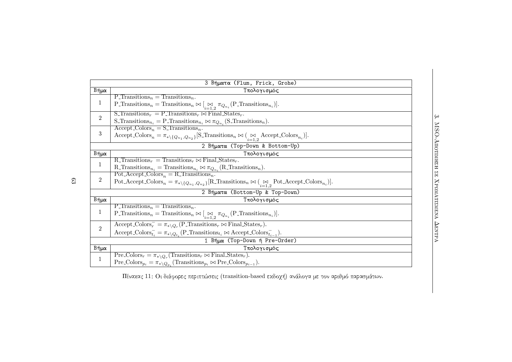|                                 | 3 Βήματα (Flum, Frick, Grohe)                                                                                                                                                                                                                        |  |  |  |  |  |  |
|---------------------------------|------------------------------------------------------------------------------------------------------------------------------------------------------------------------------------------------------------------------------------------------------|--|--|--|--|--|--|
| Βήμα                            | Υπολογισμός                                                                                                                                                                                                                                          |  |  |  |  |  |  |
| 1                               | P Transitions <sub>n</sub> = Transitions <sub>n</sub> .<br>P_Transitions <sub>n</sub> = Transitions <sub>n</sub> $\bowtie$ [ $\underset{i=1}{\bowtie} \pi_{Q_{n_i}}$ (P_Transitions <sub>n<sub>i</sub></sub> )].                                     |  |  |  |  |  |  |
| $\overline{2}$                  | S. Transitions <sub>r</sub> = P. Transitions <sub>r</sub> $\bowtie$ Final States <sub>r</sub> .<br>S_Transitions <sub>n<sub>i</sub></sub> = P_Transitions <sub>n<sub>i</sub></sub> $\bowtie$ $\pi_{Q_{n_i}}$ (S_Transitions <sub>n</sub> ).          |  |  |  |  |  |  |
| 3                               | $Accept\text{-}Colors_n = S\text{-}Transitions_n.$<br>$\text{Accept\_Colors}_n = \pi_{* \setminus \{Q_{n_1}, Q_{n_2}\}}[\text{S-Transitions}_n \bowtie (\underset{i=1,2}{\bowtie} \text{Accept\_Colors}_{n_i})].$                                    |  |  |  |  |  |  |
| 2 Βήματα (Top-Down & Bottom-Up) |                                                                                                                                                                                                                                                      |  |  |  |  |  |  |
| Βήμα                            | Τπολογισμός                                                                                                                                                                                                                                          |  |  |  |  |  |  |
| 1                               | R Transitions <sub>r</sub> = Transitions <sub>r</sub> $\bowtie$ Final States <sub>r</sub> .<br>R. Transitions <sub>n<sub>i</sub></sub> = Transitions <sub>n<sub>i</sub></sub> $\bowtie$ $\pi_{Q_{n_i}}$ (R. Transitions <sub>n</sub> ).              |  |  |  |  |  |  |
| $\overline{2}$                  | Pot Accept $\text{Colors}_n = R$ Transitions <sub>n</sub> .<br>Pot_Accept_Colors <sub>n</sub> = $\pi_{*}\setminus{Q_{n_1},Q_{n_2}}$ [R_Transitions <sub>n</sub> $\bowtie$ ( $\underset{i=1}{\bowtie}$ Pot_Accept_Colors <sub>n<sub>i</sub></sub> )]. |  |  |  |  |  |  |
| 2 Βήματα (Bottom-Up & Top-Down) |                                                                                                                                                                                                                                                      |  |  |  |  |  |  |
| Βήμα                            | Υπολογισμός                                                                                                                                                                                                                                          |  |  |  |  |  |  |
| 1                               | P Transitions <sub>n</sub> = Transitions <sub>n</sub> .<br>P_Transitions <sub>n</sub> = Transitions <sub>n</sub> $\bowtie$ [ $\underset{i=1,2}{\bowtie} \pi_{Q_{n_i}}$ (P_Transitions <sub>n<sub>i</sub></sub> )].                                   |  |  |  |  |  |  |
| $\overline{2}$                  | $\text{Accept-Colors}_r^- = \pi_{*\setminus Q_r}(\text{P-Transitions}_r \bowtie \text{Final-States}_r).$<br>$\text{Accept\_Colors}_{t_i} = \pi_{\ast \setminus Q_{t_i}}(\text{P\_Transitions}_{t_i} \bowtie \text{Accept\_Colors}_{t_{i-1}}).$       |  |  |  |  |  |  |
| 1 Βήμα (Top-Down ή Pre-Order)   |                                                                                                                                                                                                                                                      |  |  |  |  |  |  |
| Βήμα                            | Τπολογισμός                                                                                                                                                                                                                                          |  |  |  |  |  |  |
| 1                               | $Pre\_{Colors_r} = \pi_{*\setminus Q_r}(\text{Transitions}_r \bowtie \text{Final\_States}_r).$<br>$Pre\text{-}Colors_{p_i} = \pi_*\backslash_{Q_{p_i}}(\text{Transitions}_{p_i} \bowtie \text{Pre\text{-}Colors}_{p_{i-1}}).$                        |  |  |  |  |  |  |

 MSO–<br>H∏O 
-

 $\frac{1}{2}$ ίναχας 11: Οι διάφορες περιπτώσεις (transition-based εχδογή) ανάλογα με τον αριθμό παρασμάτων.

 $\mathbb{S}3$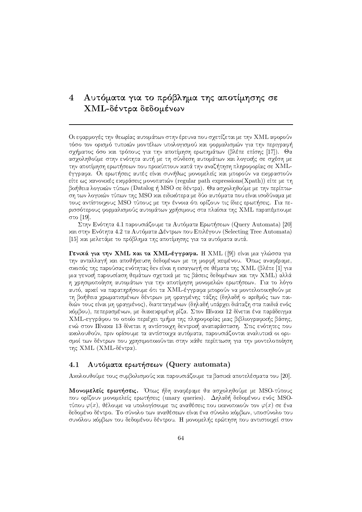# 4 Αυτόματα για το πρόβλημα της αποτίμησης σε ΧΜL-δέντρα δεδομένων

Οι εφαρμογές την θεωρίας αυτομάτων στην έρευνα που σχετίζεται με την ΧΜL αφορούν τόσο τον ορισμό τυπιχών μοντέλων υπολογισμού χαι φορμαλισμών για την περιγραφή σγήματος όσο χαι τρόπους για την αποτίμηση ερωτημάτων (βλέπε επίσης [17]). Θα ασχοληθούμε στην ενότητα αυτή με τη σύνδεση αυτομάτων και λογικής σε σχέση με την αποτίμηση ερωτήσεων που προχύπτουν χατά την αναζήτηση πληροφορίας σε ΧΜLέγγραφα. Οι ερωτήσεις αυτές είναι συνήθως μονομελείς χαι μπορούν να εχφραστούν είτε ως χανονιχές εχφράσεις μονοπατιών (regular path expressions (Xpath)) είτε με τη βοήθεια λογικών τύπων (Datalog ή MSO σε δέντρα). Θα ασχοληθούμε με την περίπτωση των λογικών τύπων της MSO και ειδικότερα με δύο αυτόματα που είναι ισοδύναμα με τους αντίστοιχους MSO τύπους με την έννοια ότι ορίζουν τις ίδιες ερωτήσεις. Για περισσότερους φορμαλισμούς αυτομάτων χρήσιμους στα πλαίσια της ΧΜL παραπέμπουμε στο [19].

Στην Ενότητα 4.1 παρουσιάζουμε τα Αυτόματα Ερωτήσεων (Query Automata) [20] χαι στην Ενότητα 4.2 τα Αυτόματα Δέντρων που Επιλέγουν (Selecting Tree Automata) [15] και μελετάμε το πρόβλημα της αποτίμησης για τα αυτόματα αυτά.

Γενικά για την XML και τα XML-έγγραφα. Η XML ([9]) είναι μια γλώσσα για την ανταλλαγή και αποθήκευση δεδομένων με τη μορφή κειμένου. Όπως αναφέραμε, σχοπός της παρούσας ενότητας δεν είναι η εισαγωγή σε θέματα της ΧΜL (βλέπε [1] για μια γενική παρουσίαση θεμάτων σχετικά με τις βάσεις δεδομένων και την ΧΜL) αλλά η χρησιμοποίηση αυτομάτων για την αποτίμηση μονομελών ερωτήσεων. Για το λόγο αυτό, αρχεί να παρατηρήσουμε ότι τα ΧΜL-έγγραφα μπορούν να μοντελοποιηθούν με τη βοήθεια χρωματισμένων δέντρων μη φραγμένης τάξης (δηλαδή ο αριθμός των παιδιών τους είναι μη φραγμένος), διατεταγμένων (δηλαδή υπάρχει διάταξη στα παιδιά ενός χόμβου), πεπερασμένων, με διαχεχριμένη ρίζα. Στον Πίναχα 12 δίνεται ένα παράδειγμα ΧΜL-εγγράφου το οποίο περιέχει τμήμα της πληροφορίας μιας βιβλιογραφικής βάσης, ενώ στον Πίναχα 13 δίνεται η αντίστοιχη δεντριχή αναπαράσταση. Στις ενότητες που αχολουθούν, πριν ορίσουμε τα αντίστοιχα αυτόματα, παρουσιάζονται αναλυτιχά οι ορισμοί των δέντρων που χρησιμοποιούνται στην χάθε περίπτωση για την μοντελοποίηση της ΧΜL (ΧΜL-δέντρα).

### $4.1$ Αυτόματα ερωτήσεων (Query automata)

Αχολουθούμε τους συμβολισμούς χαι παρουσιάζουμε τα βασιχά αποτελέσματα του [20].

Μονομελείς ερωτήσεις. Όπως ήδη αναφέραμε θα ασγοληθούμε με MSO-τύπους που ορίζουν μονομελείς ερωτήσεις (unary queries). Δηλαδή δεδομένου ενός MSOτύπου  $\varphi(x)$ , θέλουμε να υπολογίσουμε τις αναθέσεις που ικανοποιούν τον  $\varphi(x)$  σε ένα δεδομένο δέντρο. Το σύνολο των αναθέσεων είναι ένα σύνολο χόμβων, υποσύνολο του συνόλου χόμβων του δεδομένου δέντρου. Η μονομελής ερώτηση που αντιστοιχεί στον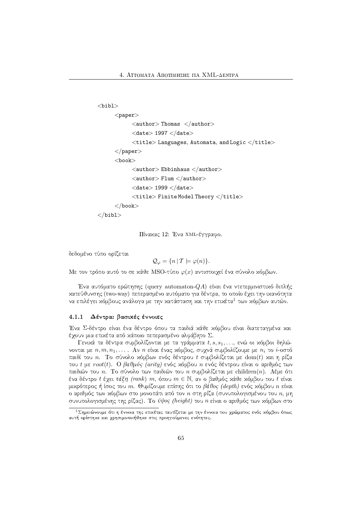```

       <paper>\langleauthor>Thomas \langleauthor>\langledate> 1997 \langle/date>\lttitle> Languages, Automata, and Logic \lt/title>\langlepaper><book>\langleauthor\rangle Ebbinhaus \langle author\rangle\langleauthor> Flum \langle author>\langledate> 1999 \langle/date>\lttitle> Finite Model Theory \lt/title>\langlebook>\langlebibl>
```
Πίνακας 12: Ένα ΧΜL-έγγραφο.

δεδομένο τύπο ορίζεται

$$
\mathcal{Q}_{\varphi} = \{ n \, | \, \mathcal{T} \models \varphi(n) \}.
$$

Με τον τρόπο αυτό το σε κάθε MSO-τύπο  $\varphi(x)$  αντιστοιχεί ένα σύνολο κόμβων.

Ένα αυτόματο ερώτησης (query automaton-QA) είναι ένα ντετερμινιστιχό διπλής χατεύθυνσης (two-way) πεπερασμένο αυτόματο για δέντρα, το οποίο έχει την ιχανότητα να επιλέγει κόμβους ανάλογα με την κατάσταση και την ετικέτα<sup>1</sup> των κόμβων αυτών.

## 4.1.1  $\;$  Δέντρα: βασιχές έννοιες  $\;$

Ένα Σ-δέντρο είναι ένα δέντρο όπου τα παιδιά χάθε χόμβου είναι διατεταγμένα χαι έχουν μια ετιχέτα από χάποιο πεπερασμένο αλφάβητο  $\Sigma.$ 

Γενιχά τα δέντρα συμβολίζονται με τα γράμματα  $t, s, s_1, \ldots,$  ενώ οι χόμβοι δηλώνονται με  $n,m,n_1,\ldots$  . Αν  $n$  είναι ένας χόμβος, συχνά συμβολίζουμε με  $n_i$  το  $i$ -οστό παιδί του  $n.$  Το σύνολο χόμβων ενός δέντρου  $t$  συμβολίζεται με  $\mathrm{dom}(t)$  χαι η ρίζα του t με  $root(t)$ . Ο βαθμός (arity) ενός χόμβου  $n$  ενός δέντρου είναι ο αριθμός των παιδιών του  $n.$  Το σύνολο των παιδιών του  $n$  συμβολίζεται με children $(n).$  Λέμε ότι ένα δέντρο  $t$  έχει τάξη (rank)  $m,$  όπου  $m\in\mathbb{N},$  αν ο βαθμός χάθε χόμβου του  $t$  είναι μιχρότερος ή ίσος του  $m$ . Θυμίζουμε επίσης ότι το βάθος (depth) ενός χόμβου  $n$  είναι ο αριθμός των χόμβων στο μονοπάτι από τον  $n$  στη ρίζα (συνυπολογισμένου του  $n,$  μη συνυπολογισμένης της ρίζας). Το *ύψος (height)* του  $n$  είναι ο αριθμός των χόμβων στο

<sup>&</sup>lt;u>ιΣημειώνουμε ότι η έννοια της ετιχέτας</u> ταυτίζεται με την έννοια του χρώματος ενός χόμβου όπως αυτή ορίστηχε χαι χρησιμοποιήθηχε στις προηγούμενες ενότητες.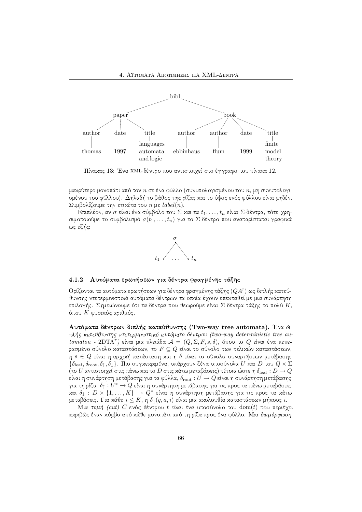

Πίναχας 13: Ένα ΧΜL-δέντρο που αντιστοιχεί στο έγγραφο του πίναχα 12.

μαχρύτερο μονοπάτι από τον  $n$  σε ένα φύλλο (συνυπολογισμένου του  $n$ , μη συνυπολογισμένου του φύλλου). Δηλαδή το βάθος της ρίζας και το ύψος ενός φύλλου είναι μηδέν. Συμβολίζουμε την ετικέτα του *n* με *label(n)*.

Επιπλέον, αν σ είναι ένα σύμβολο του Σ και τα  $t_1, \ldots, t_n$  είναι Σ-δέντρα, τότε χρησιμοποιούμε το συμβολισμό  $\sigma(t_1,\ldots,t_n)$  για το Σ-δέντρο που αναπαρίσταται γραφικά ως εξής:



#### $4.1.2$ Αυτόματα ερωτήσεων για δέντρα φραγμένης τάξης

Ορίζονται τα αυτόματα ερωτήσεων για δέντρα φραγμένης τάξης  $(QA<sup>r</sup>)$  ως διπλής κατεύθυνσης ντετερμινιστιχά αυτόματα δέντρων τα οποία έγουν επεχταθεί με μια συνάρτηση επιλογής. Σημειώνουμε ότι τα δέντρα που θεωρούμε είναι Σ-δέντρα τάξης το πολύ  $K$ , όπου Κ φυσικός αριθμός.

Αυτόματα δέντρων διπλής κατεύθυνσης (Two-way tree automata). Ένα διπλής κατεύθυνσης ντετερμινιστικό αυτόματο δέντρου (two-way deterministic tree automaton - 2DTA") είναι μια πλειάδα  $A = (Q, \Sigma, F, s, \delta)$ , όπου το Q είναι ένα πεπερασμένο σύνολο χαταστάσεων, το  $F \subseteq Q$  είναι το σύνολο των τελιχών χαταστάσεων,  $\eta$   $s \in Q$  είναι η αρχιχή χατάσταση χαι η δ είναι το σύνολο συναρτήσεων μετάβασης  $\{\delta_{\text{leaf}}, \delta_{\text{root}}, \delta_{\uparrow}, \delta_{\downarrow}\}$ . Πιο συγκεκριμένα, υπάρχουν ξένα υποσύνολα *U* και *D* του  $Q \times \Sigma$ (το  $U$  αντιστοιχεί στις πάνω και το  $D$  στις κάτω μεταβάσεις) τέτοια ώστε η  $\delta_{\rm leaf}:D\to Q$ είναι η συνάρτηση μετάβασης για τα φύλλα,  $\delta_{\mathrm{root}}:U\to Q$  είναι η συνάρτηση μετάβασης για τη ρίζα,  $\delta_{\uparrow}:U^*\to Q$  είναι η συνάρτηση μετάβασης για τις προς τα πάνω μεταβάσεις και  $\delta_{\downarrow}:D\times\{1,\ldots,K\}\rightarrow Q^*$  είναι η συνάρτηση μετάβασης για τις προς τα κάτω μεταβάσεις. Για κάθε  $i \leq K$ , η  $\delta_1(q,a,i)$  είναι μια ακολουθία καταστάσεων μήκους  $i$ .

Μια τομή (cut)  $C$  ενός δέντρου  $t$  είναι ένα υποσύνολο του  $\mathrm{dom}(t)$  που περιέχει ακριβώς έναν κόμβο από κάθε μονοπάτι από τη ρίζα προς ένα φύλλο. Μια διαμόρφωση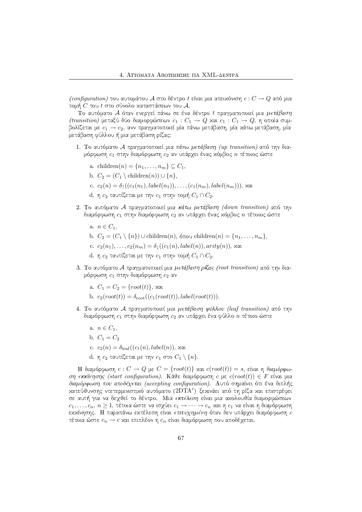(configuration) του αυτομάτου Α στο δέντρο t είναι μια απειχόνιση  $c: C \to Q$  από μια τομή  $C$  του  $t$  στο σύνολο χαταστάσεων του  ${\mathcal A}.$ 

Το αυτόματο  ${\cal A}$  όταν ενεργεί πάνω σε ένα δέντρο  $t$  πραγματοποιεί μια  $\mu\epsilon\tau$ άβαση  $(\textit{transition})$  μεταξύ δύο διαμορφώσεων  $c_1: C_1 \rightarrow Q$  χαι  $c_1: C_1 \rightarrow Q,$  η οποία συμβολίζεται με  $c_1 \to c_2,$  ανν πραγματοποιεί μία πάνω μετάβαση, μία χάτω μετάβαση, μία μετάβαση φύλλου ή μια μετάβαση ρίζας:

- 1. Το αυτόματο  ${\cal A}$  πραγματοποιεί μια πάνω μ $\epsilon$ τάβαση (up transition) από την διαμόρφωση  $c_1$  στην διαμόρφωση  $c_2$  αν υπάρχει ένας χόμβος  $n$  τέτοιος ώστε
	- a. children $(n) = \{n_1, \ldots, n_m\} \subseteq C_1$ ,
	- b.  $C_2 = (C_1 \setminus \text{children}(n)) \cup \{n\},\$
	- $c. c_2(n) = δ₁((c_1(n_1), label(n_1)), \ldots, (c_1(n_m), label(n_m))),$  χαι
	- $d.$  η  $c_2$  ταυτίζεται με την  $c_1$  στην τομή  $C_1 \cap C_2.$
- 2. Το αυτόματο Α πραγματοποιεί μια κάτω μετάβαση (down transition) από την διαμόρφωση  $c_1$  στην διαμόρφωση  $c_2$  αν υπάρχει ένας χόμβος  $n$  τέτοιος ώστε
	- a.  $n \in C_1$ ,
	- b.  $C_2 = (C_1 \setminus \{n\}) \cup \text{children}(n)$ , όπου children $(n) = \{n_1, \ldots, n_m\}$ ,
	- c.  $c_2(n_1), \ldots, c_2(n_m) = \delta_1((c_1(n), label(n)), arity(n)), x$ αι
	- $d.$  η  $c_2$  ταυτίζεται με την  $c_1$  στην τομή  $C_1 \cap C_2.$
- 3. Το αυτόματο  ${\cal A}$  πραγματοποιεί μια  $\mu$ ετάβαση ρίζας (root transition) από την διαμόρφωση  $c_1$  στην διαμόρφωση  $c_2$  αν
	- a.  $C_1 = C_2 = \{root(t)\},$  xal
	- b.  $c_2(root(t)) = \delta_{root}((c_1(root(t)), label(root(t))).$
- 4. Το αυτόματο Α πραγματοποιεί μια μετάβαση φύλλου (leaf transition) από την διαμόρφωση  $c_1$  στην διαμόρφωση  $c_2$  αν υπάρχει ένα φύλλο  $n$  τέτοιο ώστε
	- a.  $n \in C_1$ ,
	- b.  $C_1 = C_2$
	- $c. \ \ c_2(n) = \delta_{\rm leaf}((c_1(n), label(n)),$  χαι
	- ${\rm d.}$  η  $c_2$  ταυτίζεται με την  $c_1$  στο  $C_1 \setminus \{ n \}.$

 $H$  διαμόρφωση  $c: C \rightarrow Q$  με  $C = \{root(t)\}$  και  $c(root(t)) = s$ , είναι η διαμόρφω- $\sigma\eta$   $\epsilon$ κκίνησης (start configuration). Κάθε διαμόρφωση  $c$  με  $c(root(t)) \in F$  είναι μια διαμ*όρφωση που αποδέχεται (accepting configuration).* Αυτό σημαίνει ότι ένα διπλής χατεύθυνσης ντετερμινιστιχό αυτόματο (2 $\mathrm{DTA}^r$ ) ξεχινάει από τη ρίζα χαι επιστρέφει σε αυτή για να δεχθεί το δέντρο. Μια εκτέλεση είναι μια αχολουθία διαμορφώσεων  $c_1, \ldots, c_n, \, n \geq 1,$  τέτοια ώστε να ισχύει  $c_1 \to \cdots \to c_n$  χαι η  $c_1$  να είναι η διαμόρφωση εκκίνησης. Η παραπάνω εκτέλεση είναι επιτυχημένη όταν δεν υπάρχει διαμόρφωση c τέτοια ώστε  $c_n \to c$  χαι επιπλέον η  $c_n$  είναι διαμόρφωση που αποδέχεται.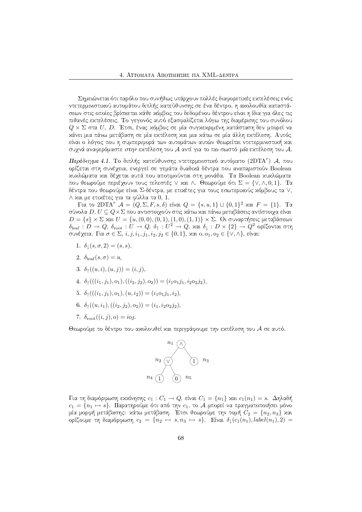Σημειώνεται ότι παρόλο που συνήθως υπάργουν πολλές διαφορετικές εκτελέσεις ενός ντετερμινιστιχού αυτομάτου διπλής χατεύθυνσης σε ένα δέντρο, η αχολουθία χαταστάσεων στις οποίες βρίσχεται χάθε χόμβος του δεδομένου δέντρου είναι η ίδια για όλες τις πιθανές εκτελέσεις. Το γεγονός αυτό εξασφαλίζεται λόγω της διαμέρισης του συνόλου  $Q\times \Sigma$  στα  $U,~D.$  Έτσι, ένας χόμβος σε μία συγχεχριμένη χατάσταση δεν μπορεί να χάνει μια πάνω μετάβαση σε μία εχτέλεση χαι μια χάτω σε μία άλλη εχτέλεση. Αυτός είναι ο λόγος που η συμπεριφορά των αυτομάτων αυτών θεωρείται ντετερμινιστική και συχνά αναφερόμαστε στην εκτέλεση του Α αντί για το πιο σωστό μία εκτέλεση του Α.

Παράδειγμα 4.1. Το διπλής χατεύθυνσης ντετερμινιστικό αυτόματο (2DTA")  $A$ , που ορίζεται στη συνέγεια, ενεργεί σε γεμάτα δυαδικά δέντρα που αναπαριστούν Boolean χυχλώματα χαι δέχεται αυτά που αποτιμούνται στη μονάδα. Τα Boolean χυχλώματα που θεωρούμε περιέχουν τους τελεστές V και Λ. Θεωρούμε ότι  $\Sigma = \{ \vee, \wedge, 0, 1 \}$ . Τα δέντρα που θεωρούμε είναι Σ-δέντρα, με ετιχέτες για τους εσωτεριχούς χόμβους τα V,  $\wedge$  και με ετικέτες για τα φύλλα τα 0, 1.

Για το 2DTA<sup>r</sup>  $A = (Q, \Sigma, F, s, \delta)$  είναι  $Q = \{s, u, 1\} \cup \{0, 1\}^2$  και  $F = \{1\}$ . Τα σύνολα  $D, U \subseteq Q \times \Sigma$  που αντιστοιχούν στις κάτω και πάνω μεταβάσεις αντίστοιχα είναι  $D = \{s\} \times \Sigma$  και  $U = \{u, (0,0), (0,1), (1,0), (1,1)\} \times \Sigma$ . Οι συναρτήσεις μεταβάσεων  $\delta_{\text{leaf}}: D \to Q, \ \delta_{\text{root}}: U \to Q, \ \delta_1: U^2 \to Q, \ \text{and} \ \delta_1: D \times \{2\} \to Q^2$  ορίζονται στη συνέχεια. Για  $\sigma \in \Sigma$ , i, j, i<sub>1</sub>, j<sub>1</sub>, i<sub>2</sub>, j<sub>2</sub>  $\in$  {0, 1}, και o, o<sub>1</sub>, o<sub>2</sub>  $\in$  { $\vee$ ,  $\wedge$ }, είναι:

- 1.  $\delta_1(s, \sigma, 2) = (s, s),$
- 2.  $\delta_{\text{leaf}}(s,\sigma) = u$ ,
- 3.  $\delta_{\uparrow}((u, i), (u, j)) = (i, j),$
- 4.  $\delta_{\uparrow}(((i_1, j_1), o_1), ((i_2, j_2), o_2)) = (i_1 o_1 j_1, i_2 o_2 j_2),$
- 5.  $\delta_{\uparrow}(((i_1, j_1), o_1), (u, i_2)) = (i_1 o_1 j_1, i_2),$
- 6.  $\delta_{\uparrow}((u, i_1), ((i_2, j_2), o_2)) = (i_1, i_2 o_2 j_2),$
- 7.  $\delta_{\text{root}}((i, j), o) = ioj.$

Θεωρούμε το δέντρο που ακολουθεί και περιγράφουμε την εκτέλεση του Α σε αυτό.



Για τη διαμόρφωση εχχίνησης  $c_1: C_1 \to Q$ , είναι  $C_1 = \{n_1\}$  χαι  $c_1(n_1) = s$ . Δηλαδή  $c_1 = \{n_1 \mapsto s\}$ . Παρατηρούμε ότι από την  $c_1$ , το  ${\cal A}$  μπορεί να πραγματοποιήσει μόνο μία μορφή μετάβασης: κάτω μετάβαση. Έτσι θεωρούμε την τομή  $C_2$  =  $\{n_2,n_3\}$  και ορίζουμε τη διαμόρφωση  $c_2 = \{n_2 \mapsto s, n_3 \mapsto s\}$ . Είναι  $\delta_1(c_1(n_1), label(n_1), 2) =$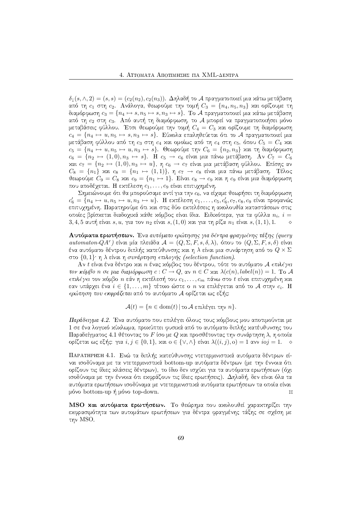$\delta_1(s,\wedge, 2) = (s,s) = (c_2(n_2), c_2(n_3))$ . Δηλαδή το A πραγματοποιεί μια χάτω μετάβαση από τη  $c_1$  στη  $c_2$ . Ανάλογα, θεωρούμε την τομή  $C_3$  =  $\{n_4, n_5, n_3\}$  χαι ορίζουμε τη διαμόρφωση  $c_3 = \{n_4 \mapsto s, n_5 \mapsto s, n_3 \mapsto s\}$ . Το  ${\mathcal{A}}$  πραγματοποιεί μια χάτω μετάβαση από τη  $c_2$  στη  $c_3$ . Από αυτή τη διαμόρφωση, το  ${\mathcal{A}}$  μπορεί να πραγματοποιήσει μόνο μεταβάσεις φύλλου. Έτσι θεωρούμε την τομή  $C_4\,=\,C_3$  χαι ορίζουμε τη διαμόρφωση  $c_4 = \{ n_4 \mapsto u, n_5 \mapsto s, n_3 \mapsto s \}$ . Εύχολα επαληθεύεται ότι το  ${\cal A}$  πραγματοποιεί μια μετάβαση φύλλου από τη  $c_3$  στη  $c_4$  χαι ομοίως από τη  $c_4$  στη  $c_5,$  όπου  $C_5=C_4$  χαι  $c_5 \,=\, \{n_4 \,\mapsto\, u, n_5 \,\mapsto\, u, n_3 \,\mapsto\, s\}$ . Θεωρούμε την  $C_6 \,=\, \{n_2, n_3\}$  χαι τη διαμόρφωση  $c_6 \,=\, \{ n_2 \,\mapsto\, (1, 0), n_3 \,\mapsto\, s\}.$   $\, {\rm H} \, \; c_5 \,\to\, c_6$  είναι μια πάνω μετάβαση. Αν  $\,C_7 \,=\, C_6$ χαι  $c_7 \,=\, \{n_2 \,\mapsto\, (1,0), n_3 \,\mapsto\, u\}, \;{\eta} \, \,c_6 \,\to\, c_7$  είναι μια μετάβαση φύλλου. Επίσης αν  $C_8 \,=\, \{ n_1 \}\,$  xαι  $c_8 \,=\, \{ n_1 \,\mapsto\, (1, 1) \},\,$  η  $c_7 \,\to\, c_8$  είναι μια πάνω μετάβαση. Τέλος  $\vartheta$ εωρούμε  $C_9 = C_8$  χαι  $c_9 = \{n_1 \mapsto 1\}.$  Είναι  $c_8 \to c_9$  χαι η  $c_9$  είναι μια διαμόρφωση που αποδέχεται. Η εκτέλεση  $c_1, \ldots, c_9$  είναι επιτυχημένη.

 $\Sigma$ ημειώνουμε ότι θα μπορούσαμε αντί για την  $c_6,$  να είχαμε θεωρήσει τη διαμόρφωση  $c'_6 = \{ n_4 \mapsto u, n_5 \mapsto u, n_3 \mapsto u \}$ . Η εχτέλεση  $c_1, \ldots, c_5, c'_6, c_7, c_8, c_9$  είναι προφανώς επιτυχημένη. Παρατηρούμε ότι χαι στις δύο εχτελέσεις η αχολουθία χαταστάσεων στις οποίες βρίσχεται διαδοχιχά χάθε χόμβος είναι ίδια. Ειδιχότερα, για τα φύλλα  $n_i, \ i =$  $3, 4, 5$  αυτή είναι  $s, u,$  για τον  $n_2$  είναι  $s,(1,0)$  χαι για τη ρίζα  $n_1$  είναι  $s,(1,1),1.$ ◇

Αυτ**όματα ερωτήσεων.** Ένα αυτόματο ερώτησης για δέντρα φραγμένης τάξης (query automaton-QA<sup>r</sup>) είναι μία πλειάδα  $\mathcal{A} = (Q, \Sigma, F, s, \delta, \lambda)$ , όπου το  $(Q, \Sigma, F, s, \delta)$  είναι ένα αυτόματο δέντρου διπλής χατεύθυνσης χαι η λ είναι μια συνάρτηση από το  $Q\times \Sigma$ στο  $\{0,1\}$ · η λ είναι η συνάρτηση  $\epsilon$ πιλογής (selection function).

Αν t είναι ένα δέντρο και η ένας κόμβος του δέντρου, τότε το αυτόματο  $\mathcal A$  επιλέγει τον κόμβο n σε μια διαμόρφωση  $c: C \to Q,$  αν  $n \in C$  και  $\lambda(c(n), label(n)) = 1.$  Το  ${\mathcal{A}}$  $\epsilon \pi$ ιλέγει τον χόμβο η εάν η εχτέλεσή του  $c_1, \ldots, c_m$  πάνω στο  $t$  είναι επιτυχημένη χαι εαν υπάρχει ένα  $i \in \{1, \dots, m\}$  τέτοιο ώστε ο  $n$  να επιλέγεται από το  ${\mathcal{A}}$  στην  $c_i$ .  ${\rm H}$ ερώτηση που εκφράζεται από το αυτόματο Α ορίζεται ως εξής:

$$
\mathcal{A}(t) = \{n \in \text{dom}(t) \, | \, \text{to } \mathcal{A} \text{ επιλέγει την } n\}.
$$

Παράδειγμα 4.2. Ένα αυτόματο που επιλέγει όλους τους χόμβους μου αποτιμούνται με 1 σε ένα λογικό κύκλωμα, προκύπτει φυσικά από το αυτόματο διπλής κατέυθυνσης του Παραδείγματος 4.1 θέτοντας το  $F$  ίσο με  $Q$  και προσθέτοντας την συνάρτηση  $\lambda$ , η οποία ορίζεται ως εξής: για  $i,j\in\{0,1\},$  χαι ο  $\in\{\vee,\wedge\}$  είναι  $\lambda((i,j),{\rm o})=1$  ανν  $ioj=1.$   $\;\;\circ$ 

ΠΑΡΑΤΗΡΗΣΗ 4.1. Ενώ τα διπλής χατεύθυνσης ντετερμινιστιχά αυτόματα δέντρων είναι ισοδύναμα με τα ντετερμινιστικά bottom-up αυτόματα δέντρων (με την έννοια ότι ορίζουν τις ίδιες χλάσεις δέντρων), το ίδιο δεν ισγύει για τα αυτόματα ερωτήσεων (όγι ισοδύναμα με την έννοια ότι εχφράζουν τις ίδιες ερωτήσεις). Δηλαδή, δεν είναι όλα τα αυτόματα ερωτήσεων ισοδύναμα με ντετερμινιστιχά αυτόματα ερωτήσεων τα οποία είναι μόνο bottom-up ή μόνο top-down.  $\mathcal{M}_{\mathcal{A}}$ 

MSO **και αυτόματα ερωτήσεων.** Το θεώρημα που αχολουθεί χαραχτηρίζει την εχφρασιμότητα των αυτομάτων ερωτήσεων για δέντρα φραγμένης τάξης σε σχέση με την MSO.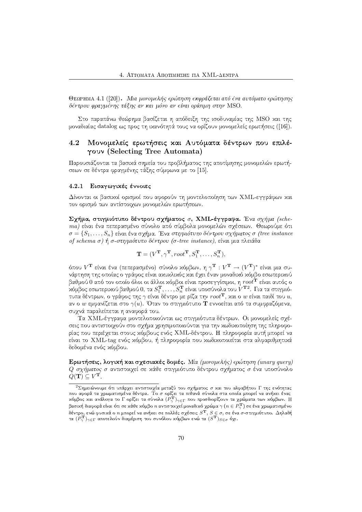ΘεΩΡΗΜΑ 4.1 ([20]). Μια μονομελής ερώτηση εκφράζεται από ένα αυτόματο ερώτησης δέντρου φρανμένης τάξης αν και μόνο αν είναι ορίσιμη στην MSO.

Στο παραπάνω θεώρημα βασίζεται η απόδειξη της ισοδυναμίας της MSO χαι της μοναδιαίας datalog ως προς τη ικανότητά τους να ορίζουν μονομελείς ερωτήσεις ([16]).

### 4.2 Μονομελείς ερωτήσεις και Αυτόματα δέντρων που επιλέγουν (Selecting Tree Automata)

Παρουσιάζονται τα βασικά σημεία του προβλήματος της αποτίμησης μονομελών ερωτήσεων σε δέντρα φραγμένης τάξης σύμφωνα με το [15].

#### Εισαγωγικές έννοιες  $4.2.1$

Δίνονται οι βασιχοί ορισμοί που αφορούν τη μοντελοποίηση των ΧΜL-εγγράφων χαι τον ορισμό των αντίστοιγων μονομελών ερωτήσεων.

Σχήμα, στιγμιότυπο δέντρου σχήματος σ, ΧΜL-έγγραφα. Ένα σχήμα (schema) είναι ένα πεπερασμένο σύνολο από σύμβολα μονομελών σγέσεων. Θεωρούμε ότι  $\sigma = \{S_1, \ldots, S_n\}$  είναι ένα σχήμα. Ένα στιγμιότυπο δέντρου σχήματος σ (tree instance of schema σ) ή σ-στιγμιότυπο δέντρου (σ-tree instance), είναι μια πλειάδα

$$
\mathbf{T} = (V^{\mathbf{T}}, \gamma^{\mathbf{T}}, root^{\mathbf{T}}, S_1^{\mathbf{T}}, \dots, S_n^{\mathbf{T}}),
$$

όπου $V^{\bf T}$  είναι ένα (πεπερασμένο) σύνολο κόμβων, η $\gamma^{\bf T}:V^{\bf T}\to (V^{\bf T})^*$  είναι μια συνάρτηση της οποίας ο γράφος είναι αχυχλιχός χαι έγει έναν μοναδιχό χόμβο εσωτεριχού βαθμού 0 από τον οποίο όλοι οι άλλοι κόμβοι είναι προσεγγίσιμοι, η  $root^{\bf T}$  είναι αυτός ο κόμβος εσωτερικού βαθμού 0, τα $S_1^{\mathbf{T}},\ldots,S_n^{\mathbf{T}}$  είναι υποσύνολα του  $V^{\mathbf{T}2}.$  Για τα στιγμιότυπα δέντρων, ο γράφος της  $\gamma$  είναι δέντρο με ρίζα την  $root^{\mathbf{T}}$ , και ο  $w$  είναι παιδί του  $u$ , αν ο  $w$  εμφανίζεται στο  $\gamma(u)$ . Όταν το στιγμιότυπο **T** εννοείται από τα συμφραζόμενα, συχνά παραλείπεται η αναφορά του.

Τα XML-έγγραφα μοντελοποιούνται ως στιγμιότυπα δέντρων. Οι μονομελείς σχέσεις που αντιστοιχούν στο σχήμα χρησιμοποιούνται για την χωδιχοποίηση της πληροφορίας που περιέχεται στους χόμβους ενός ΧΜL-δέντρου. Η πληροφορία αυτή μπορεί να είναι το XML-tag ενός κόμβου, ή πληροφορία που κωδικοποιείται στα αλφαριθμητικά δεδομένα ενός κόμβου.

Ερωτήσεις, λογική και σχεσιακές δομές. Μία (μονομελής) ερώτηση (unary query) Ο σχήματος σ αντιστοιχεί σε κάθε στιγμιότυπο δέντρου σχήματος σ ένα υποσύνολο  $Q(\mathbf{T}) \subseteq V^{\mathbf{T}}$ .

<sup>&</sup>lt;sup>2</sup> Σημειώνουμε ότι υπάρχει αντιστοιχία μεταξύ του σχήματος σ και του αλφαβήτου Γ της ενότητας που αφορά τα χρωματισμένα δέντρα. Το σ ορίζει τα πιθανά σύνολα στα οποία μπορεί να ανήκει ένας<br>κόμβος και ανάλογα το Γ ορίζει τα σύνολα  $(P_{\gamma}^{\mathbf{T}})_{\gamma \in \Gamma}$  που προσδιορίζουν τα χρώματα των κόμβων. Η βασική διαφορά είναι ότι σε κάθε κόμβο  $n$  αντιστοιχεί μοναδικό χρώμα  $\gamma$   $(n \in P_{\infty}^{\mathbf{T}})$  σε ένα χρωματισμένο , δέντρο, ενώ φυσικά ο *n* μπορεί να ανήκει σε πολλές σχέσεις  $S^T$ ,  $S \in \sigma$ , σε ένα σ-στιγμιότυπο. Δηλαδή τα  $(P^T_\gamma)_{\gamma \in \Gamma}$  αποτελούν διαμέριση του συνόλου κόμβων ενώ τα  $(S^T)_{S \in \sigma}$  όχι.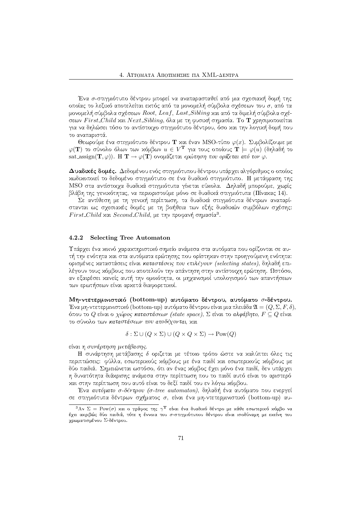Ένα σ-στιγμιότυπο δέντρου μπορεί να αναπαρασταθεί από μια σχεσιαχή δομή της οποίας το λεξιχό αποτελείται εχτός από τα μονομελή σύμβολα σχέσεων του σ, από τα μονομελή σύμβολα σχέσεων *Root, Leaf, Last\_Sibling* και από τα διμελή σύμβολα σχέ- $\overline{C}$ σεων First Child xαι Next Sibling, όλα με τη φυσιχή σημασία. Το  $\bf{T}$  χρησιμοποιείται για να δηλώσει τόσο το αντίστοιχο στιγμιότυπο δέντρου, όσο χαι την λογιχή δομή που το αναπαριστά.

Θεωρούμε ένα στιγμιότυπο δέντρου  ${\bf T}$  και έναν MSO-τύπο  $\varphi(x).$  Συμβολίζουμε με  $\varphi(\mathbf{T})$  το σύνολο όλων των χόμβων  $u \in V^{\mathbf{T}}$  για τους οποίους  $\mathbf{T} \models \varphi(u)$  (δηλαδή το  $\mathrm{sat\text{-}assign}(\mathbf{T}, \varphi))$ .  $\mathrm{H}|\mathbf{T} \rightarrow \varphi(\mathbf{T})$  ονομάζεται  $\epsilon\rho$ ώτηση που ορίζεται από τον  $\varphi$ .

 $\Delta$ υαδικές δομές.  $\Delta$ εδομένου ενός στιγμιότυπου δέντρου υπάργει αλγόριθμος ο οποίος 5HOQPR45\*2ISH2\*4 [JT&>J2lPA[=PA2HGI:=<A2V8>(43GH4F(>AD(SH2V[v:=<AB PADWBWPR45\*FV8>R43GH4F(>AD(SH2"/± GI[>A\W©"@ABWVU±>AUWX MSO στα αντίστοιγα δυαδιχά στιγμιότυπα γίνεται εύχολα. Δηλαδή μπορούμε, γωρίς βλάβη της γενιχότητας, να περιοριστούμε μόνο σε δυαδιχά στιγμιότυπα (Πίναχας 14).

Σε αντίθεση με τη γενιχή περίπτωση, τα δυαδιχά στιγμιότυπα δέντρων αναπαρίστανται ως σχεσιαχές δομές με τη βοήθεια των εξής δυαδιχών συμβόλων σχέσης:  $First\_Child$  και  $Second\_Child$ , με την προφανή σημασία $^3.$ 

#### $\sim$   $\sim$   $\sim$ 2 Selecting Tree Automaton

Υπάργει ένα χοινό γαραχτηριστιχό σημείο ανάμεσα στα αυτόματα που ορίζονται σε αυτή την ενότητα και στα αυτόματα ερώτησης που ορίστηκαν στην προηγούμενη ενότητα: ορισμένες χαταστάσεις είναι κατα*στάσει*ς που επιλέ*γουν (selecting states)*, δηλαδή επιλέγουν τους χόμβους που αποτελούν την απάντηση στην αντίστοιχη ερώτηση. Ωστόσο, αν εξαιρέσει χανείς αυτή την ομοιότητα, οι μηγανισμοί υπολογισμού των απαντήσεων των ερωτήσεων είναι αρχετά διαφορετιχοί.

Μη-ντετερμινιστιχό (bottom-up) αυτόματο δέντρου, αυτόματο σ-δέντρου Ένα μη-ντετερμινιστιχό (bottom-up) αυτόματο δέντρου είναι μια πλειάδα  $\mathfrak{A}=(Q,\Sigma,F,\delta),$ όπου το  $Q$  είναι ο χώρος καταστάσεων (state space),  $\Sigma$  είναι το αλφάβητο,  $F \subseteq Q$  είναι το σύνολο των *καταστάσεων που αποδέγονται*. χαι

$$
\delta : \Sigma \cup (Q \times \Sigma) \cup (Q \times Q \times \Sigma) \to \text{Pow}(Q)
$$

 $\sqrt{D}$  ;  $\sqrt{D}$  ;  $\sqrt{D}$  ;  $\sqrt{D}$  ;  $\sqrt{D}$  ;  $\sqrt{D}$  ;  $\sqrt{D}$  ;  $\sqrt{D}$  ;  $\sqrt{D}$  ;  $\sqrt{D}$  ;  $\sqrt{D}$  ;  $\sqrt{D}$  ;  $\sqrt{D}$  ;  $\sqrt{D}$  ;  $\sqrt{D}$  ;  $\sqrt{D}$  ;  $\sqrt{D}$  ;  $\sqrt{D}$  ;  $\sqrt{D}$  ;  $\sqrt{D}$  ;  $\sqrt{D}$  ;  $\sqrt{D}$  ;

Η συνάρτηση μετάβασης δ οριζεται με τέτοιο τρόπο ώστε να καλύπτει όλες τις περιπτώσεις: φύλλα, εσωτεριχούς χόμβους με ένα παιδί χαι εσωτεριχούς χόμβους με δύο παιδιά. Σημειώνεται ωστόσο, ότι αν ένας χόμβος έχει μόνο ένα παιδί, δεν υπάρχει U±PADW<AB(>AF(>AU(>JB]PR4\(5\*@R4VUWX;BW<A\WGI[=VB±V8>AUW<vSH[=@RTSI>=OQVU]SH2HD
>J2 SHBI4 PRT&BWD(>AF[JT<ABI4d>J2BW@R4V8>A[=@AF χαι στην περίπτωση που αυτό είναι το δεξί παιδί του εν λόγω χόμβου.

Ένα *αυτόματο σ-δέντρου (σ-tree automaton)*, δηλαδή ένα αυτόματο που ενεργεί σε στιγμιότυπα δέντρων σχήματος σ, είναι ένα μη-ντετερμινιστιχό (bottom-up) αυ-

 $^3$ Αν  $\Sigma$  =  $\rm{Pow}(\sigma)$  xαι ο γράφος της  $\gamma^{\bf{T}}$  είναι ένα δυαδιχό δέντρο με χάθε εσωτεριχό χόμβο να έχει ακριβώς δύο παιδιά, τότε η έννοια του σ-στιγμιότυπου δέντρου είναι ισοδύναμη με εκείνη του χρωματισμένου Σ-δέντρου.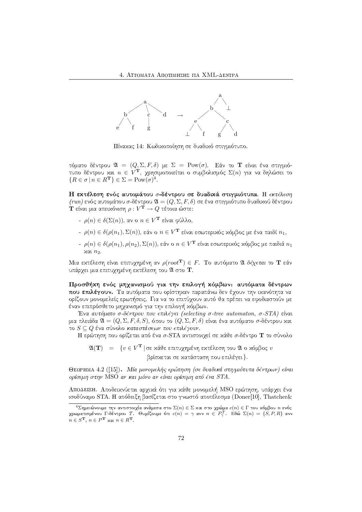

Πίνακας 14: Κωδικοποίηση σε δυαδικό στιγμιότυπο.

τόματο δέντρου  $\mathfrak{A} = (Q, \Sigma, F, \delta)$  με  $\Sigma = \text{Pow}(\sigma)$ . Εάν το **Τ** είναι ένα στιγμιότυπο δέντρου και  $n \in V^{\mathbf{T}}$ , χρησιμοποιείται ο συμβολισμός  $\Sigma(n)$  για να δηλώσει το  ${R \in \sigma | n \in R^{\mathbf{T}}} \in \Sigma = \text{Pow}(\sigma)^4.$ 

Η εκτέλεση ενός αυτομάτου σ-δέντρου σε δυαδικά στιγμιότυπα. Η εκτέλεση  $(run)$ ενός αυτομάτου σ-δέντρου $\mathfrak{A}=(Q,\Sigma,F,\delta)$ σε ένα στιγμιότυπο δυαδικού δέντρου $\mathbf T$ είναι μια απεικόνιση $\rho:V^{\mathbf T}\to Q$ τέτοια ώστε:

- $\rho(n) \in \delta(\Sigma(n))$ , αν ο  $n \in V^{\mathbf{T}}$  είναι φύλλο,
- $\rho(n) \in \delta(\rho(n_1), \Sigma(n))$ , εάν ο  $n \in V^{\mathbf{T}}$  είναι εσωτερικός κόμβος με ένα παιδί  $n_1$ ,
- $-$ ρ(n)  $\in$  δ(ρ(n<sub>1</sub>), ρ(n<sub>2</sub>), Σ(n)), εάν ο  $n \in V^{\mathbf{T}}$  είναι εσωτερικός κόμβος με παιδιά  $n_1$  $x$ αι  $n_2$ .

Μια εκτέλεση είναι επιτυχημένη αν  $\rho(root^{\mathbf{T}}) \in F$ . Το αυτόματο  $\mathfrak A$  δέχεται το **Τ** εάν υπάρχει μια επιτυχημένη εκτέλεση του  $\mathfrak A$  στο  $\mathbf T.$ 

Προσθήκη ενός μηχανισμού για την επιλογή κόμβων: αυτόματα δέντρων που επιλέγουν. Τα αυτόματα που ορίστηχαν παραπάνω δεν έχουν την ιχανότητα να ορίζουν μονομελείς ερωτήσεις. Για να το επιτύχουν αυτό θα πρέπει να εφοδιαστούν με έναν επιπρόσθετο μηχανισμό για την επιλογή κόμβων.

Ένα αυτόματο σ-δέντρου που επιλέγει (selecting σ-tree automaton, σ-STA) είναι μια πλειάδα  $\mathfrak{A} = (Q, \Sigma, F, \delta, S)$ , όπου το  $(Q, \Sigma, F, \delta)$  είναι ένα αυτόματο σ-δέντρου χαι το  $S \subseteq Q$  ένα σύνολο καταστάσεων που επιλέγουν.

Η ερώτηση που ορίζεται από ένα σ-STA αντιστοιχεί σε κάθε σ-δέντρο Τ το σύνολο

 $\mathfrak{A}(\mathbf{T}) = \{v \in V^{\mathbf{T}} | \text{ or } x\text{ for all } v\text{ and } v\text{ for all } v\in V^{\mathbf{T}}\}$ 

βρίσχεται σε χατάσταση που επιλέγει }.

ΘεΩΡΗΜΑ 4.2 ([15]). Μία μονομελής ερώτηση (σε δυαδικά στιγμιότυπα δέντρων) είναι  $\omega_0$ ίσιμη στην MSO αν και μόνο αν είναι ορίσιμη από ένα STA.

ΑΠΟΔΕΙΞΗ. Αποδεικνύεται αρχικά ότι για κάθε μονομελή MSO ερώτηση, υπάρχει ένα ισοδύναμο STA. Η απόδειξη βασίζεται στο γνωστό αποτέλεσμα (Doner[10], Thatcher&

 ${}^4\Sigma$ ημειώνουμε την αντιστοιχία ανάμεσα στο  $\Sigma(n)\in\Sigma$  και στο χρώμα  $c(n)\in\Gamma$  του κόμβου  $n$  ενός χρωματισμένου Γ-δέντρου Τ. Θυμίζουμε ότι  $c(n) = \gamma$  ανν  $n \in P_{\gamma}^{\mathcal{T}}$ . Εδώ  $\Sigma(n) = \{S, P, R\}$  ανν  $n \in S^{\mathbf{T}}, n \in P^{\mathbf{T}}$  και  $n \in R^{\mathbf{T}}$ .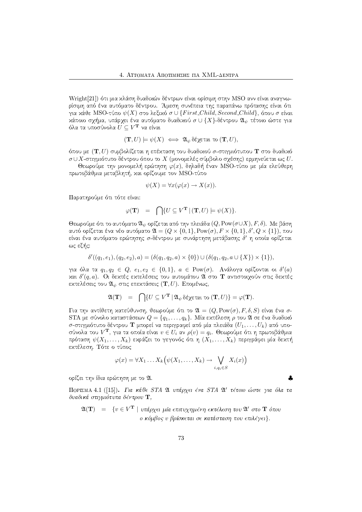Wright[21]) ότι μια κλάση δυαδικών δέντρων είναι ορίσιμη στην MSO ανν είναι αναγνω-@RTV"4GIU±B(SHF:=<AB BWD(>AFHGIB(>J2 PA:=<?>A@A2HD8/v«CEGI[=VU VDW<A:SH[J4B
>AUWX!SHBW@AB(SH\W<?OzSH@AF(>=BWVUWX![JT<ABI4F(>R4 για χάθε MSO-τύπο  $\psi(X)$  στο λεξιχό  $\sigma \cup \{First\_Child, Second\_Child\},$  όπου  $\sigma$  είναι χάποιο σχήμα, υπάρχει ένα αυτόματο δυαδιχού  $\sigma \cup \{X\}$ -δέντρου  $\mathfrak{A}_{\psi}$  τέτοιο ώστε για όλα τα υποσύνολα  $\dot{U} \subseteq V^{\mathbf{T}}$  να είναι

$$
(\mathbf{T},U) \models \psi(X) \iff \mathfrak{A}_{\psi} \delta \xi \chi \text{ etc. } \text{to } (\mathbf{T},U),
$$

όπου με  $(\mathbf{T},U)$  συμβολίζεται η επέχταση του δυαδιχού σ-στιγμιότυπου  $\mathbf{T}$  στο δυαδιχό  $\sigma$ ∪ $X$ -στιγμιότυπο δέντρου όπου το  $X$  (μονομελές σύμβολο σχέσης) ερμηνεύεται ως  $U.$ 

Θεωρούμε την μονομελή ερώτηση  $\varphi(x),$  δηλαδή έναν MSO-τύπο με μία ελεύθερη πρωτοβάθμια μεταβλητή, και ορίζουμε τον MSO-τύπο

$$
\psi(X) = \forall x (\varphi(x) \to X(x)).
$$

Παρατηρούμε ότι τότε είναι:

$$
\varphi(\mathbf{T}) \quad = \quad \bigcap \{ U \subseteq V^{\mathbf{T}} \, | \, (\mathbf{T},U) \models \psi(X) \}.
$$

Θεωρούμε ότι το αυτόματο  $\mathfrak{A}_\psi$  ορίζεται από την πλειάδα  $(Q, \mathrm{Pow}(\sigma \cup X), F, \delta).$  Με βάση αυτό ορίζεται ένα νέο αυτόματο  $\mathfrak{A}=(Q\times\{0,1\},\mathrm{Pow}(\sigma),F\times\{0,1\},\delta',Q\times\{1\}),$  που είναι ένα αυτόματο ερώτησης σ-δέντρου με συνάρτηση μετάβασης δ<sup>1</sup> η οποία ορίζεται ως εξής:

$$
\delta'((q_1, e_1), (q_2, e_2), a) = (\delta(q_1, q_2, a) \times \{0\}) \cup (\delta(q_1, q_2, a \cup \{X\}) \times \{1\}),
$$

για όλα τα  $q_1, q_2 \in Q, e_1, e_2 \in \{0, 1\}, a \in \text{Pow}(\sigma)$ . Ανάλογα ορίζονται οι  $\delta'(a)$ χαι  $\delta'(q,a)$ . Οι δεχτές εχτελέσεις του αυτομάτου  $\mathfrak A$  στο  ${\bf T}$  αντιστοιχούν στις δεχτές εχτελέσεις του  $\mathfrak{A}_\psi$  στις επεχτάσεις  $(\mathbf{T},U).$  Επομένως,  $-$ 

$$
\mathfrak{A}(\mathbf{T}) = \bigcap \{ U \subseteq V^{\mathbf{T}} \, | \, \mathfrak{A}_{\psi} \, \delta \xi \chi \epsilon \tau \alpha \tau \sigma \left( \mathbf{T}, U \right) \} = \varphi(\mathbf{T}).
$$

Για την αντίθετη κατεύθυνση, θεωρούμε ότι το  $\mathfrak{A} = (Q, \text{Pow}(\sigma), F, \delta, S)$  είναι ένα σ- $\text{STA}$  με σύνολο χαταστάσεων  $Q = \{q_1, \ldots, q_k\}$ . Μία εχτέλεση  $\rho$  του  $\mathfrak A$  σε ένα δυαδιχό σ-στιγμιότυπο δέντρου Τ μπορεί να περιγραφεί από μία πλειάδα  $(U_1, \ldots, U_k)$  από υποσύνολα του  $V^{\bf T}$ , για τα οποία είναι  $v\in U_i$  αν  $\rho(v)=q_i$ . Θεωρούμε ότι η πρωτοβάθμια πρόταση  $\psi(X_1, \ldots, X_k)$  εχράζει το γεγονός ότι η  $(X_1, \ldots, X_k)$  περιγράφει μία δεχτή εχτέλεση. Τότε ο τύπος

$$
\varphi(x) = \forall X_1 \dots X_k \Big( \psi(X_1, \dots, X_k) \to \bigvee_{i, q_i \in S} X_i(x) \Big)
$$

♣

ορίζει την ίδια ερώτηση με το 21.

ΠΟΡΙΣΜΑ 4.1 ([15]). Για κάθε STA  $\mathfrak A$  υπάρχει ένα STA  $\mathfrak A'$  τέτοιο ώστε για όλα τα δυαδικά στιγμιότυπα δέντρου  ${\bf T},$ 

$$
\mathfrak{A}(\mathbf{T}) = \{ v \in V^{\mathbf{T}} \mid \text{υπάρχει μία επιτυχημένη εκτέλεση του  $\mathfrak{A}'$  στο  $\mathbf{T}$  όπου   
ο κόμβος υ βρίσκεται σε κατάσταση που επιλέγει}.
$$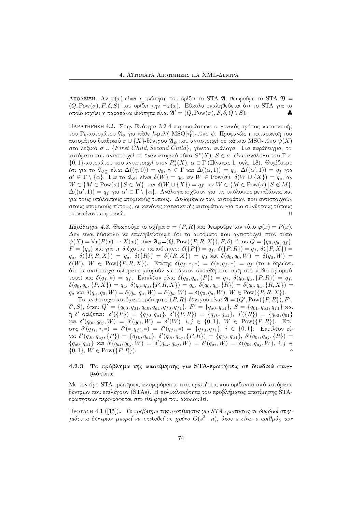ΑΠΟΔΕΙΞΗ. Αν  $\varphi(x)$  είναι η ερώτηση που ορίζει το STA 21, θεωρούμε το STA  $\mathfrak{B} =$  $(Q, \operatorname{Pow}(\sigma), F, \delta, S)$  που ορίζει την  $\neg \varphi(x).$  Εύχολα επαληθεύεται ότι το STA για το οποίο ισχύει η παραπάνω ιδιότητα είναι  $\overline{\mathfrak{A}'} = (Q, \operatorname{Pow}(\sigma), F, \delta, Q \setminus S).$ ♣

-- |¡>AUW<¡<AF(>AU(>JB K8/ .\*/ ±SHBW@A2HDWV"4\WV8>AU(5\*[N23[=<R45\*FHX!>A@AFISH2HX!5\*B(>JBWV85\*[=DW6(X του  $\Gamma_k$ -αυτομάτου  $\mathfrak{A}_\phi$  για χάθε  $k$ -μελή  $\mathrm{MSO}[\tau_\Gamma^0]$ -τύπο  $\phi$ . Προφανώς η χατασχευή του αυτομάτου δυαδιχού  $\sigma \cup \{X\}$ -δέντρου  $\mathfrak{A}_\psi$  που αντιστοιχεί σε χάποιο MSO-τύπο  $\psi(X)^\top$ στο λεξιχό  $\sigma\cup\{First\_Child, Second\_Child\}$ , γίνεται ανάλογα. Για παράδειγμα, το αυτόματο που αντιστοιχεί σε έναν ατομιχό τύπο  $S^*(X),\,S\in\sigma,$  είναι ανάλογο του  $\Gamma\times$  $\{0,1\}$ -αυτομάτου που αντιστοιχεί στον  $P_\alpha^*(X),\,\alpha\in\Gamma$  (Πίναχας 1, σελ. 18). Θυμίζουμε ότι για το  $\mathfrak{A}_{P^*_\alpha}$  είναι  $\Delta((\gamma,0)) = q_0, \ \gamma \in \Gamma$  χαι  $\Delta((\alpha,1)) = q_a, \ \Delta((\alpha',1)) = q_f$  για  $\alpha'\in \Gamma\setminus\{\alpha\}$ . Τια το  $\mathfrak{A}_{S^*}$  είναι  $\delta(W)=q_0,$  αν  $W\in\mathrm{Pow}(\sigma),\ \delta(W\cup\{X\})=q_a,$  αν  $W ∈ \{M ∈ \text{Pow}(\sigma) \, | \, S ∈ M\},$  και  $\delta(W ∪ \{X\}) = q_f$ , αν  $W ∈ \{M ∈ \text{Pow}(\sigma) \, | \, S ∉ M\}.$  $\Delta((\alpha',1))=q_f$  για  $\alpha'\in\Gamma\setminus\{\alpha\}.$  Ανάλογα ισχύουν για τις υπόλοιπες μεταβάσεις χαι για τους υπόλοιπους ατομικούς τύπους. Δεδομένων των αυτομάτων που αντιστοιχούν στους ατομιχούς τύπους, οι χανόνες χατασχευής αυτομάτων για πιο σύνθετους τύπους  $\epsilon$ πεκτείνονται φυσικά.  $\Box$ 

 $\Pi$ αράδειγμα 4.3. Θεωρούμε το σχήμα  $\sigma = \{P, R\}$  και θεωρούμε τον τύπο  $\varphi(x) = P(x).$ Δεν είναι δύσχολο να επαληθεύσουμε ότι το αυτόματο που αντιστοιχεί στον τύπο  $\psi(X) = \forall x (P(x) \rightarrow X(x))$  είναι  $\mathfrak{A}_{\psi} = (Q, \text{Pow}(\{P, R, X\}), F, \delta)$ , όπου  $Q = \{q_0, q_a, q_f\},$  $F = \{q_a\}$  και για τη δ έχουμε τις ισότητες:  $\delta(\{P\}) = q_f, \, \delta(\{P,R\}) = q_f, \, \delta(\{P,X\}) =$  $q_a,\,\,\delta(\{P,R,X\})\,=\,q_a,\,\,\delta(\{R\})\,=\,\delta(\{R,X\})\,=\,q_0$  xơi  $\delta(q_0,q_0,W)\,=\,\delta(q_0,W)\,=\,$  $\delta(W),\; W\; \in\; {\rm Pow}(\{P,R,X\}).\;$  Επίσης  $\delta(q_f,*,*)\;=\; \delta(*,q_f,*)\;=\; q_f\;$  (το  $*\;$ δηλώνει F(>R4Q>JB¬BW<?>RTV8>=2\*4u8B¬2H@RTVGIB(>JB¬GWSH2H@A2HW<<ABlSH\W@A2HDW< 2ISH2\*4BWPA6(SH2(>A[v>R4GI6¬V8>J2SH[=PRT22H@R4VGI2H τους) και  $\delta(q_f,*)\,=\,q_f.$  Επιπλέον είναι  $\delta(q_0,q_a,\{P\})\,=\,q_f,\,\,\delta(q_0,q_a,\{P,R\})\,=\,q_f,$  $\delta(q_0,q_a,\{P,X\})=q_a,\ \delta(q_0,q_a,\{P,R,X\})=q_a,\ \delta(q_0,q_a,\{R\})=\delta(q_0,q_a,\{R,X\})=$  $q_a$  και  $\delta(q_a, q_0, W) = \delta(q_a, q_a, W) = \delta(q_a, W) = \delta(q_0, q_a, W), \, W \in \mathrm{Pow}(\{P, R, X\}).$ 

 $\text{To }$ αντίστοιχο αυτόματο ερώτησης  $\{P,R\}$ -δέντρου είναι  $\mathfrak{A} = (Q',\text{Pow}(\{P,R\}),F',\mathfrak{B})$  $\delta', S)$ , όπου  $Q' = \{q_{00}, q_{01}, q_{a0}, q_{a1}, q_{f0}, q_{f1}\},\ F' = \{q_{a0}, q_{a1}\},\ S = \{q_{01}, q_{a1}, q_{f1}\}$  χαι η δ' ορίζεται:  $\delta'(\{P\}) \ = \ \{q_{f0}, q_{a1}\}, \ \delta'(\{P,R\}) \ = \ \{q_{f0}, q_{a1}\}, \ \delta'(\{R\}) \ = \ \{q_{00}, q_{01}\}$  $\infty$ αι  $\delta'(q_{0i}, q_{0j}, W)$  =  $\delta'(q_{0i}, W)$  =  $\delta'(W),$   $i, j$   $\in$   $\{0, 1\},$   $W$   $\in$   $\mathrm{Pow}(\{P, R\}).$   $\;$   $\mathrm{Ent}$ .  $\sigma$ ης  $\delta'(q_{fi},*,*) = \delta'(*,q_{fi},*) = \delta'(q_{fi},*) = \{q_{f0},q_{f1}\},\,\,i\,\in\,\{0,1\}.$  Επιπλέον είναι  $\delta'(q_{0i}, q_{aj}, {P}) = {q_{f0}, q_{a1}}, \delta'(q_{0i}, q_{aj}, {P, R}) = {q_{f0}, q_{a1}}, \delta'(q_{0i}, q_{aj}, {R}) =$  ${q_{a0}, q_{a1}}$  και  $\delta'(q_{ai}, q_{0j}, W) = \delta'(q_{ai}, q_{aj}, W) = \delta'(q_{ai}, W) = \delta(q_{0i}, q_{aj}, W), i, j \in$  $\{0,1\}, W \in \text{Pow}(\{P, R\}).$ ◇

### 4.2.3 Το πρόβλημα της αποτίμησης για STA-ερωτήσεις σε δυαδικά στιγμιότυπα

Με τον όρο STA-ερωτήσεις αναφερόμαστε στις ερωτήσεις που ορίζονται από αυτόματα δέντρων που επιλέγουν (STAs). Η πολυχλοχότητα του προβλήματος αποτίμησης STAερωτήσεων περιγράφεται στο θεώρημα που αχολουθεί.

ΠΡΟΤΑΣΗ 4.1 ([15]). Το πρόβλημα της αποτίμησης για STA-ερωτήσεις σε δυαδικά στιγμιότυπα δέντρων μπορεί να επιλυθεί σε χρόνο  $O(s^3 \cdot n),$  όπου  $s$  είναι ο αριθμός των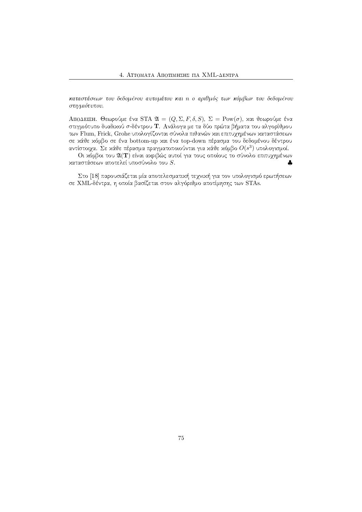καταστάσεων του δεδομένου αυτομάτου και n ο αριθμός των κόμβων του δεδομένου  $\mathcal{F}$  : P7 $\mathcal{F}$  : P7 $\mathcal{F}$  : P7 $\mathcal{F}$  : P7 $\mathcal{F}$ 

 $\Lambda$ ΠΟΔΕΙΞΗ. Θεωρούμε ένα STA  $\mathfrak{A} = (Q, \Sigma, F, \delta, S),$   $\Sigma = \mathrm{Pow}(\sigma),$  και θεωρούμε ένα στιγμιότυπο δυαδιχού σ-δέντρου Τ. Ανάλογα με τα δύο πρώτα βήματα του αλγορίθμου των Flum, Frick, Grohe υπολογίζονται σύνολα πιθανών και επιτυχημένων καταστάσεων σε κάθε κόμβο σε ένα bottom-up και ένα top-down πέρασμα του δεδομένου δέντρου αντίστοιχα. Σε κάθε πέρασμα πραγματοποιούνται για κάθε κόμβο  $O(s^3)$  υπολογισμοί.

Οι κόμβοι του  $\mathfrak{A}(\mathbf{T})$  είναι ακριβώς αυτοί για τους οποίους το σύνολο επιτυχημένων χαταστάσεων αποτελεί υποσύνολο του  $S.$ ♣

 $\Sigma$ το [18] παρουσιάζεται μία αποτελεσματιχή τεγνιχή για τον υπολογισμό ερωτήσεων σε ΧΜL-δέντρα, η οποία βασίζεται στον αλγόριθμο αποτίμησης των STAs.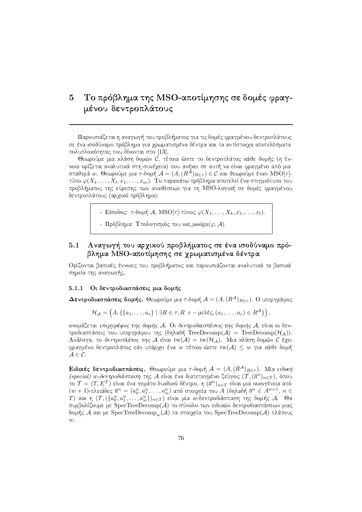# 5  $\;$  Το πρόβλημα της MSO-αποτίμησης σε δομές φραγdecreased and the contract of the contract of the contract of the contract of the contract of the contract of the contract of the contract of the contract of the contract of the contract of the contract of the contract of

Παρουσιάζεται η αναγωγή του προβλήματος για τις δομές φραγμένου δεντροπλάτους σε ένα ισοδύναμο πρόβλημα για χρωματισμένα δέντρα και τα αντίστοιγα αποτελέσματα πολυπλοχότητας που δίνονται στο [13].

Θεωρούμε μια χλάση δομών C, τέτοια ώστε το δεντροπλάτος χάθε δομής (η έν- $\overline{\mathcal{A}}$  and  $\overline{\mathcal{A}}$  and  $\overline{\mathcal{A}}$  are also assumed as a set of the set of the set of the set of the set of the set of the set of the set of the set of the set of the set of the set of the set of the set of the se σταθερά  $w.$  Θεωρούμε μια  $\tau$ -δομή  $\mathcal{A} = (A,(R^\mathcal{A})_{R\in\tau}) \in \mathcal{C}$  χαι θεωρούμε έναν  $\mathrm{MSO}[\tau]$ τύπο  $\varphi(X_1, \dots, X_l, x_1, \dots, x_m).$  Το παραχάτω πρόβλημα αποτελεί ένα στιγμιότυπο του προβλήματος της εύρεσης των αναθέσεων για τη MSO-λογιχή σε δομές φραγμένου δεντροπλάτους (αρχικό πρόβλημα):

 $\vdash\ \text{E}$ ίσοδος:  $\tau$ -δομή  $\mathcal{A},\ \text{MSO}[\tau]$ -τύπος  $\varphi(X_1,\ldots,X_k,x_1,\ldots,x_l).$ 

 $-$  Πρόβλημα: Υπολογισμός του sat assign( $\varphi$ , A).

## 5.1 - Αναγωγή του αργικού προβλήματος σε ένα ισοδύναμο πρόβλημα MSO-αποτίμησης σε χρωματισμένα δέντρα

Ορίζονται βασιχές έννοιες του προβλήματος χαι παρουσιάζονται αναλυτιχά τα βασιχά σημεία της αναγωγής.

5.1.1 - Οι δεντροδιασπάσεις μια δομής

 $\boldsymbol\Delta$ εντροδιασπάσεις δομής. Θεωρούμε μια  $\tau$ -δομή  $\mathcal{A}=(A,(R^\mathcal{A})_{R\in\tau})$ . Ο υπεργράφος

$$
\mathcal{H}_{\mathcal{A}} = \left( A, \{ \{a_1, \ldots, a_r\} \mid \exists R \in \tau, R \ r - \mu \epsilon \lambda \epsilon \varsigma, (a_1, \ldots, a_r) \in R^{\mathcal{A}} \} \right),
$$

ονομάζεται υπ*εργράφος της δομής Α.* Οι δ*εντροδιασπάσεις της δομής Α*, είναι οι δεντροδιασπάσεις του υπεργράφου της (δηλαδή  $\mathrm{TreeDecomp}(\mathcal{A})\,=\, \mathrm{TreeDecomp}(\mathcal{H}_{\mathcal{A}})).$  ${\rm A}$ νάλογα, το δ $\epsilon$ ντροπλάτος της  ${\cal A}$  είναι tw $({\cal A})\,=\,$ tw $({\cal H}_{\cal A})$ . Μια χλάση δομών  ${\cal C}$  έχει φραγμένο δεντροπλάτος εάν υπάρχει ένα  $w$  τέτοιο ώστε tw $(\mathcal{A}) \leq w$  για χάθε δομή  $\mathcal{A} \in \mathcal{C}.$ 

**Ειδικές δεντροδιασπάσεις.** Θεωρούμε μια τ-δομή  $\mathcal{A} = (A,(R^\mathcal{A})_{R\in\tau})$ . Μία  $\epsilon$ ιδική (special) w δεντροδιάσπαση της  ${\mathcal{A}}$  είναι ένα διατεταγμένο ζεύγος  $({\mathcal{T}}, (\overline{a}^n)_{n \in T}),$  όπου το  $\mathcal{T} = (T, E^{\mathcal{T}})$  είναι ένα γεμάτο δυαδιχό δέντρο, η  $(\overline{a}^n)_{n \in T}$  είναι μια οιχογένεια από  $(w+1)$ -πλειάδες  $\overline{a}^n = (a_0^n, a_1^n, \ldots, a_w^n)$  από στοιχεία του  $A$  (δηλαδή  $\overline{a}^n \in A^{w+1}, \ n \in \mathbb{R}$  $T)$  χαι η  $(\mathcal{T},(\{a^n_0,a^n_1,\ldots,a^n_w\})_{n\in T})$  είναι μία  $w$ -δεντροδιάσπαση της δομής  $\mathcal{A}$ . Θα συμβολίζουμε με SpecTreeDecomp(A) το σύνολο των ειδιχών δεντροδιασπάσεων μιας δομής Α και με SpecTreeDecomp<sub>w</sub>(A) τα στοιχεία του SpecTreeDecomp(A) πλάτους  $w$ .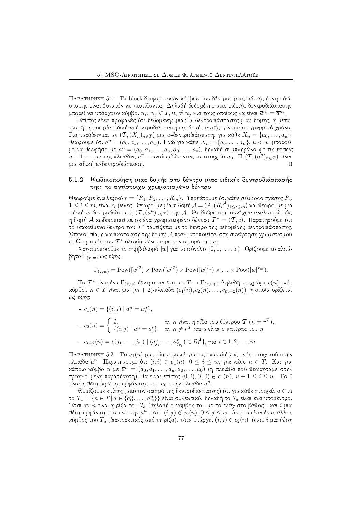ΠΑΡΑΤΗΡΗΣΗ 5.1. Τα block διαφορετικών κόμβων του δέντρου μιας ειδικής δεντροδιάσπασης είναι δυνατόν να ταυτίζονται. Δηλαδή δεδομένης μιας ειδιχής δεντροδιάσπασης μπορεί να υπάρχουν χόμβοι  $n_i, \ n_j \in T, n_i \neq n_j$  για τους οποίους να είναι  $\overline{a}^{n_i} = \overline{a}^{n_j}.$ 

Επίσης είναι προφανές ότι δεδομένης μιας  $w$ -δεντροδιάσπασης μιας δομής, η μετατροπή της σε μία ειδιχή  $w$ -δεντροδιάσπαση της δομής αυτής, γίνεται σε γραμμιχό χρόνο.  $\Gamma$ ια παράδειγμα, αν  $(\mathcal{T},(X_n)_{n\in T})$  μια  $w$ -δεντροδιάσπαση, για χάθε  $X_n = \{a_0,\ldots,a_w\}$ θεωρούμε ότι  $\overline{a}^n = (a_0, a_1, \ldots, a_w)$ . Ενώ για κάθε  $X_n = \{a_0, \ldots, a_u\}, \, u < w,$  μπορούμε να θεωρήσουμε  $\overline{a}^n = (a_0, a_1, \ldots, a_u, a_0, \ldots, a_0),$  δηλαδή συμπληρώνουμε τις θέσεις  $u+1,\ldots,w$  της πλειάδας  $\overline{a}^n$  επαναλαμβάνοντας το στοιχείο  $a_0.$   $\mathrm{H}$   $(\mathcal{T},(\overline{a}^n)_{n\in T})$  είναι μια ειδική  $w$ -δεντροδιάσπαση.  $\boxtimes$ 

#### - - - -Kωδικοποίηση μιας δομής στο δέντρο μιας ειδικής δεντροδιάσπασής της: το αντίστοιχο χρωματισμένο δέντρο

Θεωρούμε ένα λεξιχό  $\tau=\{R_1,R_2,\ldots,R_m\}$ . Υποθέτουμε ότι χάθε σύμβολο σχέσης  $R_i,$  $1\leq i\leq m,$  είναι  $r_i$ -μελές. Θεωρούμε μία  $\tau$ -δομή  $\mathcal{A}=(A,(R_i{}^{\mathcal{A}})_{1\leq i\leq m})$  και θεωρούμε μια ειδιχή  $w$ -δεντροδιάσπαση  $({\mathcal T}, (\overline a^n)_{n \in T})$  της  ${\mathcal A}$ . Θα δούμε στη συνέχεια αναλυτιχά πώς η δομή  ${\mathcal{A}}$  χωδιχοποιείται σε ένα χρωματισμένο δέντρο  $\mathcal{T}^*=(\mathcal{T},c).$  Παρατηρούμε ότι το υποχείμενο δέντρο του  $\mathcal{T}^*$  ταυτίζεται με το δέντρο της δεδομένης δεντροδιάσπασης.  $\Sigma$ την ουσία, η κωδικοποίηση της δομής  ${\cal A}$  πραγματοποιείται στη συνάρτηση χρωματισμού  $c.$  Ο ορισμός του  $\mathcal{T}^*$  ολοχληρώνεται με τον ορισμό της  $c.$ 

 $\mathrm{X}$ ρησιμοποιούμε το συμβολισμό  $[w]$  για το σύνολο  $\{0, 1, \ldots, w\}.$  Ορίζουμε το αλφά $βη$ το  $\Gamma_{(\tau,w)}$  ως εξής:

$$
\Gamma_{(\tau,w)} = \text{Pow}([w]^2) \times \text{Pow}([w]^2) \times \text{Pow}([w]^{r_1}) \times \ldots \times \text{Pow}([w]^{r_m}).
$$

 $\rm To~{\cal T}^*$  είναι ένα  $\Gamma_{(\tau,w)}$ -δέντρο χαι έτσι  $c:T\to \Gamma_{(\tau,w)}.$   $\Delta$ ηλαδή το χρώμα  $c(n)$  ενός  $x$ όμβου  $n \in T$  είναι μια  $(m+2)$ -πλειάδα  $(c_1(n), c_2(n), \ldots, c_{m+2}(n)) ,$  η οποία ορίζεται  $\omega$ ς εξής:

- 
$$
c_1(n) = \{(i, j) | a_i^n = a_j^n\},
$$
  
\n- 
$$
c_2(n) = \begin{cases} \emptyset, & \text{if } n \in \mathbb{N} \text{ or } n \in \mathbb{N} \text{ or } n \in \mathbb{N} \text{ or } n \in \mathbb{N} \text{ or } n = r^T, \\ \{(i, j) | a_i^n = a_j^n\}, & \text{if } n \neq r^T \text{ and } s \in \mathbb{N} \text{ or } n \in \mathbb{N} \text{ or } n.\end{cases}
$$
  
\n- 
$$
c_{i+2}(n) = \{(j_1, \ldots, j_{r_i}) | (a_{j_1}^n, \ldots, a_{j_{r_i}}^n) \in R_i^A\}, \gamma \text{ or } i \in 1, 2, \ldots, m.
$$

ΠΑΡΑΤΗΡΗΣΗ 5.2. Το  $c_1(n)$  μας πληροφορεί για τις επαναλήψεις ενός στοιχειού στην πλειάδα  $\overline{a}^n$ . Παρατηρούμε ότι  $(i,i) \, \in \, c_1(n), \; 0 \leq i \leq w,$  για χάθε  $n \, \in \, T$ . Και για χάποιο χόμβο  $n$  με  $\overline{a}^n\,=\,(a_0,a_1,\ldots,a_u,a_0,\ldots,a_0)$  (η πλειάδα που θεωρήσαμε στην προηγούμενη παρατήρηση), θα είναι επίσης  $(0,i),(i,0)\in c_1(n),\ u+1\leq i\leq w.$  Το  $0$ είναι η θέση πρώτης εμφάνισης του  $a_0$  στην πλειάδα  $\overline{a}^n$ .

Θυμίζουμε επίσης (από τον ορισμό της δεντροδιάσπασης) ότι για κάθε στοιχείο  $a \in A^$ το  $T_a = \{n \in T \, | \, a \in \{a^n_0, \ldots, a^n_w\}\}$  είναι συνεχτιχό, δηλαδή το  $\mathcal{T}_a$  είναι ένα υποδέντρο. Έτσι αν  $n$  είναι η ρίζα του  $\mathcal{T}_a$  (δηλαδή ο χόμβος του με το ελάχιστο βάθος), χαι  $i$  μια θέση εμφάνισης του  $a$  στην  $\overline{a}^n$ , τότε  $(i, j) \not\in c_2(n),\, 0 \leq j \leq w.$  Αν ο  $n$  είναι ένας άλλος χόμβος του  $T_a$  (διαφορετιχός από τη ρίζα), τότε υπάρχει  $(i,j) \in c_2(n),$  όπου  $i$  μια θέση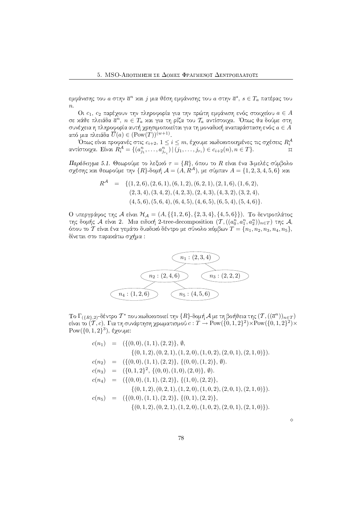εμφάνισης του α στην  $\overline{a}^n$  χαι  $j$  μια θέση εμφάνισης του α στην  $\overline{a}^s$ ,  $s\in T_a$  πατέρας του  $\overline{n}$ .

Οι  $c_1, c_2$  παρέχουν την πληροφορία για την πρώτη εμφάνιση ενός στοιχείου  $a \in A$ σε χάθε πλειάδα  $\overline{a}^n, n \in T_a$  χαι για τη ρίζα του  $\mathcal{T}_a$  αντίστοιχα. Όπως θα δούμε στη συνέχεια η πληροφορία αυτή χρησιμοποιείται για τη μοναδική αναπαράσταση ενός  $a \in A$ από μια πλειάδα  $\overline{U}(a) \in (\text{Pow}(T))^{(w+1)}$ .

Όπως είναι προφανές στις  $c_{i+2}$ ,  $1 \leq i \leq m$ , έχουμε κωδικοποιημένες τις σχέσεις  $R_i^{\mathcal{A}}$  αντίστοιχα. Είναι  $R_i^{\mathcal{A}} = \{(a_{j_1}^n, \ldots, a_{j_{r_i}}^n) \mid (j_1, \ldots, j_{r_i}) \in c_{i+2}(n), n \in T\}$ .

Παράδειγμα 5.1. Θεωρούμε το λεξικό  $\tau = \{R\}$ , όπου το R είναι ένα 3-μελές σύμβολο σχέσης και θεωρούμε την  $\{R\}$ -δομή  $\mathcal{A} = (A, R^{\mathcal{A}})$ , με σύμπαν  $A = \{1, 2, 3, 4, 5, 6\}$  και

$$
R^{\mathcal{A}} = \{ (1,2,6), (2,6,1), (6,1,2), (6,2,1), (2,1,6), (1,6,2), (2,3,4), (3,4,2), (4,2,3), (2,4,3), (4,3,2), (3,2,4), (4,5,6), (5,6,4), (6,4,5), (4,6,5), (6,5,4), (5,4,6) \}.
$$

Ο υπεργράφος της Α είναι  $H_A = (A, \{\{1, 2, 6\}, \{2, 3, 4\}, \{4, 5, 6\}\})$ . Το δεντροπλάτος της δομής Α είναι 2. Μια ειδική 2-tree-decomposition  $(T, ((a_0^n, a_1^n, a_2^n))_{n \in T})$  της Α, όπου το Τ είναι ένα γεμάτο δυαδικό δέντρο με σύνολο κόμβων  $T = \{n_1, n_2, n_3, n_4, n_5\}$ , δίνεται στο παρακάτω σχήμα:



To  $\Gamma_{(\{R\},2)}$ -δέντρο  $\mathcal{T}^*$  που κωδικοποιεί την  $\{R\}$ -δομή  $\mathcal{A}$  με τη βοήθεια της  $(\mathcal{T},((\overline{a}^n))_{n\in\mathcal{T}})$ είναι το  $(\overline{T}, c)$ . Για τη συνάρτηση χρωματισμού  $c : T \to \text{Pow}(\{0, 1, 2\}^2) \times \text{Pow}(\{0, 1, 2\}^2) \times$ Pow( $\{0,1,2\}^3$ ), έχουμε:

$$
c(n_1) = (\{(0,0), (1,1), (2,2)\}, \emptyset,
$$
  
\n
$$
\{(0,1,2), (0,2,1), (1,2,0), (1,0,2), (2,0,1), (2,1,0)\}).
$$
  
\n
$$
c(n_2) = (\{(0,0), (1,1), (2,2)\}, \{(0,0), (1,2)\}, \emptyset).
$$
  
\n
$$
c(n_3) = (\{0,1,2\}^2, \{(0,0), (1,0), (2,0)\}, \emptyset).
$$
  
\n
$$
c(n_4) = (\{(0,0), (1,1), (2,2)\}, \{(1,0), (2,2)\}, \{(0,1,2), (0,2,1), (1,2,0), (1,0,2), (2,0,1), (2,1,0)\}).
$$
  
\n
$$
c(n_5) = (\{(0,0), (1,1), (2,2)\}, \{(0,1), (2,2)\}, \{(0,1,2), (0,2,1), (1,2,0), (1,0,2), (2,0,1), (2,1,0)\}).
$$

 $\Diamond$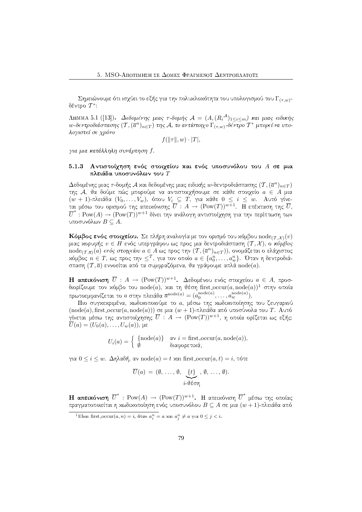Σημειώνουμε ότι ισχύει το εξής για την πολυχλοχότητα του υπολογισμού του  $\Gamma_{(\tau,w)}$ δέντρο  $T^*$ :

ΛΗΜΜΑ 5.1 ([13]). Δεδομένης μιας τ-δομής  $A = (A, (R_i^{\mathcal{A}})_{1 \leq i \leq m})$  και μιας ειδικής  $w$ -δεντροδιάσπασης  $(T, (\overline{a}^n)_{n\in T})$  της Α, το αντίστοιχο  $\Gamma_{(\tau,w)}$ -δέντρο  $T^*$  μπορεί να υπολογιστεί σε χρόνο

$$
f(\|\tau\|, w) \cdot |T|,
$$

για μια κατάλληλη συνάρτηση f.

### Αντιστοίχηση ενός στοιχείου και ενός υποσυνόλου του Α σε μια  $5.1.3$ πλειάδα υποσυνόλων του  $T$

Δεδομένης μιας τ-δομής Α και δεδομένης μιας ειδικής  $w$ -δεντροδιάσπασης  $(T, (\overline{a}^n)_{n \in T})$ της Α, θα δούμε πώς μπορούμε να αντιστοιχήσουμε σε κάθε στοιχείο  $a \in A$  μια  $(w + 1)$ πλειάδα ( $V_0, \ldots, V_w$ ), όπου  $V_i \subseteq T$ , για κάθε  $0 \leq i \leq w$ . Αυτό γίνεται μέσω του ορισμού της απειχόνισης  $\overline{U}$ :  $A \to (\mathrm{Pow}(T))^{w+1}$ . Η επέχταση της  $\overline{U}$ ,  $\overline{U}^*:\mathrm{Pow}(A)\to (\mathrm{Pow}(T))^{w+1}$  δίνει την ανάλογη αντιστοίχηση για την περίπτωση των υποσυνόλων  $B \subseteq A$ .

**Κόμβος ενός στοιχείου.** Σε πλήρη αναλογία με τον ορισμό του χόμβου node $(\tau, x)(v)$ μιας χορυφής  $v \in H$  ενός υπεργράφου ως προς μια δεντροδιάσπαση  $(\mathcal{T}, \mathcal{X})$ , ο κόμβος  $\text{node}_{(\mathcal{T},\overline{a})}(a)$  ενός στοιχείου  $a \in A$  ως προς την  $(\mathcal{T},(\overline{a}^n)_{n \in T}))$ , ονομάζεται ο ελάχιστος  $x$ όμβος  $n \in T$ , ως προς την  $\leq^T$ , για τον οποίο  $a \in \{a_0^n, \ldots, a_w^n\}$ . Όταν η δεντροδιάσπαση  $(T, \overline{a})$  εννοείται από τα συμφραζόμενα, θα γράφουμε απλά  $\mathrm{node}(a)$ .

**Η απειχόνιση**  $\overline{U}$  :  $A \rightarrow (Pow(T))^{w+1}$ . Δεδομένου ενός στοιχείου  $a \in A$ , προσδιορίζουμε τον χόμβο του  $node(a)$ , χαι τη θέση first\_occur $(a, node(a))^1$  στην οποία πρωτοεμφανίζεται το a στην πλειάδα  $\overline{a}^{\text{node}(a)} = (a_0^{\text{node}(a)}, \dots, a_w^{\text{node}(a)})$ .

Πιο συγχεχριμένα, χωδιχοποιούμε το a, μέσω της χωδιχοποίησης του ζευγαριού  $(\text{node}(a), \text{first\_occur}(a, \text{node}(a)))$  σε μια  $(w + 1)$ -πλειάδα από υποσύνολα του T. Αυτό γίνεται μέσω της αντιστοίχησης  $\overline{U}$ :  $A \rightarrow (\mathrm{Pow}(T))^{w+1}$ , η οποία ορίζεται ως εξής:  $\overline{U}(a)=(U_0(a),\ldots,U_w(a)),$  με

$$
U_i(a) = \begin{cases} \{node(a)\} & \text{and } i = \text{first\_occur}(a, node(a)), \\ \emptyset & \text{or } \text{or } i, \end{cases}
$$

για  $0 \leq i \leq w$ . Δηλαδή, αν node(a) = t και first occur(a, t) = i, τότε

$$
\overline{U}(a) = (\emptyset, \ldots, \emptyset, \underbrace{\{t\}}_{i \text{-}\vartheta \in \sigma_1}, \emptyset, \ldots, \emptyset).
$$

**Η απειχόνιση**  $\overline{U}^*$  : Pow(A)  $\rightarrow$  (Pow(T))<sup>w+1</sup>. Η απειχόνιση  $\overline{U}^*$  μέσω της οποίας πραγματοποιείται η κωδικοποίηση ενός υποσυνόλου  $B\subseteq A$  σε μια  $(w+1)$ -πλειάδα από

<sup>&</sup>lt;sup>1</sup>Eίναι first\_occur $(a, n) = i$ , όταν  $a_i^n = a$  και  $a_i^n \neq a$  για  $0 \leq j < i$ .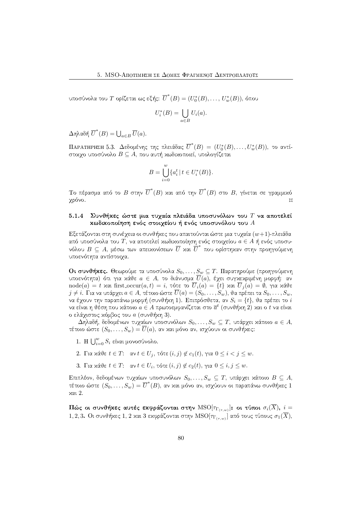υποσύνολα του Τ ορίζεται ως εξής:  $\overline{U}^*(B)=(U_0^*(B),\ldots,U_m^*(B)),$  όπου

$$
U_i^*(B) = \bigcup_{a \in B} U_i(a).
$$

 $\Delta$ ηλαδή  $\overline{U}^*(B) = \bigcup_{a \in B} \overline{U}(a).$ 

ΠΑΡΑΤΗΡΗΣΗ 5.3. Δεδομένης της πλειάδας  $\overline{U}^*(B)=(U_0^*(B),\ldots,U_w^*(B)),$  το αντίστοιχο υποσύνολο  $B \subseteq A$ , που αυτή κωδικοποιεί, υπολογίζεται

$$
B = \bigcup_{i=0}^{w} \{a_i^t \mid t \in U_i^*(B)\}.
$$

Το πέρασμα από το  $B$  στην  $\overline{U}^*(B)$  χαι από την  $\overline{U}^*(B)$  στο  $B$ , γίνεται σε γραμμιχό χρόνο.  $\Box$ 

#### $5.1.4$ Συνθήκες ώστε μια τυχαία πλειάδα υποσυνόλων του  $T$  να αποτελεί κωδικοποίηση ενός στοιχείου ή ενός υποσυνόλου του  $A$

Εξετάζονται στη συνέχεια οι συνθήχες που απαιτούνται ώστε μια τυχαία  $(w+1)$ -πλειάδα από υποσύνολα του  $T$ , να αποτελεί χωδιχοποίηση ενός στοιγείου  $a \in A$  ή ενός υποσυνόλου  $B\,\subseteq\, A,$  μέσω των απειχονίσεων  $\overline{U}$  χαι  $\overline{U}^*$  που ορίστηχαν στην προηγούμενη υποενότητα αντίστοιγα.

Οι συνθήκες. Θεωρούμε τα υποσύνολα $S_0,\ldots,S_w\subseteq T.$  Παρατηρούμε (προηγούμενη υποενότητα) ότι για χάθε  $a \in A$ , το διάνυσμα  $\overline{U}(a)$ , έχει συγχεχριμένη μορφή: αν  $\text{node}(a) = t$  και first  $\text{occur}(a, t) = i$ , τότε το  $\overline{U}_i(a) = \{t\}$  και  $\overline{U}_i(a) = \emptyset$ , για κάθε  $j\neq i.$  Για να υπάρχει  $a\in A,$  τέτοιο ώστε  $\overline{U}(a)=(S_0,\ldots, \overset{\sim}{S_w}),$  θα πρέπει τα  $S_0,\ldots, S_w,$ να έγουν την παραπάνω μορφή (συνθήχη 1). Επιπρόσθετα, αν  $S_i = \{t\}$ , θα πρέπει το  $i$ να είναι η θέση που χάποιο  $a \in A$  πρωτοεμφανίζεται στο  $\overline{a}^t$  (συνθήχη 2) χαι ο  $t$  να είναι ο ελάχιστος κόμβος του  $a$  (συνθήκη 3).

 $\Delta\eta$ λαδή, δεδομένων τυχαίων υποσυνόλων  $S_0,\ldots,S_w\subseteq T,$  υπάρχει χάποιο  $a\in A,$ τέτοιο ώστε  $(S_0, \ldots, S_w) = \overline{U}(a)$ , αν και μόνο αν, ισχύουν οι συνθήχες:

- 1. Η  $\bigcup_{i=0}^{w} S_i$  είναι μονοσύνολο.
- 2. Για κάθε  $t \in T$ : αν  $t \in U_j$ , τότε  $(i, j) \notin c_1(t)$ , για  $0 \le i < j \le w$ .
- 3. Για κάθε  $t \in T$ : αν  $t \in U_i$ , τότε  $(i, j) \notin c_2(t)$ , για  $0 \le i, j \le w$ .

Επιπλέον, δεδομένων τυχαίων υποσυνόλων  $S_0, \ldots, S_w \subseteq T$ , υπάρχει κάποιο  $B \subseteq A$ , τέτοιο ώστε  $(S_0,\ldots, S_w)=\overline{U}^*(B),$  αν χαι μόνο αν, ισχύουν οι παραπάνω συνθήχες 1  $x \alpha$  2.

Πώς οι συνθήχες αυτές εχφράζονται στην  $\mathrm{MSO}[\tau_{\Gamma_{(\tau,w)}}]$ : οι τύποι  $\sigma_i(\overline{X}),\ i=1$ 1, 2, 3. Οι συνθήχες 1, 2 χαι 3 εκφράζονται στην  $\mathrm{MSO}[\tau_{\Gamma_{(x,w)}}]$  από τους τύπους  $\sigma_1(\overline{X}),$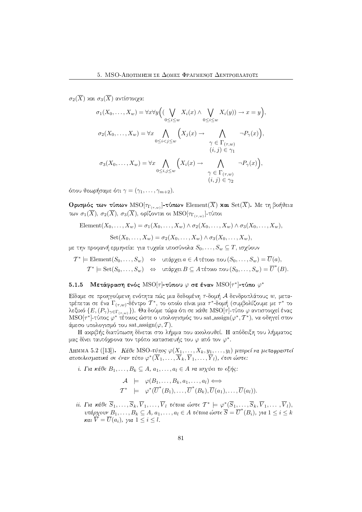σ<sub>2</sub>( $\overline{X}$ ) και σ<sub>3</sub>( $\overline{X}$ ) αντίστοιγα:

$$
\sigma_1(X_0, \dots, X_w) = \forall x \forall y \Big( (\bigvee_{0 \le i \le w} X_i(x) \land \bigvee_{0 \le i \le w} X_i(y)) \to x = y \Big),
$$
  

$$
\sigma_2(X_0, \dots, X_w) = \forall x \bigwedge_{0 \le i < j \le w} \Big( X_j(x) \to \bigwedge_{\gamma \in \Gamma(\tau, w)} \neg P_\gamma(x) \Big),
$$
  

$$
\sigma_3(X_0, \dots, X_w) = \forall x \bigwedge_{0 \le i, j \le w} \Big( X_i(x) \to \bigwedge_{\gamma \in \Gamma(\tau, w)} \neg P_\gamma(x) \Big),
$$
  

$$
\sigma_3(X_0, \dots, X_w) = \forall x \bigwedge_{0 \le i, j \le w} \Big( X_i(x) \to \bigwedge_{\gamma \in \Gamma(\tau, w)} \neg P_\gamma(x) \Big),
$$
  

$$
\varphi \in \Gamma(\tau, w)
$$
  

$$
(i, j) \in \gamma_2
$$

όπου θεωρήσαμε ότι  $\gamma=(\gamma_1,\ldots,\gamma_{m+2}).$ 

 ${\bf O}$ ρισμός των τύπων  ${\rm MSO}[\tau_{\Gamma_{(\tau,w)}}]$ -τύπων  ${\rm Element}(X)$  και  ${\rm Set}(X).$  Με τη βοήθεια των  $\sigma_1(X),\,\sigma_2(X),\,\sigma_3(X),$  ορίζονται οι  $\mathrm{MSO}[\tau_{\Gamma_{(\tau,w)}}]$ -τύποι

Element $(X_0, ..., X_w) = \sigma_1(X_0, ..., X_w) \wedge \sigma_2(X_0, ..., X_w) \wedge \sigma_3(X_0, ..., X_w),$ 

$$
Set(X_0,\ldots,X_w)=\sigma_2(X_0,\ldots,X_w)\wedge \sigma_3(X_0,\ldots,X_w),
$$

με την προφανή ερμηνεία: για τυχαία υποσύνολα  $S_0,\ldots,S_w\subseteq T,$  ισχύουν

$$
\mathcal{T}^* \models \text{Element}(S_0, \dots, S_w) \quad \Leftrightarrow \quad \text{underge a \in A \text{ tétolo } \pi\text{olo} \, (S_0, \dots, S_w) = \overline{U}(a),
$$
\n
$$
\mathcal{T}^* \models \text{Set}(S_0, \dots, S_w) \quad \Leftrightarrow \quad \text{underge a \in A \text{ tétolo } \pi\text{olo} \, (S_0, \dots, S_w) = \overline{U}^*(B).
$$

### 5.1.5  $\,$  Μετάφραση ενός  ${\rm MSO}[\tau]$ -τύπου  $\varphi$  σε έναν  ${\rm MSO}[\tau^*]$ -τύπο  $\varphi^*$

Είδαμε σε προηγούμενη ενότητα πώς μια δεδομένη  $\tau$ -δομή  ${\mathcal A}$  δενδροπλάτους  $w,$  μετατρέπεται σε ένα  $\Gamma_{(\tau,w)}$ -δέντρο  $\mathcal{T}^*$ , το οποίο είναι μια  $\tau^*$ -δομή (συμβολίζουμε με  $\tau^*$  το λεξιχό  $\{E, (P_\gamma)_{\gamma \in \Gamma_{(\tau,w)}}\}$ ). Θα δούμε τώρα ότι σε χάθε  $\mathrm{MSO}[\tau]$ -τύπο  $\varphi$  αντιστοιχεί ένας  $\mathrm{MSO}[\tau^*]$ -τύπος  $\varphi^*$  τέτοιος ώστε ο υπολογισμός του sat\_assign $(\varphi^*,\mathcal{T}^*),$  να οδηγεί στον άμεσο υπολογισμό του  $\mathrm{sat\_assign}(\varphi,T)$ .  $\vdash$ 

H αχριβής διατύπωση δίνεται στο λήμμα που αχολουθεί. Η απόδειξη του λήμματος μας δίνει ταυτόχρονα τον τρόπο χατασχευής του  $\varphi$  από τον  $\varphi^*.$ 

 $\Lambda$ ΗΜΜΑ 5.2 ([13]).  $K$ άθ $\epsilon$  MSO-τύπος φ $(X_1,\ldots,X_k,y_1,\ldots,y_l)$  μπορεί να μεταφραστεί αποτελεσματικά σε έναν τύπο  $\varphi^*(\overline X_1,\dots,\overline X_k,\overline Y_1,\dots,\overline Y_l),$  έτσι ώστε:

i. Για κάθ $\epsilon$   $B_1, \ldots, B_k \subseteq A$ ,  $a_1, \ldots, a_l \in A$  να ισχύ $\epsilon$ ι το  $\epsilon \xi$ ής:

$$
\mathcal{A} \models \varphi(B_1, \ldots, B_k, a_1, \ldots, a_l) \Longleftrightarrow
$$
  

$$
\mathcal{T}^* \models \varphi^*(\overline{U}^*(B_1), \ldots, \overline{U}^*(B_k), \overline{U}(a_1), \ldots, \overline{U}(a_l)).
$$

 $ii$ . Για κάθε  $\overline{S}_1,\ldots,\overline{S}_k,\overline{V}_1,\ldots,\overline{V}_l$  τέτοια ώστε  $\mathcal{T}^*\models\varphi^*(\overline{S}_1,\ldots,\overline{S}_k,\overline{V}_1,\ldots,\overline{V}_l),$ υπάρχουν  $B_1, \ldots, B_k \subseteq A$ ,  $a_1, \ldots, a_l \in A$  τέτοια ώστε  $\overline{S} = \overline{U}^*(B_i)$ , για  $1 \leq i \leq k$  $\kappa$ aı  $V = U(a_i)$ , yıa  $1 \leq i \leq l$ .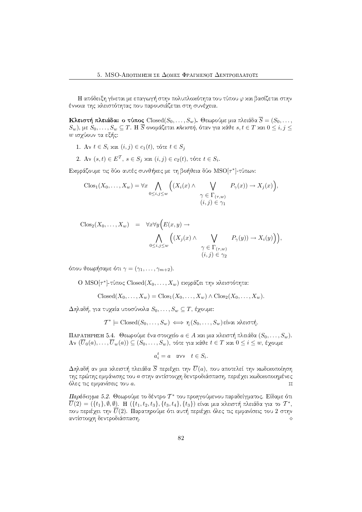Η απόδειξη γίνεται με επαγωγή στην πολυπλοχότητα του τύπου φ χαι βασίζεται στην έννοια της χλειστότητας που παρουσιάζεται στη συνέγεια.

 ${\bf K}$ λειστή πλειάδα: ο τύπος  ${\rm Closed}(S_0, \ldots, S_w).$  Θεωρούμε μια πλειάδα  $S = (S_0, \ldots, S_w)$  $(S_w),$  με  $S_0, \ldots, S_w \subseteq T.$  Η  $S$  ονομάζεται κλειστή, όταν για χάθε  $s,t \in T$  χαι  $0 \leq i,j \leq T$  $w$  ισχύουν τα εξής:

- $1.~$   $\mathrm{A}$ ν  $t\in S_i$  χαι  $(i,j)\in c_1(t),$  τότε  $t\in S_j$
- 2. Αν  $(s,t) \in E^{\mathcal{T}}, s \in S_j$  χαι  $(i, j) \in c_2(t)$ , τότε  $t \in S_i$ .

Εκφράζουμε τις δύο αυτές συνθήκες με τη βοήθεια δύο  $\mathrm{MSO}[\tau^*]$ -τύπων:

$$
\text{Clos}_1(X_0,\ldots,X_w) = \forall x \bigwedge_{0 \leq i,j \leq w} \Big( (X_i(x) \land \bigvee_{\begin{array}{c} \gamma \in \Gamma(\tau,w) \\ (i,j) \in \gamma_1 \end{array}} P_\gamma(x)) \to X_j(x) \Big),
$$

the contract of the contract of the contract of the contract of the contract of the contract of the contract of

$$
\begin{array}{rcl}\n\text{Clos}_2(X_0, \ldots, X_w) & = & \forall x \forall y \Big( E(x, y) \to \\
& \bigwedge_{0 \le i, j \le w} \Big( (X_j(x) \land \bigvee_{0 \le i, j \le w} P_\gamma(y)) \to X_i(y) \Big) \Big), \\
& \qquad \gamma \in \Gamma_{(\tau, w)} \\
& (i, j) \in \gamma_2\n\end{array}
$$

όπου θεωρήσαμε ότι  $\gamma=(\gamma_1,\ldots,\gamma_{m+2}).$ 

 $\mathrm{O}\, \operatorname{MSO}[\tau^*]$ -τύπος  $\mathrm{Closed}(X_0,\ldots,X_w)$  εχφράζει την χλειστότητα:

$$
Closed(X_0, \ldots, X_w) = Clos_1(X_0, \ldots, X_w) \wedge Clos_2(X_0, \ldots, X_w).
$$

 $\Delta$ ηλαδή, για τυχαία υποσύνολα  $S_0,\ldots,S_w \subseteq T,$  έχουμε:

$$
\mathcal{T}^* \models \text{Closed}(S_0, \ldots, S_w) \iff \eta(S_0, \ldots, S_w) \text{ given } \text{value of } \text{min}.
$$

 $\Pi$ ΑΡΑΤΗΡΗΣΗ 5.4.  $\;\Theta$ εωρούμε ένα στοιχείο  $a\in A$  χαι μια χλειστή πλειάδα  $(S_0,\ldots, S_w).$  $\mathrm{Av}\,\left(U_0(a),\ldots,U_w(a)\right)\subseteq\left(S_0,\ldots,S_w\right),$  τότε για χάθε  $t\in T$  χαι  $0\leq i\leq w,$  έχουμε

$$
a_i^t = a \quad \text{and} \quad t \in S_i.
$$

 $\Delta\eta$ λαδή αν μια χλειστή πλειάδα  $S$  περιέχει την  $U(a),$  που αποτελεί την χωδιχοποίηση της πρώτης εμφάνισης του  $a$  στην αντίστοιχη δεντροδιάσπαση, περιέχει κωδικοποιημένες όλες τις εμφανίσεις του  $\it{a}$ .  $\mathcal{F}$ 

Παράδειγμα 5.2. Θεωρούμε το δέντρο  $\mathcal{T}^*$  του προηγούμενου παραδείγματος. Είδαμε ότι  $\overline{U}(2)=(\{t_1\},\emptyset,\emptyset)$ . Η  $(\{t_1,t_2,t_3\},\{t_3,t_4\},\{t_3\})$  είναι μια χλειστή πλειάδα για το  $\mathcal{T}^*,$ που περιέγει την  $\overline{U}(2)$ . Παρατηρούμε ότι αυτή περιέγει όλες τις εμφανίσεις του 2 στην  $\alpha$ ντίστοιχη δεντροδιάσπαση.<br>  $\diamond$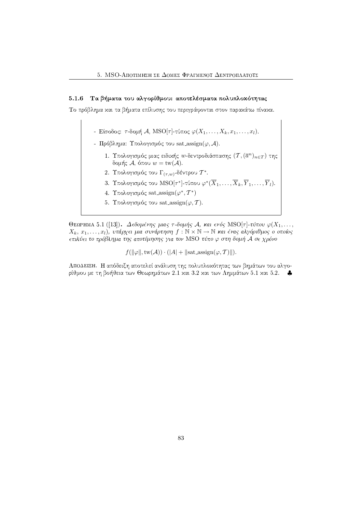### 5.1.6 - Τα βήματα του αλγορίθμου: αποτελέσματα πολυπλοχότητας

Tο πρόβλημα και τα βήματα επίλυσης του περιγράφονται στον παρακάτω πίνακα.

- $\vdash\ \mathop{\rm E}\nolimits$ ίσοδος:  $\tau$ -δομή  $\mathcal{A},\ \mathop{\rm MSO}\nolimits[\tau]$ -τύπος  $\varphi(X_1,\ldots,X_k,x_1,\ldots,x_l).$
- Πρόβλημα: Υπολογισμός του sat assign( $\varphi$ , A).
	- 1. Υπολογισμός μιας ειδιχής  $w$ -δεντροδιάσπασης  $(\mathcal{T},(\overline{a}^n)_{n\in T})$  της  $|$ δομής  $\mathcal A,$  όπου  $w = \mathrm{tw}(\mathcal A).$
	- 2. Υπολογισμός του  $\Gamma_{(\tau,w)}$ -δέντρου  $\mathcal{T}^*.$
	- 3. Υπολογισμός του  ${\rm MSO}[\tau^*]$ -τύπου  $\varphi^*(\overline{X}_1,\ldots,\overline{X}_k,\overline{Y}_1,\ldots,\overline{Y}_l).$
	- 4. Υπολογισμός sat assign( $\varphi^*, T^*$ )
	- 5. Υπολογισμός του sat assign $(\varphi, \mathcal{T} ).$

Θεαρμма 5.1 ([13]). - Δ $\epsilon$ δομένης μιας τ-δομής Α, και ενός MSO[τ]-τύπου  $\varphi(X_1, \ldots,$  $X_k, x_1, \ldots, x_l$ ), υπάρχει μια συνάρτηση  $f : \mathbb{N} \times \mathbb{N} \to \mathbb{N}$  και ένας αλγόριθμος ο οποίος επιλύει το πρόβλημα της αποτίμησης για τον MSO τύπο  $\varphi$  στη δομή  ${\mathcal{A}}$  σε χρόνο

 $f(\|\varphi\|, \text{tw}(\mathcal{A})) \cdot (|A| + \|\text{sat\_assign}(\varphi, \mathcal{T})\|).$ 

AΠΟΔΕΙΞΗ. Η απόδειξη αποτελεί ανάλυση της πολυπλοχότητας των βημάτων του αλγο- $\rho$ ίθμου με τη βοήθεια των Θεωρημάτων 2.1 και 3.2 και των Λημμάτων 5.1 και 5.2.  $\clubsuit$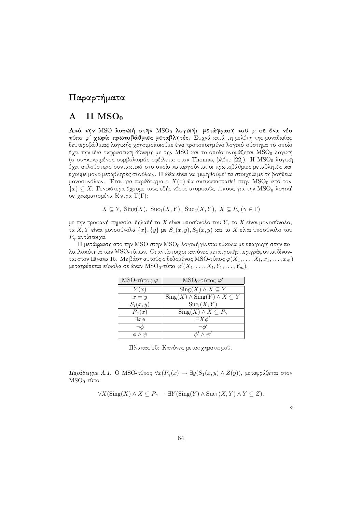## Παραρτήματα

#### $H$  MSO<sub>0</sub>  $\mathbf{A}$

Από την MSO λογική στην MSO<sub>0</sub> λογική: μετάφραση του  $\varphi$  σε ένα νέο τύπο φ' γωρίς πρωτοβάθμιες μεταβλητές. Συγνά κατά τη μελέτη της μοναδιαίας δευτεροβάθμιας λογικής χρησιμοποιούμε ένα τροποποιημένο λογικό σύστημα το οποίο έχει την ίδια εκφραστική δύναμη με την MSO και το οποίο ονομάζεται MSO<sub>0</sub> λογική (ο συγχεχριμένος συμβολισμός οφέιλεται στον Thomas, βλέπε [22]). Η MSO<sub>0</sub> λογιχή έγει απλούστερο συνταχτιχό στο οποίο χαταργούνται οι πρωτοβάθμιες μεταβλητές χαι έχουμε μόνο μεταβλητές συνόλων. Η ιδέα είναι να 'μιμηθούμε' τα στοιχεία με τη βοήθεια μονοσυνόλων. Έτσι για παράδειγμα ο $X(x)$ θα αντικατασταθεί στην  $\overline{\text{MSO}}_0$ από τον  $\{x\}\subseteq X.$  Γενικότερα έχουμε τους εξής νέους ατομικούς τύπους για την  $\mathrm{MSO}_0$ λογική σε χρωματισμένα δέντρα Τ(Γ):

 $X \subseteq Y$ , Sing(X), Suc<sub>1</sub>(X,Y), Suc<sub>2</sub>(X,Y),  $X \subseteq P_{\gamma}(\gamma \in \Gamma)$ 

με την προφανή σημασία, δηλαδή το  $X$  είναι υποσύνολο του  $Y$ , το  $X$  είναι μονοσύνολο, τα X, Y είναι μονοσύνολα  $\{x\}, \{y\}$  με  $S_1(x, y), S_2(x, y)$  και το X είναι υποσύνολο του  $P_{\gamma}$  αντίστοιχα.

Η μετάφραση από την MSO στην MSO<sub>0</sub> λογική γίνεται εύκολα με επαγωγή στην πολυπλοχότητα των MSO-τύπων. Οι αντίστοιχοι χανόνες μετατροπής περιγράφονται δίνονται στον Πίναχα 15. Με βάση αυτούς ο δεδομένος MSO-τύπος  $\varphi(X_1,\ldots,X_l,x_1,\ldots,x_m)$ μετατρέπεται εύχολα σε έναν  $\mathrm{MSO}_{0}$ -τύπο  $\varphi'(X_1,\ldots,X_l,Y_1,\ldots,Y_m)$ .

| MSO-τύπος $\varphi$ | $MSO_0$ -τύπος $\varphi'$                                              |
|---------------------|------------------------------------------------------------------------|
| Y(x)                | $\overline{\mathrm{Sing}(X)} \wedge X \subseteq Y$                     |
| $x = y$             | $\overline{\text{Sing}(X)} \wedge \text{Sing}(Y) \wedge X \subseteq Y$ |
| $S_i(x,y)$          | $Suc_i(X, Y)$                                                          |
| $P_{\gamma}(x)$     | $\text{Sing}(X) \wedge X \subseteq P_{\gamma}$                         |
| $\exists x \phi$    | $\exists X \phi'$                                                      |
|                     |                                                                        |
|                     |                                                                        |

Πίναχας 15: Κανόνες μετασχηματισμού.

Παράδειγμα Α.1. Ο MSO-τύπος  $\forall x (P_{\gamma}(x) \rightarrow \exists y (S_1(x, y) \land Z(y))$ , μεταφράζεται στον  $MSO<sub>0</sub>$ -τύπο:

 $\forall X (\operatorname{Sing}(X) \wedge X \subseteq P_\gamma \to \exists Y (\operatorname{Sing}(Y) \wedge \operatorname{Suc}_1 (X,Y) \wedge Y \subseteq Z).$ 

 $\Diamond$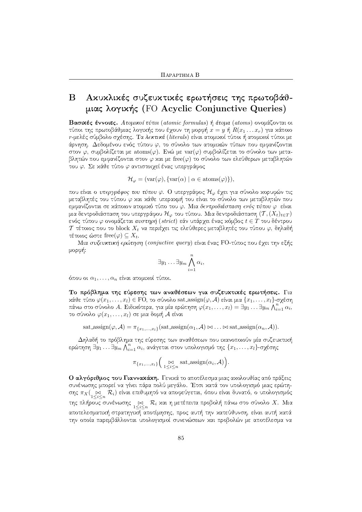## Αχυχλικές συζευχτικές ερωτήσεις της πρωτοβάθ-<sub>B</sub> μιας λογικής (FO Acyclic Conjunctive Queries)

Βασικές έννοιες. Ατομικοί τύποι (atomic formulas) ή άτομα (atoms) ονομάζονται οι τύποι της πρωτοβάθμιας λογικής που έχουν τη μορφή  $x = y$  ή  $R(x_1 \dots x_r)$  για κάποιο r-μελές σύμβολο σγέσης. Τα λεκτικά (literals) είναι ατομικοί τύποι ή ατομικοί τύποι με άρνηση. Δεδομένου ενός τύπου  $\varphi$ , το σύνολο των ατομιχών τύπων που εμφανίζονται στον  $\varphi$ , συμβολίζεται με atoms( $\varphi$ ). Ενώ με var( $\varphi$ ) συμβολίζεται το σύνολο των μεταβλητών που εμφανίζονται στον  $\varphi$  χαι με free( $\varphi$ ) το σύνολο των ελεύθερων μεταβλητών του φ. Σε κάθε τύπο φ αντιστοιχεί ένας υπεργράφος

$$
\mathcal{H}_{\varphi} = (\text{var}(\varphi), \{\text{var}(\alpha) \mid \alpha \in \text{atoms}(\varphi)\}),
$$

που είναι ο υπεργράφος του τύπου φ. Ο υπεργράφος  $\mathcal{H}_{\varphi}$  έχει για σύνολο χορυφών τις μεταβλητές του τύπου φ χαι χάθε υπεραχμή του είναι το σύνολο των μεταβλητών που εμφανίζονται σε κάποιον ατομικό τύπο του φ. Μια δεντροδιάσπαση ενός τύπου φ είναι μια δεντροδιάσπαση του υπεργράφου  $\mathcal{H}_{\varphi}$  του τύπου. Μια δεντροδιάσπαση  $(\mathcal{T}, (X_t)_{t\in T})$ ενός τύπου  $\varphi$  ονομάζεται αυστηρή (strict) εάν υπάρχει ένας χόμβος  $t \in T$  του δέντρου Τ τέτοιος που το block  $X_t$  να περιέχει τις ελεύθερες μεταβλητές του τύπου  $\varphi$ , δηλαδή τέτοιος ώστε free $(\varphi) \subseteq X_t$ .

Μια συζευκτική ερώτηση (conjuctive query) είναι ένας FO-τύπος που έχει την εξής μορφή:

$$
\exists y_1 \ldots \exists y_m \bigwedge_{i=1}^n \alpha_i,
$$

όπου οι  $\alpha_1, \ldots, \alpha_n$  είναι ατομιχοί τύποι.

Το πρόβλημα της εύρεσης των αναθέσεων για συζευχτικές ερωτήσεις. Για  $x$ άθε τύπο  $\varphi(x_1,\ldots,x_l)\in\mathrm{FO},$  το σύνολο sat\_assign $(\varphi,\mathcal{A})$  είναι μια  $\{x_1,\ldots,x_l\}$ -σχέση πάνω στο σύνολο Α. Ειδικότερα, για μία ερώτηση  $\varphi(x_1,\ldots,x_l)=\exists y_1\ldots\exists y_m\bigwedge_{i=1}^n\alpha_i,$ το σύνολο $\varphi(x_1,\ldots,x_l)$ σε μια δομή $\mathcal A$  είναι

sat\_assign( $\varphi$ ,  $\mathcal{A}$ ) =  $\pi_{\{x_1,...,x_l\}}$ (sat\_assign( $\alpha_1$ ,  $\mathcal{A}$ )  $\bowtie$  ...  $\bowtie$  sat\_assign( $\alpha_n$ ,  $\mathcal{A}$ )).

Δηλαδή το πρόβλημα της εύρεσης των αναθέσεων που ικανοποιούν μία συζευκτική ερώτηση  $\exists y_1 \ldots \exists y_m \bigwedge_{i=1}^n \alpha_i$ , ανάγεται στον υπολογισμό της  $\{x_1, \ldots, x_l\}$ -σχέσης

$$
\pi_{\{x_1,\ldots,x_l\}}\Big(\underset{1\leq i\leq n}{\bowtie} \operatorname{sat-assign}(\alpha_i,\mathcal{A})\Big).
$$

Ο αλγόριθμος του Γιαννακάκη. Γενικά το αποτέλεσμα μιας ακολουθίας από πράξεις συνένωσης μπορεί να γίνει πάρα πολύ μεγάλο. Έτσι χατά τον υπολογισμό μιας ερώτησης  $\pi_X(\underset{1\leq i\leq n}{\bowtie}\mathcal{R}_i)$  είναι επιθυμητό να αποφεύγεται, όπου είναι δυνατό, ο υπολογισμός της πλήρους συνένωσης  $\underset{1\leq i\leq n}{\bowtie}\mathcal{R}_i$  και η μετέπειτα προβολή πάνω στο σύνολο  $X$ . Μια αποτελεσματιχή στρατηγιχή αποτίμησης, προς αυτή την χατεύθυνση, είναι αυτή χατά την οποία παρεμβάλλονται υπολογισμοί συνενώσεων και προβολών με αποτέλεσμα να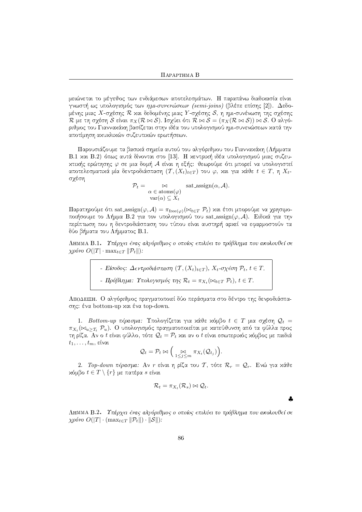μειώνεται το μέγεθος των ενδιάμεσων αποτελεσμάτων. Η παραπάνω διαδικασία είναι γνωστή ως υπολογισμός των ημι-συνενώσεων (semi-joins) (βλέπε επίσης [2]). Δεδομένης μιας Χ-σχέσης  $\mathcal R$  χαι δεδομένης μιας  $Y$ -σχέσης  $\mathcal S$ , η ημι-συνένωση της σχέσης  $\mathcal R$  με τη σγέση  $\mathcal S$  είναι  $\pi_X(\mathcal R \bowtie \mathcal S)$ . Ισγύει ότι  $\mathcal R \bowtie \mathcal S = (\pi_X(\mathcal R \bowtie \mathcal S)) \bowtie \mathcal S$ . Ο αλγόριθμος του Γιανναχάχη βασίζεται στην ιδέα του υπολογισμού ημι-συνενώσεων χατά την αποτίμηση αχυχλιχών συζευτιχών ερωτήσεων.

Παρουσιάζουμε τα βασικά σημεία αυτού του αλγόριθμου του Γιαννακάκη (Λήμματα Β.1 χαι Β.2) όπως αυτά δίνονται στο [13]. Η χεντριχή ιδέα υπολογισμού μιας συζευκτικής ερώτησης φ σε μια δομή Α είναι η εξής: θεωρούμε ότι μπορεί να υπολογιστεί αποτελεσματικά μία δεντροδιάσπαση  $(T, (X_t)_{t \in T})$  του  $\varphi$ , και για κάθε  $t \in T$ , η  $X_{t-1}$ σχέση

$$
\mathcal{P}_t = \bigotimes_{\alpha \in \text{atoms}(\varphi)} \text{sat-assign}(\alpha, \mathcal{A}).
$$
  
var( $\alpha$ )  $\subseteq X_t$ 

Παρατηρούμε ότι sat\_assign(φ, A) =  $\pi_{\text{free}(\omega)}(\bowtie_{t \in T} P_t)$  και έτσι μπορούμε να χρησιμοποιήσουμε το Λήμμα Β.2 για τον υπολογισμού του sat\_assign( $\varphi$ , A). Ειδικά για την περίπτωση που η δεντροδιάσπαση του τύπου είναι αυστηρή αρχεί να εφαρμοστούν τα δύο βήματα του Λήμματος Β.1.

ΛΗΜΜΑ Β.1. Υπάρχει ένας αλγόριθμος ο οποίος επιλύει το πρόβλημα που ακολουθεί σε  $\chi \rho \omega \sigma O(|T| \cdot \max_{t \in T} ||\mathcal{P}_t||)$ :

- Είσοδος: Δεντροδιάσπαση (T, (X<sub>t</sub>)<sub>t</sub>∈T), X<sub>t</sub>-σχέση P<sub>t</sub>, t ∈ T.  
\n- Πρόβλημα: Υπολογισμός της 
$$
R_t = \pi_{X_t}(\bowtie_{t \in T} P_t)
$$
, t ∈ T.

ΑΠΟΔΕΙΞΗ. Ο αλγόριθμος πραγματοποιεί δύο περάσματα στο δέντρο της δενροδιάσπασης: ένα bottom-up και ένα top-down.

1. Bottom-up πέρασμα: Υπολογίζεται για κάθε κόμβο  $t \in T$  μια σχέση  $\mathcal{Q}_t =$  $\pi_{X_t}(\bowtie_{u>\mathcal{T}_t}\mathcal{P}_u)$ . Ο υπολογισμός πραγματοποιείται με κατεύθυνση από τα φύλλα προς τη ρίζα. Αν ο t είναι φύλλο, τότε  $\mathcal{Q}_t = \mathcal{P}_t$  χαι αν ο t είναι εσωτεριχός χόμβος με παιδιά  $t_1, \ldots, t_m$ , είναι

$$
Q_t = \mathcal{P}_t \bowtie \Big(\bigotimes_{1 \leq j \leq m} \pi_{X_t}(Q_{t_j})\Big).
$$

2. Τοp-down πέρασμα: Αν r είναι η ρίζα του Τ, τότε  $\mathcal{R}_r = \mathcal{Q}_r$ . Ενώ για χάθε  $x$ όμβο  $t \in T \setminus \{r\}$  με πατέρα s είναι

$$
\mathcal{R}_t = \pi_{X_t}(\mathcal{R}_s) \bowtie \mathcal{Q}_t.
$$

ΛΗΜΜΑ Β.2. Υπάρχει ένας αλγόριθμος ο οποίος επιλύει το πρόβλημα που ακολουθεί σε  $\chi \rho \omega \omega \, O(|T| \cdot (\max_{t \in T} ||\mathcal{P}_t||) \cdot ||\mathcal{S}||).$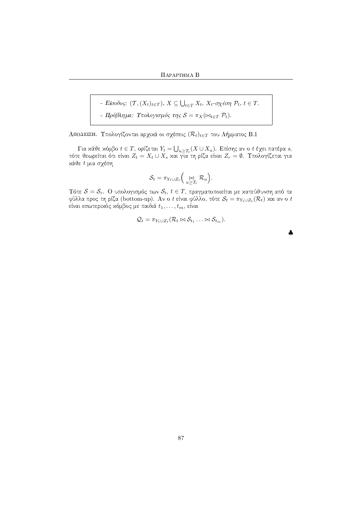- Είσοδος:  $(T, (X_t)_{t \in T}), X \subseteq \bigcup_{t \in T} X_t, X_t$ -σχέση  $\mathcal{P}_t, t \in T$ .
- Πρόβλημα: Υπολογισμός της  $S = \pi_X(\bowtie_{t \in T} \mathcal{P}_t)$ .

ΑΠΟΔΕΙΞΗ. Υπολογίζονται αρχικά οι σχέσεις  $(\mathcal{R}_t)_{t \in T}$  του Λήμματος Β.1

 $\Gamma$ ια κάθε κόμβο $t\in T,$ ορίζεται $Y_t=\bigcup_{u\geq \mathcal{T}_t}(X\cup X_u).$  Επίσης αν ο $t$ έχει πατέρα $s,$ τότε θεωρείται ότι είναι  $Z_t=X_t\cup X_s$ και για τη ρίζα είναι  $Z_r=\emptyset.$  Υπολογίζεται για κάθε t μια σχέση

$$
\mathcal{S}_t = \pi_{Y_t \cup Z_t} \Big( \underset{u \geq T_t}{\bowtie} \mathcal{R}_u \Big).
$$

Τότε  $\mathcal{S} = \mathcal{S}_r$ . Ο υπολογισμός των  $\mathcal{S}_t$ ,  $t \in T$ , πραγματοποιείται με κατεύθυνση από τα φύλλα προς τη ρίζα (bottom-up). Αν ο t είναι φύλλο, τότε  $\mathcal{S}_t = \pi_{Y_t \cup Z_t}(\mathcal{R}_t)$  και αν ο t είναι εσωτερικός κόμβος με παιδιά  $t_1, \ldots, t_m$ , είναι

$$
Q_t = \pi_{Y_t \cup Z_t}(\mathcal{R}_t \bowtie \mathcal{S}_{t_1} \ldots \bowtie \mathcal{S}_{t_m}).
$$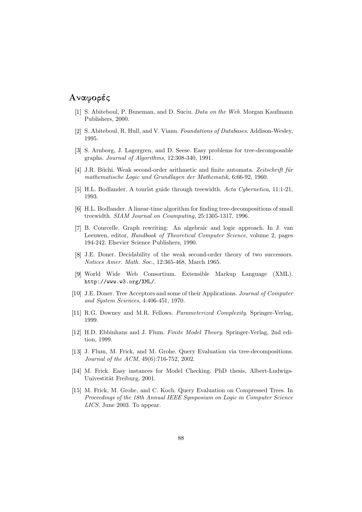## $\blacksquare$  . The contract of  $\blacksquare$  and  $\blacksquare$  and  $\blacksquare$  and  $\blacksquare$  and  $\blacksquare$  and  $\blacksquare$  and  $\blacksquare$  and  $\blacksquare$  and  $\blacksquare$  and  $\blacksquare$  and  $\blacksquare$  and  $\blacksquare$  and  $\blacksquare$  and  $\blacksquare$  and  $\blacksquare$  and  $\blacksquare$  and  $\blacksquare$  and  $\blacksquare$  an

- [1] S. Abiteboul, P. Buneman, and D. Suciu. *Data on the Web*. Morgan Kaufmann Publishers, 2000.
- . S. Abiteboul, R. Hull, and V. Vianu. Foundations of Databases. Addison-Wesley, 1995.
- [3] S. Arnborg, J. Lagergren, and D. Seese. Easy problems for tree-decomposable graphs. Journal of Algorithms, 12:308-340, 1991.
- [4] J.R. Büchi. Weak second-order arithmetic and finite automata. Zeitschrift für mathematische Logic und Grundlagen der Mathematik, 6:66-92, 1960.
- H.L. Bodlander. A tourist guide through treewidth. Acta Cybernetica, 11:1-21, 1993.
- H.L. Bodlander. A linear-time algorithm for finding tree-decompositions of small treewidth. SIAM Journal on Coumputing, 25:1305-1317, 1996.
- [7] B. Courcelle. Graph rewriting: An algebraic and logic approach. In J. van Leeuwen, editor, Handbook of Theoretical Computer Science, volume 2, pages 194-242. Elsevier Science Publishers, 1990.
- ^ J.E. Doner. Decidability of the weak second-order theory of two successors. Notices Amer. Math. Soc., 12:365-468, March 1965.
- World Wide Web Consortium. Extensible Markup Language (XML). http://www.w3.org/XML/.
- [10] J.E. Doner. Tree Acceptors and some of their Applications. Journal of Computer and System Sciences, 4:406-451, 1970.
- [11] R.G. Downey and M.R. Fellows. *Parameterized Complexity*. Springer-Verlag, 1999.
- [12] H.D. Ebbinhaus and J. Flum. Finite Model Theory. Springer-Verlag, 2nd edition, 1999.
- [13] J. Flum, M. Frick, and M. Grohe. Query Evaluation via tree-decompositions. Journal of the ACM, 49(6):716-752, 2002.
- [14] M. Frick. Easy instances for Model Checking. PhD thesis, Albert-Ludwigs-Univestität Freiburg, 2001.
- [15] M. Frick, M. Grohe, and C. Koch. Query Evaluation on Compressed Trees. In Proceedings of the 18th Annual IEEE Symposium on Logic in Computer Science LICS, June 2003. To appear.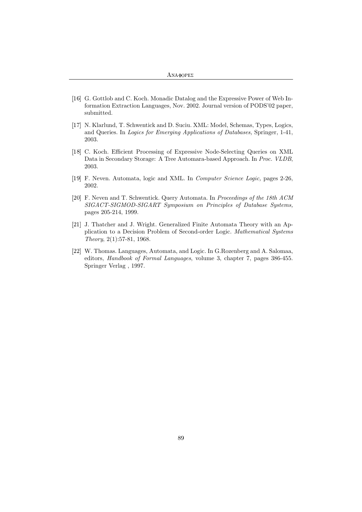```
ANA\PhiOPE\Sigma
```
- [16] G. Gottlob and C. Koch. Monadic Datalog and the Expressive Power of Web Information Extraction Languages, Nov. 2002. Journal version of PODS'02 paper, submitted.
- [17] N. Klarlund, T. Schwentick and D. Suciu. XML: Model, Schemas, Types, Logics, and Queries. In Logics for Emerging Applications of Databases, Springer, 1-41, 2003.
- [18] C. Koch. Efficient Processing of Expressive Node-Selecting Queries on XML Data in Secondary Storage: A Tree Automara-based Approach. In Proc. VLDB, 2003.
- [19] F. Neven. Automata, logic and XML. In *Computer Science Logic*, pages 2-26, 2002.
- [20] F. Neven and T. Schwentick. Query Automata. In Proceedings of the 18th ACM SIGACT-SIGMOD-SIGART Symposium on Principles of Database Systems, pages 205-214, 1999.
- [21] J. Thatcher and J. Wright. Generalized Finite Automata Theory with an Application to a Decision Problem of Second-order Logic. Mathematical Systems Theory, 2(1):57-81, 1968.
- [22] W. Thomas. Languages, Automata, and Logic. In G.Rozenberg and A. Salomaa, editors, Handbook of Formal Languages, volume 3, chapter 7, pages 386-455. Springer Verlag , 1997.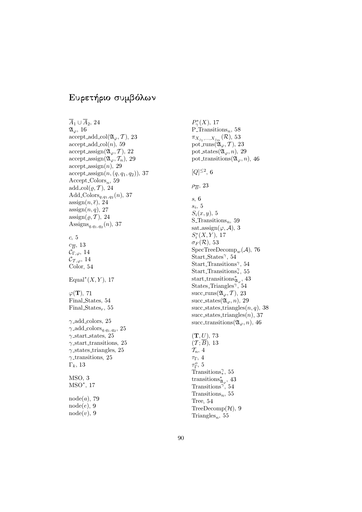## $\blacksquare$  . The set of  $\blacksquare$

 $A_1 \cup A_2$ , 24  $\mathfrak{A}_{\varphi}$ , 16  $accept\_add\_col(\mathfrak{A}_{\varphi}, \mathcal{T}), 23$  $accept\_add\_col(n), 59$  $\mathrm{accept\_assign}(\mathfrak{A}_{\varphi}, \mathcal{T}), 22$  $\text{accept\_assign}(\mathfrak{A}_{\varphi}, \mathcal{T}_n), 29$  $accept\_assign(n), 29$ accept assign $(n,(q, q_1, q_2))$ , 37  $Accept\_Colors_n, 59$  $add\_{col}(\varrho, \mathcal{T}), 24$ Add\_Colors<sub>q,q1</sub>,<sub>q2</sub> $(n)$ , 37  $\operatorname{assign}(n, \overline{\epsilon}), 24$  $\operatorname{assign}(n, q)$ , 27  $\operatorname{assign}(\varrho, \mathcal{T}), 24$ Assigns<sub>q,q1,q2</sub> $(n)$ , 37  $c, 5$  $c_{\overline{B}}$ , 13  $\mathcal{C}_{\Gamma,\varphi}, 14$  $\mathcal{C}_{\mathcal{T},\varphi},$ 14 Color. 54 Equal<sup>\*</sup> $(X, Y)$ , 17  $\varphi(\mathbf{T}), 71$ Final States, 54 Final States<sub>r</sub>, 55  $\gamma$  add colors, 25  $\gamma$ <sub>-add-colors<sub>q,q1</sub>,<sub>q2</sub>, 25</sub>  $\gamma$ -start states, 25  $\gamma$ -start transitions, 25  $\gamma$ -states triangles, 25  $\gamma$ -transitions, 25  $\Gamma_k$ , 13  $MSO, 3$  $MSO^*, 17$  $\mathrm{node}(a), 79$  $\mathrm{node}(e), 9$  $node(v), 9$ 

 $P^*_{\gamma}(X)$ , 17 P Transitions<sub>n</sub>, 58  $\pi_{X_{j_1},\dots,X_{j_m}}(\mathcal{R}),\,53$ pot\_runs $(\mathfrak{A}_{\varphi}, \mathcal{T})$ , 23 pot\_states $(\mathfrak{A}_{\varphi}, n), 29$ pot transitions  $(\mathfrak{A}_{\varphi}, n)$ , 46  $[Q]^{\leq 2}, 6$  $\rho_{\overline{B}}$ , 23  $s, 6$  $s_i, 5$  $S_i(x, y)$ , 5 S\_Transitions<sub>n</sub>, 59 sat\_assign( $\varphi$ ,  $\mathcal{A}$ ), 3  $S_i^*(X, Y), 17$  $\sigma_F(\mathcal{R}),~53$  $\mathrm{SpecTreeDecomp}_{w}(\mathcal{A}),\ 76$ Start States<sup> $\gamma$ </sup>, 54 Start Transitions<sup>γ</sup>, 54 Start Transitions<sup> $\gamma$ </sup>, 55 start\_transitions ${}_{\mathfrak{A}_{\varphi}}^{*}$ , 43 States Triangles<sup> $\gamma$ </sup>, 54 succ\_runs $(\mathfrak{A}_{\varphi}, \mathcal{T}), 23$ succ\_states $(\mathfrak{A}_{\varphi}, n), 29$ succ\_states\_triangles $(n, q)$ , 38  $succ\_states\_triangles(n), 37$ succ\_transitions $(\mathfrak{A}_{\varphi}, n)$ , 46  $(T, U), 73$  $(\mathcal{T};B)$ , 13  $\mathcal{T}_n, 4$  $\tau_{\Gamma},\ 4$  $\tau_{\Gamma}^o$ , 5 Transitions<sup> $\gamma$ </sup>, 55 transitions $\mathfrak{z}_{\varphi}$ , 43

Transitions<sup>γ</sup>, 54

Tree,  $54$ 

Transitions<sub>n</sub>, 55

 $\text{TreeDecomp}(\mathcal{H}), 9$ Triangles<sub>n</sub>, 55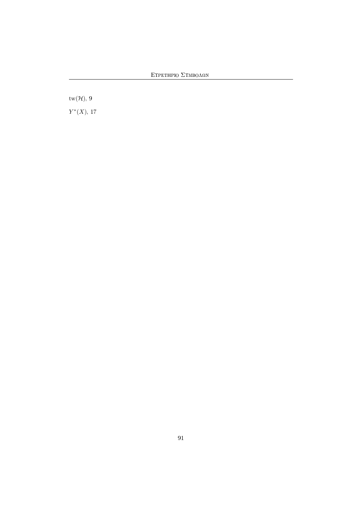ΕΥΡΕΤΗΡΙΟ $Σ$ ΥΜΒΟΛΩΝ

 $\text{tw}(\mathcal{H}),\,9$ 

 $Y^*(X)$ , 17